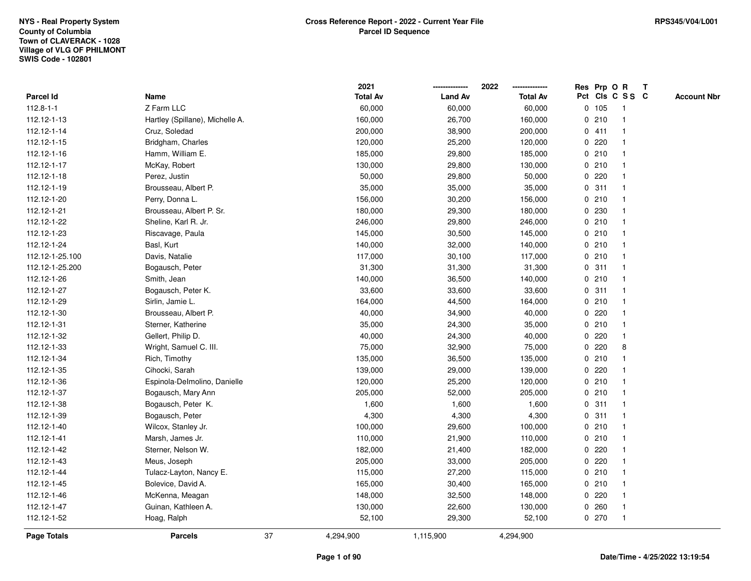|                 |                                 |    | 2021            |                | 2022            |             |         | Res Prp O R             | T |                    |
|-----------------|---------------------------------|----|-----------------|----------------|-----------------|-------------|---------|-------------------------|---|--------------------|
| Parcel Id       | Name                            |    | <b>Total Av</b> | <b>Land Av</b> | <b>Total Av</b> |             |         | Pct Cls C S S C         |   | <b>Account Nbr</b> |
| $112.8 - 1 - 1$ | Z Farm LLC                      |    | 60,000          | 60,000         | 60,000          |             | 0 105   | $\mathbf{1}$            |   |                    |
| 112.12-1-13     | Hartley (Spillane), Michelle A. |    | 160,000         | 26,700         | 160,000         | 0           | 210     | $\mathbf{1}$            |   |                    |
| 112.12-1-14     | Cruz, Soledad                   |    | 200,000         | 38,900         | 200,000         |             | 0411    | $\mathbf{1}$            |   |                    |
| 112.12-1-15     | Bridgham, Charles               |    | 120,000         | 25,200         | 120,000         |             | 0.220   |                         |   |                    |
| 112.12-1-16     | Hamm, William E.                |    | 185,000         | 29,800         | 185,000         |             | 0210    |                         |   |                    |
| 112.12-1-17     | McKay, Robert                   |    | 130,000         | 29,800         | 130,000         |             | 0210    |                         |   |                    |
| 112.12-1-18     | Perez, Justin                   |    | 50,000          | 29,800         | 50,000          |             | 0.220   |                         |   |                    |
| 112.12-1-19     | Brousseau, Albert P.            |    | 35,000          | 35,000         | 35,000          | 0           | 311     |                         |   |                    |
| 112.12-1-20     | Perry, Donna L.                 |    | 156,000         | 30,200         | 156,000         |             | 0210    | -1                      |   |                    |
| 112.12-1-21     | Brousseau, Albert P. Sr.        |    | 180,000         | 29,300         | 180,000         |             | 0 230   | $\mathbf 1$             |   |                    |
| 112.12-1-22     | Sheline, Karl R. Jr.            |    | 246,000         | 29,800         | 246,000         |             | 0210    |                         |   |                    |
| 112.12-1-23     | Riscavage, Paula                |    | 145,000         | 30,500         | 145,000         |             | 0210    |                         |   |                    |
| 112.12-1-24     | Basl, Kurt                      |    | 140,000         | 32,000         | 140,000         |             | 0210    |                         |   |                    |
| 112.12-1-25.100 | Davis, Natalie                  |    | 117,000         | 30,100         | 117,000         |             | 0210    |                         |   |                    |
| 112.12-1-25.200 | Bogausch, Peter                 |    | 31,300          | 31,300         | 31,300          | $\mathbf 0$ | 311     |                         |   |                    |
| 112.12-1-26     | Smith, Jean                     |    | 140,000         | 36,500         | 140,000         | $\mathbf 0$ | 210     | $\mathbf{1}$            |   |                    |
| 112.12-1-27     | Bogausch, Peter K.              |    | 33,600          | 33,600         | 33,600          | $\mathbf 0$ | 311     | $\mathbf{1}$            |   |                    |
| 112.12-1-29     | Sirlin, Jamie L.                |    | 164,000         | 44,500         | 164,000         |             | 0210    |                         |   |                    |
| 112.12-1-30     | Brousseau, Albert P.            |    | 40,000          | 34,900         | 40,000          |             | 0.220   |                         |   |                    |
| 112.12-1-31     | Sterner, Katherine              |    | 35,000          | 24,300         | 35,000          |             | 0210    |                         |   |                    |
| 112.12-1-32     | Gellert, Philip D.              |    | 40,000          | 24,300         | 40,000          |             | $0$ 220 |                         |   |                    |
| 112.12-1-33     | Wright, Samuel C. III.          |    | 75,000          | 32,900         | 75,000          |             | 0.220   | 8                       |   |                    |
| 112.12-1-34     | Rich, Timothy                   |    | 135,000         | 36,500         | 135,000         |             | 0210    | $\mathbf 1$             |   |                    |
| 112.12-1-35     | Cihocki, Sarah                  |    | 139,000         | 29,000         | 139,000         | $\mathbf 0$ | 220     |                         |   |                    |
| 112.12-1-36     | Espinola-Delmolino, Danielle    |    | 120,000         | 25,200         | 120,000         |             | 0210    |                         |   |                    |
| 112.12-1-37     | Bogausch, Mary Ann              |    | 205,000         | 52,000         | 205,000         |             | 0210    |                         |   |                    |
| 112.12-1-38     | Bogausch, Peter K.              |    | 1,600           | 1,600          | 1,600           |             | 0.311   |                         |   |                    |
| 112.12-1-39     | Bogausch, Peter                 |    | 4,300           | 4,300          | 4,300           |             | 0.311   |                         |   |                    |
| 112.12-1-40     | Wilcox, Stanley Jr.             |    | 100,000         | 29,600         | 100,000         |             | 0210    |                         |   |                    |
| 112.12-1-41     | Marsh, James Jr.                |    | 110,000         | 21,900         | 110,000         |             | 0210    | -1                      |   |                    |
| 112.12-1-42     | Sterner, Nelson W.              |    | 182,000         | 21,400         | 182,000         | 0           | 220     |                         |   |                    |
| 112.12-1-43     | Meus, Joseph                    |    | 205,000         | 33,000         | 205,000         |             | 0.220   |                         |   |                    |
| 112.12-1-44     | Tulacz-Layton, Nancy E.         |    | 115,000         | 27,200         | 115,000         |             | 0210    |                         |   |                    |
| 112.12-1-45     | Bolevice, David A.              |    | 165,000         | 30,400         | 165,000         |             | 0210    |                         |   |                    |
| 112.12-1-46     | McKenna, Meagan                 |    | 148,000         | 32,500         | 148,000         |             | 0.220   |                         |   |                    |
| 112.12-1-47     | Guinan, Kathleen A.             |    | 130,000         | 22,600         | 130,000         |             | 0.260   | $\overline{\mathbf{1}}$ |   |                    |
| 112.12-1-52     | Hoag, Ralph                     |    | 52,100          | 29,300         | 52,100          |             | 0270    | $\mathbf{1}$            |   |                    |
| Page Totals     | <b>Parcels</b>                  | 37 | 4,294,900       | 1,115,900      | 4,294,900       |             |         |                         |   |                    |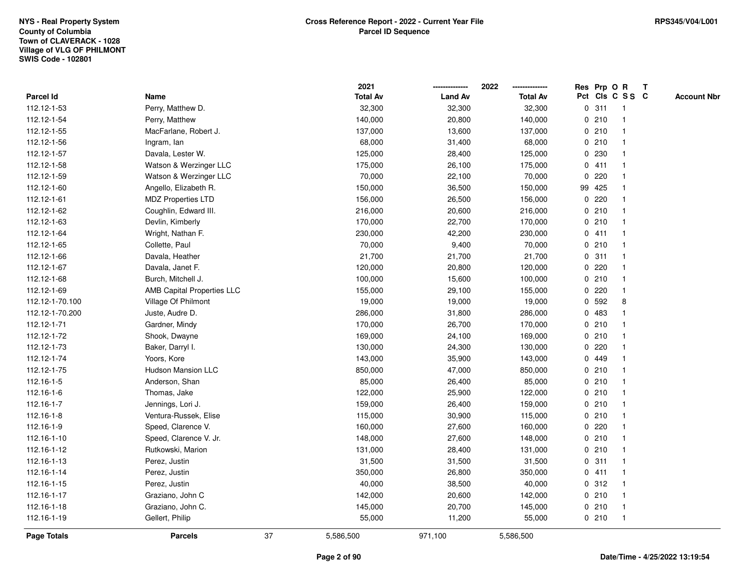|                    |                                   |    | 2021            |                | 2022            |             |        | Res Prp O R     | T |                    |
|--------------------|-----------------------------------|----|-----------------|----------------|-----------------|-------------|--------|-----------------|---|--------------------|
| Parcel Id          | Name                              |    | <b>Total Av</b> | <b>Land Av</b> | <b>Total Av</b> |             |        | Pct Cls C S S C |   | <b>Account Nbr</b> |
| 112.12-1-53        | Perry, Matthew D.                 |    | 32,300          | 32,300         | 32,300          | 0           | 311    | $\mathbf{1}$    |   |                    |
| 112.12-1-54        | Perry, Matthew                    |    | 140,000         | 20,800         | 140,000         | 0           | 210    | $\mathbf{1}$    |   |                    |
| 112.12-1-55        | MacFarlane, Robert J.             |    | 137,000         | 13,600         | 137,000         |             | 0210   | $\mathbf{1}$    |   |                    |
| 112.12-1-56        | Ingram, lan                       |    | 68,000          | 31,400         | 68,000          |             | 0210   |                 |   |                    |
| 112.12-1-57        | Davala, Lester W.                 |    | 125,000         | 28,400         | 125,000         |             | 0 230  |                 |   |                    |
| 112.12-1-58        | Watson & Werzinger LLC            |    | 175,000         | 26,100         | 175,000         |             | 0411   |                 |   |                    |
| 112.12-1-59        | Watson & Werzinger LLC            |    | 70,000          | 22,100         | 70,000          | 0           | 220    |                 |   |                    |
| 112.12-1-60        | Angello, Elizabeth R.             |    | 150,000         | 36,500         | 150,000         |             | 99 425 |                 |   |                    |
| 112.12-1-61        | <b>MDZ Properties LTD</b>         |    | 156,000         | 26,500         | 156,000         | 0           | 220    |                 |   |                    |
| 112.12-1-62        | Coughlin, Edward III.             |    | 216,000         | 20,600         | 216,000         |             | 0210   | $\mathbf{1}$    |   |                    |
| 112.12-1-63        | Devlin, Kimberly                  |    | 170,000         | 22,700         | 170,000         |             | 0210   |                 |   |                    |
| 112.12-1-64        | Wright, Nathan F.                 |    | 230,000         | 42,200         | 230,000         |             | 0411   |                 |   |                    |
| 112.12-1-65        | Collette, Paul                    |    | 70,000          | 9,400          | 70,000          |             | 0210   |                 |   |                    |
| 112.12-1-66        | Davala, Heather                   |    | 21,700          | 21,700         | 21,700          |             | 0.311  |                 |   |                    |
| 112.12-1-67        | Davala, Janet F.                  |    | 120,000         | 20,800         | 120,000         | 0           | 220    |                 |   |                    |
| 112.12-1-68        | Burch, Mitchell J.                |    | 100,000         | 15,600         | 100,000         |             | 0210   | $\mathbf{1}$    |   |                    |
| 112.12-1-69        | <b>AMB Capital Properties LLC</b> |    | 155,000         | 29,100         | 155,000         | 0           | 220    | $\mathbf{1}$    |   |                    |
| 112.12-1-70.100    | Village Of Philmont               |    | 19,000          | 19,000         | 19,000          |             | 0 592  | 8               |   |                    |
| 112.12-1-70.200    | Juste, Audre D.                   |    | 286,000         | 31,800         | 286,000         |             | 0 483  |                 |   |                    |
| 112.12-1-71        | Gardner, Mindy                    |    | 170,000         | 26,700         | 170,000         |             | 0210   |                 |   |                    |
| 112.12-1-72        | Shook, Dwayne                     |    | 169,000         | 24,100         | 169,000         |             | 0210   |                 |   |                    |
| 112.12-1-73        | Baker, Darryl I.                  |    | 130,000         | 24,300         | 130,000         | 0           | 220    |                 |   |                    |
| 112.12-1-74        | Yoors, Kore                       |    | 143,000         | 35,900         | 143,000         |             | 0 449  | -1              |   |                    |
| 112.12-1-75        | <b>Hudson Mansion LLC</b>         |    | 850,000         | 47,000         | 850,000         | $\mathbf 0$ | 210    | $\mathbf{1}$    |   |                    |
| 112.16-1-5         | Anderson, Shan                    |    | 85,000          | 26,400         | 85,000          |             | 0210   |                 |   |                    |
| 112.16-1-6         | Thomas, Jake                      |    | 122,000         | 25,900         | 122,000         |             | 0210   |                 |   |                    |
| 112.16-1-7         | Jennings, Lori J.                 |    | 159,000         | 26,400         | 159,000         |             | 0210   |                 |   |                    |
| 112.16-1-8         | Ventura-Russek, Elise             |    | 115,000         | 30,900         | 115,000         |             | 0210   |                 |   |                    |
| 112.16-1-9         | Speed, Clarence V.                |    | 160,000         | 27,600         | 160,000         |             | 0.220  |                 |   |                    |
| 112.16-1-10        | Speed, Clarence V. Jr.            |    | 148,000         | 27,600         | 148,000         | 0           | 210    | -1              |   |                    |
| 112.16-1-12        | Rutkowski, Marion                 |    | 131,000         | 28,400         | 131,000         |             | 0210   | $\mathbf{1}$    |   |                    |
| 112.16-1-13        | Perez, Justin                     |    | 31,500          | 31,500         | 31,500          |             | 0.311  | -1              |   |                    |
| 112.16-1-14        | Perez, Justin                     |    | 350,000         | 26,800         | 350,000         |             | 0411   |                 |   |                    |
| 112.16-1-15        | Perez, Justin                     |    | 40,000          | 38,500         | 40,000          |             | 0.312  |                 |   |                    |
| 112.16-1-17        | Graziano, John C                  |    | 142,000         | 20,600         | 142,000         |             | 0210   |                 |   |                    |
| 112.16-1-18        | Graziano, John C.                 |    | 145,000         | 20,700         | 145,000         |             | 0210   | -1              |   |                    |
| 112.16-1-19        | Gellert, Philip                   |    | 55,000          | 11,200         | 55,000          |             | 0210   | $\mathbf{1}$    |   |                    |
| <b>Page Totals</b> | <b>Parcels</b>                    | 37 | 5,586,500       | 971,100        | 5,586,500       |             |        |                 |   |                    |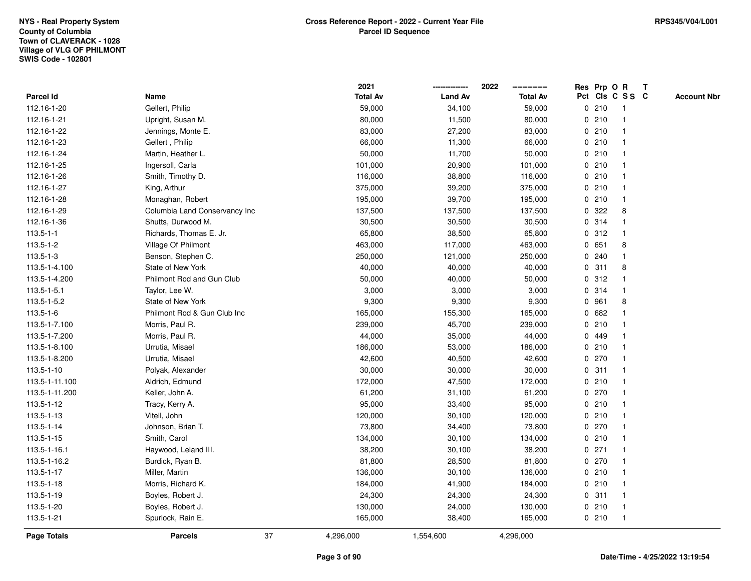|                    |                               |    | 2021            |                | 2022            |             |       | Res Prp O R     | T |                    |
|--------------------|-------------------------------|----|-----------------|----------------|-----------------|-------------|-------|-----------------|---|--------------------|
| Parcel Id          | Name                          |    | <b>Total Av</b> | <b>Land Av</b> | <b>Total Av</b> |             |       | Pct Cls C S S C |   | <b>Account Nbr</b> |
| 112.16-1-20        | Gellert, Philip               |    | 59,000          | 34,100         | 59,000          |             | 0210  | -1              |   |                    |
| 112.16-1-21        | Upright, Susan M.             |    | 80,000          | 11,500         | 80,000          | 0           | 210   | -1              |   |                    |
| 112.16-1-22        | Jennings, Monte E.            |    | 83,000          | 27,200         | 83,000          |             | 0210  | -1              |   |                    |
| 112.16-1-23        | Gellert, Philip               |    | 66,000          | 11,300         | 66,000          |             | 0210  |                 |   |                    |
| 112.16-1-24        | Martin, Heather L.            |    | 50,000          | 11,700         | 50,000          |             | 0210  |                 |   |                    |
| 112.16-1-25        | Ingersoll, Carla              |    | 101,000         | 20,900         | 101,000         |             | 0210  |                 |   |                    |
| 112.16-1-26        | Smith, Timothy D.             |    | 116,000         | 38,800         | 116,000         |             | 0210  |                 |   |                    |
| 112.16-1-27        | King, Arthur                  |    | 375,000         | 39,200         | 375,000         |             | 0210  | $\overline{1}$  |   |                    |
| 112.16-1-28        | Monaghan, Robert              |    | 195,000         | 39,700         | 195,000         |             | 0210  | $\mathbf{1}$    |   |                    |
| 112.16-1-29        | Columbia Land Conservancy Inc |    | 137,500         | 137,500        | 137,500         |             | 0.322 | 8               |   |                    |
| 112.16-1-36        | Shutts, Durwood M.            |    | 30,500          | 30,500         | 30,500          |             | 0.314 |                 |   |                    |
| $113.5 - 1 - 1$    | Richards, Thomas E. Jr.       |    | 65,800          | 38,500         | 65,800          |             | 0.312 |                 |   |                    |
| $113.5 - 1 - 2$    | Village Of Philmont           |    | 463,000         | 117,000        | 463,000         |             | 0651  | 8               |   |                    |
| 113.5-1-3          | Benson, Stephen C.            |    | 250,000         | 121,000        | 250,000         |             | 0.240 | -1              |   |                    |
| 113.5-1-4.100      | State of New York             |    | 40,000          | 40,000         | 40,000          | $\mathbf 0$ | 311   | 8               |   |                    |
| 113.5-1-4.200      | Philmont Rod and Gun Club     |    | 50,000          | 40,000         | 50,000          | 0           | 312   | -1              |   |                    |
| 113.5-1-5.1        | Taylor, Lee W.                |    | 3,000           | 3,000          | 3,000           |             | 0 314 | $\mathbf{1}$    |   |                    |
| 113.5-1-5.2        | State of New York             |    | 9,300           | 9,300          | 9,300           |             | 0 961 | 8               |   |                    |
| 113.5-1-6          | Philmont Rod & Gun Club Inc   |    | 165,000         | 155,300        | 165,000         |             | 0682  |                 |   |                    |
| 113.5-1-7.100      | Morris, Paul R.               |    | 239,000         | 45,700         | 239,000         |             | 0210  |                 |   |                    |
| 113.5-1-7.200      | Morris, Paul R.               |    | 44,000          | 35,000         | 44,000          |             | 0 449 |                 |   |                    |
| 113.5-1-8.100      | Urrutia, Misael               |    | 186,000         | 53,000         | 186,000         |             | 0210  |                 |   |                    |
| 113.5-1-8.200      | Urrutia, Misael               |    | 42,600          | 40,500         | 42,600          |             | 0.270 | -1              |   |                    |
| 113.5-1-10         | Polyak, Alexander             |    | 30,000          | 30,000         | 30,000          | $\mathbf 0$ | 311   | $\mathbf{1}$    |   |                    |
| 113.5-1-11.100     | Aldrich, Edmund               |    | 172,000         | 47,500         | 172,000         |             | 0210  |                 |   |                    |
| 113.5-1-11.200     | Keller, John A.               |    | 61,200          | 31,100         | 61,200          |             | 0 270 |                 |   |                    |
| 113.5-1-12         | Tracy, Kerry A.               |    | 95,000          | 33,400         | 95,000          |             | 0210  |                 |   |                    |
| 113.5-1-13         | Vitell, John                  |    | 120,000         | 30,100         | 120,000         |             | 0210  |                 |   |                    |
| 113.5-1-14         | Johnson, Brian T.             |    | 73,800          | 34,400         | 73,800          |             | 0270  |                 |   |                    |
| 113.5-1-15         | Smith, Carol                  |    | 134,000         | 30,100         | 134,000         |             | 0210  | -1              |   |                    |
| 113.5-1-16.1       | Haywood, Leland III.          |    | 38,200          | 30,100         | 38,200          |             | 0271  | -1              |   |                    |
| 113.5-1-16.2       | Burdick, Ryan B.              |    | 81,800          | 28,500         | 81,800          |             | 0 270 | -1              |   |                    |
| 113.5-1-17         | Miller, Martin                |    | 136,000         | 30,100         | 136,000         |             | 0210  |                 |   |                    |
| 113.5-1-18         | Morris, Richard K.            |    | 184,000         | 41,900         | 184,000         |             | 0210  |                 |   |                    |
| 113.5-1-19         | Boyles, Robert J.             |    | 24,300          | 24,300         | 24,300          |             | 0.311 | -1              |   |                    |
| 113.5-1-20         | Boyles, Robert J.             |    | 130,000         | 24,000         | 130,000         |             | 0210  | -1              |   |                    |
| 113.5-1-21         | Spurlock, Rain E.             |    | 165,000         | 38,400         | 165,000         |             | 0210  | $\mathbf{1}$    |   |                    |
| <b>Page Totals</b> | <b>Parcels</b>                | 37 | 4,296,000       | 1,554,600      | 4,296,000       |             |       |                 |   |                    |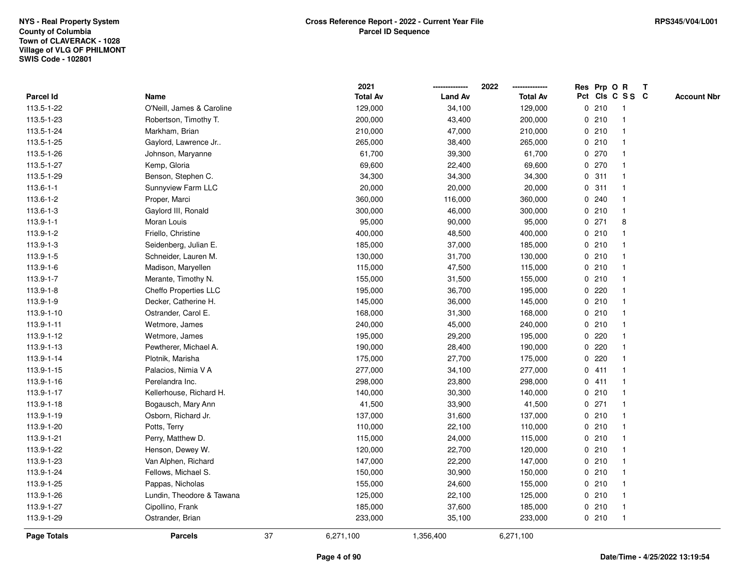|                  |                           |    | 2021            |                | 2022            |   | Res Prp O R |                 | T |                    |
|------------------|---------------------------|----|-----------------|----------------|-----------------|---|-------------|-----------------|---|--------------------|
| <b>Parcel Id</b> | Name                      |    | <b>Total Av</b> | <b>Land Av</b> | <b>Total Av</b> |   |             | Pct Cls C S S C |   | <b>Account Nbr</b> |
| 113.5-1-22       | O'Neill, James & Caroline |    | 129,000         | 34,100         | 129,000         |   | 0210        | $\mathbf{1}$    |   |                    |
| 113.5-1-23       | Robertson, Timothy T.     |    | 200,000         | 43,400         | 200,000         | 0 | 210         |                 |   |                    |
| 113.5-1-24       | Markham, Brian            |    | 210,000         | 47,000         | 210,000         |   | 0210        | $\mathbf 1$     |   |                    |
| 113.5-1-25       | Gaylord, Lawrence Jr      |    | 265,000         | 38,400         | 265,000         |   | 0210        |                 |   |                    |
| 113.5-1-26       | Johnson, Maryanne         |    | 61,700          | 39,300         | 61,700          |   | 0 270       |                 |   |                    |
| 113.5-1-27       | Kemp, Gloria              |    | 69,600          | 22,400         | 69,600          |   | 0 270       |                 |   |                    |
| 113.5-1-29       | Benson, Stephen C.        |    | 34,300          | 34,300         | 34,300          |   | 0.311       | $\mathbf 1$     |   |                    |
| $113.6 - 1 - 1$  | Sunnyview Farm LLC        |    | 20,000          | 20,000         | 20,000          | 0 | 311         |                 |   |                    |
| 113.6-1-2        | Proper, Marci             |    | 360,000         | 116,000        | 360,000         |   | 0.240       |                 |   |                    |
| 113.6-1-3        | Gaylord III, Ronald       |    | 300,000         | 46,000         | 300,000         |   | 0210        | $\mathbf{1}$    |   |                    |
| $113.9 - 1 - 1$  | Moran Louis               |    | 95,000          | 90,000         | 95,000          |   | $0$ 271     | 8               |   |                    |
| 113.9-1-2        | Friello, Christine        |    | 400,000         | 48,500         | 400,000         |   | 0210        |                 |   |                    |
| 113.9-1-3        | Seidenberg, Julian E.     |    | 185,000         | 37,000         | 185,000         |   | 0210        |                 |   |                    |
| 113.9-1-5        | Schneider, Lauren M.      |    | 130,000         | 31,700         | 130,000         |   | 0210        |                 |   |                    |
| 113.9-1-6        | Madison, Maryellen        |    | 115,000         | 47,500         | 115,000         |   | 0210        |                 |   |                    |
| 113.9-1-7        | Merante, Timothy N.       |    | 155,000         | 31,500         | 155,000         | 0 | 210         |                 |   |                    |
| $113.9 - 1 - 8$  | Cheffo Properties LLC     |    | 195,000         | 36,700         | 195,000         | 0 | 220         |                 |   |                    |
| 113.9-1-9        | Decker, Catherine H.      |    | 145,000         | 36,000         | 145,000         |   | 0210        |                 |   |                    |
| 113.9-1-10       | Ostrander, Carol E.       |    | 168,000         | 31,300         | 168,000         |   | 0210        |                 |   |                    |
| 113.9-1-11       | Wetmore, James            |    | 240,000         | 45,000         | 240,000         |   | 0210        |                 |   |                    |
| 113.9-1-12       | Wetmore, James            |    | 195,000         | 29,200         | 195,000         |   | 0.220       |                 |   |                    |
| 113.9-1-13       | Pewtherer, Michael A.     |    | 190,000         | 28,400         | 190,000         |   | 0.220       |                 |   |                    |
| 113.9-1-14       | Plotnik, Marisha          |    | 175,000         | 27,700         | 175,000         | 0 | 220         |                 |   |                    |
| 113.9-1-15       | Palacios, Nimia V A       |    | 277,000         | 34,100         | 277,000         |   | 0411        |                 |   |                    |
| 113.9-1-16       | Perelandra Inc.           |    | 298,000         | 23,800         | 298,000         |   | 0411        |                 |   |                    |
| 113.9-1-17       | Kellerhouse, Richard H.   |    | 140,000         | 30,300         | 140,000         |   | 0210        |                 |   |                    |
| 113.9-1-18       | Bogausch, Mary Ann        |    | 41,500          | 33,900         | 41,500          |   | $0$ 271     |                 |   |                    |
| 113.9-1-19       | Osborn, Richard Jr.       |    | 137,000         | 31,600         | 137,000         |   | 0210        |                 |   |                    |
| 113.9-1-20       | Potts, Terry              |    | 110,000         | 22,100         | 110,000         |   | 0210        |                 |   |                    |
| 113.9-1-21       | Perry, Matthew D.         |    | 115,000         | 24,000         | 115,000         |   | 0210        |                 |   |                    |
| 113.9-1-22       | Henson, Dewey W.          |    | 120,000         | 22,700         | 120,000         |   | 0210        |                 |   |                    |
| 113.9-1-23       | Van Alphen, Richard       |    | 147,000         | 22,200         | 147,000         |   | 0210        |                 |   |                    |
| 113.9-1-24       | Fellows, Michael S.       |    | 150,000         | 30,900         | 150,000         |   | 0210        |                 |   |                    |
| 113.9-1-25       | Pappas, Nicholas          |    | 155,000         | 24,600         | 155,000         |   | 0210        |                 |   |                    |
| 113.9-1-26       | Lundin, Theodore & Tawana |    | 125,000         | 22,100         | 125,000         |   | 0210        |                 |   |                    |
| 113.9-1-27       | Cipollino, Frank          |    | 185,000         | 37,600         | 185,000         |   | 0210        | $\mathbf{1}$    |   |                    |
| 113.9-1-29       | Ostrander, Brian          |    | 233,000         | 35,100         | 233,000         |   | 0210        | $\mathbf{1}$    |   |                    |
| Page Totals      | <b>Parcels</b>            | 37 | 6,271,100       | 1,356,400      | 6,271,100       |   |             |                 |   |                    |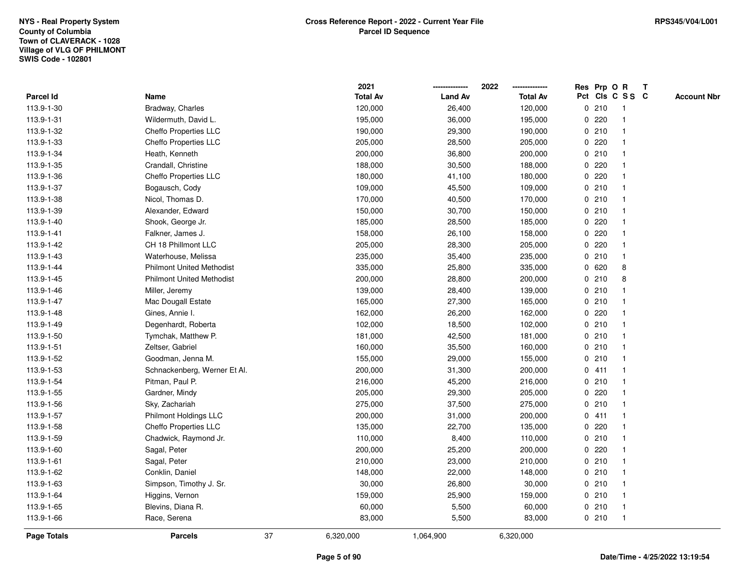|             |                                  |    | 2021            |                | 2022            |             | Res Prp O R |                 | Т |                    |
|-------------|----------------------------------|----|-----------------|----------------|-----------------|-------------|-------------|-----------------|---|--------------------|
| Parcel Id   | Name                             |    | <b>Total Av</b> | <b>Land Av</b> | <b>Total Av</b> |             |             | Pct Cls C S S C |   | <b>Account Nbr</b> |
| 113.9-1-30  | Bradway, Charles                 |    | 120,000         | 26,400         | 120,000         |             | 0210        | $\mathbf{1}$    |   |                    |
| 113.9-1-31  | Wildermuth, David L.             |    | 195,000         | 36,000         | 195,000         | 0           | 220         | -1              |   |                    |
| 113.9-1-32  | Cheffo Properties LLC            |    | 190,000         | 29,300         | 190,000         |             | 0210        | $\mathbf{1}$    |   |                    |
| 113.9-1-33  | Cheffo Properties LLC            |    | 205,000         | 28,500         | 205,000         |             | 0220        |                 |   |                    |
| 113.9-1-34  | Heath, Kenneth                   |    | 200,000         | 36,800         | 200,000         |             | 0210        |                 |   |                    |
| 113.9-1-35  | Crandall, Christine              |    | 188,000         | 30,500         | 188,000         |             | $0$ 220     |                 |   |                    |
| 113.9-1-36  | Cheffo Properties LLC            |    | 180,000         | 41,100         | 180,000         |             | $0$ 220     |                 |   |                    |
| 113.9-1-37  | Bogausch, Cody                   |    | 109,000         | 45,500         | 109,000         |             | 0210        |                 |   |                    |
| 113.9-1-38  | Nicol, Thomas D.                 |    | 170,000         | 40,500         | 170,000         |             | 0210        | -1              |   |                    |
| 113.9-1-39  | Alexander, Edward                |    | 150,000         | 30,700         | 150,000         |             | 0210        | $\mathbf 1$     |   |                    |
| 113.9-1-40  | Shook, George Jr.                |    | 185,000         | 28,500         | 185,000         |             | 0.220       | -1              |   |                    |
| 113.9-1-41  | Falkner, James J.                |    | 158,000         | 26,100         | 158,000         |             | 0220        |                 |   |                    |
| 113.9-1-42  | CH 18 Phillmont LLC              |    | 205,000         | 28,300         | 205,000         |             | 0220        |                 |   |                    |
| 113.9-1-43  | Waterhouse, Melissa              |    | 235,000         | 35,400         | 235,000         |             | 0210        | -1              |   |                    |
| 113.9-1-44  | <b>Philmont United Methodist</b> |    | 335,000         | 25,800         | 335,000         |             | 0620        | 8               |   |                    |
| 113.9-1-45  | <b>Philmont United Methodist</b> |    | 200,000         | 28,800         | 200,000         | 0           | 210         | 8               |   |                    |
| 113.9-1-46  | Miller, Jeremy                   |    | 139,000         | 28,400         | 139,000         |             | 0210        |                 |   |                    |
| 113.9-1-47  | Mac Dougall Estate               |    | 165,000         | 27,300         | 165,000         |             | 0210        |                 |   |                    |
| 113.9-1-48  | Gines, Annie I.                  |    | 162,000         | 26,200         | 162,000         |             | $0$ 220     |                 |   |                    |
| 113.9-1-49  | Degenhardt, Roberta              |    | 102,000         | 18,500         | 102,000         |             | 0210        |                 |   |                    |
| 113.9-1-50  | Tymchak, Matthew P.              |    | 181,000         | 42,500         | 181,000         |             | 0210        |                 |   |                    |
| 113.9-1-51  | Zeltser, Gabriel                 |    | 160,000         | 35,500         | 160,000         |             | 0210        |                 |   |                    |
| 113.9-1-52  | Goodman, Jenna M.                |    | 155,000         | 29,000         | 155,000         |             | 0210        | $\overline{1}$  |   |                    |
| 113.9-1-53  | Schnackenberg, Werner Et Al.     |    | 200,000         | 31,300         | 200,000         |             | 0411        | -1              |   |                    |
| 113.9-1-54  | Pitman, Paul P.                  |    | 216,000         | 45,200         | 216,000         |             | 0210        | -1              |   |                    |
| 113.9-1-55  | Gardner, Mindy                   |    | 205,000         | 29,300         | 205,000         |             | $0$ 220     |                 |   |                    |
| 113.9-1-56  | Sky, Zachariah                   |    | 275,000         | 37,500         | 275,000         |             | 0210        |                 |   |                    |
| 113.9-1-57  | <b>Philmont Holdings LLC</b>     |    | 200,000         | 31,000         | 200,000         |             | 0411        | -1              |   |                    |
| 113.9-1-58  | Cheffo Properties LLC            |    | 135,000         | 22,700         | 135,000         | 0           | 220         |                 |   |                    |
| 113.9-1-59  | Chadwick, Raymond Jr.            |    | 110,000         | 8,400          | 110,000         | $\mathbf 0$ | 210         | -1              |   |                    |
| 113.9-1-60  | Sagal, Peter                     |    | 200,000         | 25,200         | 200,000         | 0           | 220         |                 |   |                    |
| 113.9-1-61  | Sagal, Peter                     |    | 210,000         | 23,000         | 210,000         |             | 0210        | -1              |   |                    |
| 113.9-1-62  | Conklin, Daniel                  |    | 148,000         | 22,000         | 148,000         |             | 0210        |                 |   |                    |
| 113.9-1-63  | Simpson, Timothy J. Sr.          |    | 30,000          | 26,800         | 30,000          |             | 0210        |                 |   |                    |
| 113.9-1-64  | Higgins, Vernon                  |    | 159,000         | 25,900         | 159,000         |             | 0210        |                 |   |                    |
| 113.9-1-65  | Blevins, Diana R.                |    | 60,000          | 5,500          | 60,000          |             | 0210        | -1              |   |                    |
| 113.9-1-66  | Race, Serena                     |    | 83,000          | 5,500          | 83,000          |             | 0210        | $\mathbf{1}$    |   |                    |
| Page Totals | <b>Parcels</b>                   | 37 | 6,320,000       | 1,064,900      | 6,320,000       |             |             |                 |   |                    |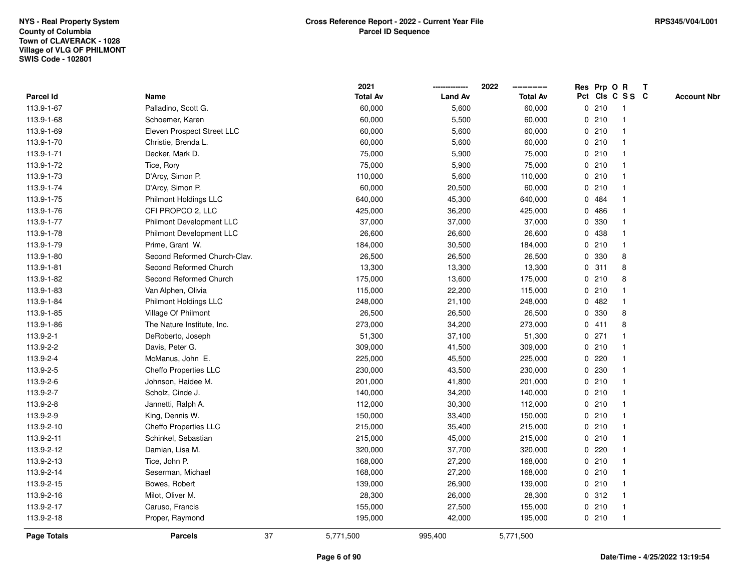|                  |                                 |    | 2021            |                | 2022            |             | Res Prp O R |                 | T |                    |
|------------------|---------------------------------|----|-----------------|----------------|-----------------|-------------|-------------|-----------------|---|--------------------|
| <b>Parcel Id</b> | Name                            |    | <b>Total Av</b> | <b>Land Av</b> | <b>Total Av</b> |             |             | Pct Cls C S S C |   | <b>Account Nbr</b> |
| 113.9-1-67       | Palladino, Scott G.             |    | 60,000          | 5,600          | 60,000          |             | 0210        | $\mathbf{1}$    |   |                    |
| 113.9-1-68       | Schoemer, Karen                 |    | 60,000          | 5,500          | 60,000          |             | 0210        |                 |   |                    |
| 113.9-1-69       | Eleven Prospect Street LLC      |    | 60,000          | 5,600          | 60,000          |             | 0210        | $\mathbf 1$     |   |                    |
| 113.9-1-70       | Christie, Brenda L.             |    | 60,000          | 5,600          | 60,000          |             | 0210        |                 |   |                    |
| 113.9-1-71       | Decker, Mark D.                 |    | 75,000          | 5,900          | 75,000          |             | 0210        |                 |   |                    |
| 113.9-1-72       | Tice, Rory                      |    | 75,000          | 5,900          | 75,000          |             | 0210        |                 |   |                    |
| 113.9-1-73       | D'Arcy, Simon P.                |    | 110,000         | 5,600          | 110,000         |             | 0210        |                 |   |                    |
| 113.9-1-74       | D'Arcy, Simon P.                |    | 60,000          | 20,500         | 60,000          | 0           | 210         |                 |   |                    |
| 113.9-1-75       | Philmont Holdings LLC           |    | 640,000         | 45,300         | 640,000         |             | 0 484       |                 |   |                    |
| 113.9-1-76       | CFI PROPCO 2, LLC               |    | 425,000         | 36,200         | 425,000         |             | 0 486       |                 |   |                    |
| 113.9-1-77       | <b>Philmont Development LLC</b> |    | 37,000          | 37,000         | 37,000          |             | 0 330       |                 |   |                    |
| 113.9-1-78       | Philmont Development LLC        |    | 26,600          | 26,600         | 26,600          |             | 0 438       |                 |   |                    |
| 113.9-1-79       | Prime, Grant W.                 |    | 184,000         | 30,500         | 184,000         |             | 0210        |                 |   |                    |
| 113.9-1-80       | Second Reformed Church-Clav.    |    | 26,500          | 26,500         | 26,500          |             | 0 330       | 8               |   |                    |
| 113.9-1-81       | Second Reformed Church          |    | 13,300          | 13,300         | 13,300          | 0           | 311         | 8               |   |                    |
| 113.9-1-82       | Second Reformed Church          |    | 175,000         | 13,600         | 175,000         | 0           | 210         | 8               |   |                    |
| 113.9-1-83       | Van Alphen, Olivia              |    | 115,000         | 22,200         | 115,000         |             | 0210        |                 |   |                    |
| 113.9-1-84       | Philmont Holdings LLC           |    | 248,000         | 21,100         | 248,000         |             | 0482        |                 |   |                    |
| 113.9-1-85       | Village Of Philmont             |    | 26,500          | 26,500         | 26,500          |             | 0 330       | 8               |   |                    |
| 113.9-1-86       | The Nature Institute, Inc.      |    | 273,000         | 34,200         | 273,000         |             | 0411        | 8               |   |                    |
| 113.9-2-1        | DeRoberto, Joseph               |    | 51,300          | 37,100         | 51,300          |             | $0$ 271     |                 |   |                    |
| 113.9-2-2        | Davis, Peter G.                 |    | 309,000         | 41,500         | 309,000         |             | 0210        |                 |   |                    |
| 113.9-2-4        | McManus, John E.                |    | 225,000         | 45,500         | 225,000         | 0           | 220         |                 |   |                    |
| 113.9-2-5        | Cheffo Properties LLC           |    | 230,000         | 43,500         | 230,000         | $\mathbf 0$ | 230         |                 |   |                    |
| 113.9-2-6        | Johnson, Haidee M.              |    | 201,000         | 41,800         | 201,000         |             | 0210        |                 |   |                    |
| 113.9-2-7        | Scholz, Cinde J.                |    | 140,000         | 34,200         | 140,000         |             | 0210        |                 |   |                    |
| 113.9-2-8        | Jannetti, Ralph A.              |    | 112,000         | 30,300         | 112,000         |             | 0210        |                 |   |                    |
| 113.9-2-9        | King, Dennis W.                 |    | 150,000         | 33,400         | 150,000         |             | 0210        |                 |   |                    |
| 113.9-2-10       | Cheffo Properties LLC           |    | 215,000         | 35,400         | 215,000         |             | 0210        |                 |   |                    |
| 113.9-2-11       | Schinkel, Sebastian             |    | 215,000         | 45,000         | 215,000         |             | 0210        |                 |   |                    |
| 113.9-2-12       | Damian, Lisa M.                 |    | 320,000         | 37,700         | 320,000         | 0           | 220         |                 |   |                    |
| 113.9-2-13       | Tice, John P.                   |    | 168,000         | 27,200         | 168,000         |             | 0210        |                 |   |                    |
| 113.9-2-14       | Seserman, Michael               |    | 168,000         | 27,200         | 168,000         |             | 0210        |                 |   |                    |
| 113.9-2-15       | Bowes, Robert                   |    | 139,000         | 26,900         | 139,000         |             | 0210        |                 |   |                    |
| 113.9-2-16       | Milot, Oliver M.                |    | 28,300          | 26,000         | 28,300          |             | 0.312       |                 |   |                    |
| 113.9-2-17       | Caruso, Francis                 |    | 155,000         | 27,500         | 155,000         |             | 0210        | $\mathbf{1}$    |   |                    |
| 113.9-2-18       | Proper, Raymond                 |    | 195,000         | 42,000         | 195,000         |             | 0210        | $\mathbf{1}$    |   |                    |
| Page Totals      | <b>Parcels</b>                  | 37 | 5,771,500       | 995,400        | 5,771,500       |             |             |                 |   |                    |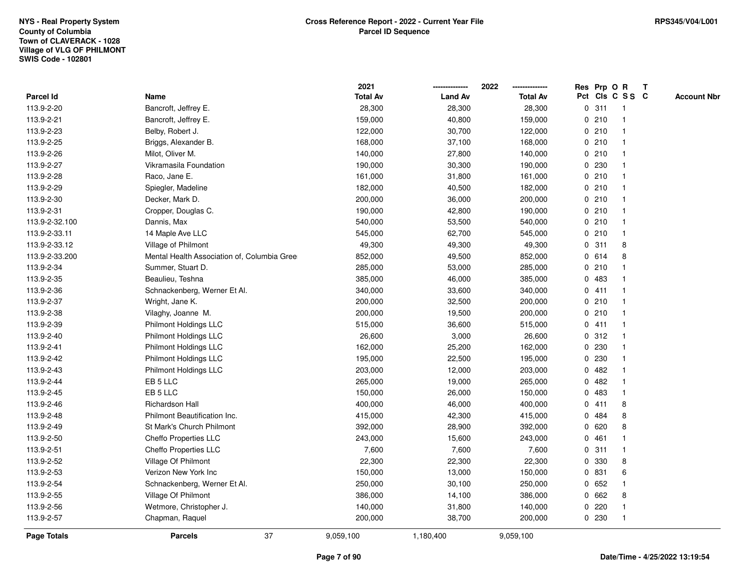|                    |                                             | 2021            |                | 2022            | Res Prp O R |       |                 | T |                    |
|--------------------|---------------------------------------------|-----------------|----------------|-----------------|-------------|-------|-----------------|---|--------------------|
| <b>Parcel Id</b>   | Name                                        | <b>Total Av</b> | <b>Land Av</b> | <b>Total Av</b> |             |       | Pct Cls C S S C |   | <b>Account Nbr</b> |
| 113.9-2-20         | Bancroft, Jeffrey E.                        | 28,300          | 28,300         | 28,300          | 0           | 311   | $\mathbf{1}$    |   |                    |
| 113.9-2-21         | Bancroft, Jeffrey E.                        | 159,000         | 40,800         | 159,000         | 0           | 210   | -1              |   |                    |
| 113.9-2-23         | Belby, Robert J.                            | 122,000         | 30,700         | 122,000         |             | 0210  | $\mathbf{1}$    |   |                    |
| 113.9-2-25         | Briggs, Alexander B.                        | 168,000         | 37,100         | 168,000         |             | 0210  |                 |   |                    |
| 113.9-2-26         | Milot, Oliver M.                            | 140,000         | 27,800         | 140,000         |             | 0210  |                 |   |                    |
| 113.9-2-27         | Vikramasila Foundation                      | 190,000         | 30,300         | 190,000         |             | 0 230 |                 |   |                    |
| 113.9-2-28         | Raco, Jane E.                               | 161,000         | 31,800         | 161,000         |             | 0210  |                 |   |                    |
| 113.9-2-29         | Spiegler, Madeline                          | 182,000         | 40,500         | 182,000         | 0           | 210   | $\overline{1}$  |   |                    |
| 113.9-2-30         | Decker, Mark D.                             | 200,000         | 36,000         | 200,000         | 0           | 210   | -1              |   |                    |
| 113.9-2-31         | Cropper, Douglas C.                         | 190,000         | 42,800         | 190,000         |             | 0210  | -1              |   |                    |
| 113.9-2-32.100     | Dannis, Max                                 | 540,000         | 53,500         | 540,000         |             | 0210  |                 |   |                    |
| 113.9-2-33.11      | 14 Maple Ave LLC                            | 545,000         | 62,700         | 545,000         |             | 0210  |                 |   |                    |
| 113.9-2-33.12      | Village of Philmont                         | 49,300          | 49,300         | 49,300          | 0           | 311   | 8               |   |                    |
| 113.9-2-33.200     | Mental Health Association of, Columbia Gree | 852,000         | 49,500         | 852,000         |             | 0614  | 8               |   |                    |
| 113.9-2-34         | Summer, Stuart D.                           | 285,000         | 53,000         | 285,000         | 0           | 210   |                 |   |                    |
| 113.9-2-35         | Beaulieu, Teshna                            | 385,000         | 46,000         | 385,000         |             | 0.483 | $\mathbf{1}$    |   |                    |
| 113.9-2-36         | Schnackenberg, Werner Et Al.                | 340,000         | 33,600         | 340,000         |             | 0411  | $\overline{1}$  |   |                    |
| 113.9-2-37         | Wright, Jane K.                             | 200,000         | 32,500         | 200,000         |             | 0210  |                 |   |                    |
| 113.9-2-38         | Vilaghy, Joanne M.                          | 200,000         | 19,500         | 200,000         |             | 0210  |                 |   |                    |
| 113.9-2-39         | Philmont Holdings LLC                       | 515,000         | 36,600         | 515,000         |             | 0411  |                 |   |                    |
| 113.9-2-40         | Philmont Holdings LLC                       | 26,600          | 3,000          | 26,600          |             | 0.312 |                 |   |                    |
| 113.9-2-41         | <b>Philmont Holdings LLC</b>                | 162,000         | 25,200         | 162,000         | 0           | 230   |                 |   |                    |
| 113.9-2-42         | <b>Philmont Holdings LLC</b>                | 195,000         | 22,500         | 195,000         | 0           | 230   | -1              |   |                    |
| 113.9-2-43         | Philmont Holdings LLC                       | 203,000         | 12,000         | 203,000         | $\mathbf 0$ | 482   | $\overline{1}$  |   |                    |
| 113.9-2-44         | EB 5 LLC                                    | 265,000         | 19,000         | 265,000         |             | 0.482 | -1              |   |                    |
| 113.9-2-45         | EB 5 LLC                                    | 150,000         | 26,000         | 150,000         |             | 0 483 |                 |   |                    |
| 113.9-2-46         | Richardson Hall                             | 400,000         | 46,000         | 400,000         |             | 0411  | 8               |   |                    |
| 113.9-2-48         | Philmont Beautification Inc.                | 415,000         | 42,300         | 415,000         | 0           | 484   | 8               |   |                    |
| 113.9-2-49         | St Mark's Church Philmont                   | 392,000         | 28,900         | 392,000         | 0           | 620   | 8               |   |                    |
| 113.9-2-50         | Cheffo Properties LLC                       | 243,000         | 15,600         | 243,000         | 0           | 461   |                 |   |                    |
| 113.9-2-51         | Cheffo Properties LLC                       | 7,600           | 7,600          | 7,600           | 0           | 311   | $\mathbf{1}$    |   |                    |
| 113.9-2-52         | Village Of Philmont                         | 22,300          | 22,300         | 22,300          |             | 0 330 | 8               |   |                    |
| 113.9-2-53         | Verizon New York Inc                        | 150,000         | 13,000         | 150,000         |             | 0 831 | 6               |   |                    |
| 113.9-2-54         | Schnackenberg, Werner Et Al.                | 250,000         | 30,100         | 250,000         |             | 0 652 |                 |   |                    |
| 113.9-2-55         | Village Of Philmont                         | 386,000         | 14,100         | 386,000         | 0           | 662   | 8               |   |                    |
| 113.9-2-56         | Wetmore, Christopher J.                     | 140,000         | 31,800         | 140,000         | 0           | 220   |                 |   |                    |
| 113.9-2-57         | Chapman, Raquel                             | 200,000         | 38,700         | 200,000         |             | 0 230 | $\overline{1}$  |   |                    |
| <b>Page Totals</b> | 37<br><b>Parcels</b>                        | 9,059,100       | 1,180,400      | 9,059,100       |             |       |                 |   |                    |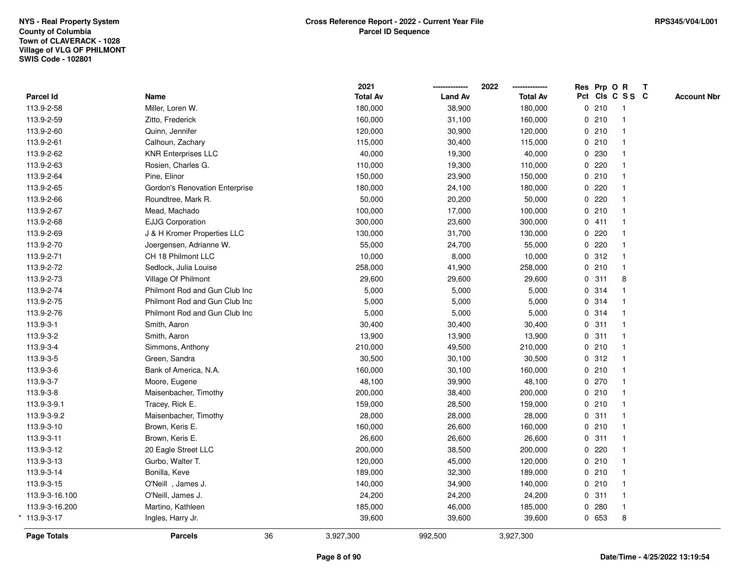| Page Totals       | <b>Parcels</b>                 | 36 | 3,927,300               | 992,500        | 3,927,300               |             |                 |              |                    |
|-------------------|--------------------------------|----|-------------------------|----------------|-------------------------|-------------|-----------------|--------------|--------------------|
| $*113.9 - 3 - 17$ | Ingles, Harry Jr.              |    | 39,600                  | 39,600         | 39,600                  | 0 653       | 8               |              |                    |
| 113.9-3-16.200    | Martino, Kathleen              |    | 185,000                 | 46,000         | 185,000                 | 0.280       | $\mathbf{1}$    |              |                    |
| 113.9-3-16.100    | O'Neill, James J.              |    | 24,200                  | 24,200         | 24,200                  | 0.311       |                 |              |                    |
| 113.9-3-15        | O'Neill, James J.              |    | 140,000                 | 34,900         | 140,000                 | 0210        |                 |              |                    |
| 113.9-3-14        | Bonilla, Keve                  |    | 189,000                 | 32,300         | 189,000                 | 0210        |                 |              |                    |
| 113.9-3-13        | Gurbo, Walter T.               |    | 120,000                 | 45,000         | 120,000                 | 0210        |                 |              |                    |
| 113.9-3-12        | 20 Eagle Street LLC            |    | 200,000                 | 38,500         | 200,000                 | 0220        |                 |              |                    |
| 113.9-3-11        | Brown, Keris E.                |    | 26,600                  | 26,600         | 26,600                  | 0.311       |                 |              |                    |
| 113.9-3-10        | Brown, Keris E.                |    | 160,000                 | 26,600         | 160,000                 | 0210        |                 |              |                    |
| 113.9-3-9.2       | Maisenbacher, Timothy          |    | 28,000                  | 28,000         | 28,000                  | 0.311       |                 |              |                    |
| 113.9-3-9.1       | Tracey, Rick E.                |    | 159,000                 | 28,500         | 159,000                 | 0210        |                 |              |                    |
| 113.9-3-8         | Maisenbacher, Timothy          |    | 200,000                 | 38,400         | 200,000                 | 0210        |                 |              |                    |
| 113.9-3-7         | Moore, Eugene                  |    | 48,100                  | 39,900         | 48,100                  | 0270        |                 |              |                    |
| 113.9-3-6         | Bank of America, N.A.          |    | 160,000                 | 30,100         | 160,000                 | 0210        |                 |              |                    |
| 113.9-3-5         | Green, Sandra                  |    | 30,500                  | 30,100         | 30,500                  | 0.312       |                 |              |                    |
| 113.9-3-4         | Simmons, Anthony               |    | 210,000                 | 49,500         | 210,000                 | 0210        |                 |              |                    |
| 113.9-3-2         | Smith, Aaron                   |    | 13,900                  | 13,900         | 13,900                  | 0.311       |                 |              |                    |
| 113.9-3-1         | Smith, Aaron                   |    | 30,400                  | 30,400         | 30,400                  | 0.311       |                 |              |                    |
| 113.9-2-76        | Philmont Rod and Gun Club Inc  |    | 5,000                   | 5,000          | 5,000                   | 0.314       |                 |              |                    |
| 113.9-2-75        | Philmont Rod and Gun Club Inc  |    | 5,000                   | 5,000          | 5,000                   | 0.314       |                 |              |                    |
| 113.9-2-74        | Philmont Rod and Gun Club Inc  |    | 5,000                   | 5,000          | 5,000                   | 0.314       |                 |              |                    |
| 113.9-2-73        | Village Of Philmont            |    | 29,600                  | 29,600         | 29,600                  | 0.311       | 8               |              |                    |
| 113.9-2-72        | Sedlock, Julia Louise          |    | 258,000                 | 41,900         | 258,000                 | 0210        |                 |              |                    |
| 113.9-2-71        | CH 18 Philmont LLC             |    | 10,000                  | 8,000          | 10,000                  | 0.312       |                 |              |                    |
| 113.9-2-70        | Joergensen, Adrianne W.        |    | 55,000                  | 24,700         | 55,000                  | 0.220       |                 |              |                    |
| 113.9-2-69        | J & H Kromer Properties LLC    |    | 130,000                 | 31,700         | 130,000                 | 0.220       |                 |              |                    |
| 113.9-2-68        | <b>EJJG Corporation</b>        |    | 300,000                 | 23,600         | 300,000                 | 0411        |                 |              |                    |
| 113.9-2-67        | Mead, Machado                  |    | 100,000                 | 17,000         | 100,000                 | 0210        |                 |              |                    |
| 113.9-2-66        | Roundtree, Mark R.             |    | 50,000                  | 20,200         | 50,000                  | 0220        |                 |              |                    |
| 113.9-2-65        | Gordon's Renovation Enterprise |    | 180,000                 | 24,100         | 180,000                 | 0220        |                 |              |                    |
| 113.9-2-64        | Pine, Elinor                   |    | 150,000                 | 23,900         | 150,000                 | 0210        |                 |              |                    |
| 113.9-2-63        | Rosien, Charles G.             |    | 110,000                 | 19,300         | 110,000                 | 0220        |                 |              |                    |
| 113.9-2-62        | <b>KNR Enterprises LLC</b>     |    | 40,000                  | 19,300         | 40,000                  | 0 230       |                 |              |                    |
| 113.9-2-61        | Calhoun, Zachary               |    | 115,000                 | 30,400         | 115,000                 | 0210        |                 |              |                    |
| 113.9-2-60        | Quinn, Jennifer                |    | 120,000                 | 30,900         | 120,000                 | 0210        |                 |              |                    |
| 113.9-2-59        | Zitto, Frederick               |    | 160,000                 | 31,100         | 160,000                 | 0210        |                 |              |                    |
| 113.9-2-58        | Miller, Loren W.               |    | 180,000                 | 38,900         | 180,000                 | 0210        | $\mathbf{1}$    |              |                    |
| Parcel Id         | Name                           |    | 2021<br><b>Total Av</b> | <b>Land Av</b> | 2022<br><b>Total Av</b> | Res Prp O R | Pct Cls C S S C | $\mathbf{T}$ | <b>Account Nbr</b> |
|                   |                                |    |                         |                |                         |             |                 |              |                    |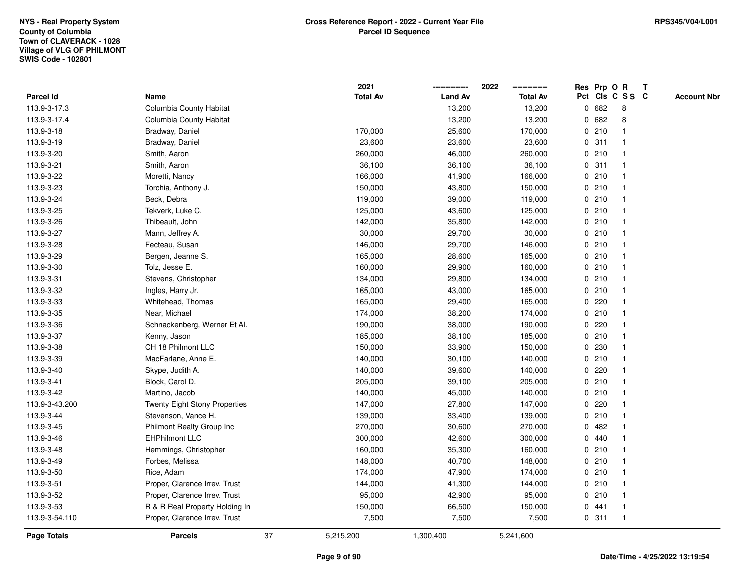|                |                                      |    | 2021            |                | 2022            |             | Res Prp O R |                         | Т |                    |
|----------------|--------------------------------------|----|-----------------|----------------|-----------------|-------------|-------------|-------------------------|---|--------------------|
| Parcel Id      | Name                                 |    | <b>Total Av</b> | <b>Land Av</b> | <b>Total Av</b> |             |             | Pct Cls C S S C         |   | <b>Account Nbr</b> |
| 113.9-3-17.3   | Columbia County Habitat              |    |                 | 13,200         | 13,200          | 0           | 682         | 8                       |   |                    |
| 113.9-3-17.4   | Columbia County Habitat              |    |                 | 13,200         | 13,200          | 0           | 682         | 8                       |   |                    |
| 113.9-3-18     | Bradway, Daniel                      |    | 170,000         | 25,600         | 170,000         |             | 0210        | $\mathbf 1$             |   |                    |
| 113.9-3-19     | Bradway, Daniel                      |    | 23,600          | 23,600         | 23,600          |             | 0.311       |                         |   |                    |
| 113.9-3-20     | Smith, Aaron                         |    | 260,000         | 46,000         | 260,000         |             | 0210        |                         |   |                    |
| 113.9-3-21     | Smith, Aaron                         |    | 36,100          | 36,100         | 36,100          |             | 0.311       |                         |   |                    |
| 113.9-3-22     | Moretti, Nancy                       |    | 166,000         | 41,900         | 166,000         |             | 0210        | -1                      |   |                    |
| 113.9-3-23     | Torchia, Anthony J.                  |    | 150,000         | 43,800         | 150,000         |             | 0210        |                         |   |                    |
| 113.9-3-24     | Beck, Debra                          |    | 119,000         | 39,000         | 119,000         |             | 0210        | -1                      |   |                    |
| 113.9-3-25     | Tekverk, Luke C.                     |    | 125,000         | 43,600         | 125,000         |             | 0210        | $\mathbf 1$             |   |                    |
| 113.9-3-26     | Thibeault, John                      |    | 142,000         | 35,800         | 142,000         |             | 0210        | -1                      |   |                    |
| 113.9-3-27     | Mann, Jeffrey A.                     |    | 30,000          | 29,700         | 30,000          |             | 0210        |                         |   |                    |
| 113.9-3-28     | Fecteau, Susan                       |    | 146,000         | 29,700         | 146,000         |             | 0210        |                         |   |                    |
| 113.9-3-29     | Bergen, Jeanne S.                    |    | 165,000         | 28,600         | 165,000         |             | 0210        |                         |   |                    |
| 113.9-3-30     | Tolz, Jesse E.                       |    | 160,000         | 29,900         | 160,000         |             | 0210        |                         |   |                    |
| 113.9-3-31     | Stevens, Christopher                 |    | 134,000         | 29,800         | 134,000         |             | 0210        | $\overline{1}$          |   |                    |
| 113.9-3-32     | Ingles, Harry Jr.                    |    | 165,000         | 43,000         | 165,000         |             | 0210        | $\overline{\mathbf{1}}$ |   |                    |
| 113.9-3-33     | Whitehead, Thomas                    |    | 165,000         | 29,400         | 165,000         |             | 0220        |                         |   |                    |
| 113.9-3-35     | Near, Michael                        |    | 174,000         | 38,200         | 174,000         |             | 0210        |                         |   |                    |
| 113.9-3-36     | Schnackenberg, Werner Et Al.         |    | 190,000         | 38,000         | 190,000         |             | 0.220       |                         |   |                    |
| 113.9-3-37     | Kenny, Jason                         |    | 185,000         | 38,100         | 185,000         |             | 0210        |                         |   |                    |
| 113.9-3-38     | CH 18 Philmont LLC                   |    | 150,000         | 33,900         | 150,000         |             | 0 230       |                         |   |                    |
| 113.9-3-39     | MacFarlane, Anne E.                  |    | 140,000         | 30,100         | 140,000         |             | 0210        | -1                      |   |                    |
| 113.9-3-40     | Skype, Judith A.                     |    | 140,000         | 39,600         | 140,000         | 0           | 220         | $\mathbf 1$             |   |                    |
| 113.9-3-41     | Block, Carol D.                      |    | 205,000         | 39,100         | 205,000         |             | 0210        | -1                      |   |                    |
| 113.9-3-42     | Martino, Jacob                       |    | 140,000         | 45,000         | 140,000         |             | 0210        |                         |   |                    |
| 113.9-3-43.200 | <b>Twenty Eight Stony Properties</b> |    | 147,000         | 27,800         | 147,000         |             | 0220        |                         |   |                    |
| 113.9-3-44     | Stevenson, Vance H.                  |    | 139,000         | 33,400         | 139,000         |             | 0210        | -1                      |   |                    |
| 113.9-3-45     | Philmont Realty Group Inc            |    | 270,000         | 30,600         | 270,000         | 0           | 482         |                         |   |                    |
| 113.9-3-46     | <b>EHPhilmont LLC</b>                |    | 300,000         | 42,600         | 300,000         | $\mathbf 0$ | 440         | -1                      |   |                    |
| 113.9-3-48     | Hemmings, Christopher                |    | 160,000         | 35,300         | 160,000         | 0           | 210         | -1                      |   |                    |
| 113.9-3-49     | Forbes, Melissa                      |    | 148,000         | 40,700         | 148,000         |             | 0210        | -1                      |   |                    |
| 113.9-3-50     | Rice, Adam                           |    | 174,000         | 47,900         | 174,000         |             | 0210        |                         |   |                    |
| 113.9-3-51     | Proper, Clarence Irrev. Trust        |    | 144,000         | 41,300         | 144,000         |             | 0210        |                         |   |                    |
| 113.9-3-52     | Proper, Clarence Irrev. Trust        |    | 95,000          | 42,900         | 95,000          |             | 0210        |                         |   |                    |
| 113.9-3-53     | R & R Real Property Holding In       |    | 150,000         | 66,500         | 150,000         | 0           | 441         | -1                      |   |                    |
| 113.9-3-54.110 | Proper, Clarence Irrev. Trust        |    | 7,500           | 7,500          | 7,500           |             | 0.311       | $\mathbf{1}$            |   |                    |
| Page Totals    | <b>Parcels</b>                       | 37 | 5,215,200       | 1,300,400      | 5,241,600       |             |             |                         |   |                    |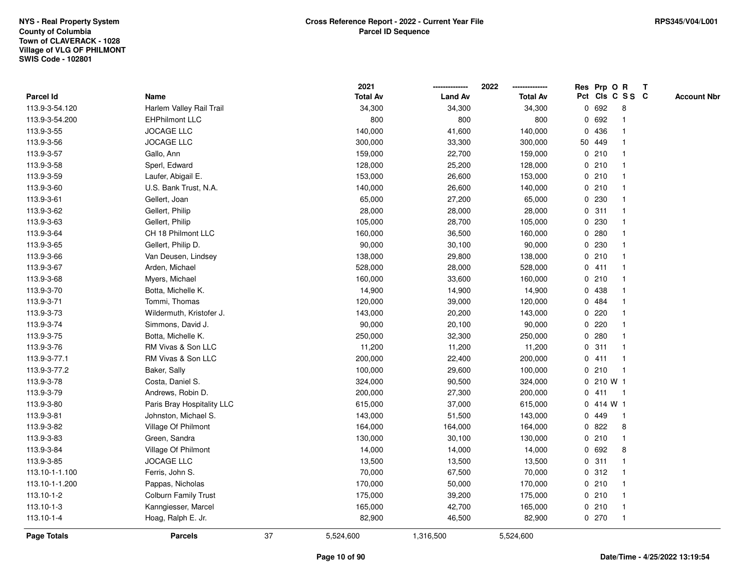|                |                            |    | 2021            |                | 2022            |             |           | Res Prp O R             | T |                    |
|----------------|----------------------------|----|-----------------|----------------|-----------------|-------------|-----------|-------------------------|---|--------------------|
| Parcel Id      | Name                       |    | <b>Total Av</b> | <b>Land Av</b> | <b>Total Av</b> |             |           | Pct Cls C S S C         |   | <b>Account Nbr</b> |
| 113.9-3-54.120 | Harlem Valley Rail Trail   |    | 34,300          | 34,300         | 34,300          |             | 0 692     | 8                       |   |                    |
| 113.9-3-54.200 | <b>EHPhilmont LLC</b>      |    | 800             | 800            | 800             |             | 0 692     |                         |   |                    |
| 113.9-3-55     | <b>JOCAGE LLC</b>          |    | 140,000         | 41,600         | 140,000         |             | 0 436     | -1                      |   |                    |
| 113.9-3-56     | <b>JOCAGE LLC</b>          |    | 300,000         | 33,300         | 300,000         |             | 50 449    |                         |   |                    |
| 113.9-3-57     | Gallo, Ann                 |    | 159,000         | 22,700         | 159,000         |             | 0210      |                         |   |                    |
| 113.9-3-58     | Sperl, Edward              |    | 128,000         | 25,200         | 128,000         |             | 0210      |                         |   |                    |
| 113.9-3-59     | Laufer, Abigail E.         |    | 153,000         | 26,600         | 153,000         |             | 0210      |                         |   |                    |
| 113.9-3-60     | U.S. Bank Trust, N.A.      |    | 140,000         | 26,600         | 140,000         | 0           | 210       |                         |   |                    |
| 113.9-3-61     | Gellert, Joan              |    | 65,000          | 27,200         | 65,000          | 0           | 230       |                         |   |                    |
| 113.9-3-62     | Gellert, Philip            |    | 28,000          | 28,000         | 28,000          |             | 0.311     | $\mathbf 1$             |   |                    |
| 113.9-3-63     | Gellert, Philip            |    | 105,000         | 28,700         | 105,000         |             | 0 230     |                         |   |                    |
| 113.9-3-64     | CH 18 Philmont LLC         |    | 160,000         | 36,500         | 160,000         |             | 0.280     |                         |   |                    |
| 113.9-3-65     | Gellert, Philip D.         |    | 90,000          | 30,100         | 90,000          |             | 0 230     |                         |   |                    |
| 113.9-3-66     | Van Deusen, Lindsey        |    | 138,000         | 29,800         | 138,000         |             | 0210      |                         |   |                    |
| 113.9-3-67     | Arden, Michael             |    | 528,000         | 28,000         | 528,000         |             | 0411      |                         |   |                    |
| 113.9-3-68     | Myers, Michael             |    | 160,000         | 33,600         | 160,000         | $\mathbf 0$ | 210       | $\overline{\mathbf{1}}$ |   |                    |
| 113.9-3-70     | Botta, Michelle K.         |    | 14,900          | 14,900         | 14,900          |             | 0 438     |                         |   |                    |
| 113.9-3-71     | Tommi, Thomas              |    | 120,000         | 39,000         | 120,000         |             | 0 484     |                         |   |                    |
| 113.9-3-73     | Wildermuth, Kristofer J.   |    | 143,000         | 20,200         | 143,000         |             | 0.220     |                         |   |                    |
| 113.9-3-74     | Simmons, David J.          |    | 90,000          | 20,100         | 90,000          |             | 0.220     |                         |   |                    |
| 113.9-3-75     | Botta, Michelle K.         |    | 250,000         | 32,300         | 250,000         |             | 0.280     |                         |   |                    |
| 113.9-3-76     | RM Vivas & Son LLC         |    | 11,200          | 11,200         | 11,200          | 0           | 311       |                         |   |                    |
| 113.9-3-77.1   | RM Vivas & Son LLC         |    | 200,000         | 22,400         | 200,000         |             | 0411      | $\mathbf{1}$            |   |                    |
| 113.9-3-77.2   | Baker, Sally               |    | 100,000         | 29,600         | 100,000         | $\mathbf 0$ | 210       | $\mathbf{1}$            |   |                    |
| 113.9-3-78     | Costa, Daniel S.           |    | 324,000         | 90,500         | 324,000         |             | 0 210 W 1 |                         |   |                    |
| 113.9-3-79     | Andrews, Robin D.          |    | 200,000         | 27,300         | 200,000         |             | 0411      | -1                      |   |                    |
| 113.9-3-80     | Paris Bray Hospitality LLC |    | 615,000         | 37,000         | 615,000         |             | 0.414 W1  |                         |   |                    |
| 113.9-3-81     | Johnston, Michael S.       |    | 143,000         | 51,500         | 143,000         |             | 0 449     | -1                      |   |                    |
| 113.9-3-82     | Village Of Philmont        |    | 164,000         | 164,000        | 164,000         |             | 0822      | 8                       |   |                    |
| 113.9-3-83     | Green, Sandra              |    | 130,000         | 30,100         | 130,000         | 0           | 210       | $\mathbf{1}$            |   |                    |
| 113.9-3-84     | Village Of Philmont        |    | 14,000          | 14,000         | 14,000          | 0           | 692       | 8                       |   |                    |
| 113.9-3-85     | <b>JOCAGE LLC</b>          |    | 13,500          | 13,500         | 13,500          |             | 0.311     | $\mathbf 1$             |   |                    |
| 113.10-1-1.100 | Ferris, John S.            |    | 70,000          | 67,500         | 70,000          |             | 0.312     |                         |   |                    |
| 113.10-1-1.200 | Pappas, Nicholas           |    | 170,000         | 50,000         | 170,000         |             | 0210      |                         |   |                    |
| 113.10-1-2     | Colburn Family Trust       |    | 175,000         | 39,200         | 175,000         |             | 0210      | $\mathbf{1}$            |   |                    |
| 113.10-1-3     | Kanngiesser, Marcel        |    | 165,000         | 42,700         | 165,000         |             | 0210      | $\mathbf{1}$            |   |                    |
| 113.10-1-4     | Hoag, Ralph E. Jr.         |    | 82,900          | 46,500         | 82,900          |             | 0270      | $\mathbf{1}$            |   |                    |
| Page Totals    | <b>Parcels</b>             | 37 | 5,524,600       | 1,316,500      | 5,524,600       |             |           |                         |   |                    |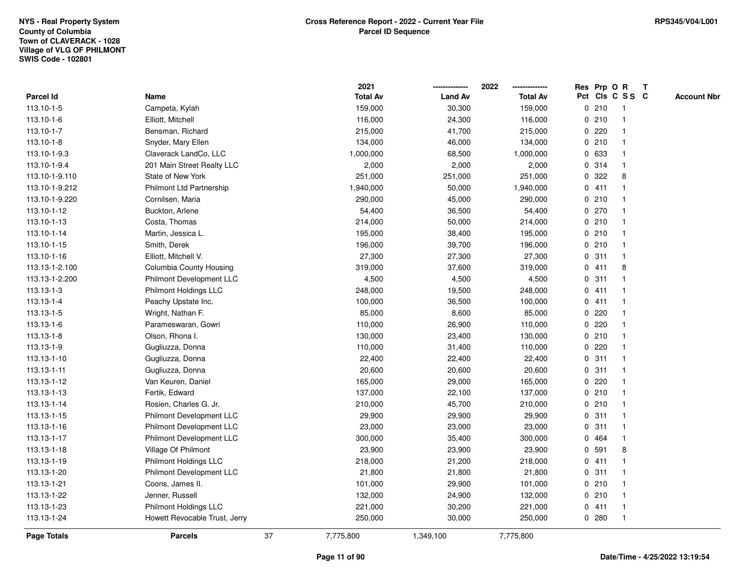|                |                                 |    | 2021            |                | 2022            |              |       | Res Prp O R     | Т |                    |
|----------------|---------------------------------|----|-----------------|----------------|-----------------|--------------|-------|-----------------|---|--------------------|
| Parcel Id      | Name                            |    | <b>Total Av</b> | <b>Land Av</b> | <b>Total Av</b> |              |       | Pct Cls C S S C |   | <b>Account Nbr</b> |
| 113.10-1-5     | Campeta, Kylah                  |    | 159,000         | 30,300         | 159,000         |              | 0210  | $\mathbf{1}$    |   |                    |
| 113.10-1-6     | Elliott, Mitchell               |    | 116,000         | 24,300         | 116,000         |              | 0210  | $\overline{1}$  |   |                    |
| 113.10-1-7     | Bensman, Richard                |    | 215,000         | 41,700         | 215,000         |              | 0.220 | $\mathbf{1}$    |   |                    |
| 113.10-1-8     | Snyder, Mary Ellen              |    | 134,000         | 46,000         | 134,000         |              | 0210  | -1              |   |                    |
| 113.10-1-9.3   | Claverack LandCo, LLC           |    | 1,000,000       | 68,500         | 1,000,000       |              | 0 633 |                 |   |                    |
| 113.10-1-9.4   | 201 Main Street Realty LLC      |    | 2,000           | 2,000          | 2,000           |              | 0 314 |                 |   |                    |
| 113.10-1-9.110 | State of New York               |    | 251,000         | 251,000        | 251,000         |              | 0.322 | 8               |   |                    |
| 113.10-1-9.212 | Philmont Ltd Partnership        |    | 1,940,000       | 50,000         | 1,940,000       |              | 0411  | $\mathbf{1}$    |   |                    |
| 113.10-1-9.220 | Cornilsen, Maria                |    | 290,000         | 45,000         | 290,000         |              | 0210  | -1              |   |                    |
| 113.10-1-12    | Buckton, Arlene                 |    | 54,400          | 36,500         | 54,400          |              | 0270  | -1              |   |                    |
| 113.10-1-13    | Costa, Thomas                   |    | 214,000         | 50,000         | 214,000         |              | 0210  | 1               |   |                    |
| 113.10-1-14    | Martin, Jessica L.              |    | 195,000         | 38,400         | 195,000         |              | 0210  |                 |   |                    |
| 113.10-1-15    | Smith, Derek                    |    | 196,000         | 39,700         | 196,000         |              | 0210  |                 |   |                    |
| 113.10-1-16    | Elliott, Mitchell V.            |    | 27,300          | 27,300         | 27,300          |              | 0.311 | $\overline{1}$  |   |                    |
| 113.13-1-2.100 | Columbia County Housing         |    | 319,000         | 37,600         | 319,000         |              | 0411  | 8               |   |                    |
| 113.13-1-2.200 | Philmont Development LLC        |    | 4,500           | 4,500          | 4,500           | $\mathbf 0$  | 311   | $\overline{1}$  |   |                    |
| 113.13-1-3     | Philmont Holdings LLC           |    | 248,000         | 19,500         | 248,000         |              | 0411  | $\mathbf{1}$    |   |                    |
| 113.13-1-4     | Peachy Upstate Inc.             |    | 100,000         | 36,500         | 100,000         |              | 0411  |                 |   |                    |
| 113.13-1-5     | Wright, Nathan F.               |    | 85,000          | 8,600          | 85,000          |              | 0.220 |                 |   |                    |
| 113.13-1-6     | Parameswaran, Gowri             |    | 110,000         | 26,900         | 110,000         |              | 0.220 |                 |   |                    |
| 113.13-1-8     | Olson, Rhona I.                 |    | 130,000         | 23,400         | 130,000         |              | 0210  |                 |   |                    |
| 113.13-1-9     | Gugliuzza, Donna                |    | 110,000         | 31,400         | 110,000         |              | 0.220 |                 |   |                    |
| 113.13-1-10    | Gugliuzza, Donna                |    | 22,400          | 22,400         | 22,400          | 0            | 311   | $\mathbf{1}$    |   |                    |
| 113.13-1-11    | Gugliuzza, Donna                |    | 20,600          | 20,600         | 20,600          | $\mathbf{0}$ | 311   | $\mathbf{1}$    |   |                    |
| 113.13-1-12    | Van Keuren, Daniel              |    | 165,000         | 29,000         | 165,000         |              | 0.220 | 1               |   |                    |
| 113.13-1-13    | Fertik, Edward                  |    | 137,000         | 22,100         | 137,000         |              | 0210  |                 |   |                    |
| 113.13-1-14    | Rosien, Charles G. Jr.          |    | 210,000         | 45,700         | 210,000         |              | 0210  |                 |   |                    |
| 113.13-1-15    | Philmont Development LLC        |    | 29,900          | 29,900         | 29,900          |              | 0.311 |                 |   |                    |
| 113.13-1-16    | <b>Philmont Development LLC</b> |    | 23,000          | 23,000         | 23,000          | $\mathbf 0$  | 311   | $\mathbf{1}$    |   |                    |
| 113.13-1-17    | Philmont Development LLC        |    | 300,000         | 35,400         | 300,000         | $\mathbf 0$  | 464   | -1              |   |                    |
| 113.13-1-18    | Village Of Philmont             |    | 23,900          | 23,900         | 23,900          | 0            | 591   | 8               |   |                    |
| 113.13-1-19    | Philmont Holdings LLC           |    | 218,000         | 21,200         | 218,000         |              | 0411  | $\mathbf{1}$    |   |                    |
| 113.13-1-20    | Philmont Development LLC        |    | 21,800          | 21,800         | 21,800          |              | 0.311 |                 |   |                    |
| 113.13-1-21    | Coons, James II.                |    | 101,000         | 29,900         | 101,000         |              | 0210  |                 |   |                    |
| 113.13-1-22    | Jenner, Russell                 |    | 132,000         | 24,900         | 132,000         |              | 0210  | 1               |   |                    |
| 113.13-1-23    | <b>Philmont Holdings LLC</b>    |    | 221,000         | 30,200         | 221,000         |              | 0411  | $\overline{1}$  |   |                    |
| 113.13-1-24    | Howett Revocable Trust, Jerry   |    | 250,000         | 30,000         | 250,000         |              | 0.280 | $\mathbf{1}$    |   |                    |
| Page Totals    | <b>Parcels</b>                  | 37 | 7,775,800       | 1,349,100      | 7,775,800       |              |       |                 |   |                    |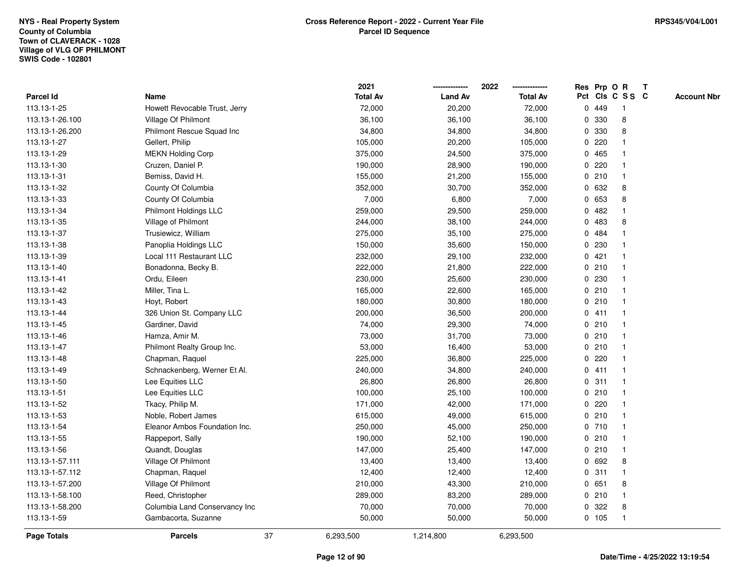## **Town of CLAVERACK - 1028 Village of VLG OF PHILMONTSWIS Code - 102801NYS - Real Property SystemCounty of Columbia**

|                 |                               |    | 2021            |                | 2022            |              |         | Res Prp O R     | T |                    |
|-----------------|-------------------------------|----|-----------------|----------------|-----------------|--------------|---------|-----------------|---|--------------------|
| Parcel Id       | Name                          |    | <b>Total Av</b> | <b>Land Av</b> | <b>Total Av</b> |              |         | Pct Cls C S S C |   | <b>Account Nbr</b> |
| 113.13-1-25     | Howett Revocable Trust, Jerry |    | 72,000          | 20,200         | 72,000          |              | 0 449   | -1              |   |                    |
| 113.13-1-26.100 | Village Of Philmont           |    | 36,100          | 36,100         | 36,100          | 0            | 330     | 8               |   |                    |
| 113.13-1-26.200 | Philmont Rescue Squad Inc     |    | 34,800          | 34,800         | 34,800          |              | 0 330   | 8               |   |                    |
| 113.13-1-27     | Gellert, Philip               |    | 105,000         | 20,200         | 105,000         |              | 0.220   |                 |   |                    |
| 113.13-1-29     | <b>MEKN Holding Corp</b>      |    | 375,000         | 24,500         | 375,000         |              | 0 465   |                 |   |                    |
| 113.13-1-30     | Cruzen, Daniel P.             |    | 190,000         | 28,900         | 190,000         |              | 0.220   |                 |   |                    |
| 113.13-1-31     | Bemiss, David H.              |    | 155,000         | 21,200         | 155,000         |              | 0210    | $\mathbf{1}$    |   |                    |
| 113.13-1-32     | County Of Columbia            |    | 352,000         | 30,700         | 352,000         | 0            | 632     | 8               |   |                    |
| 113.13-1-33     | County Of Columbia            |    | 7,000           | 6,800          | 7,000           |              | 0 653   | 8               |   |                    |
| 113.13-1-34     | Philmont Holdings LLC         |    | 259,000         | 29,500         | 259,000         |              | 0.482   |                 |   |                    |
| 113.13-1-35     | Village of Philmont           |    | 244,000         | 38,100         | 244,000         | 0            | 483     | 8               |   |                    |
| 113.13-1-37     | Trusiewicz, William           |    | 275,000         | 35,100         | 275,000         |              | 0 484   |                 |   |                    |
| 113.13-1-38     | Panoplia Holdings LLC         |    | 150,000         | 35,600         | 150,000         | $\mathbf{0}$ | 230     |                 |   |                    |
| 113.13-1-39     | Local 111 Restaurant LLC      |    | 232,000         | 29,100         | 232,000         |              | 0421    |                 |   |                    |
| 113.13-1-40     | Bonadonna, Becky B.           |    | 222,000         | 21,800         | 222,000         | $\mathbf 0$  | 210     |                 |   |                    |
| 113.13-1-41     | Ordu, Eileen                  |    | 230,000         | 25,600         | 230,000         | $\mathbf{0}$ | 230     | $\overline{1}$  |   |                    |
| 113.13-1-42     | Miller, Tina L.               |    | 165,000         | 22,600         | 165,000         |              | 0210    | $\mathbf{1}$    |   |                    |
| 113.13-1-43     | Hoyt, Robert                  |    | 180,000         | 30,800         | 180,000         |              | 0210    |                 |   |                    |
| 113.13-1-44     | 326 Union St. Company LLC     |    | 200,000         | 36,500         | 200,000         |              | 0411    |                 |   |                    |
| 113.13-1-45     | Gardiner, David               |    | 74,000          | 29,300         | 74,000          |              | 0210    |                 |   |                    |
| 113.13-1-46     | Hamza, Amir M.                |    | 73,000          | 31,700         | 73,000          |              | 0210    |                 |   |                    |
| 113.13-1-47     | Philmont Realty Group Inc.    |    | 53,000          | 16,400         | 53,000          |              | 0210    |                 |   |                    |
| 113.13-1-48     | Chapman, Raquel               |    | 225,000         | 36,800         | 225,000         |              | 0.220   | -1              |   |                    |
| 113.13-1-49     | Schnackenberg, Werner Et Al.  |    | 240,000         | 34,800         | 240,000         | $\mathbf{0}$ | 411     | $\overline{1}$  |   |                    |
| 113.13-1-50     | Lee Equities LLC              |    | 26,800          | 26,800         | 26,800          |              | 0.311   | 1               |   |                    |
| 113.13-1-51     | Lee Equities LLC              |    | 100,000         | 25,100         | 100,000         |              | 0210    |                 |   |                    |
| 113.13-1-52     | Tkacy, Philip M.              |    | 171,000         | 42,000         | 171,000         |              | 0.220   |                 |   |                    |
| 113.13-1-53     | Noble, Robert James           |    | 615,000         | 49,000         | 615,000         |              | 0210    |                 |   |                    |
| 113.13-1-54     | Eleanor Ambos Foundation Inc. |    | 250,000         | 45,000         | 250,000         |              | 0710    |                 |   |                    |
| 113.13-1-55     | Rappeport, Sally              |    | 190,000         | 52,100         | 190,000         | $\mathbf 0$  | 210     | 1               |   |                    |
| 113.13-1-56     | Quandt, Douglas               |    | 147,000         | 25,400         | 147,000         |              | 0210    | $\mathbf{1}$    |   |                    |
| 113.13-1-57.111 | Village Of Philmont           |    | 13,400          | 13,400         | 13,400          |              | 0 692   | 8               |   |                    |
| 113.13-1-57.112 | Chapman, Raquel               |    | 12,400          | 12,400         | 12,400          |              | 0.311   | -1              |   |                    |
| 113.13-1-57.200 | Village Of Philmont           |    | 210,000         | 43,300         | 210,000         |              | 0 651   | 8               |   |                    |
| 113.13-1-58.100 | Reed, Christopher             |    | 289,000         | 83,200         | 289,000         |              | 0210    | $\mathbf{1}$    |   |                    |
| 113.13-1-58.200 | Columbia Land Conservancy Inc |    | 70,000          | 70,000         | 70,000          | 0            | 322     | 8               |   |                    |
| 113.13-1-59     | Gambacorta, Suzanne           |    | 50,000          | 50,000         | 50,000          |              | $0$ 105 | $\overline{1}$  |   |                    |
| Page Totals     | <b>Parcels</b>                | 37 | 6,293,500       | 1,214,800      | 6,293,500       |              |         |                 |   |                    |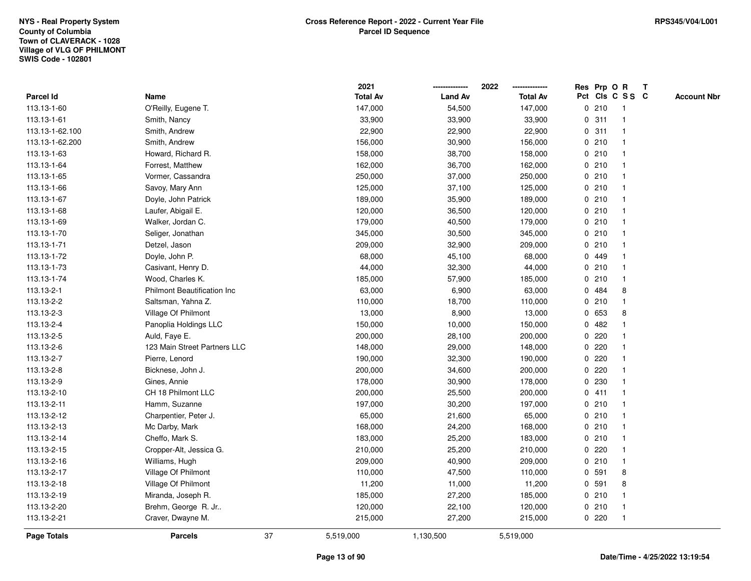|                    |                                    |    | 2021            |                | 2022            |              |         | Res Prp O R     | T |                    |
|--------------------|------------------------------------|----|-----------------|----------------|-----------------|--------------|---------|-----------------|---|--------------------|
| Parcel Id          | Name                               |    | <b>Total Av</b> | <b>Land Av</b> | <b>Total Av</b> |              |         | Pct Cls C S S C |   | <b>Account Nbr</b> |
| 113.13-1-60        | O'Reilly, Eugene T.                |    | 147,000         | 54,500         | 147,000         |              | 0210    | $\mathbf{1}$    |   |                    |
| 113.13-1-61        | Smith, Nancy                       |    | 33,900          | 33,900         | 33,900          | 0            | 311     | -1              |   |                    |
| 113.13-1-62.100    | Smith, Andrew                      |    | 22,900          | 22,900         | 22,900          |              | 0.311   | $\mathbf{1}$    |   |                    |
| 113.13-1-62.200    | Smith, Andrew                      |    | 156,000         | 30,900         | 156,000         |              | 0210    | -1              |   |                    |
| 113.13-1-63        | Howard, Richard R.                 |    | 158,000         | 38,700         | 158,000         |              | 0210    |                 |   |                    |
| 113.13-1-64        | Forrest, Matthew                   |    | 162,000         | 36,700         | 162,000         |              | 0210    |                 |   |                    |
| 113.13-1-65        | Vormer, Cassandra                  |    | 250,000         | 37,000         | 250,000         |              | 0210    |                 |   |                    |
| 113.13-1-66        | Savoy, Mary Ann                    |    | 125,000         | 37,100         | 125,000         |              | 0210    | $\mathbf{1}$    |   |                    |
| 113.13-1-67        | Doyle, John Patrick                |    | 189,000         | 35,900         | 189,000         |              | 0210    | -1              |   |                    |
| 113.13-1-68        | Laufer, Abigail E.                 |    | 120,000         | 36,500         | 120,000         |              | 0210    | $\mathbf 1$     |   |                    |
| 113.13-1-69        | Walker, Jordan C.                  |    | 179,000         | 40,500         | 179,000         |              | 0210    |                 |   |                    |
| 113.13-1-70        | Seliger, Jonathan                  |    | 345,000         | 30,500         | 345,000         |              | 0210    |                 |   |                    |
| 113.13-1-71        | Detzel, Jason                      |    | 209,000         | 32,900         | 209,000         |              | 0210    |                 |   |                    |
| 113.13-1-72        | Doyle, John P.                     |    | 68,000          | 45,100         | 68,000          |              | 0 449   |                 |   |                    |
| 113.13-1-73        | Casivant, Henry D.                 |    | 44,000          | 32,300         | 44,000          | $\mathbf 0$  | 210     | $\mathbf{1}$    |   |                    |
| 113.13-1-74        | Wood, Charles K.                   |    | 185,000         | 57,900         | 185,000         | 0            | 210     | $\mathbf{1}$    |   |                    |
| 113.13-2-1         | <b>Philmont Beautification Inc</b> |    | 63,000          | 6,900          | 63,000          | $\mathbf 0$  | 484     | 8               |   |                    |
| 113.13-2-2         | Saltsman, Yahna Z.                 |    | 110,000         | 18,700         | 110,000         |              | 0210    | -1              |   |                    |
| 113.13-2-3         | Village Of Philmont                |    | 13,000          | 8,900          | 13,000          |              | 0 653   | 8               |   |                    |
| 113.13-2-4         | Panoplia Holdings LLC              |    | 150,000         | 10,000         | 150,000         |              | 0.482   |                 |   |                    |
| 113.13-2-5         | Auld, Faye E.                      |    | 200,000         | 28,100         | 200,000         |              | $0$ 220 |                 |   |                    |
| 113.13-2-6         | 123 Main Street Partners LLC       |    | 148,000         | 29,000         | 148,000         | 0            | 220     |                 |   |                    |
| 113.13-2-7         | Pierre, Lenord                     |    | 190,000         | 32,300         | 190,000         |              | 0.220   |                 |   |                    |
| 113.13-2-8         | Bicknese, John J.                  |    | 200,000         | 34,600         | 200,000         | $\mathbf{0}$ | 220     |                 |   |                    |
| 113.13-2-9         | Gines, Annie                       |    | 178,000         | 30,900         | 178,000         |              | 0 230   |                 |   |                    |
| 113.13-2-10        | CH 18 Philmont LLC                 |    | 200,000         | 25,500         | 200,000         |              | 0411    |                 |   |                    |
| 113.13-2-11        | Hamm, Suzanne                      |    | 197,000         | 30,200         | 197,000         |              | 0210    |                 |   |                    |
| 113.13-2-12        | Charpentier, Peter J.              |    | 65,000          | 21,600         | 65,000          |              | 0210    |                 |   |                    |
| 113.13-2-13        | Mc Darby, Mark                     |    | 168,000         | 24,200         | 168,000         |              | 0210    |                 |   |                    |
| 113.13-2-14        | Cheffo, Mark S.                    |    | 183,000         | 25,200         | 183,000         |              | 0210    | 1               |   |                    |
| 113.13-2-15        | Cropper-Alt, Jessica G.            |    | 210,000         | 25,200         | 210,000         | 0            | 220     | -1              |   |                    |
| 113.13-2-16        | Williams, Hugh                     |    | 209,000         | 40,900         | 209,000         |              | 0210    | $\mathbf{1}$    |   |                    |
| 113.13-2-17        | Village Of Philmont                |    | 110,000         | 47,500         | 110,000         |              | 0 591   | 8               |   |                    |
| 113.13-2-18        | Village Of Philmont                |    | 11,200          | 11,000         | 11,200          |              | 0 591   | 8               |   |                    |
| 113.13-2-19        | Miranda, Joseph R.                 |    | 185,000         | 27,200         | 185,000         |              | 0210    |                 |   |                    |
| 113.13-2-20        | Brehm, George R. Jr                |    | 120,000         | 22,100         | 120,000         |              | 0210    | -1              |   |                    |
| 113.13-2-21        | Craver, Dwayne M.                  |    | 215,000         | 27,200         | 215,000         |              | 0220    | $\overline{1}$  |   |                    |
| <b>Page Totals</b> | <b>Parcels</b>                     | 37 | 5,519,000       | 1,130,500      | 5,519,000       |              |         |                 |   |                    |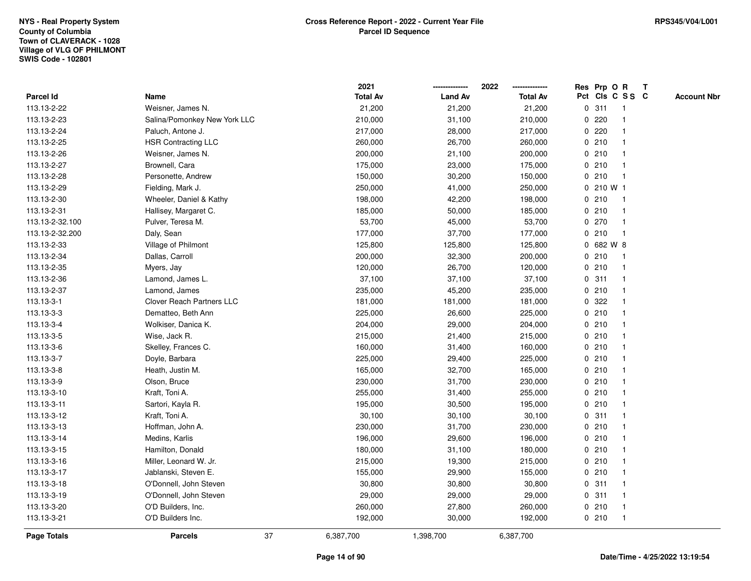## **Town of CLAVERACK - 1028 Village of VLG OF PHILMONTSWIS Code - 102801NYS - Real Property SystemCounty of Columbia**

|                 |                                  |    | 2021            |                | 2022            |             | Res Prp O R |                 | T |                    |
|-----------------|----------------------------------|----|-----------------|----------------|-----------------|-------------|-------------|-----------------|---|--------------------|
| Parcel Id       | Name                             |    | <b>Total Av</b> | <b>Land Av</b> | <b>Total Av</b> |             |             | Pct Cls C S S C |   | <b>Account Nbr</b> |
| 113.13-2-22     | Weisner, James N.                |    | 21,200          | 21,200         | 21,200          | $\mathbf 0$ | 311         | -1              |   |                    |
| 113.13-2-23     | Salina/Pomonkey New York LLC     |    | 210,000         | 31,100         | 210,000         | 0           | 220         |                 |   |                    |
| 113.13-2-24     | Paluch, Antone J.                |    | 217,000         | 28,000         | 217,000         |             | 0.220       | $\mathbf 1$     |   |                    |
| 113.13-2-25     | <b>HSR Contracting LLC</b>       |    | 260,000         | 26,700         | 260,000         |             | 0210        |                 |   |                    |
| 113.13-2-26     | Weisner, James N.                |    | 200,000         | 21,100         | 200,000         |             | 0210        |                 |   |                    |
| 113.13-2-27     | Brownell, Cara                   |    | 175,000         | 23,000         | 175,000         |             | 0210        |                 |   |                    |
| 113.13-2-28     | Personette, Andrew               |    | 150,000         | 30,200         | 150,000         |             | 0210        | $\mathbf{1}$    |   |                    |
| 113.13-2-29     | Fielding, Mark J.                |    | 250,000         | 41,000         | 250,000         | 0           | 210 W 1     |                 |   |                    |
| 113.13-2-30     | Wheeler, Daniel & Kathy          |    | 198,000         | 42,200         | 198,000         |             | 0210        | -1              |   |                    |
| 113.13-2-31     | Hallisey, Margaret C.            |    | 185,000         | 50,000         | 185,000         |             | 0210        | -1              |   |                    |
| 113.13-2-32.100 | Pulver, Teresa M.                |    | 53,700          | 45,000         | 53,700          |             | 0.270       | -1              |   |                    |
| 113.13-2-32.200 | Daly, Sean                       |    | 177,000         | 37,700         | 177,000         |             | 0210        |                 |   |                    |
| 113.13-2-33     | Village of Philmont              |    | 125,800         | 125,800        | 125,800         |             | 0 682 W 8   |                 |   |                    |
| 113.13-2-34     | Dallas, Carroll                  |    | 200,000         | 32,300         | 200,000         |             | 0210        |                 |   |                    |
| 113.13-2-35     | Myers, Jay                       |    | 120,000         | 26,700         | 120,000         | $\mathbf 0$ | 210         | $\mathbf{1}$    |   |                    |
| 113.13-2-36     | Lamond, James L.                 |    | 37,100          | 37,100         | 37,100          |             | 0.311       | $\overline{1}$  |   |                    |
| 113.13-2-37     | Lamond, James                    |    | 235,000         | 45,200         | 235,000         |             | 0210        | $\mathbf{1}$    |   |                    |
| 113.13-3-1      | <b>Clover Reach Partners LLC</b> |    | 181,000         | 181,000        | 181,000         |             | 0.322       |                 |   |                    |
| 113.13-3-3      | Dematteo, Beth Ann               |    | 225,000         | 26,600         | 225,000         |             | 0210        |                 |   |                    |
| 113.13-3-4      | Wolkiser, Danica K.              |    | 204,000         | 29,000         | 204,000         |             | 0210        |                 |   |                    |
| 113.13-3-5      | Wise, Jack R.                    |    | 215,000         | 21,400         | 215,000         |             | 0210        |                 |   |                    |
| 113.13-3-6      | Skelley, Frances C.              |    | 160,000         | 31,400         | 160,000         |             | 0210        |                 |   |                    |
| 113.13-3-7      | Doyle, Barbara                   |    | 225,000         | 29,400         | 225,000         |             | 0210        | $\mathbf{1}$    |   |                    |
| 113.13-3-8      | Heath, Justin M.                 |    | 165,000         | 32,700         | 165,000         |             | 0210        | $\mathbf{1}$    |   |                    |
| 113.13-3-9      | Olson, Bruce                     |    | 230,000         | 31,700         | 230,000         |             | 0210        |                 |   |                    |
| 113.13-3-10     | Kraft, Toni A.                   |    | 255,000         | 31,400         | 255,000         |             | 0210        |                 |   |                    |
| 113.13-3-11     | Sartori, Kayla R.                |    | 195,000         | 30,500         | 195,000         |             | 0210        |                 |   |                    |
| 113.13-3-12     | Kraft, Toni A.                   |    | 30,100          | 30,100         | 30,100          |             | 0.311       |                 |   |                    |
| 113.13-3-13     | Hoffman, John A.                 |    | 230,000         | 31,700         | 230,000         |             | 0210        |                 |   |                    |
| 113.13-3-14     | Medins, Karlis                   |    | 196,000         | 29,600         | 196,000         | 0           | 210         | 1               |   |                    |
| 113.13-3-15     | Hamilton, Donald                 |    | 180,000         | 31,100         | 180,000         |             | 0210        | -1              |   |                    |
| 113.13-3-16     | Miller, Leonard W. Jr.           |    | 215,000         | 19,300         | 215,000         |             | 0210        | -1              |   |                    |
| 113.13-3-17     | Jablanski, Steven E.             |    | 155,000         | 29,900         | 155,000         |             | 0210        |                 |   |                    |
| 113.13-3-18     | O'Donnell, John Steven           |    | 30,800          | 30,800         | 30,800          |             | 0.311       |                 |   |                    |
| 113.13-3-19     | O'Donnell, John Steven           |    | 29,000          | 29,000         | 29,000          |             | 0.311       | 1               |   |                    |
| 113.13-3-20     | O'D Builders, Inc.               |    | 260,000         | 27,800         | 260,000         |             | 0210        | -1              |   |                    |
| 113.13-3-21     | O'D Builders Inc.                |    | 192,000         | 30,000         | 192,000         |             | 0210        | $\overline{1}$  |   |                    |
| Page Totals     | <b>Parcels</b>                   | 37 | 6,387,700       | 1,398,700      | 6,387,700       |             |             |                 |   |                    |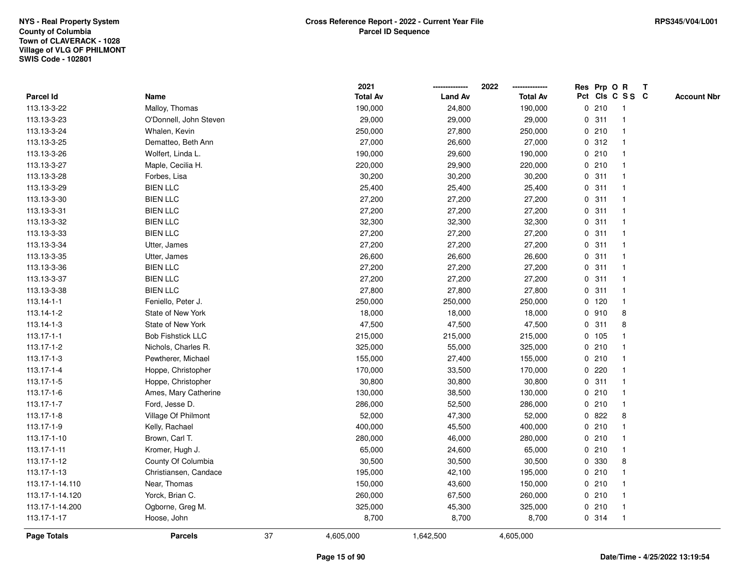|                    |                          |    | 2021            |                | 2022            |             |         | Res Prp O R     | T |                    |
|--------------------|--------------------------|----|-----------------|----------------|-----------------|-------------|---------|-----------------|---|--------------------|
| Parcel Id          | Name                     |    | <b>Total Av</b> | <b>Land Av</b> | <b>Total Av</b> |             |         | Pct Cls C S S C |   | <b>Account Nbr</b> |
| 113.13-3-22        | Malloy, Thomas           |    | 190,000         | 24,800         | 190,000         | 0           | 210     | $\mathbf{1}$    |   |                    |
| 113.13-3-23        | O'Donnell, John Steven   |    | 29,000          | 29,000         | 29,000          | 0           | 311     | -1              |   |                    |
| 113.13-3-24        | Whalen, Kevin            |    | 250,000         | 27,800         | 250,000         |             | 0210    | $\overline{1}$  |   |                    |
| 113.13-3-25        | Dematteo, Beth Ann       |    | 27,000          | 26,600         | 27,000          |             | 0.312   |                 |   |                    |
| 113.13-3-26        | Wolfert, Linda L.        |    | 190,000         | 29,600         | 190,000         |             | 0210    |                 |   |                    |
| 113.13-3-27        | Maple, Cecilia H.        |    | 220,000         | 29,900         | 220,000         |             | 0210    |                 |   |                    |
| 113.13-3-28        | Forbes, Lisa             |    | 30,200          | 30,200         | 30,200          |             | 0.311   | -1              |   |                    |
| 113.13-3-29        | <b>BIEN LLC</b>          |    | 25,400          | 25,400         | 25,400          | 0           | 311     | $\overline{1}$  |   |                    |
| 113.13-3-30        | <b>BIEN LLC</b>          |    | 27,200          | 27,200         | 27,200          |             | 0.311   | -1              |   |                    |
| 113.13-3-31        | <b>BIEN LLC</b>          |    | 27,200          | 27,200         | 27,200          |             | 0.311   | $\mathbf{1}$    |   |                    |
| 113.13-3-32        | <b>BIEN LLC</b>          |    | 32,300          | 32,300         | 32,300          |             | 0.311   |                 |   |                    |
| 113.13-3-33        | <b>BIEN LLC</b>          |    | 27,200          | 27,200         | 27,200          |             | 0.311   |                 |   |                    |
| 113.13-3-34        | Utter, James             |    | 27,200          | 27,200         | 27,200          |             | 0.311   |                 |   |                    |
| 113.13-3-35        | Utter, James             |    | 26,600          | 26,600         | 26,600          |             | 0.311   | -1              |   |                    |
| 113.13-3-36        | <b>BIEN LLC</b>          |    | 27,200          | 27,200         | 27,200          | $\mathbf 0$ | 311     | -1              |   |                    |
| 113.13-3-37        | <b>BIEN LLC</b>          |    | 27,200          | 27,200         | 27,200          | $\mathbf 0$ | 311     | $\mathbf{1}$    |   |                    |
| 113.13-3-38        | <b>BIEN LLC</b>          |    | 27,800          | 27,800         | 27,800          |             | 0.311   | $\mathbf{1}$    |   |                    |
| 113.14-1-1         | Feniello, Peter J.       |    | 250,000         | 250,000        | 250,000         |             | $0$ 120 | -1              |   |                    |
| 113.14-1-2         | State of New York        |    | 18,000          | 18,000         | 18,000          |             | 0.910   | 8               |   |                    |
| 113.14-1-3         | State of New York        |    | 47,500          | 47,500         | 47,500          |             | 0.311   | 8               |   |                    |
| 113.17-1-1         | <b>Bob Fishstick LLC</b> |    | 215,000         | 215,000        | 215,000         |             | 0 105   |                 |   |                    |
| 113.17-1-2         | Nichols, Charles R.      |    | 325,000         | 55,000         | 325,000         |             | 0210    |                 |   |                    |
| 113.17-1-3         | Pewtherer, Michael       |    | 155,000         | 27,400         | 155,000         |             | 0210    | -1              |   |                    |
| 113.17-1-4         | Hoppe, Christopher       |    | 170,000         | 33,500         | 170,000         | $\mathbf 0$ | 220     |                 |   |                    |
| 113.17-1-5         | Hoppe, Christopher       |    | 30,800          | 30,800         | 30,800          |             | 0.311   | -1              |   |                    |
| 113.17-1-6         | Ames, Mary Catherine     |    | 130,000         | 38,500         | 130,000         |             | 0210    |                 |   |                    |
| 113.17-1-7         | Ford, Jesse D.           |    | 286,000         | 52,500         | 286,000         |             | 0210    |                 |   |                    |
| 113.17-1-8         | Village Of Philmont      |    | 52,000          | 47,300         | 52,000          |             | 0822    | 8               |   |                    |
| 113.17-1-9         | Kelly, Rachael           |    | 400,000         | 45,500         | 400,000         |             | 0210    |                 |   |                    |
| 113.17-1-10        | Brown, Carl T.           |    | 280,000         | 46,000         | 280,000         | 0           | 210     | -1              |   |                    |
| 113.17-1-11        | Kromer, Hugh J.          |    | 65,000          | 24,600         | 65,000          |             | 0210    | $\mathbf{1}$    |   |                    |
| 113.17-1-12        | County Of Columbia       |    | 30,500          | 30,500         | 30,500          |             | 0 330   | 8               |   |                    |
| 113.17-1-13        | Christiansen, Candace    |    | 195,000         | 42,100         | 195,000         |             | 0210    |                 |   |                    |
| 113.17-1-14.110    | Near, Thomas             |    | 150,000         | 43,600         | 150,000         |             | 0210    |                 |   |                    |
| 113.17-1-14.120    | Yorck, Brian C.          |    | 260,000         | 67,500         | 260,000         |             | 0210    |                 |   |                    |
| 113.17-1-14.200    | Ogborne, Greg M.         |    | 325,000         | 45,300         | 325,000         |             | 0210    | -1              |   |                    |
| 113.17-1-17        | Hoose, John              |    | 8,700           | 8,700          | 8,700           |             | 0.314   | $\mathbf{1}$    |   |                    |
| <b>Page Totals</b> | <b>Parcels</b>           | 37 | 4,605,000       | 1,642,500      | 4,605,000       |             |         |                 |   |                    |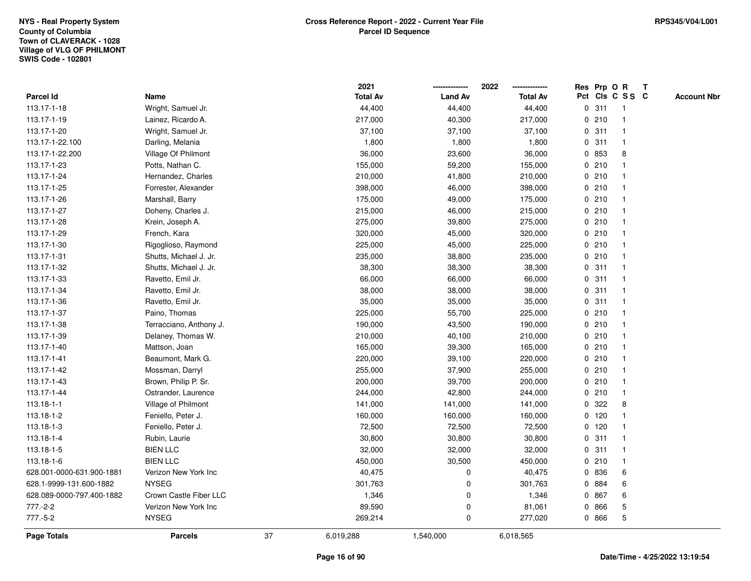|                           |                         |    | 2021            |                | 2022            |             |         | Res Prp O R     | T |                    |
|---------------------------|-------------------------|----|-----------------|----------------|-----------------|-------------|---------|-----------------|---|--------------------|
| Parcel Id                 | Name                    |    | <b>Total Av</b> | <b>Land Av</b> | <b>Total Av</b> |             |         | Pct Cls C S S C |   | <b>Account Nbr</b> |
| 113.17-1-18               | Wright, Samuel Jr.      |    | 44,400          | 44,400         | 44,400          | 0           | 311     | $\mathbf{1}$    |   |                    |
| 113.17-1-19               | Lainez, Ricardo A.      |    | 217,000         | 40,300         | 217,000         | 0           | 210     |                 |   |                    |
| 113.17-1-20               | Wright, Samuel Jr.      |    | 37,100          | 37,100         | 37,100          |             | 0.311   | $\mathbf 1$     |   |                    |
| 113.17-1-22.100           | Darling, Melania        |    | 1,800           | 1,800          | 1,800           |             | 0.311   |                 |   |                    |
| 113.17-1-22.200           | Village Of Philmont     |    | 36,000          | 23,600         | 36,000          |             | 0 853   | 8               |   |                    |
| 113.17-1-23               | Potts, Nathan C.        |    | 155,000         | 59,200         | 155,000         |             | 0210    |                 |   |                    |
| 113.17-1-24               | Hernandez, Charles      |    | 210,000         | 41,800         | 210,000         |             | 0210    |                 |   |                    |
| 113.17-1-25               | Forrester, Alexander    |    | 398,000         | 46,000         | 398,000         |             | 0210    |                 |   |                    |
| 113.17-1-26               | Marshall, Barry         |    | 175,000         | 49,000         | 175,000         |             | 0210    |                 |   |                    |
| 113.17-1-27               | Doheny, Charles J.      |    | 215,000         | 46,000         | 215,000         |             | 0210    |                 |   |                    |
| 113.17-1-28               | Krein, Joseph A.        |    | 275,000         | 39,800         | 275,000         |             | 0210    |                 |   |                    |
| 113.17-1-29               | French, Kara            |    | 320,000         | 45,000         | 320,000         |             | 0210    |                 |   |                    |
| 113.17-1-30               | Rigoglioso, Raymond     |    | 225,000         | 45,000         | 225,000         |             | 0210    |                 |   |                    |
| 113.17-1-31               | Shutts, Michael J. Jr.  |    | 235,000         | 38,800         | 235,000         |             | 0210    |                 |   |                    |
| 113.17-1-32               | Shutts, Michael J. Jr.  |    | 38,300          | 38,300         | 38,300          | 0           | 311     |                 |   |                    |
| 113.17-1-33               | Ravetto, Emil Jr.       |    | 66,000          | 66,000         | 66,000          | 0           | 311     |                 |   |                    |
| 113.17-1-34               | Ravetto, Emil Jr.       |    | 38,000          | 38,000         | 38,000          | 0           | 311     |                 |   |                    |
| 113.17-1-36               | Ravetto, Emil Jr.       |    | 35,000          | 35,000         | 35,000          |             | 0.311   |                 |   |                    |
| 113.17-1-37               | Paino, Thomas           |    | 225,000         | 55,700         | 225,000         |             | 0210    |                 |   |                    |
| 113.17-1-38               | Terracciano, Anthony J. |    | 190,000         | 43,500         | 190,000         |             | 0210    |                 |   |                    |
| 113.17-1-39               | Delaney, Thomas W.      |    | 210,000         | 40,100         | 210,000         |             | 0210    |                 |   |                    |
| 113.17-1-40               | Mattson, Joan           |    | 165,000         | 39,300         | 165,000         |             | 0210    |                 |   |                    |
| 113.17-1-41               | Beaumont, Mark G.       |    | 220,000         | 39,100         | 220,000         |             | 0210    |                 |   |                    |
| 113.17-1-42               | Mossman, Darryl         |    | 255,000         | 37,900         | 255,000         |             | 0210    |                 |   |                    |
| 113.17-1-43               | Brown, Philip P. Sr.    |    | 200,000         | 39,700         | 200,000         |             | 0210    |                 |   |                    |
| 113.17-1-44               | Ostrander, Laurence     |    | 244,000         | 42,800         | 244,000         |             | 0210    |                 |   |                    |
| 113.18-1-1                | Village of Philmont     |    | 141,000         | 141,000        | 141,000         | 0           | 322     | 8               |   |                    |
| 113.18-1-2                | Feniello, Peter J.      |    | 160,000         | 160,000        | 160,000         |             | $0$ 120 |                 |   |                    |
| 113.18-1-3                | Feniello, Peter J.      |    | 72,500          | 72,500         | 72,500          |             | $0$ 120 |                 |   |                    |
| 113.18-1-4                | Rubin, Laurie           |    | 30,800          | 30,800         | 30,800          | 0           | 311     |                 |   |                    |
| 113.18-1-5                | <b>BIEN LLC</b>         |    | 32,000          | 32,000         | 32,000          | $\mathbf 0$ | 311     |                 |   |                    |
| 113.18-1-6                | <b>BIEN LLC</b>         |    | 450,000         | 30,500         | 450,000         |             | 0210    |                 |   |                    |
| 628.001-0000-631.900-1881 | Verizon New York Inc    |    | 40,475          | 0              | 40,475          |             | 0 836   | 6               |   |                    |
| 628.1-9999-131.600-1882   | <b>NYSEG</b>            |    | 301,763         | 0              | 301,763         |             | 0 884   | 6               |   |                    |
| 628.089-0000-797.400-1882 | Crown Castle Fiber LLC  |    | 1,346           | 0              | 1,346           | 0           | 867     | 6               |   |                    |
| 777.-2-2                  | Verizon New York Inc    |    | 89,590          | 0              | 81,061          | 0           | 866     | 5               |   |                    |
| $777.-5-2$                | <b>NYSEG</b>            |    | 269,214         | 0              | 277,020         |             | 0 866   | 5               |   |                    |
| <b>Page Totals</b>        | <b>Parcels</b>          | 37 | 6,019,288       | 1,540,000      | 6,018,565       |             |         |                 |   |                    |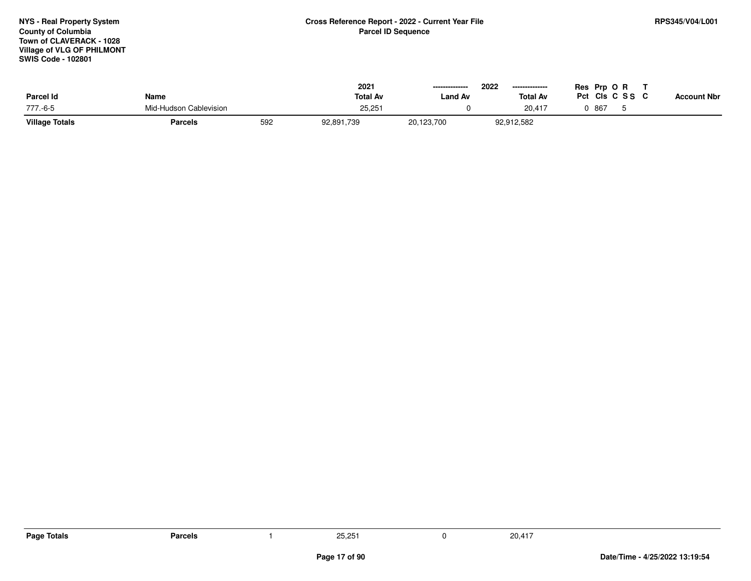## **Town of CLAVERACK - 1028 Village of VLG OF PHILMONTSWIS Code - 102801NYS - Real Property SystemCounty of Columbia**

| <b>Parcel Id</b>      | Name                   |     | 2021<br><b>Total Av</b> | ---------------<br>Land Av | 2022<br>---------------<br><b>Total Av</b> | Res Prp O R<br>CIs C S S<br>Pct<br><b>Account Nbr</b> |  |
|-----------------------|------------------------|-----|-------------------------|----------------------------|--------------------------------------------|-------------------------------------------------------|--|
| 777.-6-5              | Mid-Hudson Cablevision |     | 25,25                   |                            | 20.417                                     | 867                                                   |  |
| <b>Village Totals</b> | <b>Parcels</b>         | 592 | 92,891,739              | 20,123,700                 | 92,912,582                                 |                                                       |  |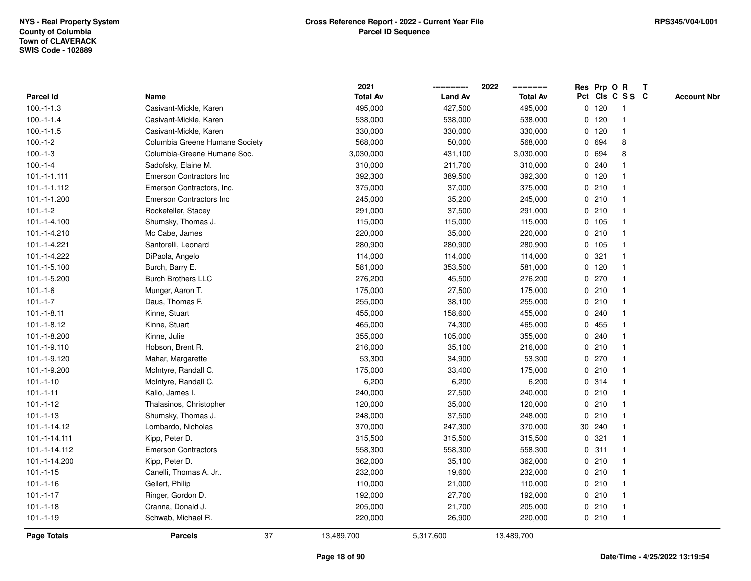**2021 -------------- 2022**

**ResOPrpRT**

**--------------**

| Parcel Id          | Name                           | <b>Total Av</b>  | <b>Land Av</b> | <b>Total Av</b> |   |         | Pct Cls C S S C | <b>Account Nbr</b> |
|--------------------|--------------------------------|------------------|----------------|-----------------|---|---------|-----------------|--------------------|
| $100.-1-1.3$       | Casivant-Mickle, Karen         | 495,000          | 427,500        | 495,000         |   | $0$ 120 |                 |                    |
| $100.-1-1.4$       | Casivant-Mickle, Karen         | 538,000          | 538,000        | 538,000         |   | $0$ 120 |                 |                    |
| $100.-1-1.5$       | Casivant-Mickle, Karen         | 330,000          | 330,000        | 330,000         |   | $0$ 120 |                 |                    |
| $100.-1-2$         | Columbia Greene Humane Society | 568,000          | 50,000         | 568,000         |   | 0 694   | 8               |                    |
| $100.-1-3$         | Columbia-Greene Humane Soc.    | 3,030,000        | 431,100        | 3,030,000       |   | 0 694   | 8               |                    |
| $100.-1-4$         | Sadofsky, Elaine M.            | 310,000          | 211,700        | 310,000         |   | 0.240   |                 |                    |
| $101.-1-1.111$     | Emerson Contractors Inc        | 392,300          | 389,500        | 392,300         |   | $0$ 120 |                 |                    |
| 101.-1-1.112       | Emerson Contractors, Inc.      | 375,000          | 37,000         | 375,000         |   | 0210    |                 |                    |
| 101.-1-1.200       | <b>Emerson Contractors Inc</b> | 245,000          | 35,200         | 245,000         |   | 0210    |                 |                    |
| $101.-1-2$         | Rockefeller, Stacey            | 291,000          | 37,500         | 291,000         |   | 0210    |                 |                    |
| 101.-1-4.100       | Shumsky, Thomas J.             | 115,000          | 115,000        | 115,000         |   | $0$ 105 |                 |                    |
| 101.-1-4.210       | Mc Cabe, James                 | 220,000          | 35,000         | 220,000         |   | 0210    |                 |                    |
| 101.-1-4.221       | Santorelli, Leonard            | 280,900          | 280,900        | 280,900         |   | $0$ 105 |                 |                    |
| 101.-1-4.222       | DiPaola, Angelo                | 114,000          | 114,000        | 114,000         |   | 0.321   |                 |                    |
| 101.-1-5.100       | Burch, Barry E.                | 581,000          | 353,500        | 581,000         |   | $0$ 120 |                 |                    |
| 101.-1-5.200       | <b>Burch Brothers LLC</b>      | 276,200          | 45,500         | 276,200         |   | 0270    |                 |                    |
| $101.-1-6$         | Munger, Aaron T.               | 175,000          | 27,500         | 175,000         |   | 0210    | -1              |                    |
| $101.-1-7$         | Daus, Thomas F.                | 255,000          | 38,100         | 255,000         |   | 0210    | -1              |                    |
| $101.-1-8.11$      | Kinne, Stuart                  | 455,000          | 158,600        | 455,000         |   | 0.240   |                 |                    |
| $101.-1-8.12$      | Kinne, Stuart                  | 465,000          | 74,300         | 465,000         |   | 0 455   |                 |                    |
| 101.-1-8.200       | Kinne, Julie                   | 355,000          | 105,000        | 355,000         |   | 0.240   |                 |                    |
| 101.-1-9.110       | Hobson, Brent R.               | 216,000          | 35,100         | 216,000         |   | 0210    |                 |                    |
| 101.-1-9.120       | Mahar, Margarette              | 53,300           | 34,900         | 53,300          |   | 0270    |                 |                    |
| 101.-1-9.200       | McIntyre, Randall C.           | 175,000          | 33,400         | 175,000         |   | 0210    |                 |                    |
| $101.-1-10$        | McIntyre, Randall C.           | 6,200            | 6,200          | 6,200           |   | 0.314   |                 |                    |
| $101.-1-11$        | Kallo, James I.                | 240,000          | 27,500         | 240,000         |   | 0210    |                 |                    |
| $101.-1-12$        | Thalasinos, Christopher        | 120,000          | 35,000         | 120,000         |   | 0210    |                 |                    |
| $101.-1-13$        | Shumsky, Thomas J.             | 248,000          | 37,500         | 248,000         | 0 | 210     |                 |                    |
| 101.-1-14.12       | Lombardo, Nicholas             | 370,000          | 247,300        | 370,000         |   | 30 240  |                 |                    |
| 101.-1-14.111      | Kipp, Peter D.                 | 315,500          | 315,500        | 315,500         |   | 0.321   |                 |                    |
| 101.-1-14.112      | <b>Emerson Contractors</b>     | 558,300          | 558,300        | 558,300         |   | 0.311   |                 |                    |
| 101.-1-14.200      | Kipp, Peter D.                 | 362,000          | 35,100         | 362,000         |   | 0210    |                 |                    |
| $101.-1-15$        | Canelli, Thomas A. Jr          | 232,000          | 19,600         | 232,000         |   | 0210    |                 |                    |
| $101.-1-16$        | Gellert, Philip                | 110,000          | 21,000         | 110,000         |   | 0210    |                 |                    |
| $101.-1-17$        | Ringer, Gordon D.              | 192,000          | 27,700         | 192,000         |   | 0210    |                 |                    |
| $101.-1-18$        | Cranna, Donald J.              | 205,000          | 21,700         | 205,000         | 0 | 210     | $\mathbf{1}$    |                    |
| $101.-1-19$        | Schwab, Michael R.             | 220,000          | 26,900         | 220,000         |   | 0210    | $\mathbf 1$     |                    |
| <b>Page Totals</b> | <b>Parcels</b>                 | 37<br>13,489,700 | 5,317,600      | 13,489,700      |   |         |                 |                    |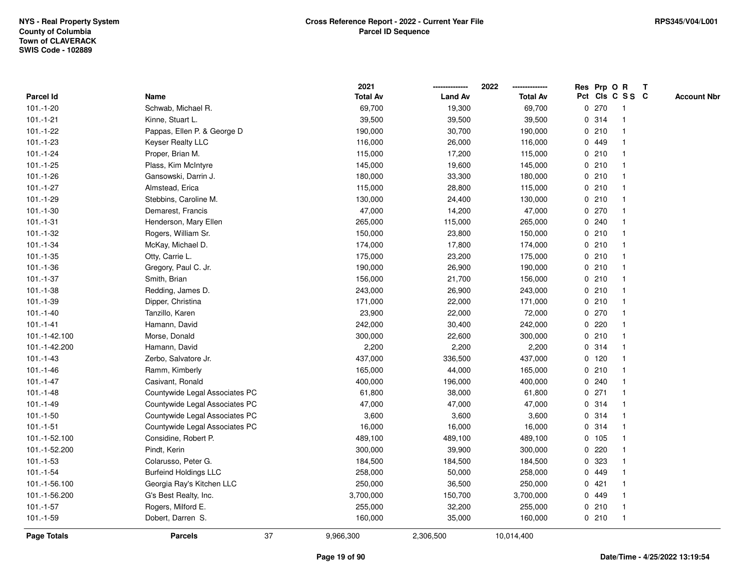|                    |                                |    | 2021            |                | 2022            |             |         | Res Prp O R     | T |                    |
|--------------------|--------------------------------|----|-----------------|----------------|-----------------|-------------|---------|-----------------|---|--------------------|
| Parcel Id          | Name                           |    | <b>Total Av</b> | <b>Land Av</b> | <b>Total Av</b> |             |         | Pct Cls C S S C |   | <b>Account Nbr</b> |
| $101.-1-20$        | Schwab, Michael R.             |    | 69,700          | 19,300         | 69,700          | 0           | 270     | -1              |   |                    |
| $101.-1-21$        | Kinne, Stuart L.               |    | 39,500          | 39,500         | 39,500          | 0           | 314     | -1              |   |                    |
| $101.-1-22$        | Pappas, Ellen P. & George D    |    | 190,000         | 30,700         | 190,000         |             | 0210    | -1              |   |                    |
| $101.-1-23$        | <b>Keyser Realty LLC</b>       |    | 116,000         | 26,000         | 116,000         |             | 0 449   |                 |   |                    |
| $101.-1-24$        | Proper, Brian M.               |    | 115,000         | 17,200         | 115,000         |             | 0210    |                 |   |                    |
| $101.-1-25$        | Plass, Kim McIntyre            |    | 145,000         | 19,600         | 145,000         |             | 0210    |                 |   |                    |
| $101.-1-26$        | Gansowski, Darrin J.           |    | 180,000         | 33,300         | 180,000         |             | 0210    |                 |   |                    |
| $101.-1-27$        | Almstead, Erica                |    | 115,000         | 28,800         | 115,000         | 0           | 210     |                 |   |                    |
| $101.-1-29$        | Stebbins, Caroline M.          |    | 130,000         | 24,400         | 130,000         |             | 0210    | -1              |   |                    |
| $101.-1-30$        | Demarest, Francis              |    | 47,000          | 14,200         | 47,000          |             | 0 270   | -1              |   |                    |
| $101.-1-31$        | Henderson, Mary Ellen          |    | 265,000         | 115,000        | 265,000         |             | 0.240   |                 |   |                    |
| $101.-1-32$        | Rogers, William Sr.            |    | 150,000         | 23,800         | 150,000         |             | 0210    |                 |   |                    |
| $101.-1-34$        | McKay, Michael D.              |    | 174,000         | 17,800         | 174,000         |             | 0210    |                 |   |                    |
| $101.-1-35$        | Otty, Carrie L.                |    | 175,000         | 23,200         | 175,000         |             | 0210    |                 |   |                    |
| $101.-1-36$        | Gregory, Paul C. Jr.           |    | 190,000         | 26,900         | 190,000         | $\mathbf 0$ | 210     |                 |   |                    |
| $101.-1-37$        | Smith, Brian                   |    | 156,000         | 21,700         | 156,000         |             | 0210    | $\overline{1}$  |   |                    |
| $101.-1-38$        | Redding, James D.              |    | 243,000         | 26,900         | 243,000         |             | 0210    | $\mathbf{1}$    |   |                    |
| $101.-1-39$        | Dipper, Christina              |    | 171,000         | 22,000         | 171,000         |             | 0210    |                 |   |                    |
| $101.-1-40$        | Tanzillo, Karen                |    | 23,900          | 22,000         | 72,000          |             | 0 270   |                 |   |                    |
| $101 - 1 - 41$     | Hamann, David                  |    | 242,000         | 30,400         | 242,000         |             | 0.220   |                 |   |                    |
| 101.-1-42.100      | Morse, Donald                  |    | 300,000         | 22,600         | 300,000         |             | 0210    |                 |   |                    |
| 101.-1-42.200      | Hamann, David                  |    | 2,200           | 2,200          | 2,200           | 0           | 314     |                 |   |                    |
| $101.-1-43$        | Zerbo, Salvatore Jr.           |    | 437,000         | 336,500        | 437,000         |             | $0$ 120 | -1              |   |                    |
| $101.-1-46$        | Ramm, Kimberly                 |    | 165,000         | 44,000         | 165,000         | $\mathbf 0$ | 210     | $\overline{1}$  |   |                    |
| $101.-1-47$        | Casivant, Ronald               |    | 400,000         | 196,000        | 400,000         |             | 0.240   |                 |   |                    |
| $101.-1-48$        | Countywide Legal Associates PC |    | 61,800          | 38,000         | 61,800          |             | $0$ 271 |                 |   |                    |
| $101.-1-49$        | Countywide Legal Associates PC |    | 47,000          | 47,000         | 47,000          |             | 0 314   |                 |   |                    |
| $101.-1-50$        | Countywide Legal Associates PC |    | 3,600           | 3,600          | 3,600           |             | 0.314   |                 |   |                    |
| $101.-1-51$        | Countywide Legal Associates PC |    | 16,000          | 16,000         | 16,000          | 0           | 314     |                 |   |                    |
| 101.-1-52.100      | Considine, Robert P.           |    | 489,100         | 489,100        | 489,100         |             | 0 105   |                 |   |                    |
| 101.-1-52.200      | Pindt, Kerin                   |    | 300,000         | 39,900         | 300,000         | 0           | 220     | -1              |   |                    |
| $101.-1-53$        | Colarusso, Peter G.            |    | 184,500         | 184,500        | 184,500         |             | 0 323   |                 |   |                    |
| $101.-1-54$        | <b>Burfeind Holdings LLC</b>   |    | 258,000         | 50,000         | 258,000         |             | 0 449   |                 |   |                    |
| 101.-1-56.100      | Georgia Ray's Kitchen LLC      |    | 250,000         | 36,500         | 250,000         |             | 0421    |                 |   |                    |
| 101.-1-56.200      | G's Best Realty, Inc.          |    | 3,700,000       | 150,700        | 3,700,000       |             | 0 449   |                 |   |                    |
| $101.-1-57$        | Rogers, Milford E.             |    | 255,000         | 32,200         | 255,000         |             | 0210    |                 |   |                    |
| $101.-1-59$        | Dobert, Darren S.              |    | 160,000         | 35,000         | 160,000         |             | 0210    | $\overline{1}$  |   |                    |
| <b>Page Totals</b> | <b>Parcels</b>                 | 37 | 9,966,300       | 2,306,500      | 10,014,400      |             |         |                 |   |                    |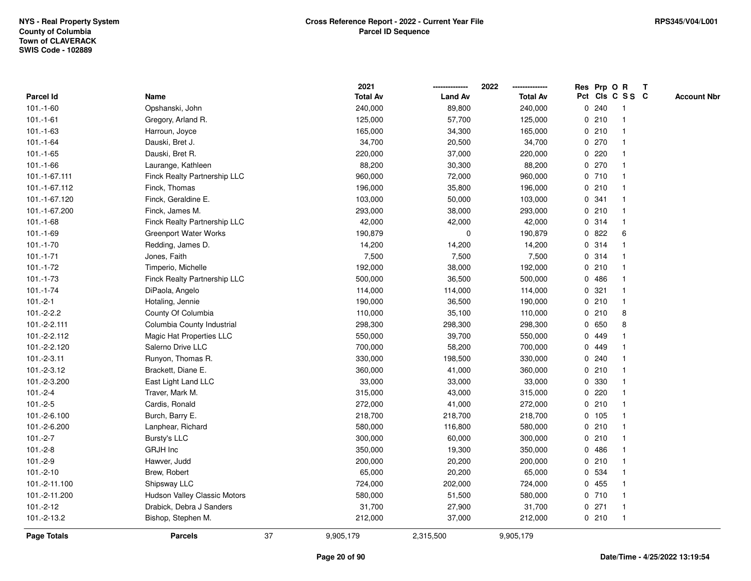|               |                              |    | 2021            |                | 2022            |              | Res Prp O R |                 | T |                    |
|---------------|------------------------------|----|-----------------|----------------|-----------------|--------------|-------------|-----------------|---|--------------------|
| Parcel Id     | Name                         |    | <b>Total Av</b> | <b>Land Av</b> | <b>Total Av</b> |              |             | Pct Cls C S S C |   | <b>Account Nbr</b> |
| $101.-1-60$   | Opshanski, John              |    | 240,000         | 89,800         | 240,000         | $\mathbf 0$  | 240         | -1              |   |                    |
| $101.-1-61$   | Gregory, Arland R.           |    | 125,000         | 57,700         | 125,000         | 0            | 210         | -1              |   |                    |
| $101.-1-63$   | Harroun, Joyce               |    | 165,000         | 34,300         | 165,000         |              | 0210        | $\mathbf 1$     |   |                    |
| $101.-1-64$   | Dauski, Bret J.              |    | 34,700          | 20,500         | 34,700          |              | 0270        |                 |   |                    |
| $101.-1-65$   | Dauski, Bret R.              |    | 220,000         | 37,000         | 220,000         |              | 0.220       |                 |   |                    |
| $101.-1-66$   | Laurange, Kathleen           |    | 88,200          | 30,300         | 88,200          |              | 0270        |                 |   |                    |
| 101.-1-67.111 | Finck Realty Partnership LLC |    | 960,000         | 72,000         | 960,000         |              | 0710        |                 |   |                    |
| 101.-1-67.112 | Finck, Thomas                |    | 196,000         | 35,800         | 196,000         | 0            | 210         | $\overline{1}$  |   |                    |
| 101.-1-67.120 | Finck, Geraldine E.          |    | 103,000         | 50,000         | 103,000         |              | 0.341       | $\mathbf 1$     |   |                    |
| 101.-1-67.200 | Finck, James M.              |    | 293,000         | 38,000         | 293,000         |              | 0210        | $\mathbf 1$     |   |                    |
| $101.-1-68$   | Finck Realty Partnership LLC |    | 42,000          | 42,000         | 42,000          |              | 0.314       |                 |   |                    |
| $101.-1-69$   | <b>Greenport Water Works</b> |    | 190,879         | 0              | 190,879         |              | 0822        | 6               |   |                    |
| $101.-1-70$   | Redding, James D.            |    | 14,200          | 14,200         | 14,200          |              | 0 314       |                 |   |                    |
| $101.-1-71$   | Jones, Faith                 |    | 7,500           | 7,500          | 7,500           |              | 0.314       |                 |   |                    |
| $101.-1-72$   | Timperio, Michelle           |    | 192,000         | 38,000         | 192,000         | $\mathbf 0$  | 210         |                 |   |                    |
| $101.-1-73$   | Finck Realty Partnership LLC |    | 500,000         | 36,500         | 500,000         |              | 0486        | $\mathbf{1}$    |   |                    |
| $101.-1-74$   | DiPaola, Angelo              |    | 114,000         | 114,000        | 114,000         |              | 0.321       | $\mathbf{1}$    |   |                    |
| $101.-2-1$    | Hotaling, Jennie             |    | 190,000         | 36,500         | 190,000         |              | 0210        | -1              |   |                    |
| $101.-2-2.2$  | County Of Columbia           |    | 110,000         | 35,100         | 110,000         |              | 0210        | 8               |   |                    |
| 101.-2-2.111  | Columbia County Industrial   |    | 298,300         | 298,300        | 298,300         |              | 0 650       | 8               |   |                    |
| 101.-2-2.112  | Magic Hat Properties LLC     |    | 550,000         | 39,700         | 550,000         | 0            | 449         |                 |   |                    |
| 101.-2-2.120  | Salerno Drive LLC            |    | 700,000         | 58,200         | 700,000         | 0            | 449         |                 |   |                    |
| $101.-2-3.11$ | Runyon, Thomas R.            |    | 330,000         | 198,500        | 330,000         | 0            | 240         |                 |   |                    |
| 101.-2-3.12   | Brackett, Diane E.           |    | 360,000         | 41,000         | 360,000         | $\mathbf{0}$ | 210         |                 |   |                    |
| 101.-2-3.200  | East Light Land LLC          |    | 33,000          | 33,000         | 33,000          |              | 0 330       |                 |   |                    |
| $101.-2-4$    | Traver, Mark M.              |    | 315,000         | 43,000         | 315,000         |              | 0.220       |                 |   |                    |
| $101.-2-5$    | Cardis, Ronald               |    | 272,000         | 41,000         | 272,000         |              | 0210        |                 |   |                    |
| 101.-2-6.100  | Burch, Barry E.              |    | 218,700         | 218,700        | 218,700         |              | 0 105       |                 |   |                    |
| 101.-2-6.200  | Lanphear, Richard            |    | 580,000         | 116,800        | 580,000         | 0            | 210         |                 |   |                    |
| $101.-2-7$    | Bursty's LLC                 |    | 300,000         | 60,000         | 300,000         | 0            | 210         |                 |   |                    |
| $101.-2-8$    | GRJH Inc                     |    | 350,000         | 19,300         | 350,000         | 0            | 486         | $\mathbf 1$     |   |                    |
| $101.-2-9$    | Hawver, Judd                 |    | 200,000         | 20,200         | 200,000         |              | 0210        |                 |   |                    |
| $101.-2-10$   | Brew, Robert                 |    | 65,000          | 20,200         | 65,000          |              | 0 534       |                 |   |                    |
| 101.-2-11.100 | Shipsway LLC                 |    | 724,000         | 202,000        | 724,000         |              | 0 455       |                 |   |                    |
| 101.-2-11.200 | Hudson Valley Classic Motors |    | 580,000         | 51,500         | 580,000         |              | 0 710       |                 |   |                    |
| $101.-2-12$   | Drabick, Debra J Sanders     |    | 31,700          | 27,900         | 31,700          |              | $0$ 271     | -1              |   |                    |
| 101.-2-13.2   | Bishop, Stephen M.           |    | 212,000         | 37,000         | 212,000         |              | 0210        | $\overline{1}$  |   |                    |
| Page Totals   | <b>Parcels</b>               | 37 | 9,905,179       | 2,315,500      | 9,905,179       |              |             |                 |   |                    |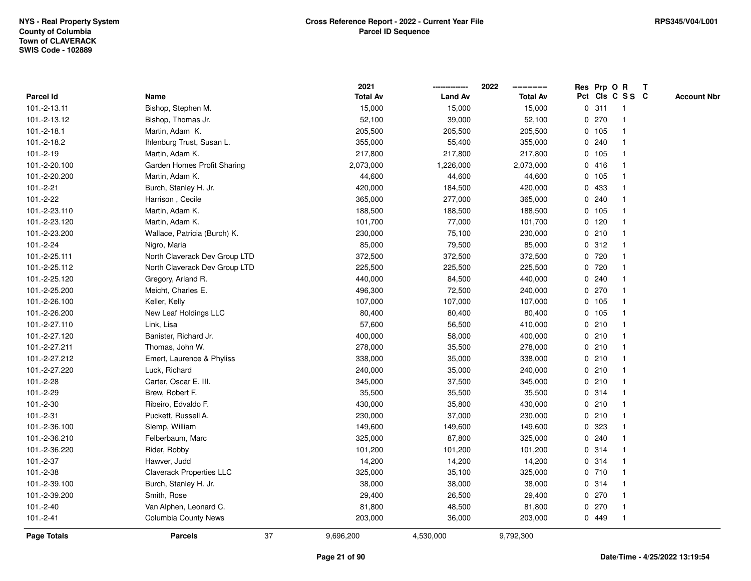|               |                                 | 2021            |                | 2022            |             |        | Res Prp O R     | $\mathbf{T}$ |                    |
|---------------|---------------------------------|-----------------|----------------|-----------------|-------------|--------|-----------------|--------------|--------------------|
| Parcel Id     | Name                            | <b>Total Av</b> | <b>Land Av</b> | <b>Total Av</b> |             |        | Pct Cls C S S C |              | <b>Account Nbr</b> |
| 101.-2-13.11  | Bishop, Stephen M.              | 15,000          | 15,000         | 15,000          |             | 0.311  |                 |              |                    |
| 101.-2-13.12  | Bishop, Thomas Jr.              | 52,100          | 39,000         | 52,100          |             | 0270   |                 |              |                    |
| $101.-2-18.1$ | Martin, Adam K.                 | 205,500         | 205,500        | 205,500         |             | 0, 105 |                 |              |                    |
| 101.-2-18.2   | Ihlenburg Trust, Susan L.       | 355,000         | 55,400         | 355,000         | 0           | 240    | $\mathbf{1}$    |              |                    |
| $101.-2-19$   | Martin, Adam K.                 | 217,800         | 217,800        | 217,800         |             | 0, 105 | -1              |              |                    |
| 101.-2-20.100 | Garden Homes Profit Sharing     | 2,073,000       | 1,226,000      | 2,073,000       |             | 0416   | -1              |              |                    |
| 101.-2-20.200 | Martin, Adam K.                 | 44,600          | 44,600         | 44,600          |             | 0, 105 |                 |              |                    |
| 101.-2-21     | Burch, Stanley H. Jr.           | 420,000         | 184,500        | 420,000         |             | 0 433  |                 |              |                    |
| 101.-2-22     | Harrison, Cecile                | 365,000         | 277,000        | 365,000         |             | 0.240  |                 |              |                    |
| 101.-2-23.110 | Martin, Adam K.                 | 188,500         | 188,500        | 188,500         |             | 0, 105 |                 |              |                    |
| 101.-2-23.120 | Martin, Adam K.                 | 101,700         | 77,000         | 101,700         |             | 0, 120 | $\mathbf{1}$    |              |                    |
| 101.-2-23.200 | Wallace, Patricia (Burch) K.    | 230,000         | 75,100         | 230,000         |             | 0210   | $\mathbf{1}$    |              |                    |
| 101.-2-24     | Nigro, Maria                    | 85,000          | 79,500         | 85,000          |             | 0.312  | -1              |              |                    |
| 101.-2-25.111 | North Claverack Dev Group LTD   | 372,500         | 372,500        | 372,500         |             | 0 720  |                 |              |                    |
| 101.-2-25.112 | North Claverack Dev Group LTD   | 225,500         | 225,500        | 225,500         |             | 0 720  |                 |              |                    |
| 101.-2-25.120 | Gregory, Arland R.              | 440,000         | 84,500         | 440,000         |             | 0.240  |                 |              |                    |
| 101.-2-25.200 | Meicht, Charles E.              | 496,300         | 72,500         | 240,000         | $\mathbf 0$ | 270    |                 |              |                    |
| 101.-2-26.100 | Keller, Kelly                   | 107,000         | 107,000        | 107,000         |             | 0, 105 | -1              |              |                    |
| 101.-2-26.200 | New Leaf Holdings LLC           | 80,400          | 80,400         | 80,400          |             | 0 105  | $\mathbf 1$     |              |                    |
| 101.-2-27.110 | Link, Lisa                      | 57,600          | 56,500         | 410,000         |             | 0210   |                 |              |                    |
| 101.-2-27.120 | Banister, Richard Jr.           | 400,000         | 58,000         | 400,000         |             | 0210   |                 |              |                    |
| 101.-2-27.211 | Thomas, John W.                 | 278,000         | 35,500         | 278,000         |             | 0210   |                 |              |                    |
| 101.-2-27.212 | Emert, Laurence & Phyliss       | 338,000         | 35,000         | 338,000         |             | 0210   |                 |              |                    |
| 101.-2-27.220 | Luck, Richard                   | 240,000         | 35,000         | 240,000         |             | 0210   | $\mathbf{1}$    |              |                    |
| 101.-2-28     | Carter, Oscar E. III.           | 345,000         | 37,500         | 345,000         |             | 0210   | -1              |              |                    |
| 101.-2-29     | Brew, Robert F.                 | 35,500          | 35,500         | 35,500          |             | 0.314  | -1              |              |                    |
| 101.-2-30     | Ribeiro, Edvaldo F.             | 430,000         | 35,800         | 430,000         |             | 0210   |                 |              |                    |
| 101.-2-31     | Puckett, Russell A.             | 230,000         | 37,000         | 230,000         |             | 0210   |                 |              |                    |
| 101.-2-36.100 | Slemp, William                  | 149,600         | 149,600        | 149,600         |             | 0 323  |                 |              |                    |
| 101.-2-36.210 | Felberbaum, Marc                | 325,000         | 87,800         | 325,000         | 0           | 240    |                 |              |                    |
| 101.-2-36.220 | Rider, Robby                    | 101,200         | 101,200        | 101,200         | 0           | 314    | -1              |              |                    |
| 101.-2-37     | Hawver, Judd                    | 14,200          | 14,200         | 14,200          |             | 0.314  | -1              |              |                    |
| 101.-2-38     | <b>Claverack Properties LLC</b> | 325,000         | 35,100         | 325,000         |             | 0710   |                 |              |                    |
| 101.-2-39.100 | Burch, Stanley H. Jr.           | 38,000          | 38,000         | 38,000          |             | 0.314  |                 |              |                    |
| 101.-2-39.200 | Smith, Rose                     | 29,400          | 26,500         | 29,400          |             | 0270   |                 |              |                    |
| 101.-2-40     | Van Alphen, Leonard C.          | 81,800          | 48,500         | 81,800          |             | 0270   | -1              |              |                    |
| $101.-2-41$   | <b>Columbia County News</b>     | 203,000         | 36,000         | 203,000         |             | 0 449  | $\mathbf{1}$    |              |                    |
| Page Totals   | 37<br><b>Parcels</b>            | 9,696,200       | 4,530,000      | 9,792,300       |             |        |                 |              |                    |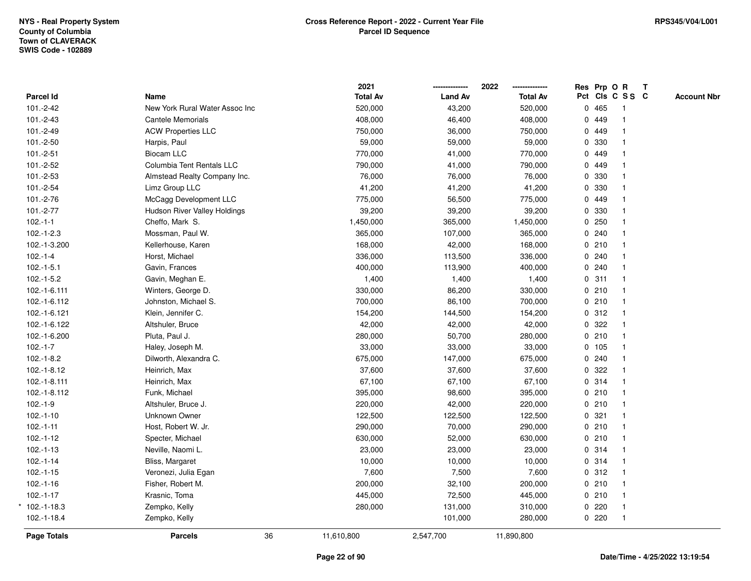| Pct Cls C S S C<br><b>Land Av</b><br>Parcel Id<br><b>Total Av</b><br>Name<br>0465<br>101.-2-42<br>New York Rural Water Assoc Inc<br>520,000<br>43,200<br>520,000<br>$\mathbf{1}$<br>0 449<br>$101.-2-43$<br>408,000<br>46,400<br>408,000<br>Cantele Memorials<br>101.-2-49<br><b>ACW Properties LLC</b><br>750,000<br>36,000<br>750,000<br>0 449<br>0 330<br>$101.-2-50$<br>Harpis, Paul<br>59,000<br>59,000<br>59,000<br>0 449<br>$101.-2-51$<br><b>Biocam LLC</b><br>770,000<br>41,000<br>770,000<br>0 449<br>101.-2-52<br>Columbia Tent Rentals LLC<br>790,000<br>41,000<br>790,000<br>0 330<br>$101.-2-53$<br>Almstead Realty Company Inc.<br>76,000<br>76,000<br>76,000<br>101.-2-54<br>Limz Group LLC<br>41,200<br>0 330<br>41,200<br>41,200<br>0 449<br>101.-2-76<br>McCagg Development LLC<br>775,000<br>775,000<br>56,500<br>0 330<br>101.-2-77<br>Hudson River Valley Holdings<br>39,200<br>39,200<br>39,200<br>0250<br>$102.-1-1$<br>1,450,000<br>Cheffo, Mark S.<br>365,000<br>1,450,000<br>365,000<br>0.240<br>$102.-1-2.3$<br>Mossman, Paul W.<br>107,000<br>365,000<br>0210<br>102.-1-3.200<br>Kellerhouse, Karen<br>168,000<br>42,000<br>168,000<br>0.240<br>$102.-1-4$<br>Horst, Michael<br>336,000<br>113,500<br>336,000<br>$102.-1-5.1$<br>0.240<br>Gavin, Frances<br>400,000<br>113,900<br>400,000<br>$\overline{1}$<br>0.311<br>$102.-1-5.2$<br>1,400<br>1,400<br>1,400<br>Gavin, Meghan E.<br>$\mathbf{1}$<br>330,000<br>0210<br>102.-1-6.111<br>Winters, George D.<br>86,200<br>330,000<br>Johnston, Michael S.<br>700,000<br>86,100<br>700,000<br>0210<br>102.-1-6.112<br>0.312<br>Klein, Jennifer C.<br>154,200<br>102.-1-6.121<br>144,500<br>154,200<br>0.322<br>102.-1-6.122<br>Altshuler, Bruce<br>42,000<br>42,000<br>42,000<br>Pluta, Paul J.<br>0210<br>102.-1-6.200<br>280,000<br>50,700<br>280,000<br>0 105<br>$102.-1-7$<br>33,000<br>33,000<br>33,000<br>Haley, Joseph M.<br>0.240<br>$102.-1-8.2$<br>Dilworth, Alexandra C.<br>675,000<br>147,000<br>675,000<br>$\mathbf{1}$<br>0.322<br>37,600<br>37,600<br>37,600<br>102.-1-8.12<br>Heinrich, Max<br>0.314<br>102.-1-8.111<br>Heinrich, Max<br>67,100<br>67,100<br>67,100<br>Funk, Michael<br>395,000<br>0210<br>102.-1-8.112<br>98,600<br>395,000<br>$102.-1-9$<br>0210<br>Altshuler, Bruce J.<br>220,000<br>42,000<br>220,000<br>0.321<br>$102.-1-10$<br>Unknown Owner<br>122,500<br>122,500<br>122,500<br>1<br>0210<br>$102.-1-11$<br>Host, Robert W. Jr.<br>290,000<br>70,000<br>290,000<br>$\mathbf{1}$<br>$102.-1-12$<br>630,000<br>52,000<br>630,000<br>0210<br>Specter, Michael<br>$\overline{1}$<br>0.314<br>$102.-1-13$<br>Neville, Naomi L.<br>23,000<br>23,000<br>23,000<br>$\mathbf 1$<br>0.314<br>$102.-1-14$<br>Bliss, Margaret<br>10,000<br>10,000<br>10,000<br>7,600<br>7,500<br>7,600<br>0.312<br>$102.-1-15$<br>Veronezi, Julia Egan<br>$102.-1-16$<br>Fisher, Robert M.<br>32,100<br>200,000<br>0210<br>200,000<br>$102.-1-17$<br>0210<br>Krasnic, Toma<br>445,000<br>72,500<br>445,000<br>$\mathbf{1}$<br>0220<br>Zempko, Kelly<br>280,000<br>131,000<br>310,000<br>$\mathbf{1}$<br>0220<br>$\mathbf{1}$<br>102.-1-18.4<br>Zempko, Kelly<br>101,000<br>280,000<br>36<br>Page Totals<br><b>Parcels</b><br>11,610,800<br>2,547,700<br>11,890,800 |  | 2021            | 2022 | Res Prp O R | T |                    |
|-----------------------------------------------------------------------------------------------------------------------------------------------------------------------------------------------------------------------------------------------------------------------------------------------------------------------------------------------------------------------------------------------------------------------------------------------------------------------------------------------------------------------------------------------------------------------------------------------------------------------------------------------------------------------------------------------------------------------------------------------------------------------------------------------------------------------------------------------------------------------------------------------------------------------------------------------------------------------------------------------------------------------------------------------------------------------------------------------------------------------------------------------------------------------------------------------------------------------------------------------------------------------------------------------------------------------------------------------------------------------------------------------------------------------------------------------------------------------------------------------------------------------------------------------------------------------------------------------------------------------------------------------------------------------------------------------------------------------------------------------------------------------------------------------------------------------------------------------------------------------------------------------------------------------------------------------------------------------------------------------------------------------------------------------------------------------------------------------------------------------------------------------------------------------------------------------------------------------------------------------------------------------------------------------------------------------------------------------------------------------------------------------------------------------------------------------------------------------------------------------------------------------------------------------------------------------------------------------------------------------------------------------------------------------------------------------------------------------------------------------------------------------------------------------------------------------------------------------------------------------------------------------------------------------------------------------------------------------------------------------------------------------------------------------------------------------------------------------------------------------------------------------------------------------------------------------------------------------------------------------------------|--|-----------------|------|-------------|---|--------------------|
|                                                                                                                                                                                                                                                                                                                                                                                                                                                                                                                                                                                                                                                                                                                                                                                                                                                                                                                                                                                                                                                                                                                                                                                                                                                                                                                                                                                                                                                                                                                                                                                                                                                                                                                                                                                                                                                                                                                                                                                                                                                                                                                                                                                                                                                                                                                                                                                                                                                                                                                                                                                                                                                                                                                                                                                                                                                                                                                                                                                                                                                                                                                                                                                                                                                           |  | <b>Total Av</b> |      |             |   | <b>Account Nbr</b> |
|                                                                                                                                                                                                                                                                                                                                                                                                                                                                                                                                                                                                                                                                                                                                                                                                                                                                                                                                                                                                                                                                                                                                                                                                                                                                                                                                                                                                                                                                                                                                                                                                                                                                                                                                                                                                                                                                                                                                                                                                                                                                                                                                                                                                                                                                                                                                                                                                                                                                                                                                                                                                                                                                                                                                                                                                                                                                                                                                                                                                                                                                                                                                                                                                                                                           |  |                 |      |             |   |                    |
|                                                                                                                                                                                                                                                                                                                                                                                                                                                                                                                                                                                                                                                                                                                                                                                                                                                                                                                                                                                                                                                                                                                                                                                                                                                                                                                                                                                                                                                                                                                                                                                                                                                                                                                                                                                                                                                                                                                                                                                                                                                                                                                                                                                                                                                                                                                                                                                                                                                                                                                                                                                                                                                                                                                                                                                                                                                                                                                                                                                                                                                                                                                                                                                                                                                           |  |                 |      |             |   |                    |
|                                                                                                                                                                                                                                                                                                                                                                                                                                                                                                                                                                                                                                                                                                                                                                                                                                                                                                                                                                                                                                                                                                                                                                                                                                                                                                                                                                                                                                                                                                                                                                                                                                                                                                                                                                                                                                                                                                                                                                                                                                                                                                                                                                                                                                                                                                                                                                                                                                                                                                                                                                                                                                                                                                                                                                                                                                                                                                                                                                                                                                                                                                                                                                                                                                                           |  |                 |      |             |   |                    |
|                                                                                                                                                                                                                                                                                                                                                                                                                                                                                                                                                                                                                                                                                                                                                                                                                                                                                                                                                                                                                                                                                                                                                                                                                                                                                                                                                                                                                                                                                                                                                                                                                                                                                                                                                                                                                                                                                                                                                                                                                                                                                                                                                                                                                                                                                                                                                                                                                                                                                                                                                                                                                                                                                                                                                                                                                                                                                                                                                                                                                                                                                                                                                                                                                                                           |  |                 |      |             |   |                    |
|                                                                                                                                                                                                                                                                                                                                                                                                                                                                                                                                                                                                                                                                                                                                                                                                                                                                                                                                                                                                                                                                                                                                                                                                                                                                                                                                                                                                                                                                                                                                                                                                                                                                                                                                                                                                                                                                                                                                                                                                                                                                                                                                                                                                                                                                                                                                                                                                                                                                                                                                                                                                                                                                                                                                                                                                                                                                                                                                                                                                                                                                                                                                                                                                                                                           |  |                 |      |             |   |                    |
|                                                                                                                                                                                                                                                                                                                                                                                                                                                                                                                                                                                                                                                                                                                                                                                                                                                                                                                                                                                                                                                                                                                                                                                                                                                                                                                                                                                                                                                                                                                                                                                                                                                                                                                                                                                                                                                                                                                                                                                                                                                                                                                                                                                                                                                                                                                                                                                                                                                                                                                                                                                                                                                                                                                                                                                                                                                                                                                                                                                                                                                                                                                                                                                                                                                           |  |                 |      |             |   |                    |
|                                                                                                                                                                                                                                                                                                                                                                                                                                                                                                                                                                                                                                                                                                                                                                                                                                                                                                                                                                                                                                                                                                                                                                                                                                                                                                                                                                                                                                                                                                                                                                                                                                                                                                                                                                                                                                                                                                                                                                                                                                                                                                                                                                                                                                                                                                                                                                                                                                                                                                                                                                                                                                                                                                                                                                                                                                                                                                                                                                                                                                                                                                                                                                                                                                                           |  |                 |      |             |   |                    |
|                                                                                                                                                                                                                                                                                                                                                                                                                                                                                                                                                                                                                                                                                                                                                                                                                                                                                                                                                                                                                                                                                                                                                                                                                                                                                                                                                                                                                                                                                                                                                                                                                                                                                                                                                                                                                                                                                                                                                                                                                                                                                                                                                                                                                                                                                                                                                                                                                                                                                                                                                                                                                                                                                                                                                                                                                                                                                                                                                                                                                                                                                                                                                                                                                                                           |  |                 |      |             |   |                    |
|                                                                                                                                                                                                                                                                                                                                                                                                                                                                                                                                                                                                                                                                                                                                                                                                                                                                                                                                                                                                                                                                                                                                                                                                                                                                                                                                                                                                                                                                                                                                                                                                                                                                                                                                                                                                                                                                                                                                                                                                                                                                                                                                                                                                                                                                                                                                                                                                                                                                                                                                                                                                                                                                                                                                                                                                                                                                                                                                                                                                                                                                                                                                                                                                                                                           |  |                 |      |             |   |                    |
|                                                                                                                                                                                                                                                                                                                                                                                                                                                                                                                                                                                                                                                                                                                                                                                                                                                                                                                                                                                                                                                                                                                                                                                                                                                                                                                                                                                                                                                                                                                                                                                                                                                                                                                                                                                                                                                                                                                                                                                                                                                                                                                                                                                                                                                                                                                                                                                                                                                                                                                                                                                                                                                                                                                                                                                                                                                                                                                                                                                                                                                                                                                                                                                                                                                           |  |                 |      |             |   |                    |
| $*102.-1-18.3$                                                                                                                                                                                                                                                                                                                                                                                                                                                                                                                                                                                                                                                                                                                                                                                                                                                                                                                                                                                                                                                                                                                                                                                                                                                                                                                                                                                                                                                                                                                                                                                                                                                                                                                                                                                                                                                                                                                                                                                                                                                                                                                                                                                                                                                                                                                                                                                                                                                                                                                                                                                                                                                                                                                                                                                                                                                                                                                                                                                                                                                                                                                                                                                                                                            |  |                 |      |             |   |                    |
|                                                                                                                                                                                                                                                                                                                                                                                                                                                                                                                                                                                                                                                                                                                                                                                                                                                                                                                                                                                                                                                                                                                                                                                                                                                                                                                                                                                                                                                                                                                                                                                                                                                                                                                                                                                                                                                                                                                                                                                                                                                                                                                                                                                                                                                                                                                                                                                                                                                                                                                                                                                                                                                                                                                                                                                                                                                                                                                                                                                                                                                                                                                                                                                                                                                           |  |                 |      |             |   |                    |
|                                                                                                                                                                                                                                                                                                                                                                                                                                                                                                                                                                                                                                                                                                                                                                                                                                                                                                                                                                                                                                                                                                                                                                                                                                                                                                                                                                                                                                                                                                                                                                                                                                                                                                                                                                                                                                                                                                                                                                                                                                                                                                                                                                                                                                                                                                                                                                                                                                                                                                                                                                                                                                                                                                                                                                                                                                                                                                                                                                                                                                                                                                                                                                                                                                                           |  |                 |      |             |   |                    |
|                                                                                                                                                                                                                                                                                                                                                                                                                                                                                                                                                                                                                                                                                                                                                                                                                                                                                                                                                                                                                                                                                                                                                                                                                                                                                                                                                                                                                                                                                                                                                                                                                                                                                                                                                                                                                                                                                                                                                                                                                                                                                                                                                                                                                                                                                                                                                                                                                                                                                                                                                                                                                                                                                                                                                                                                                                                                                                                                                                                                                                                                                                                                                                                                                                                           |  |                 |      |             |   |                    |
|                                                                                                                                                                                                                                                                                                                                                                                                                                                                                                                                                                                                                                                                                                                                                                                                                                                                                                                                                                                                                                                                                                                                                                                                                                                                                                                                                                                                                                                                                                                                                                                                                                                                                                                                                                                                                                                                                                                                                                                                                                                                                                                                                                                                                                                                                                                                                                                                                                                                                                                                                                                                                                                                                                                                                                                                                                                                                                                                                                                                                                                                                                                                                                                                                                                           |  |                 |      |             |   |                    |
|                                                                                                                                                                                                                                                                                                                                                                                                                                                                                                                                                                                                                                                                                                                                                                                                                                                                                                                                                                                                                                                                                                                                                                                                                                                                                                                                                                                                                                                                                                                                                                                                                                                                                                                                                                                                                                                                                                                                                                                                                                                                                                                                                                                                                                                                                                                                                                                                                                                                                                                                                                                                                                                                                                                                                                                                                                                                                                                                                                                                                                                                                                                                                                                                                                                           |  |                 |      |             |   |                    |
|                                                                                                                                                                                                                                                                                                                                                                                                                                                                                                                                                                                                                                                                                                                                                                                                                                                                                                                                                                                                                                                                                                                                                                                                                                                                                                                                                                                                                                                                                                                                                                                                                                                                                                                                                                                                                                                                                                                                                                                                                                                                                                                                                                                                                                                                                                                                                                                                                                                                                                                                                                                                                                                                                                                                                                                                                                                                                                                                                                                                                                                                                                                                                                                                                                                           |  |                 |      |             |   |                    |
|                                                                                                                                                                                                                                                                                                                                                                                                                                                                                                                                                                                                                                                                                                                                                                                                                                                                                                                                                                                                                                                                                                                                                                                                                                                                                                                                                                                                                                                                                                                                                                                                                                                                                                                                                                                                                                                                                                                                                                                                                                                                                                                                                                                                                                                                                                                                                                                                                                                                                                                                                                                                                                                                                                                                                                                                                                                                                                                                                                                                                                                                                                                                                                                                                                                           |  |                 |      |             |   |                    |
|                                                                                                                                                                                                                                                                                                                                                                                                                                                                                                                                                                                                                                                                                                                                                                                                                                                                                                                                                                                                                                                                                                                                                                                                                                                                                                                                                                                                                                                                                                                                                                                                                                                                                                                                                                                                                                                                                                                                                                                                                                                                                                                                                                                                                                                                                                                                                                                                                                                                                                                                                                                                                                                                                                                                                                                                                                                                                                                                                                                                                                                                                                                                                                                                                                                           |  |                 |      |             |   |                    |
|                                                                                                                                                                                                                                                                                                                                                                                                                                                                                                                                                                                                                                                                                                                                                                                                                                                                                                                                                                                                                                                                                                                                                                                                                                                                                                                                                                                                                                                                                                                                                                                                                                                                                                                                                                                                                                                                                                                                                                                                                                                                                                                                                                                                                                                                                                                                                                                                                                                                                                                                                                                                                                                                                                                                                                                                                                                                                                                                                                                                                                                                                                                                                                                                                                                           |  |                 |      |             |   |                    |
|                                                                                                                                                                                                                                                                                                                                                                                                                                                                                                                                                                                                                                                                                                                                                                                                                                                                                                                                                                                                                                                                                                                                                                                                                                                                                                                                                                                                                                                                                                                                                                                                                                                                                                                                                                                                                                                                                                                                                                                                                                                                                                                                                                                                                                                                                                                                                                                                                                                                                                                                                                                                                                                                                                                                                                                                                                                                                                                                                                                                                                                                                                                                                                                                                                                           |  |                 |      |             |   |                    |
|                                                                                                                                                                                                                                                                                                                                                                                                                                                                                                                                                                                                                                                                                                                                                                                                                                                                                                                                                                                                                                                                                                                                                                                                                                                                                                                                                                                                                                                                                                                                                                                                                                                                                                                                                                                                                                                                                                                                                                                                                                                                                                                                                                                                                                                                                                                                                                                                                                                                                                                                                                                                                                                                                                                                                                                                                                                                                                                                                                                                                                                                                                                                                                                                                                                           |  |                 |      |             |   |                    |
|                                                                                                                                                                                                                                                                                                                                                                                                                                                                                                                                                                                                                                                                                                                                                                                                                                                                                                                                                                                                                                                                                                                                                                                                                                                                                                                                                                                                                                                                                                                                                                                                                                                                                                                                                                                                                                                                                                                                                                                                                                                                                                                                                                                                                                                                                                                                                                                                                                                                                                                                                                                                                                                                                                                                                                                                                                                                                                                                                                                                                                                                                                                                                                                                                                                           |  |                 |      |             |   |                    |
|                                                                                                                                                                                                                                                                                                                                                                                                                                                                                                                                                                                                                                                                                                                                                                                                                                                                                                                                                                                                                                                                                                                                                                                                                                                                                                                                                                                                                                                                                                                                                                                                                                                                                                                                                                                                                                                                                                                                                                                                                                                                                                                                                                                                                                                                                                                                                                                                                                                                                                                                                                                                                                                                                                                                                                                                                                                                                                                                                                                                                                                                                                                                                                                                                                                           |  |                 |      |             |   |                    |
|                                                                                                                                                                                                                                                                                                                                                                                                                                                                                                                                                                                                                                                                                                                                                                                                                                                                                                                                                                                                                                                                                                                                                                                                                                                                                                                                                                                                                                                                                                                                                                                                                                                                                                                                                                                                                                                                                                                                                                                                                                                                                                                                                                                                                                                                                                                                                                                                                                                                                                                                                                                                                                                                                                                                                                                                                                                                                                                                                                                                                                                                                                                                                                                                                                                           |  |                 |      |             |   |                    |
|                                                                                                                                                                                                                                                                                                                                                                                                                                                                                                                                                                                                                                                                                                                                                                                                                                                                                                                                                                                                                                                                                                                                                                                                                                                                                                                                                                                                                                                                                                                                                                                                                                                                                                                                                                                                                                                                                                                                                                                                                                                                                                                                                                                                                                                                                                                                                                                                                                                                                                                                                                                                                                                                                                                                                                                                                                                                                                                                                                                                                                                                                                                                                                                                                                                           |  |                 |      |             |   |                    |
|                                                                                                                                                                                                                                                                                                                                                                                                                                                                                                                                                                                                                                                                                                                                                                                                                                                                                                                                                                                                                                                                                                                                                                                                                                                                                                                                                                                                                                                                                                                                                                                                                                                                                                                                                                                                                                                                                                                                                                                                                                                                                                                                                                                                                                                                                                                                                                                                                                                                                                                                                                                                                                                                                                                                                                                                                                                                                                                                                                                                                                                                                                                                                                                                                                                           |  |                 |      |             |   |                    |
|                                                                                                                                                                                                                                                                                                                                                                                                                                                                                                                                                                                                                                                                                                                                                                                                                                                                                                                                                                                                                                                                                                                                                                                                                                                                                                                                                                                                                                                                                                                                                                                                                                                                                                                                                                                                                                                                                                                                                                                                                                                                                                                                                                                                                                                                                                                                                                                                                                                                                                                                                                                                                                                                                                                                                                                                                                                                                                                                                                                                                                                                                                                                                                                                                                                           |  |                 |      |             |   |                    |
|                                                                                                                                                                                                                                                                                                                                                                                                                                                                                                                                                                                                                                                                                                                                                                                                                                                                                                                                                                                                                                                                                                                                                                                                                                                                                                                                                                                                                                                                                                                                                                                                                                                                                                                                                                                                                                                                                                                                                                                                                                                                                                                                                                                                                                                                                                                                                                                                                                                                                                                                                                                                                                                                                                                                                                                                                                                                                                                                                                                                                                                                                                                                                                                                                                                           |  |                 |      |             |   |                    |
|                                                                                                                                                                                                                                                                                                                                                                                                                                                                                                                                                                                                                                                                                                                                                                                                                                                                                                                                                                                                                                                                                                                                                                                                                                                                                                                                                                                                                                                                                                                                                                                                                                                                                                                                                                                                                                                                                                                                                                                                                                                                                                                                                                                                                                                                                                                                                                                                                                                                                                                                                                                                                                                                                                                                                                                                                                                                                                                                                                                                                                                                                                                                                                                                                                                           |  |                 |      |             |   |                    |
|                                                                                                                                                                                                                                                                                                                                                                                                                                                                                                                                                                                                                                                                                                                                                                                                                                                                                                                                                                                                                                                                                                                                                                                                                                                                                                                                                                                                                                                                                                                                                                                                                                                                                                                                                                                                                                                                                                                                                                                                                                                                                                                                                                                                                                                                                                                                                                                                                                                                                                                                                                                                                                                                                                                                                                                                                                                                                                                                                                                                                                                                                                                                                                                                                                                           |  |                 |      |             |   |                    |
|                                                                                                                                                                                                                                                                                                                                                                                                                                                                                                                                                                                                                                                                                                                                                                                                                                                                                                                                                                                                                                                                                                                                                                                                                                                                                                                                                                                                                                                                                                                                                                                                                                                                                                                                                                                                                                                                                                                                                                                                                                                                                                                                                                                                                                                                                                                                                                                                                                                                                                                                                                                                                                                                                                                                                                                                                                                                                                                                                                                                                                                                                                                                                                                                                                                           |  |                 |      |             |   |                    |
|                                                                                                                                                                                                                                                                                                                                                                                                                                                                                                                                                                                                                                                                                                                                                                                                                                                                                                                                                                                                                                                                                                                                                                                                                                                                                                                                                                                                                                                                                                                                                                                                                                                                                                                                                                                                                                                                                                                                                                                                                                                                                                                                                                                                                                                                                                                                                                                                                                                                                                                                                                                                                                                                                                                                                                                                                                                                                                                                                                                                                                                                                                                                                                                                                                                           |  |                 |      |             |   |                    |
|                                                                                                                                                                                                                                                                                                                                                                                                                                                                                                                                                                                                                                                                                                                                                                                                                                                                                                                                                                                                                                                                                                                                                                                                                                                                                                                                                                                                                                                                                                                                                                                                                                                                                                                                                                                                                                                                                                                                                                                                                                                                                                                                                                                                                                                                                                                                                                                                                                                                                                                                                                                                                                                                                                                                                                                                                                                                                                                                                                                                                                                                                                                                                                                                                                                           |  |                 |      |             |   |                    |
|                                                                                                                                                                                                                                                                                                                                                                                                                                                                                                                                                                                                                                                                                                                                                                                                                                                                                                                                                                                                                                                                                                                                                                                                                                                                                                                                                                                                                                                                                                                                                                                                                                                                                                                                                                                                                                                                                                                                                                                                                                                                                                                                                                                                                                                                                                                                                                                                                                                                                                                                                                                                                                                                                                                                                                                                                                                                                                                                                                                                                                                                                                                                                                                                                                                           |  |                 |      |             |   |                    |
|                                                                                                                                                                                                                                                                                                                                                                                                                                                                                                                                                                                                                                                                                                                                                                                                                                                                                                                                                                                                                                                                                                                                                                                                                                                                                                                                                                                                                                                                                                                                                                                                                                                                                                                                                                                                                                                                                                                                                                                                                                                                                                                                                                                                                                                                                                                                                                                                                                                                                                                                                                                                                                                                                                                                                                                                                                                                                                                                                                                                                                                                                                                                                                                                                                                           |  |                 |      |             |   |                    |
|                                                                                                                                                                                                                                                                                                                                                                                                                                                                                                                                                                                                                                                                                                                                                                                                                                                                                                                                                                                                                                                                                                                                                                                                                                                                                                                                                                                                                                                                                                                                                                                                                                                                                                                                                                                                                                                                                                                                                                                                                                                                                                                                                                                                                                                                                                                                                                                                                                                                                                                                                                                                                                                                                                                                                                                                                                                                                                                                                                                                                                                                                                                                                                                                                                                           |  |                 |      |             |   |                    |
|                                                                                                                                                                                                                                                                                                                                                                                                                                                                                                                                                                                                                                                                                                                                                                                                                                                                                                                                                                                                                                                                                                                                                                                                                                                                                                                                                                                                                                                                                                                                                                                                                                                                                                                                                                                                                                                                                                                                                                                                                                                                                                                                                                                                                                                                                                                                                                                                                                                                                                                                                                                                                                                                                                                                                                                                                                                                                                                                                                                                                                                                                                                                                                                                                                                           |  |                 |      |             |   |                    |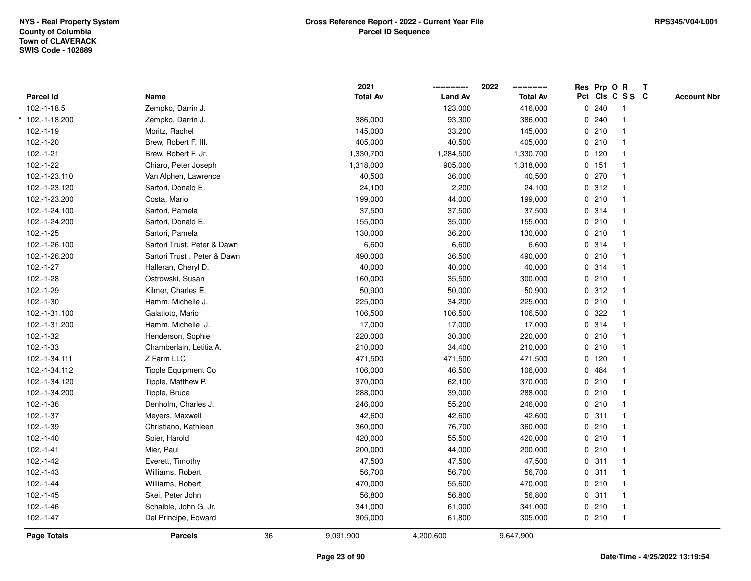|                  |                             |    | 2021            |                | 2022            | Res Prp O R |                         | Т |                    |
|------------------|-----------------------------|----|-----------------|----------------|-----------------|-------------|-------------------------|---|--------------------|
| <b>Parcel Id</b> | Name                        |    | <b>Total Av</b> | <b>Land Av</b> | <b>Total Av</b> |             | Pct Cls C S S C         |   | <b>Account Nbr</b> |
| 102.-1-18.5      | Zempko, Darrin J.           |    |                 | 123,000        | 416,000         | 0.240       | $\overline{1}$          |   |                    |
| * 102.-1-18.200  | Zempko, Darrin J.           |    | 386,000         | 93,300         | 386,000         | 0240        | $\mathbf{1}$            |   |                    |
| $102.-1-19$      | Moritz, Rachel              |    | 145,000         | 33,200         | 145,000         | 0210        | $\mathbf 1$             |   |                    |
| 102 .- 1 - 20    | Brew, Robert F. III.        |    | 405,000         | 40,500         | 405,000         | 0210        |                         |   |                    |
| $102.-1-21$      | Brew, Robert F. Jr.         |    | 1,330,700       | 1,284,500      | 1,330,700       | $0$ 120     |                         |   |                    |
| 102.-1-22        | Chiaro, Peter Joseph        |    | 1,318,000       | 905,000        | 1,318,000       | 0.151       |                         |   |                    |
| 102.-1-23.110    | Van Alphen, Lawrence        |    | 40,500          | 36,000         | 40,500          | 0270        |                         |   |                    |
| 102.-1-23.120    | Sartori, Donald E.          |    | 24,100          | 2,200          | 24,100          | 0.312       | $\overline{\mathbf{1}}$ |   |                    |
| 102.-1-23.200    | Costa, Mario                |    | 199,000         | 44,000         | 199,000         | 0210        | $\overline{\mathbf{1}}$ |   |                    |
| 102.-1-24.100    | Sartori, Pamela             |    | 37,500          | 37,500         | 37,500          | 0.314       | $\mathbf{1}$            |   |                    |
| 102.-1-24.200    | Sartori, Donald E.          |    | 155,000         | 35,000         | 155,000         | 0210        |                         |   |                    |
| 102.-1-25        | Sartori, Pamela             |    | 130,000         | 36,200         | 130,000         | 0210        |                         |   |                    |
| 102.-1-26.100    | Sartori Trust, Peter & Dawn |    | 6,600           | 6,600          | 6,600           | 0.314       |                         |   |                    |
| 102.-1-26.200    | Sartori Trust, Peter & Dawn |    | 490,000         | 36,500         | 490,000         | 0210        |                         |   |                    |
| $102.-1-27$      | Halleran, Cheryl D.         |    | 40,000          | 40,000         | 40,000          | 0.314       | $\mathbf{1}$            |   |                    |
| $102.-1-28$      | Ostrowski, Susan            |    | 160,000         | 35,500         | 300,000         | 0210        | $\overline{1}$          |   |                    |
| 102.-1-29        | Kilmer, Charles E.          |    | 50,900          | 50,000         | 50,900          | 0.312       | $\overline{1}$          |   |                    |
| $102.-1-30$      | Hamm, Michelle J.           |    | 225,000         | 34,200         | 225,000         | 0210        |                         |   |                    |
| 102.-1-31.100    | Galatioto, Mario            |    | 106,500         | 106,500        | 106,500         | 0.322       |                         |   |                    |
| 102.-1-31.200    | Hamm, Michelle J.           |    | 17,000          | 17,000         | 17,000          | 0.314       |                         |   |                    |
| 102.-1-32        | Henderson, Sophie           |    | 220,000         | 30,300         | 220,000         | 0210        |                         |   |                    |
| $102.-1-33$      | Chamberlain, Letitia A.     |    | 210,000         | 34,400         | 210,000         | 0210        | -1                      |   |                    |
| 102.-1-34.111    | Z Farm LLC                  |    | 471,500         | 471,500        | 471,500         | $0$ 120     | $\mathbf{1}$            |   |                    |
| 102.-1-34.112    | <b>Tipple Equipment Co</b>  |    | 106,000         | 46,500         | 106,000         | 0 484       |                         |   |                    |
| 102.-1-34.120    | Tipple, Matthew P.          |    | 370,000         | 62,100         | 370,000         | 0210        |                         |   |                    |
| 102.-1-34.200    | Tipple, Bruce               |    | 288,000         | 39,000         | 288,000         | 0210        |                         |   |                    |
| 102.-1-36        | Denholm, Charles J.         |    | 246,000         | 55,200         | 246,000         | 0210        |                         |   |                    |
| $102.-1-37$      | Meyers, Maxwell             |    | 42,600          | 42,600         | 42,600          | 0.311       |                         |   |                    |
| 102.-1-39        | Christiano, Kathleen        |    | 360,000         | 76,700         | 360,000         | 0210        |                         |   |                    |
| $102.-1-40$      | Spier, Harold               |    | 420,000         | 55,500         | 420,000         | 0210        | $\overline{1}$          |   |                    |
| $102.-1-41$      | Mier, Paul                  |    | 200,000         | 44,000         | 200,000         | 0210        | $\mathbf{1}$            |   |                    |
| $102.-1-42$      | Everett, Timothy            |    | 47,500          | 47,500         | 47,500          | 0.311       | $\mathbf 1$             |   |                    |
| $102.-1-43$      | Williams, Robert            |    | 56,700          | 56,700         | 56,700          | 0.311       |                         |   |                    |
| 102.-1-44        | Williams, Robert            |    | 470,000         | 55,600         | 470,000         | 0210        |                         |   |                    |
| $102.-1-45$      | Skei, Peter John            |    | 56,800          | 56,800         | 56,800          | 0.311       | $\overline{\mathbf{1}}$ |   |                    |
| $102.-1-46$      | Schaible, John G. Jr.       |    | 341,000         | 61,000         | 341,000         | 0210        | $\overline{\mathbf{1}}$ |   |                    |
| $102.-1-47$      | Del Principe, Edward        |    | 305,000         | 61,800         | 305,000         | 0210        | $\overline{\mathbf{1}}$ |   |                    |
| Page Totals      | <b>Parcels</b>              | 36 | 9,091,900       | 4,200,600      | 9,647,900       |             |                         |   |                    |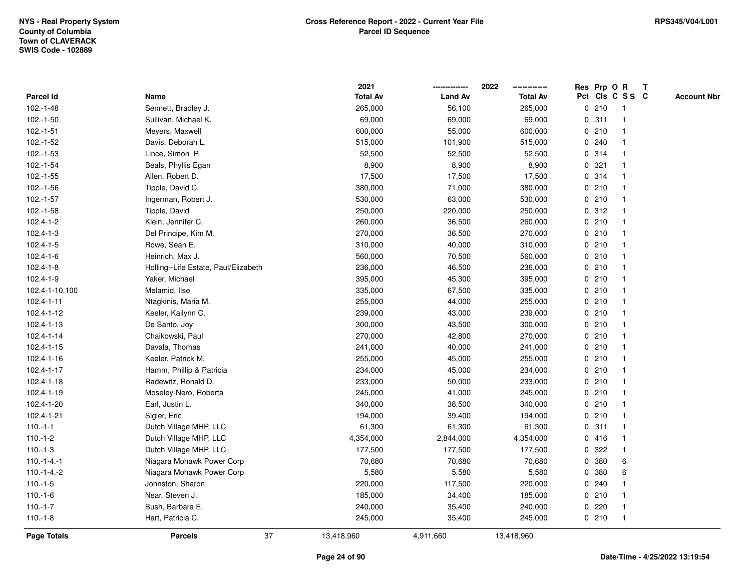|                 |                                      | 2021            |                | 2022            |             |       | Res Prp O R     | Т |                    |
|-----------------|--------------------------------------|-----------------|----------------|-----------------|-------------|-------|-----------------|---|--------------------|
| Parcel Id       | Name                                 | <b>Total Av</b> | <b>Land Av</b> | <b>Total Av</b> |             |       | Pct Cls C S S C |   | <b>Account Nbr</b> |
| $102.-1-48$     | Sennett, Bradley J.                  | 265,000         | 56,100         | 265,000         |             | 0210  | -1              |   |                    |
| $102.-1-50$     | Sullivan, Michael K.                 | 69,000          | 69,000         | 69,000          | 0           | 311   | $\mathbf 1$     |   |                    |
| $102.-1-51$     | Meyers, Maxwell                      | 600,000         | 55,000         | 600,000         |             | 0210  | $\mathbf{1}$    |   |                    |
| $102.-1-52$     | Davis, Deborah L.                    | 515,000         | 101,900        | 515,000         |             | 0.240 |                 |   |                    |
| $102.-1-53$     | Lince, Simon P.                      | 52,500          | 52,500         | 52,500          |             | 0.314 |                 |   |                    |
| $102.-1-54$     | Beals, Phyllis Egan                  | 8,900           | 8,900          | 8,900           |             | 0.321 |                 |   |                    |
| $102.-1-55$     | Allen, Robert D.                     | 17,500          | 17,500         | 17,500          |             | 0.314 |                 |   |                    |
| $102.-1-56$     | Tipple, David C.                     | 380,000         | 71,000         | 380,000         | 0           | 210   | -1              |   |                    |
| $102.-1-57$     | Ingerman, Robert J.                  | 530,000         | 63,000         | 530,000         |             | 0210  | $\mathbf{1}$    |   |                    |
| $102.-1-58$     | Tipple, David                        | 250,000         | 220,000        | 250,000         |             | 0.312 | $\mathbf 1$     |   |                    |
| $102.4 - 1 - 2$ | Klein, Jennifer C.                   | 260,000         | 36,500         | 260,000         |             | 0210  |                 |   |                    |
| $102.4 - 1 - 3$ | Del Principe, Kim M.                 | 270,000         | 36,500         | 270,000         |             | 0210  |                 |   |                    |
| 102.4-1-5       | Rowe, Sean E.                        | 310,000         | 40,000         | 310,000         |             | 0210  |                 |   |                    |
| 102.4-1-6       | Heinrich, Max J.                     | 560,000         | 70,500         | 560,000         |             | 0210  |                 |   |                    |
| $102.4 - 1 - 8$ | Holling--Life Estate, Paul/Elizabeth | 236,000         | 46,500         | 236,000         | 0           | 210   | $\mathbf{1}$    |   |                    |
| 102.4-1-9       | Yaker, Michael                       | 395,000         | 45,300         | 395,000         |             | 0210  | $\mathbf 1$     |   |                    |
| 102.4-1-10.100  | Melamid, Ilse                        | 335,000         | 67,500         | 335,000         |             | 0210  | $\mathbf 1$     |   |                    |
| 102.4-1-11      | Ntagkinis, Maria M.                  | 255,000         | 44,000         | 255,000         |             | 0210  |                 |   |                    |
| 102.4-1-12      | Keeler, Kailynn C.                   | 239,000         | 43,000         | 239,000         |             | 0210  |                 |   |                    |
| 102.4-1-13      | De Santo, Joy                        | 300,000         | 43,500         | 300,000         |             | 0210  |                 |   |                    |
| 102.4-1-14      | Chaikowski, Paul                     | 270,000         | 42,800         | 270,000         |             | 0210  |                 |   |                    |
| 102.4-1-15      | Davala, Thomas                       | 241,000         | 40,000         | 241,000         | $\mathbf 0$ | 210   |                 |   |                    |
| 102.4-1-16      | Keeler, Patrick M.                   | 255,000         | 45,000         | 255,000         |             | 0210  | $\mathbf{1}$    |   |                    |
| 102.4-1-17      | Hamm, Phillip & Patricia             | 234,000         | 45,000         | 234,000         |             | 0.210 | $\mathbf 1$     |   |                    |
| 102.4-1-18      | Radewitz, Ronald D.                  | 233,000         | 50,000         | 233,000         |             | 0210  |                 |   |                    |
| 102.4-1-19      | Moseley-Nero, Roberta                | 245,000         | 41,000         | 245,000         |             | 0210  |                 |   |                    |
| 102.4-1-20      | Earl, Justin L.                      | 340,000         | 38,500         | 340,000         |             | 0210  |                 |   |                    |
| 102.4-1-21      | Sigler, Eric                         | 194,000         | 39,400         | 194,000         |             | 0210  |                 |   |                    |
| $110.-1-1$      | Dutch Village MHP, LLC               | 61,300          | 61,300         | 61,300          | $\mathbf 0$ | 311   | $\mathbf 1$     |   |                    |
| $110.-1-2$      | Dutch Village MHP, LLC               | 4,354,000       | 2,844,000      | 4,354,000       |             | 0416  | $\mathbf{1}$    |   |                    |
| $110.-1-3$      | Dutch Village MHP, LLC               | 177,500         | 177,500        | 177,500         | $\mathbf 0$ | 322   | $\overline{1}$  |   |                    |
| $110.-1-4.-1$   | Niagara Mohawk Power Corp            | 70,680          | 70,680         | 70,680          |             | 0 380 | 6               |   |                    |
| $110.-1-4.-2$   | Niagara Mohawk Power Corp            | 5,580           | 5,580          | 5,580           |             | 0 380 | 6               |   |                    |
| $110.-1-5$      | Johnston, Sharon                     | 220,000         | 117,500        | 220,000         |             | 0.240 |                 |   |                    |
| $110.-1-6$      | Near, Steven J.                      | 185,000         | 34,400         | 185,000         |             | 0210  |                 |   |                    |
| $110.-1-7$      | Bush, Barbara E.                     | 240,000         | 35,400         | 240,000         | 0           | 220   | -1              |   |                    |
| $110.-1-8$      | Hart, Patricia C.                    | 245,000         | 35,400         | 245,000         |             | 0210  | $\overline{1}$  |   |                    |
| Page Totals     | 37<br><b>Parcels</b>                 | 13,418,960      | 4,911,660      | 13,418,960      |             |       |                 |   |                    |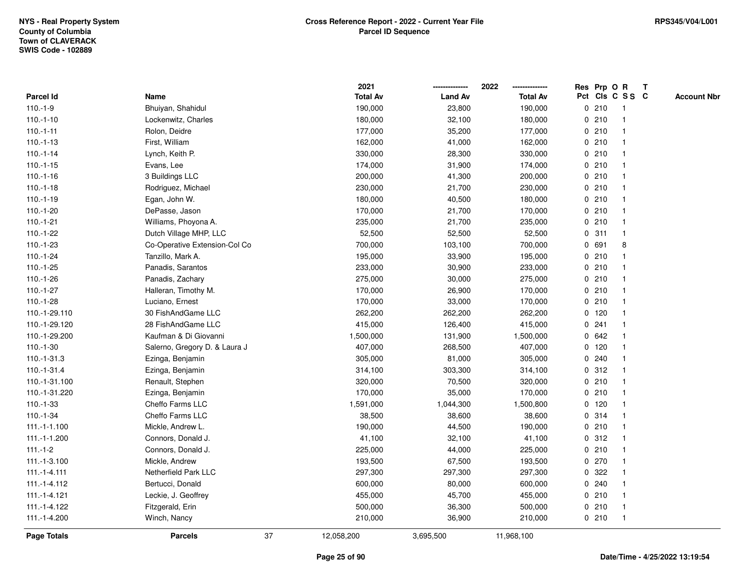|                |                               |    | 2021            |                | 2022            |             |         | Res Prp O R             | $\mathbf{T}$ |                    |
|----------------|-------------------------------|----|-----------------|----------------|-----------------|-------------|---------|-------------------------|--------------|--------------------|
| Parcel Id      | Name                          |    | <b>Total Av</b> | <b>Land Av</b> | <b>Total Av</b> |             |         | Pct Cls C S S C         |              | <b>Account Nbr</b> |
| $110.-1-9$     | Bhuiyan, Shahidul             |    | 190,000         | 23,800         | 190,000         |             | 0210    | -1                      |              |                    |
| $110.-1-10$    | Lockenwitz, Charles           |    | 180,000         | 32,100         | 180,000         | $\mathbf 0$ | 210     |                         |              |                    |
| $110.-1-11$    | Rolon, Deidre                 |    | 177,000         | 35,200         | 177,000         |             | 0210    |                         |              |                    |
| $110.-1-13$    | First, William                |    | 162,000         | 41,000         | 162,000         | 0           | 210     | -1                      |              |                    |
| $110.-1-14$    | Lynch, Keith P.               |    | 330,000         | 28,300         | 330,000         |             | 0210    | -1                      |              |                    |
| $110.-1-15$    | Evans, Lee                    |    | 174,000         | 31,900         | 174,000         |             | 0210    | $\mathbf 1$             |              |                    |
| $110.-1-16$    | 3 Buildings LLC               |    | 200,000         | 41,300         | 200,000         |             | 0210    |                         |              |                    |
| $110.-1-18$    | Rodriguez, Michael            |    | 230,000         | 21,700         | 230,000         |             | 0210    |                         |              |                    |
| $110.-1-19$    | Egan, John W.                 |    | 180,000         | 40,500         | 180,000         |             | 0210    |                         |              |                    |
| $110.-1-20$    | DePasse, Jason                |    | 170,000         | 21,700         | 170,000         |             | 0210    |                         |              |                    |
| $110.-1-21$    | Williams, Phoyona A.          |    | 235,000         | 21,700         | 235,000         | 0           | 210     | $\mathbf{1}$            |              |                    |
| $110.-1-22$    | Dutch Village MHP, LLC        |    | 52,500          | 52,500         | 52,500          |             | 0.311   | $\mathbf{1}$            |              |                    |
| $110.-1-23$    | Co-Operative Extension-Col Co |    | 700,000         | 103,100        | 700,000         |             | 0 691   | 8                       |              |                    |
| $110.-1-24$    | Tanzillo, Mark A.             |    | 195,000         | 33,900         | 195,000         |             | 0210    |                         |              |                    |
| $110.-1-25$    | Panadis, Sarantos             |    | 233,000         | 30,900         | 233,000         |             | 0210    |                         |              |                    |
| $110.-1-26$    | Panadis, Zachary              |    | 275,000         | 30,000         | 275,000         |             | 0210    |                         |              |                    |
| $110.-1-27$    | Halleran, Timothy M.          |    | 170,000         | 26,900         | 170,000         | 0           | 210     | -1                      |              |                    |
| $110.-1-28$    | Luciano, Ernest               |    | 170,000         | 33,000         | 170,000         | 0           | 210     | $\mathbf{1}$            |              |                    |
| 110.-1-29.110  | 30 FishAndGame LLC            |    | 262,200         | 262,200        | 262,200         |             | 0 120   | -1                      |              |                    |
| 110.-1-29.120  | 28 FishAndGame LLC            |    | 415,000         | 126,400        | 415,000         |             | 0.241   |                         |              |                    |
| 110.-1-29.200  | Kaufman & Di Giovanni         |    | 1,500,000       | 131,900        | 1,500,000       |             | 0 642   |                         |              |                    |
| $110.-1-30$    | Salerno, Gregory D. & Laura J |    | 407,000         | 268,500        | 407,000         |             | $0$ 120 |                         |              |                    |
| 110.-1-31.3    | Ezinga, Benjamin              |    | 305,000         | 81,000         | 305,000         |             | 0.240   |                         |              |                    |
| 110.-1-31.4    | Ezinga, Benjamin              |    | 314,100         | 303,300        | 314,100         | 0           | 312     | $\mathbf{1}$            |              |                    |
| 110.-1-31.100  | Renault, Stephen              |    | 320,000         | 70,500         | 320,000         | $\mathbf 0$ | 210     |                         |              |                    |
| 110.-1-31.220  | Ezinga, Benjamin              |    | 170,000         | 35,000         | 170,000         |             | 0210    |                         |              |                    |
| $110.-1-33$    | Cheffo Farms LLC              |    | 1,591,000       | 1,044,300      | 1,500,800       |             | 0 120   |                         |              |                    |
| $110.-1-34$    | Cheffo Farms LLC              |    | 38,500          | 38,600         | 38,600          |             | 0 314   |                         |              |                    |
| $111.-1-1.100$ | Mickle, Andrew L.             |    | 190,000         | 44,500         | 190,000         |             | 0210    |                         |              |                    |
| 111.-1-1.200   | Connors, Donald J.            |    | 41,100          | 32,100         | 41,100          | 0           | 312     | $\overline{\mathbf{1}}$ |              |                    |
| $111.-1-2$     | Connors, Donald J.            |    | 225,000         | 44,000         | 225,000         | 0           | 210     | $\mathbf{1}$            |              |                    |
| 111.-1-3.100   | Mickle, Andrew                |    | 193,500         | 67,500         | 193,500         |             | 0 270   | $\mathbf{1}$            |              |                    |
| $111.-1-4.111$ | Netherfield Park LLC          |    | 297,300         | 297,300        | 297,300         |             | 0 322   |                         |              |                    |
| 111.-1-4.112   | Bertucci, Donald              |    | 600,000         | 80,000         | 600,000         |             | 0.240   |                         |              |                    |
| 111.-1-4.121   | Leckie, J. Geoffrey           |    | 455,000         | 45,700         | 455,000         |             | 0210    | $\mathbf{1}$            |              |                    |
| 111.-1-4.122   | Fitzgerald, Erin              |    | 500,000         | 36,300         | 500,000         |             | 0210    | $\overline{\mathbf{1}}$ |              |                    |
| 111.-1-4.200   | Winch, Nancy                  |    | 210,000         | 36,900         | 210,000         |             | 0210    | $\mathbf{1}$            |              |                    |
| Page Totals    | <b>Parcels</b>                | 37 | 12,058,200      | 3,695,500      | 11,968,100      |             |         |                         |              |                    |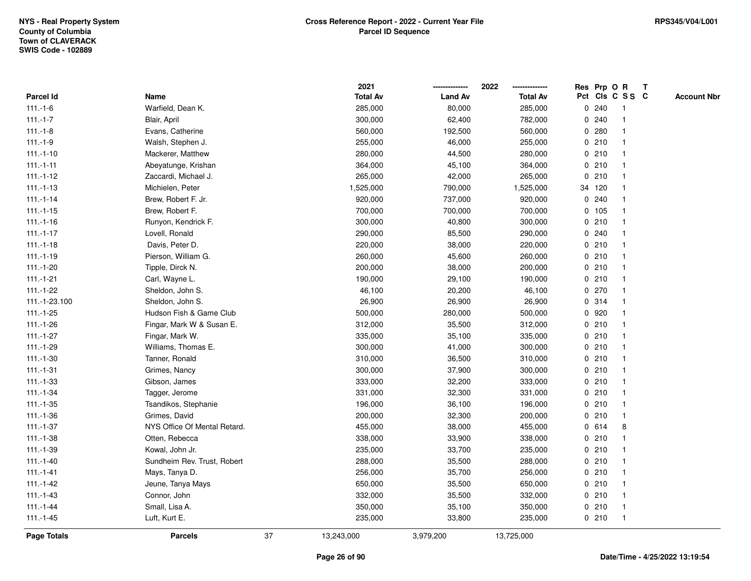|                  |                              |    | 2021            |                | 2022            |             | Res Prp O R |                 | Т |                    |
|------------------|------------------------------|----|-----------------|----------------|-----------------|-------------|-------------|-----------------|---|--------------------|
| <b>Parcel Id</b> | Name                         |    | <b>Total Av</b> | <b>Land Av</b> | <b>Total Av</b> |             |             | Pct Cls C S S C |   | <b>Account Nbr</b> |
| $111.-1-6$       | Warfield, Dean K.            |    | 285,000         | 80,000         | 285,000         | $\mathbf 0$ | 240         | -1              |   |                    |
| $111.-1-7$       | Blair, April                 |    | 300,000         | 62,400         | 782,000         | 0           | 240         |                 |   |                    |
| $111.-1-8$       | Evans, Catherine             |    | 560,000         | 192,500        | 560,000         |             | 0.280       | $\mathbf 1$     |   |                    |
| $111.-1-9$       | Walsh, Stephen J.            |    | 255,000         | 46,000         | 255,000         |             | 0210        |                 |   |                    |
| $111.-1-10$      | Mackerer, Matthew            |    | 280,000         | 44,500         | 280,000         |             | 0210        |                 |   |                    |
| $111.-1-11$      | Abeyatunge, Krishan          |    | 364,000         | 45,100         | 364,000         |             | 0210        |                 |   |                    |
| $111.-1-12$      | Zaccardi, Michael J.         |    | 265,000         | 42,000         | 265,000         |             | 0210        |                 |   |                    |
| $111.-1-13$      | Michielen, Peter             |    | 1,525,000       | 790,000        | 1,525,000       |             | 34 120      |                 |   |                    |
| $111.-1-14$      | Brew, Robert F. Jr.          |    | 920,000         | 737,000        | 920,000         |             | 0.240       |                 |   |                    |
| $111.-1-15$      | Brew, Robert F.              |    | 700,000         | 700,000        | 700,000         |             | $0$ 105     | -1              |   |                    |
| $111.-1-16$      | Runyon, Kendrick F.          |    | 300,000         | 40,800         | 300,000         |             | 0210        |                 |   |                    |
| $111.-1-17$      | Lovell, Ronald               |    | 290,000         | 85,500         | 290,000         |             | 0.240       |                 |   |                    |
| $111.-1-18$      | Davis, Peter D.              |    | 220,000         | 38,000         | 220,000         |             | 0210        |                 |   |                    |
| $111.-1-19$      | Pierson, William G.          |    | 260,000         | 45,600         | 260,000         |             | 0210        |                 |   |                    |
| $111.-1-20$      | Tipple, Dirck N.             |    | 200,000         | 38,000         | 200,000         |             | 0210        |                 |   |                    |
| $111.-1-21$      | Carl, Wayne L.               |    | 190,000         | 29,100         | 190,000         |             | 0210        |                 |   |                    |
| $111.-1-22$      | Sheldon, John S.             |    | 46,100          | 20,200         | 46,100          |             | 0270        |                 |   |                    |
| 111.-1-23.100    | Sheldon, John S.             |    | 26,900          | 26,900         | 26,900          |             | 0.314       |                 |   |                    |
| $111.-1-25$      | Hudson Fish & Game Club      |    | 500,000         | 280,000        | 500,000         |             | 0 920       |                 |   |                    |
| $111.-1-26$      | Fingar, Mark W & Susan E.    |    | 312,000         | 35,500         | 312,000         |             | 0210        |                 |   |                    |
| $111.-1-27$      | Fingar, Mark W.              |    | 335,000         | 35,100         | 335,000         |             | 0210        |                 |   |                    |
| 111.-1-29        | Williams, Thomas E.          |    | 300,000         | 41,000         | 300,000         |             | 0210        |                 |   |                    |
| $111.-1-30$      | Tanner, Ronald               |    | 310,000         | 36,500         | 310,000         |             | 0210        | -1              |   |                    |
| $111.-1-31$      | Grimes, Nancy                |    | 300,000         | 37,900         | 300,000         |             | 0210        | -1              |   |                    |
| $111.-1-33$      | Gibson, James                |    | 333,000         | 32,200         | 333,000         |             | 0210        |                 |   |                    |
| $111.-1-34$      | Tagger, Jerome               |    | 331,000         | 32,300         | 331,000         |             | 0210        |                 |   |                    |
| $111.-1-35$      | Tsandikos, Stephanie         |    | 196,000         | 36,100         | 196,000         |             | 0210        |                 |   |                    |
| $111.-1-36$      | Grimes, David                |    | 200,000         | 32,300         | 200,000         |             | 0210        |                 |   |                    |
| $111.-1-37$      | NYS Office Of Mental Retard. |    | 455,000         | 38,000         | 455,000         | 0           | 614         | 8               |   |                    |
| $111.-1-38$      | Otten, Rebecca               |    | 338,000         | 33,900         | 338,000         | $\mathbf 0$ | 210         | -1              |   |                    |
| 111.-1-39        | Kowal, John Jr.              |    | 235,000         | 33,700         | 235,000         |             | 0210        |                 |   |                    |
| $111.-1-40$      | Sundheim Rev. Trust, Robert  |    | 288,000         | 35,500         | 288,000         |             | 0210        |                 |   |                    |
| $111.-1-41$      | Mays, Tanya D.               |    | 256,000         | 35,700         | 256,000         |             | 0210        |                 |   |                    |
| $111.-1-42$      | Jeune, Tanya Mays            |    | 650,000         | 35,500         | 650,000         |             | 0210        |                 |   |                    |
| $111.-1-43$      | Connor, John                 |    | 332,000         | 35,500         | 332,000         |             | 0210        |                 |   |                    |
| $111.-1-44$      | Small, Lisa A.               |    | 350,000         | 35,100         | 350,000         |             | 0210        | $\mathbf 1$     |   |                    |
| $111.-1-45$      | Luft, Kurt E.                |    | 235,000         | 33,800         | 235,000         |             | 0210        | $\mathbf{1}$    |   |                    |
| Page Totals      | <b>Parcels</b>               | 37 | 13,243,000      | 3,979,200      | 13,725,000      |             |             |                 |   |                    |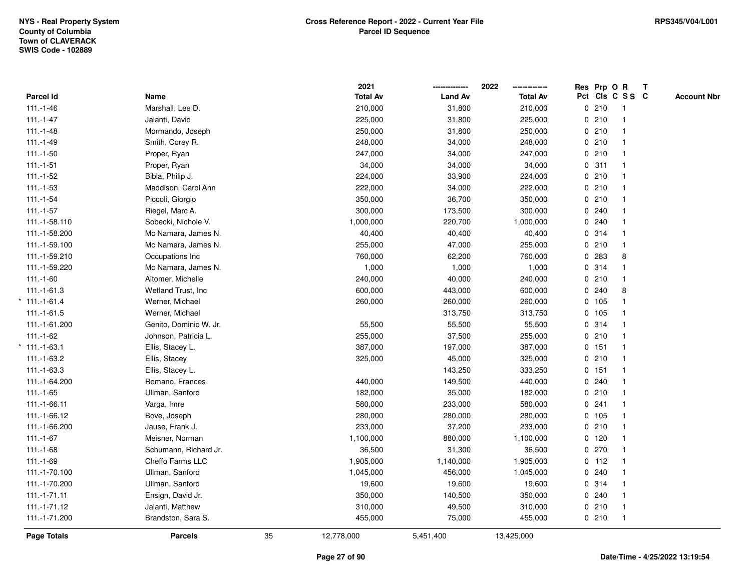|                |                        |    | 2021            |                | 2022            | Res Prp O R |                         | T |                    |
|----------------|------------------------|----|-----------------|----------------|-----------------|-------------|-------------------------|---|--------------------|
| Parcel Id      | Name                   |    | <b>Total Av</b> | <b>Land Av</b> | <b>Total Av</b> |             | Pct Cls C S S C         |   | <b>Account Nbr</b> |
| $111.-1-46$    | Marshall, Lee D.       |    | 210,000         | 31,800         | 210,000         | 0210        | $\overline{1}$          |   |                    |
| $111.-1-47$    | Jalanti, David         |    | 225,000         | 31,800         | 225,000         | 0210        | $\overline{\mathbf{1}}$ |   |                    |
| $111.-1-48$    | Mormando, Joseph       |    | 250,000         | 31,800         | 250,000         | 0210        | $\mathbf{1}$            |   |                    |
| $111.-1-49$    | Smith, Corey R.        |    | 248,000         | 34,000         | 248,000         | 0210        |                         |   |                    |
| $111.-1-50$    | Proper, Ryan           |    | 247,000         | 34,000         | 247,000         | 0210        |                         |   |                    |
| $111.-1-51$    | Proper, Ryan           |    | 34,000          | 34,000         | 34,000          | 0.311       |                         |   |                    |
| $111.-1-52$    | Bibla, Philip J.       |    | 224,000         | 33,900         | 224,000         | 0210        |                         |   |                    |
| $111.-1-53$    | Maddison, Carol Ann    |    | 222,000         | 34,000         | 222,000         | 0210        | $\overline{\mathbf{1}}$ |   |                    |
| $111.-1-54$    | Piccoli, Giorgio       |    | 350,000         | 36,700         | 350,000         | 0210        |                         |   |                    |
| $111.-1-57$    | Riegel, Marc A.        |    | 300,000         | 173,500        | 300,000         | 0.240       | $\mathbf{1}$            |   |                    |
| 111.-1-58.110  | Sobecki, Nichole V.    |    | 1,000,000       | 220,700        | 1,000,000       | 0.240       |                         |   |                    |
| 111.-1-58.200  | Mc Namara, James N.    |    | 40,400          | 40,400         | 40,400          | 0.314       |                         |   |                    |
| 111.-1-59.100  | Mc Namara, James N.    |    | 255,000         | 47,000         | 255,000         | 0210        |                         |   |                    |
| 111.-1-59.210  | Occupations Inc.       |    | 760,000         | 62,200         | 760,000         | 0 283       | 8                       |   |                    |
| 111.-1-59.220  | Mc Namara, James N.    |    | 1,000           | 1,000          | 1,000           | 0.314       | $\overline{\mathbf{1}}$ |   |                    |
| $111.-1-60$    | Altomer, Michelle      |    | 240,000         | 40,000         | 240,000         | 0210        | $\mathbf{1}$            |   |                    |
| $111.-1-61.3$  | Wetland Trust, Inc     |    | 600,000         | 443,000        | 600,000         | 0.240       | 8                       |   |                    |
| $111.-1-61.4$  | Werner, Michael        |    | 260,000         | 260,000        | 260,000         | 0 105       |                         |   |                    |
| $111.-1-61.5$  | Werner, Michael        |    |                 | 313,750        | 313,750         | 0 105       |                         |   |                    |
| 111.-1-61.200  | Genito, Dominic W. Jr. |    | 55,500          | 55,500         | 55,500          | 0.314       |                         |   |                    |
| $111.-1-62$    | Johnson, Patricia L.   |    | 255,000         | 37,500         | 255,000         | 0210        |                         |   |                    |
| $*111.-1-63.1$ | Ellis, Stacey L.       |    | 387,000         | 197,000        | 387,000         | 0.151       | -1                      |   |                    |
| 111.-1-63.2    | Ellis, Stacey          |    | 325,000         | 45,000         | 325,000         | 0210        | $\mathbf{1}$            |   |                    |
| 111.-1-63.3    | Ellis, Stacey L.       |    |                 | 143,250        | 333,250         | 0 151       | $\mathbf{1}$            |   |                    |
| 111.-1-64.200  | Romano, Frances        |    | 440,000         | 149,500        | 440,000         | 0.240       |                         |   |                    |
| $111.-1-65$    | Ullman, Sanford        |    | 182,000         | 35,000         | 182,000         | 0210        |                         |   |                    |
| 111.-1-66.11   | Varga, Imre            |    | 580,000         | 233,000        | 580,000         | 0.241       |                         |   |                    |
| 111.-1-66.12   | Bove, Joseph           |    | 280,000         | 280,000        | 280,000         | 0 105       |                         |   |                    |
| 111.-1-66.200  | Jause, Frank J.        |    | 233,000         | 37,200         | 233,000         | 0210        |                         |   |                    |
| $111.-1-67$    | Meisner, Norman        |    | 1,100,000       | 880,000        | 1,100,000       | 0 120       | $\overline{1}$          |   |                    |
| $111.-1-68$    | Schumann, Richard Jr.  |    | 36,500          | 31,300         | 36,500          | 0270        | $\mathbf{1}$            |   |                    |
| $111.-1-69$    | Cheffo Farms LLC       |    | 1,905,000       | 1,140,000      | 1,905,000       | $0$ 112     |                         |   |                    |
| 111.-1-70.100  | Ullman, Sanford        |    | 1,045,000       | 456,000        | 1,045,000       | 0.240       |                         |   |                    |
| 111.-1-70.200  | Ullman, Sanford        |    | 19,600          | 19,600         | 19,600          | 0.314       |                         |   |                    |
| $111.-1-71.11$ | Ensign, David Jr.      |    | 350,000         | 140,500        | 350,000         | 0.240       |                         |   |                    |
| 111.-1-71.12   | Jalanti, Matthew       |    | 310,000         | 49,500         | 310,000         | 0210        | $\overline{\mathbf{1}}$ |   |                    |
| 111.-1-71.200  | Brandston, Sara S.     |    | 455,000         | 75,000         | 455,000         | 0210        | $\overline{1}$          |   |                    |
| Page Totals    | <b>Parcels</b>         | 35 | 12,778,000      | 5,451,400      | 13,425,000      |             |                         |   |                    |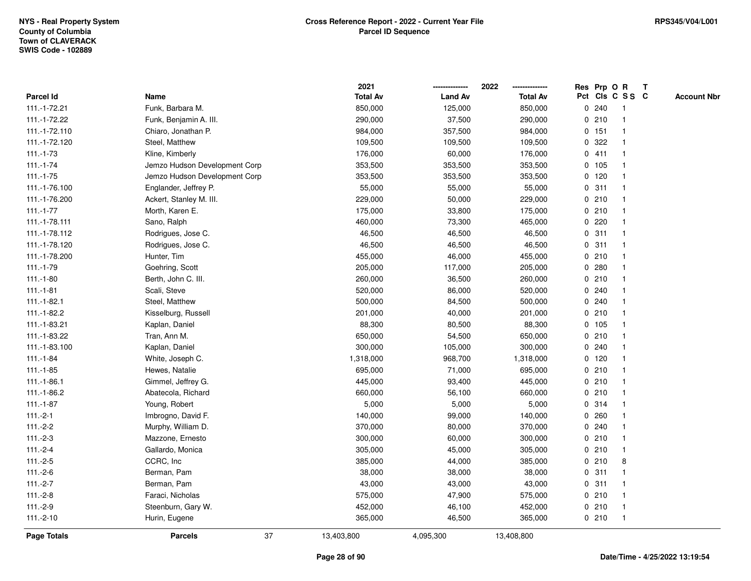|                  |                               | 2021            |                | 2022            | Res Prp O R |         |                 | $\mathbf{T}$ |                    |
|------------------|-------------------------------|-----------------|----------------|-----------------|-------------|---------|-----------------|--------------|--------------------|
| <b>Parcel Id</b> | Name                          | <b>Total Av</b> | <b>Land Av</b> | <b>Total Av</b> |             |         | Pct Cls C S S C |              | <b>Account Nbr</b> |
| 111.-1-72.21     | Funk, Barbara M.              | 850,000         | 125,000        | 850,000         | 0           | 240     |                 |              |                    |
| 111.-1-72.22     | Funk, Benjamin A. III.        | 290,000         | 37,500         | 290,000         |             | 0210    |                 |              |                    |
| 111.-1-72.110    | Chiaro, Jonathan P.           | 984,000         | 357,500        | 984,000         |             | 0 151   |                 |              |                    |
| 111.-1-72.120    | Steel, Matthew                | 109,500         | 109,500        | 109,500         | 0           | 322     | -1              |              |                    |
| $111.-1-73$      | Kline, Kimberly               | 176,000         | 60,000         | 176,000         |             | 0411    | $\mathbf 1$     |              |                    |
| $111.-1-74$      | Jemzo Hudson Development Corp | 353,500         | 353,500        | 353,500         |             | 0 105   |                 |              |                    |
| $111.-1-75$      | Jemzo Hudson Development Corp | 353,500         | 353,500        | 353,500         |             | $0$ 120 |                 |              |                    |
| 111.-1-76.100    | Englander, Jeffrey P.         | 55,000          | 55,000         | 55,000          |             | 0.311   |                 |              |                    |
| 111.-1-76.200    | Ackert, Stanley M. III.       | 229,000         | 50,000         | 229,000         |             | 0210    |                 |              |                    |
| $111.-1-77$      | Morth, Karen E.               | 175,000         | 33,800         | 175,000         |             | 0210    | $\mathbf{1}$    |              |                    |
| 111.-1-78.111    | Sano, Ralph                   | 460,000         | 73,300         | 465,000         | 0           | 220     |                 |              |                    |
| 111.-1-78.112    | Rodrigues, Jose C.            | 46,500          | 46,500         | 46,500          |             | 0.311   | $\mathbf 1$     |              |                    |
| 111.-1-78.120    | Rodrigues, Jose C.            | 46,500          | 46,500         | 46,500          |             | 0.311   |                 |              |                    |
| 111.-1-78.200    | Hunter, Tim                   | 455,000         | 46,000         | 455,000         |             | 0210    |                 |              |                    |
| 111.-1-79        | Goehring, Scott               | 205,000         | 117,000        | 205,000         |             | 0.280   |                 |              |                    |
| $111.-1-80$      | Berth, John C. III.           | 260,000         | 36,500         | 260,000         |             | 0210    |                 |              |                    |
| $111.-1-81$      | Scali, Steve                  | 520,000         | 86,000         | 520,000         | 0           | 240     |                 |              |                    |
| $111.-1-82.1$    | Steel, Matthew                | 500,000         | 84,500         | 500,000         | 0           | 240     |                 |              |                    |
| 111.-1-82.2      | Kisselburg, Russell           | 201,000         | 40,000         | 201,000         |             | 0210    |                 |              |                    |
| 111.-1-83.21     | Kaplan, Daniel                | 88,300          | 80,500         | 88,300          |             | 0 105   |                 |              |                    |
| 111.-1-83.22     | Tran, Ann M.                  | 650,000         | 54,500         | 650,000         |             | 0210    |                 |              |                    |
| 111.-1-83.100    | Kaplan, Daniel                | 300,000         | 105,000        | 300,000         |             | 0.240   |                 |              |                    |
| $111.-1-84$      | White, Joseph C.              | 1,318,000       | 968,700        | 1,318,000       |             | $0$ 120 |                 |              |                    |
| $111.-1-85$      | Hewes, Natalie                | 695,000         | 71,000         | 695,000         |             | 0210    | $\mathbf{1}$    |              |                    |
| $111.-1-86.1$    | Gimmel, Jeffrey G.            | 445,000         | 93,400         | 445,000         |             | 0210    |                 |              |                    |
| 111.-1-86.2      | Abatecola, Richard            | 660,000         | 56,100         | 660,000         |             | 0210    |                 |              |                    |
| $111.-1-87$      | Young, Robert                 | 5,000           | 5,000          | 5,000           |             | 0.314   |                 |              |                    |
| $111.-2-1$       | Imbrogno, David F.            | 140,000         | 99,000         | 140,000         |             | 0.260   |                 |              |                    |
| $111.-2-2$       | Murphy, William D.            | 370,000         | 80,000         | 370,000         |             | 0.240   |                 |              |                    |
| $111.-2-3$       | Mazzone, Ernesto              | 300,000         | 60,000         | 300,000         |             | 0210    |                 |              |                    |
| $111.-2-4$       | Gallardo, Monica              | 305,000         | 45,000         | 305,000         |             | 0210    | $\mathbf 1$     |              |                    |
| $111.-2-5$       | CCRC, Inc.                    | 385,000         | 44,000         | 385,000         |             | 0210    | 8               |              |                    |
| $111.-2-6$       | Berman, Pam                   | 38,000          | 38,000         | 38,000          |             | 0.311   |                 |              |                    |
| $111.-2-7$       | Berman, Pam                   | 43,000          | 43,000         | 43,000          |             | 0.311   |                 |              |                    |
| $111.-2-8$       | Faraci, Nicholas              | 575,000         | 47,900         | 575,000         |             | 0210    |                 |              |                    |
| $111.-2-9$       | Steenburn, Gary W.            | 452,000         | 46,100         | 452,000         |             | 0210    | $\mathbf{1}$    |              |                    |
| $111.-2-10$      | Hurin, Eugene                 | 365,000         | 46,500         | 365,000         |             | 0210    | $\mathbf{1}$    |              |                    |
| Page Totals      | 37<br><b>Parcels</b>          | 13,403,800      | 4,095,300      | 13,408,800      |             |         |                 |              |                    |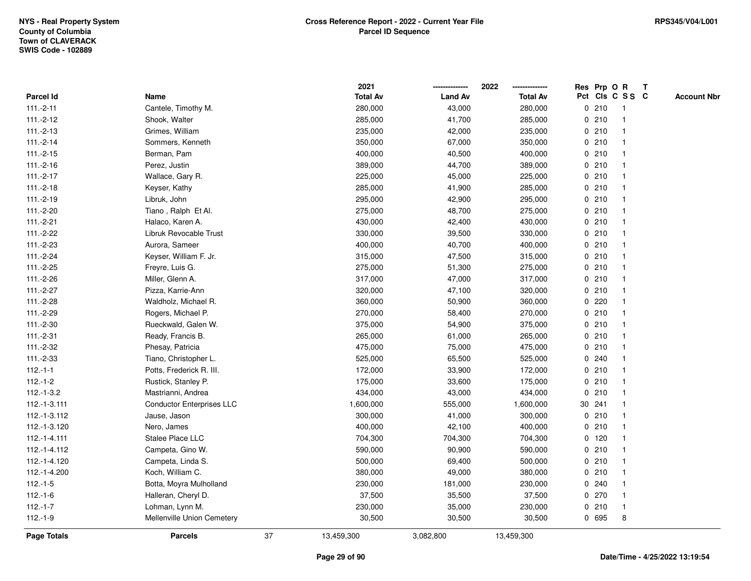|              |                                  |    | 2021            |                | 2022            |             | Res Prp O R |                         | T |                    |
|--------------|----------------------------------|----|-----------------|----------------|-----------------|-------------|-------------|-------------------------|---|--------------------|
| Parcel Id    | Name                             |    | <b>Total Av</b> | <b>Land Av</b> | <b>Total Av</b> |             |             | Pct Cls C S S C         |   | <b>Account Nbr</b> |
| $111.-2-11$  | Cantele, Timothy M.              |    | 280,000         | 43,000         | 280,000         | 0           | 210         | $\mathbf{1}$            |   |                    |
| $111.-2-12$  | Shook, Walter                    |    | 285,000         | 41,700         | 285,000         | 0           | 210         | $\overline{\mathbf{1}}$ |   |                    |
| $111.-2-13$  | Grimes, William                  |    | 235,000         | 42,000         | 235,000         |             | 0210        | -1                      |   |                    |
| $111.-2-14$  | Sommers, Kenneth                 |    | 350,000         | 67,000         | 350,000         |             | 0210        |                         |   |                    |
| $111.-2-15$  | Berman, Pam                      |    | 400,000         | 40,500         | 400,000         |             | 0210        |                         |   |                    |
| $111.-2-16$  | Perez, Justin                    |    | 389,000         | 44,700         | 389,000         |             | 0210        |                         |   |                    |
| $111.-2-17$  | Wallace, Gary R.                 |    | 225,000         | 45,000         | 225,000         |             | 0210        |                         |   |                    |
| $111.-2-18$  | Keyser, Kathy                    |    | 285,000         | 41,900         | 285,000         | 0           | 210         | -1                      |   |                    |
| $111.-2-19$  | Libruk, John                     |    | 295,000         | 42,900         | 295,000         |             | 0210        | -1                      |   |                    |
| 111.-2-20    | Tiano, Ralph Et Al.              |    | 275,000         | 48,700         | 275,000         |             | 0210        | -1                      |   |                    |
| $111.-2-21$  | Halaco, Karen A.                 |    | 430,000         | 42,400         | 430,000         |             | 0210        |                         |   |                    |
| $111.-2-22$  | Libruk Revocable Trust           |    | 330,000         | 39,500         | 330,000         |             | 0210        |                         |   |                    |
| 111.-2-23    | Aurora, Sameer                   |    | 400,000         | 40,700         | 400,000         |             | 0210        |                         |   |                    |
| $111.-2-24$  | Keyser, William F. Jr.           |    | 315,000         | 47,500         | 315,000         |             | 0210        | -1                      |   |                    |
| 111.-2-25    | Freyre, Luis G.                  |    | 275,000         | 51,300         | 275,000         | 0           | 210         |                         |   |                    |
| 111.-2-26    | Miller, Glenn A.                 |    | 317,000         | 47,000         | 317,000         |             | 0210        | -1                      |   |                    |
| $111.-2-27$  | Pizza, Karrie-Ann                |    | 320,000         | 47,100         | 320,000         |             | 0210        | $\mathbf{1}$            |   |                    |
| 111.-2-28    | Waldholz, Michael R.             |    | 360,000         | 50,900         | 360,000         |             | 0.220       |                         |   |                    |
| 111.-2-29    | Rogers, Michael P.               |    | 270,000         | 58,400         | 270,000         |             | 0210        |                         |   |                    |
| 111.-2-30    | Rueckwald, Galen W.              |    | 375,000         | 54,900         | 375,000         |             | 0210        |                         |   |                    |
| $111.-2-31$  | Ready, Francis B.                |    | 265,000         | 61,000         | 265,000         |             | 0210        |                         |   |                    |
| 111.-2-32    | Phesay, Patricia                 |    | 475,000         | 75,000         | 475,000         | 0           | 210         |                         |   |                    |
| $111.-2-33$  | Tiano, Christopher L.            |    | 525,000         | 65,500         | 525,000         | 0           | 240         |                         |   |                    |
| $112.-1-1$   | Potts, Frederick R. III.         |    | 172,000         | 33,900         | 172,000         |             | 0210        | $\mathbf{1}$            |   |                    |
| $112.-1-2$   | Rustick, Stanley P.              |    | 175,000         | 33,600         | 175,000         |             | 0210        |                         |   |                    |
| $112.-1-3.2$ | Mastrianni, Andrea               |    | 434,000         | 43,000         | 434,000         |             | 0210        |                         |   |                    |
| 112.-1-3.111 | <b>Conductor Enterprises LLC</b> |    | 1,600,000       | 555,000        | 1,600,000       |             | 30 241      |                         |   |                    |
| 112.-1-3.112 | Jause, Jason                     |    | 300,000         | 41,000         | 300,000         |             | 0210        |                         |   |                    |
| 112.-1-3.120 | Nero, James                      |    | 400,000         | 42,100         | 400,000         | $\mathbf 0$ | 210         |                         |   |                    |
| 112.-1-4.111 | Stalee Place LLC                 |    | 704,300         | 704,300        | 704,300         |             | 0, 120      | $\mathbf{1}$            |   |                    |
| 112.-1-4.112 | Campeta, Gino W.                 |    | 590,000         | 90,900         | 590,000         |             | 0210        | $\mathbf{1}$            |   |                    |
| 112.-1-4.120 | Campeta, Linda S.                |    | 500,000         | 69,400         | 500,000         |             | 0210        |                         |   |                    |
| 112.-1-4.200 | Koch, William C.                 |    | 380,000         | 49,000         | 380,000         |             | 0210        |                         |   |                    |
| $112.-1-5$   | Botta, Moyra Mulholland          |    | 230,000         | 181,000        | 230,000         |             | 0.240       |                         |   |                    |
| $112.-1-6$   | Halleran, Cheryl D.              |    | 37,500          | 35,500         | 37,500          |             | 0270        | $\overline{\mathbf{1}}$ |   |                    |
| $112.-1-7$   | Lohman, Lynn M.                  |    | 230,000         | 35,000         | 230,000         |             | 0210        | $\mathbf{1}$            |   |                    |
| $112.-1-9$   | Mellenville Union Cemetery       |    | 30,500          | 30,500         | 30,500          |             | 0 695       | 8                       |   |                    |
| Page Totals  | <b>Parcels</b>                   | 37 | 13,459,300      | 3,082,800      | 13,459,300      |             |             |                         |   |                    |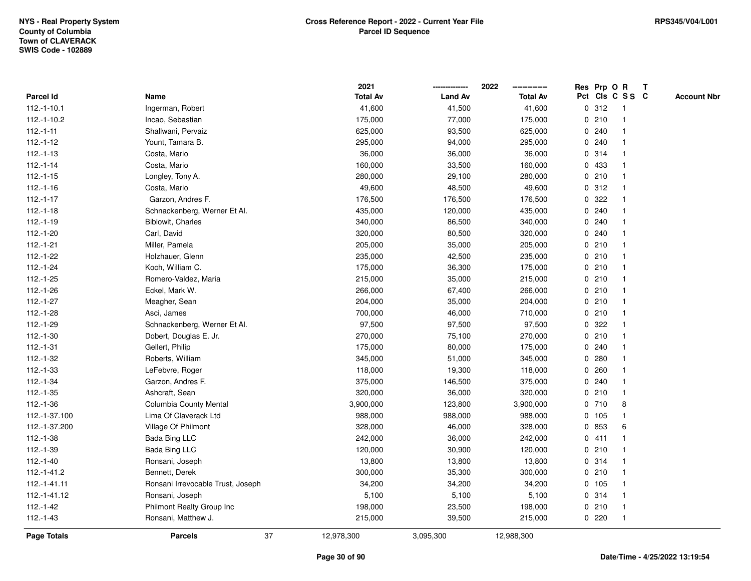|               |                                   | 2021            |                | 2022            | Res Prp O R |       |                         | T |                    |
|---------------|-----------------------------------|-----------------|----------------|-----------------|-------------|-------|-------------------------|---|--------------------|
| Parcel Id     | Name                              | <b>Total Av</b> | <b>Land Av</b> | <b>Total Av</b> |             |       | Pct Cls C S S C         |   | <b>Account Nbr</b> |
| $112.-1-10.1$ | Ingerman, Robert                  | 41,600          | 41,500         | 41,600          | 0           | 312   | $\mathbf{1}$            |   |                    |
| $112.-1-10.2$ | Incao, Sebastian                  | 175,000         | 77,000         | 175,000         | 0           | 210   | -1                      |   |                    |
| $112.-1-11$   | Shallwani, Pervaiz                | 625,000         | 93,500         | 625,000         |             | 0.240 | -1                      |   |                    |
| $112.-1-12$   | Yount, Tamara B.                  | 295,000         | 94,000         | 295,000         |             | 0.240 |                         |   |                    |
| $112.-1-13$   | Costa, Mario                      | 36,000          | 36,000         | 36,000          |             | 0 314 |                         |   |                    |
| $112.-1-14$   | Costa, Mario                      | 160,000         | 33,500         | 160,000         |             | 0 433 |                         |   |                    |
| $112.-1-15$   | Longley, Tony A.                  | 280,000         | 29,100         | 280,000         |             | 0210  |                         |   |                    |
| $112.-1-16$   | Costa, Mario                      | 49,600          | 48,500         | 49,600          | 0           | 312   |                         |   |                    |
| $112.-1-17$   | Garzon, Andres F.                 | 176,500         | 176,500        | 176,500         | 0           | 322   |                         |   |                    |
| $112.-1-18$   | Schnackenberg, Werner Et Al.      | 435,000         | 120,000        | 435,000         |             | 0.240 | -1                      |   |                    |
| $112.-1-19$   | Biblowit, Charles                 | 340,000         | 86,500         | 340,000         |             | 0.240 |                         |   |                    |
| $112.-1-20$   | Carl, David                       | 320,000         | 80,500         | 320,000         |             | 0.240 |                         |   |                    |
| $112.-1-21$   | Miller, Pamela                    | 205,000         | 35,000         | 205,000         |             | 0210  |                         |   |                    |
| $112.-1-22$   | Holzhauer, Glenn                  | 235,000         | 42,500         | 235,000         |             | 0210  |                         |   |                    |
| $112.-1-24$   | Koch, William C.                  | 175,000         | 36,300         | 175,000         | $\mathbf 0$ | 210   |                         |   |                    |
| $112.-1-25$   | Romero-Valdez, Maria              | 215,000         | 35,000         | 215,000         | $\mathbf 0$ | 210   | $\mathbf{1}$            |   |                    |
| $112.-1-26$   | Eckel, Mark W.                    | 266,000         | 67,400         | 266,000         |             | 0210  | $\overline{\mathbf{1}}$ |   |                    |
| 112.-1-27     | Meagher, Sean                     | 204,000         | 35,000         | 204,000         |             | 0210  |                         |   |                    |
| $112.-1-28$   | Asci, James                       | 700,000         | 46,000         | 710,000         |             | 0210  |                         |   |                    |
| 112.-1-29     | Schnackenberg, Werner Et Al.      | 97,500          | 97,500         | 97,500          |             | 0.322 |                         |   |                    |
| $112.-1-30$   | Dobert, Douglas E. Jr.            | 270,000         | 75,100         | 270,000         |             | 0210  |                         |   |                    |
| $112.-1-31$   | Gellert, Philip                   | 175,000         | 80,000         | 175,000         |             | 0.240 |                         |   |                    |
| $112.-1-32$   | Roberts, William                  | 345,000         | 51,000         | 345,000         | 0           | 280   |                         |   |                    |
| $112.-1-33$   | LeFebvre, Roger                   | 118,000         | 19,300         | 118,000         | $\mathbf 0$ | 260   |                         |   |                    |
| $112.-1-34$   | Garzon, Andres F.                 | 375,000         | 146,500        | 375,000         |             | 0.240 |                         |   |                    |
| $112.-1-35$   | Ashcraft, Sean                    | 320,000         | 36,000         | 320,000         |             | 0210  |                         |   |                    |
| $112.-1-36$   | Columbia County Mental            | 3,900,000       | 123,800        | 3,900,000       |             | 0710  | 8                       |   |                    |
| 112.-1-37.100 | Lima Of Claverack Ltd             | 988,000         | 988,000        | 988,000         |             | 0 105 |                         |   |                    |
| 112.-1-37.200 | Village Of Philmont               | 328,000         | 46,000         | 328,000         |             | 0 853 | 6                       |   |                    |
| $112.-1-38$   | <b>Bada Bing LLC</b>              | 242,000         | 36,000         | 242,000         |             | 0411  | -1                      |   |                    |
| 112.-1-39     | <b>Bada Bing LLC</b>              | 120,000         | 30,900         | 120,000         |             | 0210  |                         |   |                    |
| $112.-1-40$   | Ronsani, Joseph                   | 13,800          | 13,800         | 13,800          |             | 0 314 | $\mathbf 1$             |   |                    |
| 112.-1-41.2   | Bennett, Derek                    | 300,000         | 35,300         | 300,000         |             | 0210  |                         |   |                    |
| 112.-1-41.11  | Ronsani Irrevocable Trust, Joseph | 34,200          | 34,200         | 34,200          |             | 0 105 |                         |   |                    |
| 112.-1-41.12  | Ronsani, Joseph                   | 5,100           | 5,100          | 5,100           |             | 0 314 | -1                      |   |                    |
| $112.-1-42$   | Philmont Realty Group Inc         | 198,000         | 23,500         | 198,000         |             | 0210  | -1                      |   |                    |
| $112.-1-43$   | Ronsani, Matthew J.               | 215,000         | 39,500         | 215,000         |             | 0220  | $\mathbf{1}$            |   |                    |
| Page Totals   | 37<br><b>Parcels</b>              | 12,978,300      | 3,095,300      | 12,988,300      |             |       |                         |   |                    |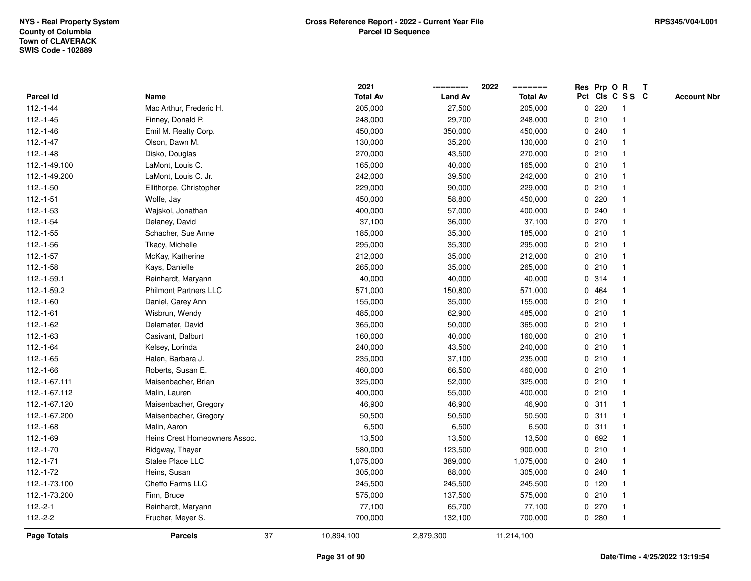|                    |                               |    | 2021            |                | 2022            |             |         | Res Prp O R     | T |                    |
|--------------------|-------------------------------|----|-----------------|----------------|-----------------|-------------|---------|-----------------|---|--------------------|
| <b>Parcel Id</b>   | Name                          |    | <b>Total Av</b> | <b>Land Av</b> | <b>Total Av</b> |             |         | Pct Cls C S S C |   | <b>Account Nbr</b> |
| $112.-1-44$        | Mac Arthur, Frederic H.       |    | 205,000         | 27,500         | 205,000         | 0           | 220     | -1              |   |                    |
| $112.-1-45$        | Finney, Donald P.             |    | 248,000         | 29,700         | 248,000         | 0           | 210     | $\overline{1}$  |   |                    |
| $112.-1-46$        | Emil M. Realty Corp.          |    | 450,000         | 350,000        | 450,000         |             | 0.240   | -1              |   |                    |
| $112.-1-47$        | Olson, Dawn M.                |    | 130,000         | 35,200         | 130,000         |             | 0210    |                 |   |                    |
| $112.-1-48$        | Disko, Douglas                |    | 270,000         | 43,500         | 270,000         |             | 0210    |                 |   |                    |
| 112.-1-49.100      | LaMont, Louis C.              |    | 165,000         | 40,000         | 165,000         |             | 0210    |                 |   |                    |
| 112.-1-49.200      | LaMont, Louis C. Jr.          |    | 242,000         | 39,500         | 242,000         |             | 0210    |                 |   |                    |
| $112.-1-50$        | Ellithorpe, Christopher       |    | 229,000         | 90,000         | 229,000         | 0           | 210     |                 |   |                    |
| $112.-1-51$        | Wolfe, Jay                    |    | 450,000         | 58,800         | 450,000         | 0           | 220     |                 |   |                    |
| $112.-1-53$        | Wajskol, Jonathan             |    | 400,000         | 57,000         | 400,000         |             | 0.240   | -1              |   |                    |
| $112.-1-54$        | Delaney, David                |    | 37,100          | 36,000         | 37,100          |             | 0270    |                 |   |                    |
| $112.-1-55$        | Schacher, Sue Anne            |    | 185,000         | 35,300         | 185,000         |             | 0210    |                 |   |                    |
| $112.-1-56$        | Tkacy, Michelle               |    | 295,000         | 35,300         | 295,000         |             | 0210    |                 |   |                    |
| $112.-1-57$        | McKay, Katherine              |    | 212,000         | 35,000         | 212,000         |             | 0210    |                 |   |                    |
| $112.-1-58$        | Kays, Danielle                |    | 265,000         | 35,000         | 265,000         | $\mathbf 0$ | 210     |                 |   |                    |
| 112.-1-59.1        | Reinhardt, Maryann            |    | 40,000          | 40,000         | 40,000          |             | 0.314   | $\overline{1}$  |   |                    |
| 112.-1-59.2        | <b>Philmont Partners LLC</b>  |    | 571,000         | 150,800        | 571,000         |             | 0 464   | $\mathbf{1}$    |   |                    |
| $112.-1-60$        | Daniel, Carey Ann             |    | 155,000         | 35,000         | 155,000         |             | 0210    |                 |   |                    |
| $112.-1-61$        | Wisbrun, Wendy                |    | 485,000         | 62,900         | 485,000         |             | 0210    |                 |   |                    |
| $112.-1-62$        | Delamater, David              |    | 365,000         | 50,000         | 365,000         |             | 0210    |                 |   |                    |
| $112.-1-63$        | Casivant, Dalburt             |    | 160,000         | 40,000         | 160,000         |             | 0210    |                 |   |                    |
| 112.-1-64          | Kelsey, Lorinda               |    | 240,000         | 43,500         | 240,000         |             | 0210    |                 |   |                    |
| $112.-1-65$        | Halen, Barbara J.             |    | 235,000         | 37,100         | 235,000         |             | 0210    | -1              |   |                    |
| $112.-1-66$        | Roberts, Susan E.             |    | 460,000         | 66,500         | 460,000         | $\mathbf 0$ | 210     | $\overline{1}$  |   |                    |
| 112.-1-67.111      | Maisenbacher, Brian           |    | 325,000         | 52,000         | 325,000         |             | 0210    | -1              |   |                    |
| 112.-1-67.112      | Malin, Lauren                 |    | 400,000         | 55,000         | 400,000         |             | 0210    |                 |   |                    |
| 112.-1-67.120      | Maisenbacher, Gregory         |    | 46,900          | 46,900         | 46,900          |             | 0.311   |                 |   |                    |
| 112.-1-67.200      | Maisenbacher, Gregory         |    | 50,500          | 50,500         | 50,500          |             | 0.311   |                 |   |                    |
| $112.-1-68$        | Malin, Aaron                  |    | 6,500           | 6,500          | 6,500           | $\mathbf 0$ | 311     |                 |   |                    |
| 112.-1-69          | Heins Crest Homeowners Assoc. |    | 13,500          | 13,500         | 13,500          |             | 0 692   |                 |   |                    |
| 112.-1-70          | Ridgway, Thayer               |    | 580,000         | 123,500        | 900,000         | 0           | 210     | -1              |   |                    |
| $112.-1-71$        | <b>Stalee Place LLC</b>       |    | 1,075,000       | 389,000        | 1,075,000       |             | 0.240   | -1              |   |                    |
| $112.-1-72$        | Heins, Susan                  |    | 305,000         | 88,000         | 305,000         |             | 0.240   |                 |   |                    |
| 112.-1-73.100      | Cheffo Farms LLC              |    | 245,500         | 245,500        | 245,500         |             | $0$ 120 |                 |   |                    |
| 112.-1-73.200      | Finn, Bruce                   |    | 575,000         | 137,500        | 575,000         |             | 0210    |                 |   |                    |
| $112.-2-1$         | Reinhardt, Maryann            |    | 77,100          | 65,700         | 77,100          |             | 0270    | -1              |   |                    |
| $112.-2-2$         | Frucher, Meyer S.             |    | 700,000         | 132,100        | 700,000         |             | 0.280   | $\overline{1}$  |   |                    |
| <b>Page Totals</b> | <b>Parcels</b>                | 37 | 10,894,100      | 2,879,300      | 11,214,100      |             |         |                 |   |                    |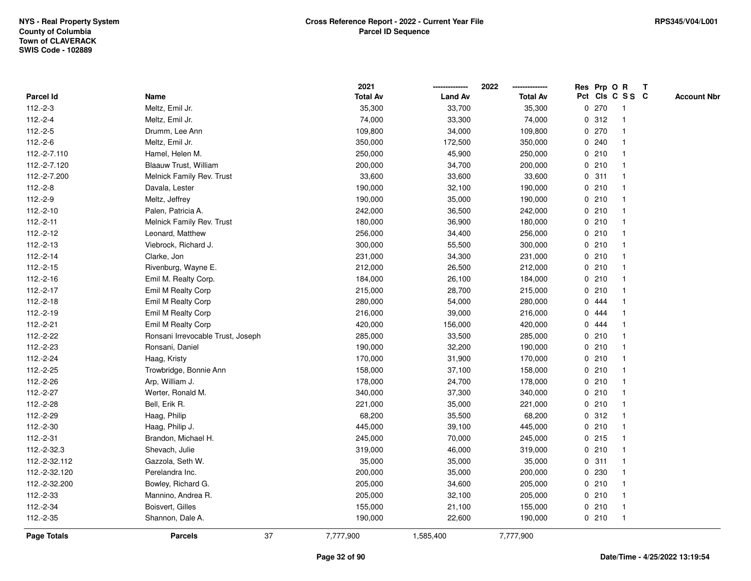|               |                                   | 2021            |                | 2022            | Res Prp O R     |     |                         | T |                    |
|---------------|-----------------------------------|-----------------|----------------|-----------------|-----------------|-----|-------------------------|---|--------------------|
| Parcel Id     | Name                              | <b>Total Av</b> | <b>Land Av</b> | <b>Total Av</b> | Pct Cls C S S C |     |                         |   | <b>Account Nbr</b> |
| $112.-2-3$    | Meltz, Emil Jr.                   | 35,300          | 33,700         | 35,300          | 0               | 270 | $\mathbf{1}$            |   |                    |
| $112.-2-4$    | Meltz, Emil Jr.                   | 74,000          | 33,300         | 74,000          | 0.312           |     | -1                      |   |                    |
| $112.-2-5$    | Drumm, Lee Ann                    | 109,800         | 34,000         | 109,800         | 0 270           |     | -1                      |   |                    |
| $112.-2-6$    | Meltz, Emil Jr.                   | 350,000         | 172,500        | 350,000         | 0.240           |     |                         |   |                    |
| 112.-2-7.110  | Hamel, Helen M.                   | 250,000         | 45,900         | 250,000         | 0210            |     |                         |   |                    |
| 112.-2-7.120  | Blaauw Trust, William             | 200,000         | 34,700         | 200,000         | 0210            |     |                         |   |                    |
| 112.-2-7.200  | Melnick Family Rev. Trust         | 33,600          | 33,600         | 33,600          | 0.311           |     |                         |   |                    |
| $112.-2-8$    | Davala, Lester                    | 190,000         | 32,100         | 190,000         | 0               | 210 |                         |   |                    |
| $112.-2-9$    | Meltz, Jeffrey                    | 190,000         | 35,000         | 190,000         | 0210            |     | $\mathbf{1}$            |   |                    |
| $112.-2-10$   | Palen, Patricia A.                | 242,000         | 36,500         | 242,000         | 0210            |     | $\mathbf{1}$            |   |                    |
| $112.-2-11$   | Melnick Family Rev. Trust         | 180,000         | 36,900         | 180,000         | 0210            |     |                         |   |                    |
| $112.-2-12$   | Leonard, Matthew                  | 256,000         | 34,400         | 256,000         | 0210            |     |                         |   |                    |
| $112.-2-13$   | Viebrock, Richard J.              | 300,000         | 55,500         | 300,000         | 0210            |     |                         |   |                    |
| $112.-2-14$   | Clarke, Jon                       | 231,000         | 34,300         | 231,000         | 0210            |     |                         |   |                    |
| $112.-2-15$   | Rivenburg, Wayne E.               | 212,000         | 26,500         | 212,000         | $\mathbf 0$     | 210 |                         |   |                    |
| 112.-2-16     | Emil M. Realty Corp.              | 184,000         | 26,100         | 184,000         | 0210            |     | $\overline{\mathbf{1}}$ |   |                    |
| 112.-2-17     | Emil M Realty Corp                | 215,000         | 28,700         | 215,000         | 0210            |     |                         |   |                    |
| $112.-2-18$   | Emil M Realty Corp                | 280,000         | 54,000         | 280,000         | 0 444           |     |                         |   |                    |
| 112.-2-19     | Emil M Realty Corp                | 216,000         | 39,000         | 216,000         | 0 444           |     |                         |   |                    |
| 112.-2-21     | Emil M Realty Corp                | 420,000         | 156,000        | 420,000         | 0 444           |     |                         |   |                    |
| 112.-2-22     | Ronsani Irrevocable Trust, Joseph | 285,000         | 33,500         | 285,000         | 0210            |     |                         |   |                    |
| 112.-2-23     | Ronsani, Daniel                   | 190,000         | 32,200         | 190,000         | 0210            |     |                         |   |                    |
| 112.-2-24     | Haag, Kristy                      | 170,000         | 31,900         | 170,000         | 0210            |     | $\mathbf 1$             |   |                    |
| 112.-2-25     | Trowbridge, Bonnie Ann            | 158,000         | 37,100         | 158,000         | 0210            |     |                         |   |                    |
| 112.-2-26     | Arp, William J.                   | 178,000         | 24,700         | 178,000         | 0210            |     |                         |   |                    |
| 112.-2-27     | Werter, Ronald M.                 | 340,000         | 37,300         | 340,000         | 0210            |     |                         |   |                    |
| 112.-2-28     | Bell, Erik R.                     | 221,000         | 35,000         | 221,000         | 0210            |     |                         |   |                    |
| 112.-2-29     | Haag, Philip                      | 68,200          | 35,500         | 68,200          | 0.312           |     |                         |   |                    |
| 112.-2-30     | Haag, Philip J.                   | 445,000         | 39,100         | 445,000         | 0210            |     |                         |   |                    |
| $112.-2-31$   | Brandon, Michael H.               | 245,000         | 70,000         | 245,000         | 0.215           |     | -1                      |   |                    |
| 112.-2-32.3   | Shevach, Julie                    | 319,000         | 46,000         | 319,000         | 0210            |     | $\mathbf{1}$            |   |                    |
| 112.-2-32.112 | Gazzola, Seth W.                  | 35,000          | 35,000         | 35,000          | 0.311           |     | $\mathbf 1$             |   |                    |
| 112.-2-32.120 | Perelandra Inc.                   | 200,000         | 35,000         | 200,000         | 0 230           |     |                         |   |                    |
| 112.-2-32.200 | Bowley, Richard G.                | 205,000         | 34,600         | 205,000         | 0210            |     |                         |   |                    |
| 112.-2-33     | Mannino, Andrea R.                | 205,000         | 32,100         | 205,000         | 0210            |     |                         |   |                    |
| 112.-2-34     | Boisvert, Gilles                  | 155,000         | 21,100         | 155,000         | 0210            |     | $\overline{\mathbf{1}}$ |   |                    |
| 112.-2-35     | Shannon, Dale A.                  | 190,000         | 22,600         | 190,000         | 0210            |     | $\mathbf{1}$            |   |                    |
| Page Totals   | 37<br><b>Parcels</b>              | 7,777,900       | 1,585,400      | 7,777,900       |                 |     |                         |   |                    |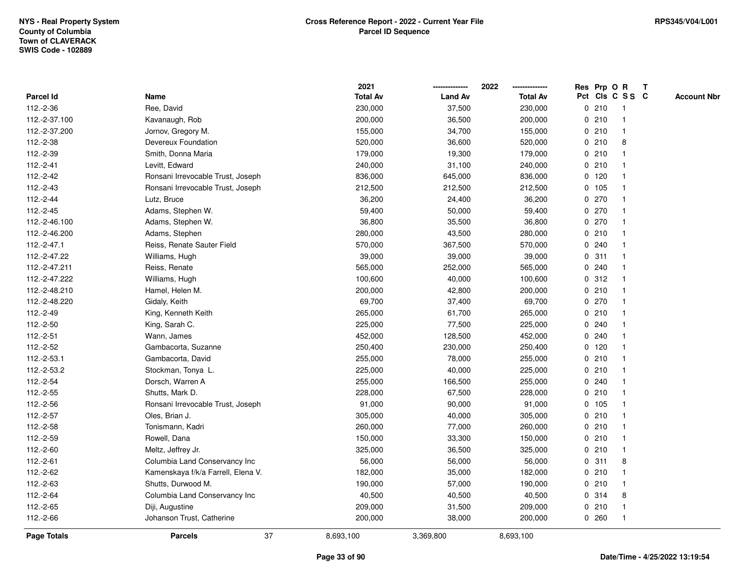|               |                                    | 2021            |                | 2022            |              |         | Res Prp O R     | T |                    |
|---------------|------------------------------------|-----------------|----------------|-----------------|--------------|---------|-----------------|---|--------------------|
| Parcel Id     | Name                               | <b>Total Av</b> | <b>Land Av</b> | <b>Total Av</b> |              |         | Pct Cls C S S C |   | <b>Account Nbr</b> |
| 112.-2-36     | Ree, David                         | 230,000         | 37,500         | 230,000         |              | 0210    | -1              |   |                    |
| 112.-2-37.100 | Kavanaugh, Rob                     | 200,000         | 36,500         | 200,000         | 0            | 210     | -1              |   |                    |
| 112.-2-37.200 | Jornov, Gregory M.                 | 155,000         | 34,700         | 155,000         |              | 0210    | $\mathbf{1}$    |   |                    |
| 112.-2-38     | Devereux Foundation                | 520,000         | 36,600         | 520,000         |              | 0210    | 8               |   |                    |
| 112.-2-39     | Smith, Donna Maria                 | 179,000         | 19,300         | 179,000         |              | 0210    |                 |   |                    |
| $112.-2-41$   | Levitt, Edward                     | 240,000         | 31,100         | 240,000         |              | 0210    |                 |   |                    |
| 112.-2-42     | Ronsani Irrevocable Trust, Joseph  | 836,000         | 645,000        | 836,000         |              | $0$ 120 |                 |   |                    |
| 112.-2-43     | Ronsani Irrevocable Trust, Joseph  | 212,500         | 212,500        | 212,500         |              | 0 105   | $\mathbf{1}$    |   |                    |
| 112.-2-44     | Lutz, Bruce                        | 36,200          | 24,400         | 36,200          |              | $0$ 270 | -1              |   |                    |
| 112.-2-45     | Adams, Stephen W.                  | 59,400          | 50,000         | 59,400          |              | $0$ 270 | $\mathbf 1$     |   |                    |
| 112.-2-46.100 | Adams, Stephen W.                  | 36,800          | 35,500         | 36,800          |              | 0270    |                 |   |                    |
| 112.-2-46.200 | Adams, Stephen                     | 280,000         | 43,500         | 280,000         |              | 0210    |                 |   |                    |
| 112.-2-47.1   | Reiss, Renate Sauter Field         | 570,000         | 367,500        | 570,000         |              | 0.240   |                 |   |                    |
| 112.-2-47.22  | Williams, Hugh                     | 39,000          | 39,000         | 39,000          |              | 0.311   |                 |   |                    |
| 112.-2-47.211 | Reiss, Renate                      | 565,000         | 252,000        | 565,000         | $\mathbf 0$  | 240     |                 |   |                    |
| 112.-2-47.222 | Williams, Hugh                     | 100,600         | 40,000         | 100,600         | $\mathbf{0}$ | 312     | $\overline{1}$  |   |                    |
| 112.-2-48.210 | Hamel, Helen M.                    | 200,000         | 42,800         | 200,000         |              | 0210    | $\mathbf{1}$    |   |                    |
| 112.-2-48.220 | Gidaly, Keith                      | 69,700          | 37,400         | 69,700          |              | 0270    |                 |   |                    |
| 112.-2-49     | King, Kenneth Keith                | 265,000         | 61,700         | 265,000         |              | 0210    |                 |   |                    |
| 112.-2-50     | King, Sarah C.                     | 225,000         | 77,500         | 225,000         |              | 0.240   |                 |   |                    |
| 112.-2-51     | Wann, James                        | 452,000         | 128,500        | 452,000         |              | 0.240   |                 |   |                    |
| 112.-2-52     | Gambacorta, Suzanne                | 250,400         | 230,000        | 250,400         |              | $0$ 120 |                 |   |                    |
| 112.-2-53.1   | Gambacorta, David                  | 255,000         | 78,000         | 255,000         |              | 0210    | -1              |   |                    |
| 112.-2-53.2   | Stockman, Tonya L.                 | 225,000         | 40,000         | 225,000         | $\mathbf{0}$ | 210     |                 |   |                    |
| 112.-2-54     | Dorsch, Warren A                   | 255,000         | 166,500        | 255,000         |              | 0.240   |                 |   |                    |
| 112.-2-55     | Shutts, Mark D.                    | 228,000         | 67,500         | 228,000         |              | 0210    |                 |   |                    |
| 112.-2-56     | Ronsani Irrevocable Trust, Joseph  | 91,000          | 90,000         | 91,000          |              | 0, 105  |                 |   |                    |
| 112.-2-57     | Oles, Brian J.                     | 305,000         | 40,000         | 305,000         |              | 0210    |                 |   |                    |
| 112.-2-58     | Tonismann, Kadri                   | 260,000         | 77,000         | 260,000         |              | 0210    |                 |   |                    |
| 112.-2-59     | Rowell, Dana                       | 150,000         | 33,300         | 150,000         | $\mathbf 0$  | 210     | 1               |   |                    |
| 112.-2-60     | Meltz, Jeffrey Jr.                 | 325,000         | 36,500         | 325,000         | 0            | 210     | $\mathbf{1}$    |   |                    |
| 112.-2-61     | Columbia Land Conservancy Inc      | 56,000          | 56,000         | 56,000          |              | 0.311   | 8               |   |                    |
| 112.-2-62     | Kamenskaya f/k/a Farrell, Elena V. | 182,000         | 35,000         | 182,000         |              | 0210    |                 |   |                    |
| 112.-2-63     | Shutts, Durwood M.                 | 190,000         | 57,000         | 190,000         |              | 0210    |                 |   |                    |
| 112.-2-64     | Columbia Land Conservancy Inc      | 40,500          | 40,500         | 40,500          |              | 0.314   | 8               |   |                    |
| 112.-2-65     | Diji, Augustine                    | 209,000         | 31,500         | 209,000         | 0            | 210     |                 |   |                    |
| 112.-2-66     | Johanson Trust, Catherine          | 200,000         | 38,000         | 200,000         |              | 0.260   | $\overline{1}$  |   |                    |
| Page Totals   | 37<br><b>Parcels</b>               | 8,693,100       | 3,369,800      | 8,693,100       |              |         |                 |   |                    |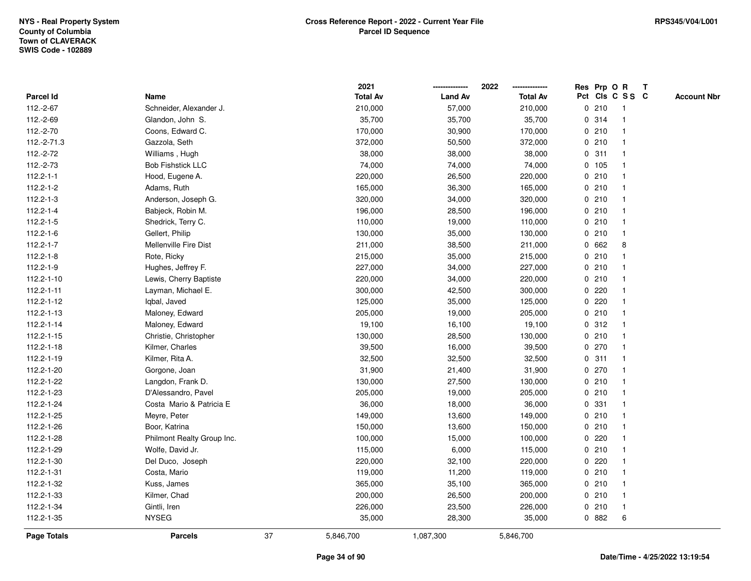|                    |                            |    | 2021            |                | 2022            |             | Res Prp O R |                 | T |                    |
|--------------------|----------------------------|----|-----------------|----------------|-----------------|-------------|-------------|-----------------|---|--------------------|
| Parcel Id          | Name                       |    | <b>Total Av</b> | <b>Land Av</b> | <b>Total Av</b> |             |             | Pct Cls C S S C |   | <b>Account Nbr</b> |
| 112.-2-67          | Schneider, Alexander J.    |    | 210,000         | 57,000         | 210,000         | 0           | 210         | $\mathbf{1}$    |   |                    |
| 112.-2-69          | Glandon, John S.           |    | 35,700          | 35,700         | 35,700          |             | 0.314       | $\mathbf{1}$    |   |                    |
| 112.-2-70          | Coons, Edward C.           |    | 170,000         | 30,900         | 170,000         |             | 0210        | $\mathbf 1$     |   |                    |
| 112.-2-71.3        | Gazzola, Seth              |    | 372,000         | 50,500         | 372,000         |             | 0210        |                 |   |                    |
| 112.-2-72          | Williams, Hugh             |    | 38,000          | 38,000         | 38,000          |             | 0.311       |                 |   |                    |
| 112.-2-73          | <b>Bob Fishstick LLC</b>   |    | 74,000          | 74,000         | 74,000          |             | 0 105       |                 |   |                    |
| $112.2 - 1 - 1$    | Hood, Eugene A.            |    | 220,000         | 26,500         | 220,000         |             | 0210        |                 |   |                    |
| $112.2 - 1 - 2$    | Adams, Ruth                |    | 165,000         | 36,300         | 165,000         |             | 0210        |                 |   |                    |
| $112.2 - 1 - 3$    | Anderson, Joseph G.        |    | 320,000         | 34,000         | 320,000         |             | 0210        |                 |   |                    |
| $112.2 - 1 - 4$    | Babjeck, Robin M.          |    | 196,000         | 28,500         | 196,000         |             | 0210        | $\mathbf 1$     |   |                    |
| $112.2 - 1 - 5$    | Shedrick, Terry C.         |    | 110,000         | 19,000         | 110,000         |             | 0210        |                 |   |                    |
| $112.2 - 1 - 6$    | Gellert, Philip            |    | 130,000         | 35,000         | 130,000         |             | 0210        |                 |   |                    |
| $112.2 - 1 - 7$    | Mellenville Fire Dist      |    | 211,000         | 38,500         | 211,000         |             | 0 662       | 8               |   |                    |
| $112.2 - 1 - 8$    | Rote, Ricky                |    | 215,000         | 35,000         | 215,000         |             | 0210        |                 |   |                    |
| 112.2-1-9          | Hughes, Jeffrey F.         |    | 227,000         | 34,000         | 227,000         |             | 0210        |                 |   |                    |
| 112.2-1-10         | Lewis, Cherry Baptiste     |    | 220,000         | 34,000         | 220,000         |             | 0210        | $\mathbf{1}$    |   |                    |
| $112.2 - 1 - 11$   | Layman, Michael E.         |    | 300,000         | 42,500         | 300,000         | 0           | 220         |                 |   |                    |
| 112.2-1-12         | Iqbal, Javed               |    | 125,000         | 35,000         | 125,000         |             | 0.220       |                 |   |                    |
| 112.2-1-13         | Maloney, Edward            |    | 205,000         | 19,000         | 205,000         |             | 0210        |                 |   |                    |
| 112.2-1-14         | Maloney, Edward            |    | 19,100          | 16,100         | 19,100          |             | 0.312       |                 |   |                    |
| 112.2-1-15         | Christie, Christopher      |    | 130,000         | 28,500         | 130,000         |             | 0210        |                 |   |                    |
| 112.2-1-18         | Kilmer, Charles            |    | 39,500          | 16,000         | 39,500          |             | 0270        |                 |   |                    |
| 112.2-1-19         | Kilmer, Rita A.            |    | 32,500          | 32,500         | 32,500          |             | 0.311       | $\mathbf 1$     |   |                    |
| 112.2-1-20         | Gorgone, Joan              |    | 31,900          | 21,400         | 31,900          | $\mathbf 0$ | 270         |                 |   |                    |
| 112.2-1-22         | Langdon, Frank D.          |    | 130,000         | 27,500         | 130,000         |             | 0210        |                 |   |                    |
| 112.2-1-23         | D'Alessandro, Pavel        |    | 205,000         | 19,000         | 205,000         |             | 0210        |                 |   |                    |
| 112.2-1-24         | Costa Mario & Patricia E   |    | 36,000          | 18,000         | 36,000          |             | 0 331       |                 |   |                    |
| 112.2-1-25         | Meyre, Peter               |    | 149,000         | 13,600         | 149,000         |             | 0210        |                 |   |                    |
| 112.2-1-26         | Boor, Katrina              |    | 150,000         | 13,600         | 150,000         |             | 0210        |                 |   |                    |
| 112.2-1-28         | Philmont Realty Group Inc. |    | 100,000         | 15,000         | 100,000         | 0           | 220         |                 |   |                    |
| 112.2-1-29         | Wolfe, David Jr.           |    | 115,000         | 6,000          | 115,000         |             | 0210        |                 |   |                    |
| 112.2-1-30         | Del Duco, Joseph           |    | 220,000         | 32,100         | 220,000         |             | 0.220       |                 |   |                    |
| 112.2-1-31         | Costa, Mario               |    | 119,000         | 11,200         | 119,000         |             | 0210        |                 |   |                    |
| 112.2-1-32         | Kuss, James                |    | 365,000         | 35,100         | 365,000         |             | 0210        |                 |   |                    |
| 112.2-1-33         | Kilmer, Chad               |    | 200,000         | 26,500         | 200,000         |             | 0210        | $\mathbf{1}$    |   |                    |
| 112.2-1-34         | Gintli, Iren               |    | 226,000         | 23,500         | 226,000         |             | 0210        | $\overline{1}$  |   |                    |
| 112.2-1-35         | <b>NYSEG</b>               |    | 35,000          | 28,300         | 35,000          |             | 0 882       | 6               |   |                    |
| <b>Page Totals</b> | <b>Parcels</b>             | 37 | 5,846,700       | 1,087,300      | 5,846,700       |             |             |                 |   |                    |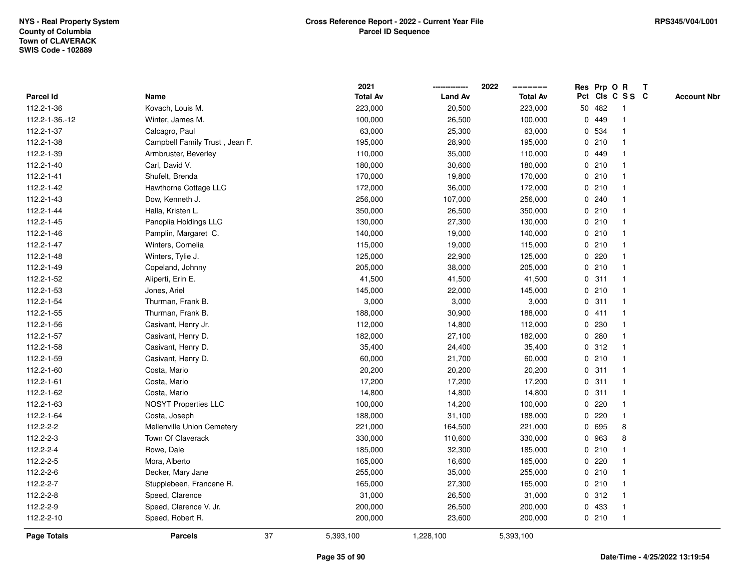|                    |                                |    | 2021            |                | 2022            |             |         | Res Prp O R     | $\mathbf{T}$       |
|--------------------|--------------------------------|----|-----------------|----------------|-----------------|-------------|---------|-----------------|--------------------|
| Parcel Id          | Name                           |    | <b>Total Av</b> | <b>Land Av</b> | <b>Total Av</b> |             |         | Pct Cls C S S C | <b>Account Nbr</b> |
| 112.2-1-36         | Kovach, Louis M.               |    | 223,000         | 20,500         | 223,000         |             | 50 482  |                 |                    |
| 112.2-1-36.-12     | Winter, James M.               |    | 100,000         | 26,500         | 100,000         | 0           | 449     |                 |                    |
| 112.2-1-37         | Calcagro, Paul                 |    | 63,000          | 25,300         | 63,000          | $\mathbf 0$ | 534     |                 |                    |
| 112.2-1-38         | Campbell Family Trust, Jean F. |    | 195,000         | 28,900         | 195,000         |             | 0210    |                 |                    |
| 112.2-1-39         | Armbruster, Beverley           |    | 110,000         | 35,000         | 110,000         |             | 0 449   |                 |                    |
| 112.2-1-40         | Carl, David V.                 |    | 180,000         | 30,600         | 180,000         |             | 0210    |                 |                    |
| 112.2-1-41         | Shufelt, Brenda                |    | 170,000         | 19,800         | 170,000         |             | 0210    |                 |                    |
| 112.2-1-42         | Hawthorne Cottage LLC          |    | 172,000         | 36,000         | 172,000         |             | 0210    |                 |                    |
| 112.2-1-43         | Dow, Kenneth J.                |    | 256,000         | 107,000        | 256,000         |             | 0.240   |                 |                    |
| 112.2-1-44         | Halla, Kristen L.              |    | 350,000         | 26,500         | 350,000         |             | 0210    |                 |                    |
| 112.2-1-45         | Panoplia Holdings LLC          |    | 130,000         | 27,300         | 130,000         |             | 0210    |                 |                    |
| 112.2-1-46         | Pamplin, Margaret C.           |    | 140,000         | 19,000         | 140,000         |             | 0210    |                 |                    |
| 112.2-1-47         | Winters, Cornelia              |    | 115,000         | 19,000         | 115,000         |             | 0210    |                 |                    |
| 112.2-1-48         | Winters, Tylie J.              |    | 125,000         | 22,900         | 125,000         |             | $0$ 220 |                 |                    |
| 112.2-1-49         | Copeland, Johnny               |    | 205,000         | 38,000         | 205,000         |             | 0210    |                 |                    |
| 112.2-1-52         | Aliperti, Erin E.              |    | 41,500          | 41,500         | 41,500          |             | 0.311   |                 |                    |
| 112.2-1-53         | Jones, Ariel                   |    | 145,000         | 22,000         | 145,000         |             | 0210    |                 |                    |
| 112.2-1-54         | Thurman, Frank B.              |    | 3,000           | 3,000          | 3,000           | 0           | 311     |                 |                    |
| 112.2-1-55         | Thurman, Frank B.              |    | 188,000         | 30,900         | 188,000         |             | 0411    |                 |                    |
| 112.2-1-56         | Casivant, Henry Jr.            |    | 112,000         | 14,800         | 112,000         |             | 0 230   |                 |                    |
| 112.2-1-57         | Casivant, Henry D.             |    | 182,000         | 27,100         | 182,000         |             | 0.280   |                 |                    |
| 112.2-1-58         | Casivant, Henry D.             |    | 35,400          | 24,400         | 35,400          |             | 0.312   |                 |                    |
| 112.2-1-59         | Casivant, Henry D.             |    | 60,000          | 21,700         | 60,000          |             | 0210    |                 |                    |
| 112.2-1-60         | Costa, Mario                   |    | 20,200          | 20,200         | 20,200          | $\mathbf 0$ | 311     |                 |                    |
| 112.2-1-61         | Costa, Mario                   |    | 17,200          | 17,200         | 17,200          |             | 0.311   |                 |                    |
| 112.2-1-62         | Costa, Mario                   |    | 14,800          | 14,800         | 14,800          |             | 0.311   |                 |                    |
| 112.2-1-63         | <b>NOSYT Properties LLC</b>    |    | 100,000         | 14,200         | 100,000         |             | 0.220   |                 |                    |
| 112.2-1-64         | Costa, Joseph                  |    | 188,000         | 31,100         | 188,000         | 0           | 220     |                 |                    |
| 112.2-2-2          | Mellenville Union Cemetery     |    | 221,000         | 164,500        | 221,000         |             | 0 695   | 8               |                    |
| 112.2-2-3          | Town Of Claverack              |    | 330,000         | 110,600        | 330,000         | 0           | 963     | 8               |                    |
| 112.2-2-4          | Rowe, Dale                     |    | 185,000         | 32,300         | 185,000         |             | 0210    |                 |                    |
| 112.2-2-5          | Mora, Alberto                  |    | 165,000         | 16,600         | 165,000         |             | 0.220   |                 |                    |
| 112.2-2-6          | Decker, Mary Jane              |    | 255,000         | 35,000         | 255,000         |             | 0210    |                 |                    |
| 112.2-2-7          | Stupplebeen, Francene R.       |    | 165,000         | 27,300         | 165,000         |             | 0210    |                 |                    |
| 112.2-2-8          | Speed, Clarence                |    | 31,000          | 26,500         | 31,000          |             | 0.312   |                 |                    |
| 112.2-2-9          | Speed, Clarence V. Jr.         |    | 200,000         | 26,500         | 200,000         |             | 0 433   |                 |                    |
| 112.2-2-10         | Speed, Robert R.               |    | 200,000         | 23,600         | 200,000         |             | 0210    | $\mathbf{1}$    |                    |
| <b>Page Totals</b> | <b>Parcels</b>                 | 37 | 5,393,100       | 1,228,100      | 5,393,100       |             |         |                 |                    |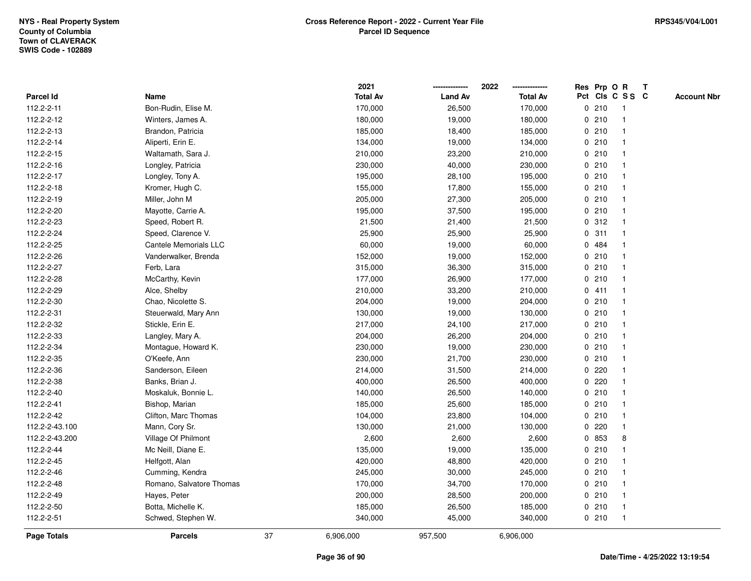|                    |                          |    | 2021            |                | 2022            |             | Res Prp O R |                 | T |                    |
|--------------------|--------------------------|----|-----------------|----------------|-----------------|-------------|-------------|-----------------|---|--------------------|
| Parcel Id          | Name                     |    | <b>Total Av</b> | <b>Land Av</b> | <b>Total Av</b> |             |             | Pct Cls C S S C |   | <b>Account Nbr</b> |
| 112.2-2-11         | Bon-Rudin, Elise M.      |    | 170,000         | 26,500         | 170,000         |             | 0210        | $\mathbf{1}$    |   |                    |
| 112.2-2-12         | Winters, James A.        |    | 180,000         | 19,000         | 180,000         |             | 0210        |                 |   |                    |
| 112.2-2-13         | Brandon, Patricia        |    | 185,000         | 18,400         | 185,000         |             | 0210        | $\mathbf 1$     |   |                    |
| 112.2-2-14         | Aliperti, Erin E.        |    | 134,000         | 19,000         | 134,000         |             | 0210        |                 |   |                    |
| 112.2-2-15         | Waltamath, Sara J.       |    | 210,000         | 23,200         | 210,000         |             | 0210        |                 |   |                    |
| 112.2-2-16         | Longley, Patricia        |    | 230,000         | 40,000         | 230,000         |             | 0210        |                 |   |                    |
| 112.2-2-17         | Longley, Tony A.         |    | 195,000         | 28,100         | 195,000         |             | 0210        |                 |   |                    |
| 112.2-2-18         | Kromer, Hugh C.          |    | 155,000         | 17,800         | 155,000         |             | 0210        |                 |   |                    |
| 112.2-2-19         | Miller, John M           |    | 205,000         | 27,300         | 205,000         |             | 0210        |                 |   |                    |
| 112.2-2-20         | Mayotte, Carrie A.       |    | 195,000         | 37,500         | 195,000         |             | 0210        | $\mathbf{1}$    |   |                    |
| 112.2-2-23         | Speed, Robert R.         |    | 21,500          | 21,400         | 21,500          |             | 0.312       |                 |   |                    |
| 112.2-2-24         | Speed, Clarence V.       |    | 25,900          | 25,900         | 25,900          |             | 0.311       |                 |   |                    |
| 112.2-2-25         | Cantele Memorials LLC    |    | 60,000          | 19,000         | 60,000          |             | 0 484       |                 |   |                    |
| 112.2-2-26         | Vanderwalker, Brenda     |    | 152,000         | 19,000         | 152,000         |             | 0210        |                 |   |                    |
| 112.2-2-27         | Ferb, Lara               |    | 315,000         | 36,300         | 315,000         | 0           | 210         |                 |   |                    |
| 112.2-2-28         | McCarthy, Kevin          |    | 177,000         | 26,900         | 177,000         | 0           | 210         | $\mathbf{1}$    |   |                    |
| 112.2-2-29         | Alce, Shelby             |    | 210,000         | 33,200         | 210,000         |             | 0411        |                 |   |                    |
| 112.2-2-30         | Chao, Nicolette S.       |    | 204,000         | 19,000         | 204,000         |             | 0210        |                 |   |                    |
| 112.2-2-31         | Steuerwald, Mary Ann     |    | 130,000         | 19,000         | 130,000         |             | 0210        |                 |   |                    |
| 112.2-2-32         | Stickle, Erin E.         |    | 217,000         | 24,100         | 217,000         |             | 0210        |                 |   |                    |
| 112.2-2-33         | Langley, Mary A.         |    | 204,000         | 26,200         | 204,000         |             | 0210        |                 |   |                    |
| 112.2-2-34         | Montague, Howard K.      |    | 230,000         | 19,000         | 230,000         |             | 0210        |                 |   |                    |
| 112.2-2-35         | O'Keefe, Ann             |    | 230,000         | 21,700         | 230,000         |             | 0210        | $\mathbf 1$     |   |                    |
| 112.2-2-36         | Sanderson, Eileen        |    | 214,000         | 31,500         | 214,000         | $\mathbf 0$ | 220         |                 |   |                    |
| 112.2-2-38         | Banks, Brian J.          |    | 400,000         | 26,500         | 400,000         |             | 0.220       |                 |   |                    |
| 112.2-2-40         | Moskaluk, Bonnie L.      |    | 140,000         | 26,500         | 140,000         |             | 0210        |                 |   |                    |
| 112.2-2-41         | Bishop, Marian           |    | 185,000         | 25,600         | 185,000         |             | 0210        |                 |   |                    |
| 112.2-2-42         | Clifton, Marc Thomas     |    | 104,000         | 23,800         | 104,000         |             | 0210        |                 |   |                    |
| 112.2-2-43.100     | Mann, Cory Sr.           |    | 130,000         | 21,000         | 130,000         |             | 0.220       |                 |   |                    |
| 112.2-2-43.200     | Village Of Philmont      |    | 2,600           | 2,600          | 2,600           |             | 0 853       | 8               |   |                    |
| 112.2-2-44         | Mc Neill, Diane E.       |    | 135,000         | 19,000         | 135,000         |             | 0210        |                 |   |                    |
| 112.2-2-45         | Helfgott, Alan           |    | 420,000         | 48,800         | 420,000         |             | 0210        |                 |   |                    |
| 112.2-2-46         | Cumming, Kendra          |    | 245,000         | 30,000         | 245,000         |             | 0210        |                 |   |                    |
| 112.2-2-48         | Romano, Salvatore Thomas |    | 170,000         | 34,700         | 170,000         |             | 0210        |                 |   |                    |
| 112.2-2-49         | Hayes, Peter             |    | 200,000         | 28,500         | 200,000         |             | 0210        |                 |   |                    |
| 112.2-2-50         | Botta, Michelle K.       |    | 185,000         | 26,500         | 185,000         |             | 0210        | $\overline{1}$  |   |                    |
| 112.2-2-51         | Schwed, Stephen W.       |    | 340,000         | 45,000         | 340,000         |             | 0210        | $\mathbf{1}$    |   |                    |
| <b>Page Totals</b> | <b>Parcels</b>           | 37 | 6,906,000       | 957,500        | 6,906,000       |             |             |                 |   |                    |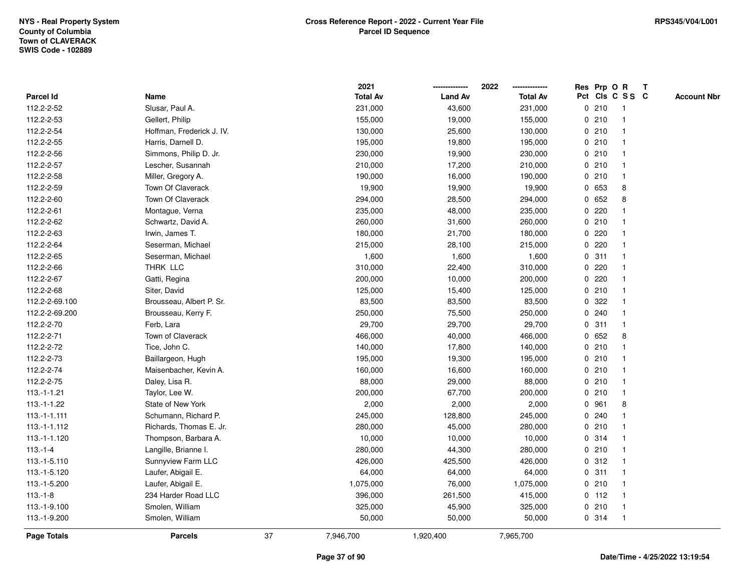|                |                           |    | 2021            |                | 2022            |             |         | Res Prp O R     | T |                    |
|----------------|---------------------------|----|-----------------|----------------|-----------------|-------------|---------|-----------------|---|--------------------|
| Parcel Id      | Name                      |    | <b>Total Av</b> | <b>Land Av</b> | <b>Total Av</b> |             |         | Pct Cls C S S C |   | <b>Account Nbr</b> |
| 112.2-2-52     | Slusar, Paul A.           |    | 231,000         | 43,600         | 231,000         |             | 0210    | -1              |   |                    |
| 112.2-2-53     | Gellert, Philip           |    | 155,000         | 19,000         | 155,000         | 0           | 210     | $\overline{1}$  |   |                    |
| 112.2-2-54     | Hoffman, Frederick J. IV. |    | 130,000         | 25,600         | 130,000         |             | 0210    | $\mathbf{1}$    |   |                    |
| 112.2-2-55     | Harris, Darnell D.        |    | 195,000         | 19,800         | 195,000         |             | 0210    |                 |   |                    |
| 112.2-2-56     | Simmons, Philip D. Jr.    |    | 230,000         | 19,900         | 230,000         |             | 0210    |                 |   |                    |
| 112.2-2-57     | Lescher, Susannah         |    | 210,000         | 17,200         | 210,000         |             | 0210    |                 |   |                    |
| 112.2-2-58     | Miller, Gregory A.        |    | 190,000         | 16,000         | 190,000         |             | 0210    | $\mathbf{1}$    |   |                    |
| 112.2-2-59     | Town Of Claverack         |    | 19,900          | 19,900         | 19,900          | 0           | 653     | 8               |   |                    |
| 112.2-2-60     | Town Of Claverack         |    | 294,000         | 28,500         | 294,000         |             | 0 652   | 8               |   |                    |
| 112.2-2-61     | Montague, Verna           |    | 235,000         | 48,000         | 235,000         |             | 0.220   |                 |   |                    |
| 112.2-2-62     | Schwartz, David A.        |    | 260,000         | 31,600         | 260,000         |             | 0210    |                 |   |                    |
| 112.2-2-63     | Irwin, James T.           |    | 180,000         | 21,700         | 180,000         |             | 0.220   |                 |   |                    |
| 112.2-2-64     | Seserman, Michael         |    | 215,000         | 28,100         | 215,000         | 0           | 220     |                 |   |                    |
| 112.2-2-65     | Seserman, Michael         |    | 1,600           | 1,600          | 1,600           |             | 0.311   |                 |   |                    |
| 112.2-2-66     | THRK LLC                  |    | 310,000         | 22,400         | 310,000         | 0           | 220     |                 |   |                    |
| 112.2-2-67     | Gatti, Regina             |    | 200,000         | 10,000         | 200,000         | 0           | 220     |                 |   |                    |
| 112.2-2-68     | Siter, David              |    | 125,000         | 15,400         | 125,000         |             | 0210    | $\mathbf 1$     |   |                    |
| 112.2-2-69.100 | Brousseau, Albert P. Sr.  |    | 83,500          | 83,500         | 83,500          |             | 0.322   |                 |   |                    |
| 112.2-2-69.200 | Brousseau, Kerry F.       |    | 250,000         | 75,500         | 250,000         |             | 0.240   |                 |   |                    |
| 112.2-2-70     | Ferb, Lara                |    | 29,700          | 29,700         | 29,700          |             | 0.311   |                 |   |                    |
| 112.2-2-71     | Town of Claverack         |    | 466,000         | 40,000         | 466,000         |             | 0 652   | 8               |   |                    |
| 112.2-2-72     | Tice, John C.             |    | 140,000         | 17,800         | 140,000         | $\mathbf 0$ | 210     |                 |   |                    |
| 112.2-2-73     | Baillargeon, Hugh         |    | 195,000         | 19,300         | 195,000         |             | 0210    | $\overline{1}$  |   |                    |
| 112.2-2-74     | Maisenbacher, Kevin A.    |    | 160,000         | 16,600         | 160,000         |             | 0.210   | $\mathbf 1$     |   |                    |
| 112.2-2-75     | Daley, Lisa R.            |    | 88,000          | 29,000         | 88,000          |             | 0210    |                 |   |                    |
| $113.-1-1.21$  | Taylor, Lee W.            |    | 200,000         | 67,700         | 200,000         |             | 0210    |                 |   |                    |
| 113.-1-1.22    | State of New York         |    | 2,000           | 2,000          | 2,000           | 0           | 961     | 8               |   |                    |
| $113.-1-1.111$ | Schumann, Richard P.      |    | 245,000         | 128,800        | 245,000         |             | 0.240   |                 |   |                    |
| 113.-1-1.112   | Richards, Thomas E. Jr.   |    | 280,000         | 45,000         | 280,000         | $\mathbf 0$ | 210     |                 |   |                    |
| 113.-1-1.120   | Thompson, Barbara A.      |    | 10,000          | 10,000         | 10,000          |             | 0.314   | $\overline{1}$  |   |                    |
| $113.-1-4$     | Langille, Brianne I.      |    | 280,000         | 44,300         | 280,000         |             | 0210    | $\mathbf{1}$    |   |                    |
| 113.-1-5.110   | Sunnyview Farm LLC        |    | 426,000         | 425,500        | 426,000         |             | 0.312   |                 |   |                    |
| 113.-1-5.120   | Laufer, Abigail E.        |    | 64,000          | 64,000         | 64,000          |             | 0.311   |                 |   |                    |
| 113.-1-5.200   | Laufer, Abigail E.        |    | 1,075,000       | 76,000         | 1,075,000       |             | 0210    |                 |   |                    |
| $113.-1-8$     | 234 Harder Road LLC       |    | 396,000         | 261,500        | 415,000         |             | $0$ 112 |                 |   |                    |
| 113.-1-9.100   | Smolen, William           |    | 325,000         | 45,900         | 325,000         |             | 0210    | $\overline{1}$  |   |                    |
| 113.-1-9.200   | Smolen, William           |    | 50,000          | 50,000         | 50,000          |             | 0.314   | $\overline{1}$  |   |                    |
| Page Totals    | <b>Parcels</b>            | 37 | 7,946,700       | 1,920,400      | 7,965,700       |             |         |                 |   |                    |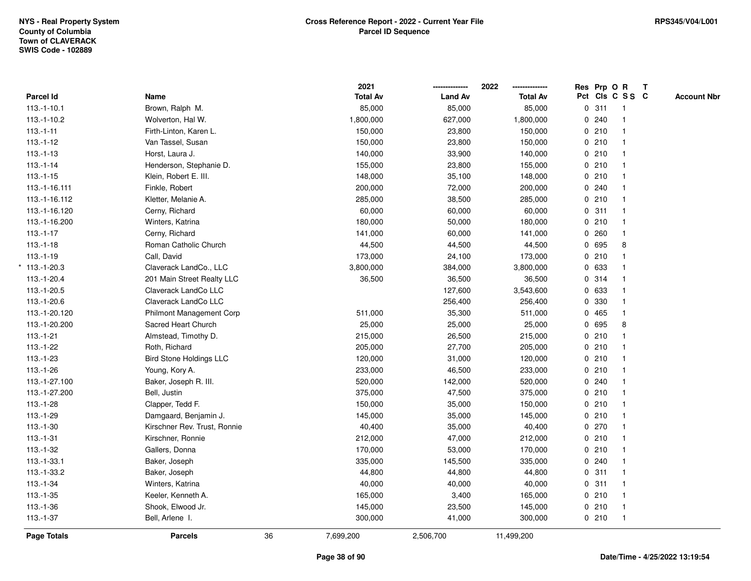|                 |                                |    | 2021            |                | 2022            | Res Prp O R |                 | $\mathbf{T}$ |                    |
|-----------------|--------------------------------|----|-----------------|----------------|-----------------|-------------|-----------------|--------------|--------------------|
| Parcel Id       | Name                           |    | <b>Total Av</b> | <b>Land Av</b> | <b>Total Av</b> |             | Pct Cls C S S C |              | <b>Account Nbr</b> |
| $113.-1-10.1$   | Brown, Ralph M.                |    | 85,000          | 85,000         | 85,000          | 0.311       | $\overline{1}$  |              |                    |
| 113.-1-10.2     | Wolverton, Hal W.              |    | 1,800,000       | 627,000        | 1,800,000       | 0.240       | $\mathbf{1}$    |              |                    |
| $113.-1-11$     | Firth-Linton, Karen L.         |    | 150,000         | 23,800         | 150,000         | 0210        | $\mathbf{1}$    |              |                    |
| $113.-1-12$     | Van Tassel, Susan              |    | 150,000         | 23,800         | 150,000         | 0210        | $\mathbf{1}$    |              |                    |
| $113.-1-13$     | Horst, Laura J.                |    | 140,000         | 33,900         | 140,000         | 0210        | 1               |              |                    |
| $113.-1-14$     | Henderson, Stephanie D.        |    | 155,000         | 23,800         | 155,000         | 0210        | $\mathbf{1}$    |              |                    |
| $113.-1-15$     | Klein, Robert E. III.          |    | 148,000         | 35,100         | 148,000         | 0210        | $\mathbf{1}$    |              |                    |
| 113.-1-16.111   | Finkle, Robert                 |    | 200,000         | 72,000         | 200,000         | 0.240       | $\mathbf{1}$    |              |                    |
| 113.-1-16.112   | Kletter, Melanie A.            |    | 285,000         | 38,500         | 285,000         | 0210        | $\mathbf{1}$    |              |                    |
| 113.-1-16.120   | Cerny, Richard                 |    | 60,000          | 60,000         | 60,000          | 0.311       | $\mathbf{1}$    |              |                    |
| 113.-1-16.200   | Winters, Katrina               |    | 180,000         | 50,000         | 180,000         | 0210        | 1               |              |                    |
| $113.-1-17$     | Cerny, Richard                 |    | 141,000         | 60,000         | 141,000         | 0.260       | 1               |              |                    |
| $113.-1-18$     | Roman Catholic Church          |    | 44,500          | 44,500         | 44,500          | 0 695       | 8               |              |                    |
| $113.-1-19$     | Call, David                    |    | 173,000         | 24,100         | 173,000         | 0210        | 1               |              |                    |
| $*$ 113.-1-20.3 | Claverack LandCo., LLC         |    | 3,800,000       | 384,000        | 3,800,000       | 0 633       | $\mathbf{1}$    |              |                    |
| 113.-1-20.4     | 201 Main Street Realty LLC     |    | 36,500          | 36,500         | 36,500          | 0.314       | $\mathbf{1}$    |              |                    |
| 113.-1-20.5     | Claverack LandCo LLC           |    |                 | 127,600        | 3,543,600       | 0 633       | $\mathbf{1}$    |              |                    |
| 113.-1-20.6     | Claverack LandCo LLC           |    |                 | 256,400        | 256,400         | 0 330       | 1               |              |                    |
| 113.-1-20.120   | Philmont Management Corp       |    | 511,000         | 35,300         | 511,000         | 0 465       |                 |              |                    |
| 113.-1-20.200   | Sacred Heart Church            |    | 25,000          | 25,000         | 25,000          | 0 695       | 8               |              |                    |
| $113.-1-21$     | Almstead, Timothy D.           |    | 215,000         | 26,500         | 215,000         | 0210        |                 |              |                    |
| $113.-1-22$     | Roth, Richard                  |    | 205,000         | 27,700         | 205,000         | 0210        | $\mathbf{1}$    |              |                    |
| $113.-1-23$     | <b>Bird Stone Holdings LLC</b> |    | 120,000         | 31,000         | 120,000         | 0210        | $\mathbf{1}$    |              |                    |
| $113.-1-26$     | Young, Kory A.                 |    | 233,000         | 46,500         | 233,000         | 0210        | $\mathbf{1}$    |              |                    |
| 113.-1-27.100   | Baker, Joseph R. III.          |    | 520,000         | 142,000        | 520,000         | 0.240       | $\mathbf{1}$    |              |                    |
| 113.-1-27.200   | Bell, Justin                   |    | 375,000         | 47,500         | 375,000         | 0210        | 1               |              |                    |
| 113.-1-28       | Clapper, Tedd F.               |    | 150,000         | 35,000         | 150,000         | 0210        | 1               |              |                    |
| 113.-1-29       | Damgaard, Benjamin J.          |    | 145,000         | 35,000         | 145,000         | 0210        | 1               |              |                    |
| $113.-1-30$     | Kirschner Rev. Trust, Ronnie   |    | 40,400          | 35,000         | 40,400          | 0.270       | $\mathbf{1}$    |              |                    |
| $113.-1-31$     | Kirschner, Ronnie              |    | 212,000         | 47,000         | 212,000         | 0210        | $\mathbf{1}$    |              |                    |
| 113.-1-32       | Gallers, Donna                 |    | 170,000         | 53,000         | 170,000         | 0210        | $\mathbf{1}$    |              |                    |
| 113.-1-33.1     | Baker, Joseph                  |    | 335,000         | 145,500        | 335,000         | 0.240       | $\mathbf{1}$    |              |                    |
| 113.-1-33.2     | Baker, Joseph                  |    | 44,800          | 44,800         | 44,800          | 0.311       | $\mathbf{1}$    |              |                    |
| $113.-1-34$     | Winters, Katrina               |    | 40,000          | 40,000         | 40,000          | 0.311       | $\mathbf{1}$    |              |                    |
| $113.-1-35$     | Keeler, Kenneth A.             |    | 165,000         | 3,400          | 165,000         | 0210        | $\mathbf{1}$    |              |                    |
| $113.-1-36$     | Shook, Elwood Jr.              |    | 145,000         | 23,500         | 145,000         | 0210        | $\mathbf{1}$    |              |                    |
| $113.-1-37$     | Bell, Arlene I.                |    | 300,000         | 41,000         | 300,000         | 0210        | $\mathbf{1}$    |              |                    |
| Page Totals     | <b>Parcels</b>                 | 36 | 7,699,200       | 2,506,700      | 11,499,200      |             |                 |              |                    |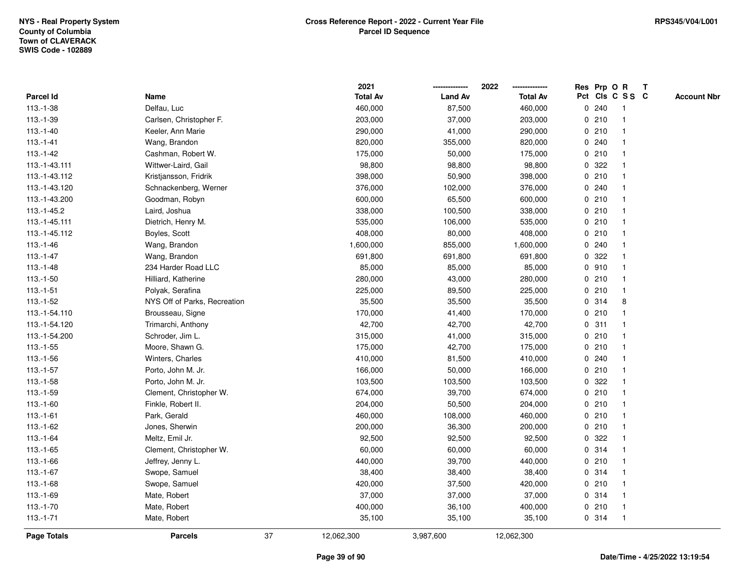|               |                              |    | 2021            |                | 2022            |   |       | Res Prp O R             | Т |                    |
|---------------|------------------------------|----|-----------------|----------------|-----------------|---|-------|-------------------------|---|--------------------|
| Parcel Id     | Name                         |    | <b>Total Av</b> | <b>Land Av</b> | <b>Total Av</b> |   |       | Pct Cls C S S C         |   | <b>Account Nbr</b> |
| $113.-1-38$   | Delfau, Luc                  |    | 460,000         | 87,500         | 460,000         | 0 | 240   | $\mathbf 1$             |   |                    |
| $113.-1-39$   | Carlsen, Christopher F.      |    | 203,000         | 37,000         | 203,000         | 0 | 210   |                         |   |                    |
| $113.-1-40$   | Keeler, Ann Marie            |    | 290,000         | 41,000         | 290,000         |   | 0210  |                         |   |                    |
| $113.-1-41$   | Wang, Brandon                |    | 820,000         | 355,000        | 820,000         |   | 0.240 |                         |   |                    |
| $113.-1-42$   | Cashman, Robert W.           |    | 175,000         | 50,000         | 175,000         |   | 0210  |                         |   |                    |
| 113.-1-43.111 | Wittwer-Laird, Gail          |    | 98,800          | 98,800         | 98,800          |   | 0 322 |                         |   |                    |
| 113.-1-43.112 | Kristjansson, Fridrik        |    | 398,000         | 50,900         | 398,000         |   | 0210  |                         |   |                    |
| 113.-1-43.120 | Schnackenberg, Werner        |    | 376,000         | 102,000        | 376,000         | 0 | 240   |                         |   |                    |
| 113.-1-43.200 | Goodman, Robyn               |    | 600,000         | 65,500         | 600,000         |   | 0210  | -1                      |   |                    |
| 113.-1-45.2   | Laird, Joshua                |    | 338,000         | 100,500        | 338,000         |   | 0210  |                         |   |                    |
| 113.-1-45.111 | Dietrich, Henry M.           |    | 535,000         | 106,000        | 535,000         |   | 0210  |                         |   |                    |
| 113.-1-45.112 | Boyles, Scott                |    | 408,000         | 80,000         | 408,000         |   | 0210  |                         |   |                    |
| $113.-1-46$   | Wang, Brandon                |    | 1,600,000       | 855,000        | 1,600,000       |   | 0.240 |                         |   |                    |
| 113.-1-47     | Wang, Brandon                |    | 691,800         | 691,800        | 691,800         | 0 | 322   |                         |   |                    |
| $113.-1-48$   | 234 Harder Road LLC          |    | 85,000          | 85,000         | 85,000          | 0 | 910   |                         |   |                    |
| $113.-1-50$   | Hilliard, Katherine          |    | 280,000         | 43,000         | 280,000         | 0 | 210   |                         |   |                    |
| $113.-1-51$   | Polyak, Serafina             |    | 225,000         | 89,500         | 225,000         |   | 0210  | $\mathbf{1}$            |   |                    |
| 113.-1-52     | NYS Off of Parks, Recreation |    | 35,500          | 35,500         | 35,500          |   | 0.314 | 8                       |   |                    |
| 113.-1-54.110 | Brousseau, Signe             |    | 170,000         | 41,400         | 170,000         |   | 0210  |                         |   |                    |
| 113.-1-54.120 | Trimarchi, Anthony           |    | 42,700          | 42,700         | 42,700          |   | 0.311 |                         |   |                    |
| 113.-1-54.200 | Schroder, Jim L.             |    | 315,000         | 41,000         | 315,000         |   | 0210  |                         |   |                    |
| $113.-1-55$   | Moore, Shawn G.              |    | 175,000         | 42,700         | 175,000         |   | 0210  |                         |   |                    |
| $113.-1-56$   | Winters, Charles             |    | 410,000         | 81,500         | 410,000         | 0 | 240   |                         |   |                    |
| $113.-1-57$   | Porto, John M. Jr.           |    | 166,000         | 50,000         | 166,000         |   | 0210  |                         |   |                    |
| $113.-1-58$   | Porto, John M. Jr.           |    | 103,500         | 103,500        | 103,500         |   | 0 322 |                         |   |                    |
| $113.-1-59$   | Clement, Christopher W.      |    | 674,000         | 39,700         | 674,000         |   | 0210  |                         |   |                    |
| $113.-1-60$   | Finkle, Robert II.           |    | 204,000         | 50,500         | 204,000         |   | 0210  |                         |   |                    |
| $113.-1-61$   | Park, Gerald                 |    | 460,000         | 108,000        | 460,000         |   | 0210  |                         |   |                    |
| 113.-1-62     | Jones, Sherwin               |    | 200,000         | 36,300         | 200,000         |   | 0210  |                         |   |                    |
| $113.-1-64$   | Meltz, Emil Jr.              |    | 92,500          | 92,500         | 92,500          | 0 | 322   |                         |   |                    |
| 113.-1-65     | Clement, Christopher W.      |    | 60,000          | 60,000         | 60,000          | 0 | 314   |                         |   |                    |
| 113.-1-66     | Jeffrey, Jenny L.            |    | 440,000         | 39,700         | 440,000         |   | 0210  |                         |   |                    |
| $113.-1-67$   | Swope, Samuel                |    | 38,400          | 38,400         | 38,400          |   | 0.314 |                         |   |                    |
| $113.-1-68$   | Swope, Samuel                |    | 420,000         | 37,500         | 420,000         |   | 0210  |                         |   |                    |
| 113.-1-69     | Mate, Robert                 |    | 37,000          | 37,000         | 37,000          |   | 0 314 |                         |   |                    |
| $113.-1-70$   | Mate, Robert                 |    | 400,000         | 36,100         | 400,000         |   | 0210  | -1                      |   |                    |
| $113.-1-71$   | Mate, Robert                 |    | 35,100          | 35,100         | 35,100          |   | 0.314 | $\overline{\mathbf{1}}$ |   |                    |
| Page Totals   | <b>Parcels</b>               | 37 | 12,062,300      | 3,987,600      | 12,062,300      |   |       |                         |   |                    |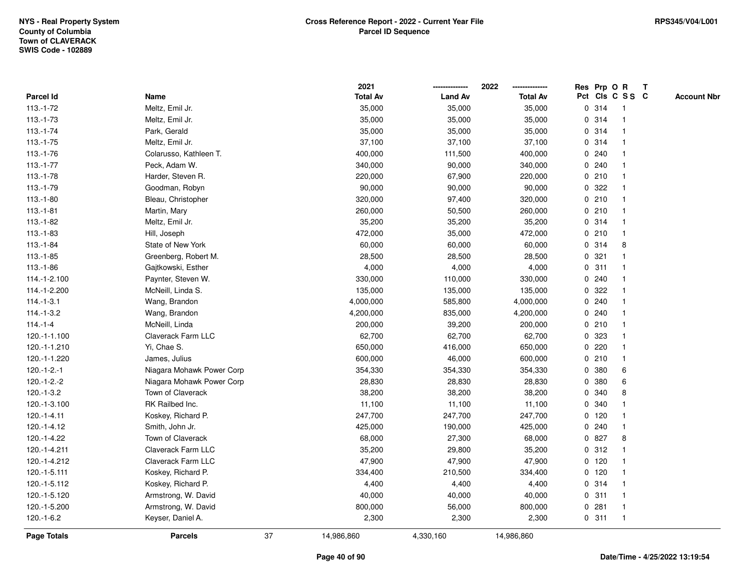|                    |                           |    | 2021            |                | 2022            | Res Prp O R |                 |                |   | T |                    |
|--------------------|---------------------------|----|-----------------|----------------|-----------------|-------------|-----------------|----------------|---|---|--------------------|
| Parcel Id          | Name                      |    | <b>Total Av</b> | <b>Land Av</b> | <b>Total Av</b> |             | Pct Cls C S S C |                |   |   | <b>Account Nbr</b> |
| $113.-1-72$        | Meltz, Emil Jr.           |    | 35,000          | 35,000         | 35,000          |             | 0 314           | -1             |   |   |                    |
| $113.-1-73$        | Meltz, Emil Jr.           |    | 35,000          | 35,000         | 35,000          | 0           | 314             | -1             |   |   |                    |
| $113.-1-74$        | Park, Gerald              |    | 35,000          | 35,000         | 35,000          |             | 0.314           | -1             |   |   |                    |
| $113.-1-75$        | Meltz, Emil Jr.           |    | 37,100          | 37,100         | 37,100          |             | 0.314           |                |   |   |                    |
| 113.-1-76          | Colarusso, Kathleen T.    |    | 400,000         | 111,500        | 400,000         |             | 0.240           |                |   |   |                    |
| $113.-1-77$        | Peck, Adam W.             |    | 340,000         | 90,000         | 340,000         |             | 0.240           |                |   |   |                    |
| $113.-1-78$        | Harder, Steven R.         |    | 220,000         | 67,900         | 220,000         |             | 0210            |                |   |   |                    |
| $113.-1-79$        | Goodman, Robyn            |    | 90,000          | 90,000         | 90,000          | 0           | 322             |                |   |   |                    |
| $113.-1-80$        | Bleau, Christopher        |    | 320,000         | 97,400         | 320,000         |             | 0210            | -1             |   |   |                    |
| $113.-1-81$        | Martin, Mary              |    | 260,000         | 50,500         | 260,000         |             | 0210            | -1             |   |   |                    |
| $113.-1-82$        | Meltz, Emil Jr.           |    | 35,200          | 35,200         | 35,200          |             | 0.314           |                |   |   |                    |
| $113.-1-83$        | Hill, Joseph              |    | 472,000         | 35,000         | 472,000         |             | 0210            |                |   |   |                    |
| $113.-1-84$        | State of New York         |    | 60,000          | 60,000         | 60,000          |             | 0 314           |                | 8 |   |                    |
| $113.-1-85$        | Greenberg, Robert M.      |    | 28,500          | 28,500         | 28,500          |             | 0.321           |                |   |   |                    |
| $113.-1-86$        | Gajtkowski, Esther        |    | 4,000           | 4,000          | 4,000           | $\mathbf 0$ | 311             |                |   |   |                    |
| 114.-1-2.100       | Paynter, Steven W.        |    | 330,000         | 110,000        | 330,000         |             | 0.240           | $\overline{1}$ |   |   |                    |
| 114.-1-2.200       | McNeill, Linda S.         |    | 135,000         | 135,000        | 135,000         | $\mathbf 0$ | 322             |                |   |   |                    |
| $114.-1-3.1$       | Wang, Brandon             |    | 4,000,000       | 585,800        | 4,000,000       |             | 0.240           |                |   |   |                    |
| $114.-1-3.2$       | Wang, Brandon             |    | 4,200,000       | 835,000        | 4,200,000       |             | 0.240           |                |   |   |                    |
| $114.-1-4$         | McNeill, Linda            |    | 200,000         | 39,200         | 200,000         |             | 0210            |                |   |   |                    |
| 120.-1-1.100       | Claverack Farm LLC        |    | 62,700          | 62,700         | 62,700          |             | 0 323           |                |   |   |                    |
| 120.-1-1.210       | Yi, Chae S.               |    | 650,000         | 416,000        | 650,000         | 0           | 220             |                |   |   |                    |
| 120.-1-1.220       | James, Julius             |    | 600,000         | 46,000         | 600,000         |             | 0210            | $\overline{1}$ |   |   |                    |
| $120.-1-2.-1$      | Niagara Mohawk Power Corp |    | 354,330         | 354,330        | 354,330         | $\mathbf 0$ | 380             |                | 6 |   |                    |
| $120.-1-2.-2$      | Niagara Mohawk Power Corp |    | 28,830          | 28,830         | 28,830          |             | 0 380           |                | 6 |   |                    |
| $120.-1-3.2$       | Town of Claverack         |    | 38,200          | 38,200         | 38,200          | 0           | 340             |                | 8 |   |                    |
| 120.-1-3.100       | RK Railbed Inc.           |    | 11,100          | 11,100         | 11,100          |             | 0 340           |                |   |   |                    |
| 120.-1-4.11        | Koskey, Richard P.        |    | 247,700         | 247,700        | 247,700         |             | $0$ 120         |                |   |   |                    |
| 120.-1-4.12        | Smith, John Jr.           |    | 425,000         | 190,000        | 425,000         |             | 0.240           |                |   |   |                    |
| 120.-1-4.22        | Town of Claverack         |    | 68,000          | 27,300         | 68,000          | 0           | 827             |                | 8 |   |                    |
| 120.-1-4.211       | Claverack Farm LLC        |    | 35,200          | 29,800         | 35,200          | 0           | 312             | -1             |   |   |                    |
| 120.-1-4.212       | Claverack Farm LLC        |    | 47,900          | 47,900         | 47,900          |             | $0$ 120         |                |   |   |                    |
| 120.-1-5.111       | Koskey, Richard P.        |    | 334,400         | 210,500        | 334,400         |             | $0$ 120         |                |   |   |                    |
| 120.-1-5.112       | Koskey, Richard P.        |    | 4,400           | 4,400          | 4,400           |             | 0 314           |                |   |   |                    |
| 120.-1-5.120       | Armstrong, W. David       |    | 40,000          | 40,000         | 40,000          |             | 0.311           | -1             |   |   |                    |
| 120.-1-5.200       | Armstrong, W. David       |    | 800,000         | 56,000         | 800,000         | 0           | 281             |                |   |   |                    |
| $120.-1-6.2$       | Keyser, Daniel A.         |    | 2,300           | 2,300          | 2,300           |             | 0.311           | $\overline{1}$ |   |   |                    |
| <b>Page Totals</b> | <b>Parcels</b>            | 37 | 14,986,860      | 4,330,160      | 14,986,860      |             |                 |                |   |   |                    |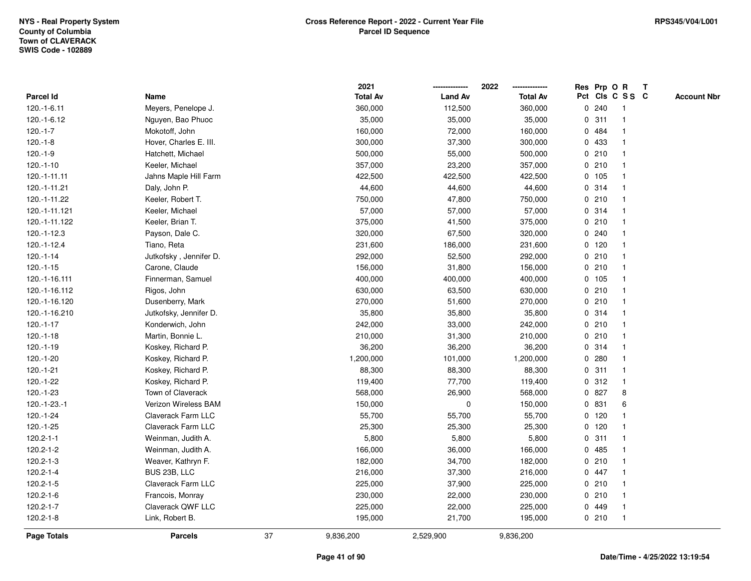|                    |                        |    | 2021            |                | 2022            |             |         | Res Prp O R     |              | T |                    |
|--------------------|------------------------|----|-----------------|----------------|-----------------|-------------|---------|-----------------|--------------|---|--------------------|
| Parcel Id          | Name                   |    | <b>Total Av</b> | <b>Land Av</b> | <b>Total Av</b> |             |         | Pct Cls C S S C |              |   | <b>Account Nbr</b> |
| 120.-1-6.11        | Meyers, Penelope J.    |    | 360,000         | 112,500        | 360,000         | 0           | 240     | -1              |              |   |                    |
| 120.-1-6.12        | Nguyen, Bao Phuoc      |    | 35,000          | 35,000         | 35,000          | 0           | 311     | -1              |              |   |                    |
| $120.-1-7$         | Mokotoff, John         |    | 160,000         | 72,000         | 160,000         |             | 0 484   | -1              |              |   |                    |
| $120.-1-8$         | Hover, Charles E. III. |    | 300,000         | 37,300         | 300,000         |             | 0 433   |                 |              |   |                    |
| $120.-1-9$         | Hatchett, Michael      |    | 500,000         | 55,000         | 500,000         |             | 0210    |                 |              |   |                    |
| $120.-1-10$        | Keeler, Michael        |    | 357,000         | 23,200         | 357,000         |             | 0210    |                 |              |   |                    |
| 120.-1-11.11       | Jahns Maple Hill Farm  |    | 422,500         | 422,500        | 422,500         |             | 0, 105  |                 |              |   |                    |
| 120.-1-11.21       | Daly, John P.          |    | 44,600          | 44,600         | 44,600          | 0           | 314     |                 |              |   |                    |
| 120.-1-11.22       | Keeler, Robert T.      |    | 750,000         | 47,800         | 750,000         | 0           | 210     | -1              |              |   |                    |
| 120.-1-11.121      | Keeler, Michael        |    | 57,000          | 57,000         | 57,000          |             | 0.314   | -1              |              |   |                    |
| 120.-1-11.122      | Keeler, Brian T.       |    | 375,000         | 41,500         | 375,000         |             | 0210    |                 |              |   |                    |
| 120.-1-12.3        | Payson, Dale C.        |    | 320,000         | 67,500         | 320,000         |             | 0.240   |                 |              |   |                    |
| 120.-1-12.4        | Tiano, Reta            |    | 231,600         | 186,000        | 231,600         |             | $0$ 120 |                 |              |   |                    |
| $120.-1-14$        | Jutkofsky, Jennifer D. |    | 292,000         | 52,500         | 292,000         |             | 0210    |                 |              |   |                    |
| $120.-1-15$        | Carone, Claude         |    | 156,000         | 31,800         | 156,000         | $\mathbf 0$ | 210     |                 |              |   |                    |
| 120.-1-16.111      | Finnerman, Samuel      |    | 400,000         | 400,000        | 400,000         |             | 0, 105  | $\overline{1}$  |              |   |                    |
| 120.-1-16.112      | Rigos, John            |    | 630,000         | 63,500         | 630,000         |             | 0210    | $\overline{1}$  |              |   |                    |
| 120.-1-16.120      | Dusenberry, Mark       |    | 270,000         | 51,600         | 270,000         |             | 0210    |                 |              |   |                    |
| 120.-1-16.210      | Jutkofsky, Jennifer D. |    | 35,800          | 35,800         | 35,800          |             | 0.314   |                 |              |   |                    |
| $120.-1-17$        | Konderwich, John       |    | 242,000         | 33,000         | 242,000         |             | 0210    |                 |              |   |                    |
| $120.-1-18$        | Martin, Bonnie L.      |    | 210,000         | 31,300         | 210,000         |             | 0210    |                 |              |   |                    |
| 120.-1-19          | Koskey, Richard P.     |    | 36,200          | 36,200         | 36,200          | 0           | 314     |                 |              |   |                    |
| 120.-1-20          | Koskey, Richard P.     |    | 1,200,000       | 101,000        | 1,200,000       | 0           | 280     | $\overline{1}$  |              |   |                    |
| $120.-1-21$        | Koskey, Richard P.     |    | 88,300          | 88,300         | 88,300          | $\mathbf 0$ | 311     | $\overline{1}$  |              |   |                    |
| 120.-1-22          | Koskey, Richard P.     |    | 119,400         | 77,700         | 119,400         |             | 0.312   |                 | $\mathbf{1}$ |   |                    |
| $120.-1-23$        | Town of Claverack      |    | 568,000         | 26,900         | 568,000         |             | 0 827   |                 | 8            |   |                    |
| 120.-1-23.-1       | Verizon Wireless BAM   |    | 150,000         | 0              | 150,000         |             | 0 831   |                 | 6            |   |                    |
| 120.-1-24          | Claverack Farm LLC     |    | 55,700          | 55,700         | 55,700          |             | $0$ 120 |                 |              |   |                    |
| 120.-1-25          | Claverack Farm LLC     |    | 25,300          | 25,300         | 25,300          |             | $0$ 120 |                 |              |   |                    |
| $120.2 - 1 - 1$    | Weinman, Judith A.     |    | 5,800           | 5,800          | 5,800           | 0           | 311     |                 |              |   |                    |
| 120.2-1-2          | Weinman, Judith A.     |    | 166,000         | 36,000         | 166,000         | 0           | 485     | -1              |              |   |                    |
| 120.2-1-3          | Weaver, Kathryn F.     |    | 182,000         | 34,700         | 182,000         |             | 0210    | -1              |              |   |                    |
| 120.2-1-4          | BUS 23B, LLC           |    | 216,000         | 37,300         | 216,000         |             | 0 447   |                 |              |   |                    |
| 120.2-1-5          | Claverack Farm LLC     |    | 225,000         | 37,900         | 225,000         |             | 0210    |                 |              |   |                    |
| $120.2 - 1 - 6$    | Francois, Monray       |    | 230,000         | 22,000         | 230,000         |             | 0210    |                 |              |   |                    |
| 120.2-1-7          | Claverack QWF LLC      |    | 225,000         | 22,000         | 225,000         | 0           | 449     |                 |              |   |                    |
| $120.2 - 1 - 8$    | Link, Robert B.        |    | 195,000         | 21,700         | 195,000         |             | 0210    | $\overline{1}$  |              |   |                    |
| <b>Page Totals</b> | <b>Parcels</b>         | 37 | 9,836,200       | 2,529,900      | 9,836,200       |             |         |                 |              |   |                    |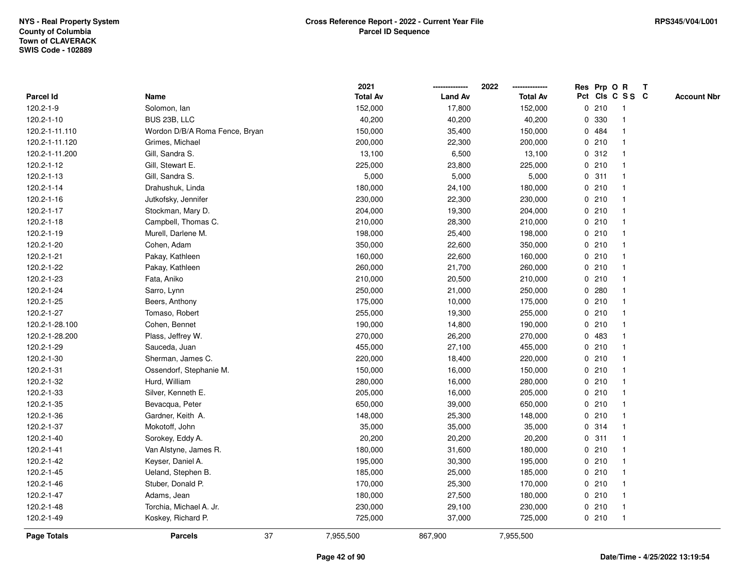|                    |                                | 2021            |                | 2022            | Res Prp O R |                 | T |                    |
|--------------------|--------------------------------|-----------------|----------------|-----------------|-------------|-----------------|---|--------------------|
| Parcel Id          | Name                           | <b>Total Av</b> | <b>Land Av</b> | <b>Total Av</b> |             | Pct Cls C S S C |   | <b>Account Nbr</b> |
| 120.2-1-9          | Solomon, lan                   | 152,000         | 17,800         | 152,000         | 0210        | $\mathbf{1}$    |   |                    |
| 120.2-1-10         | BUS 23B, LLC                   | 40,200          | 40,200         | 40,200          | 0 330       | $\mathbf{1}$    |   |                    |
| 120.2-1-11.110     | Wordon D/B/A Roma Fence, Bryan | 150,000         | 35,400         | 150,000         | 0 484       | 1               |   |                    |
| 120.2-1-11.120     | Grimes, Michael                | 200,000         | 22,300         | 200,000         | 0210        | $\mathbf{1}$    |   |                    |
| 120.2-1-11.200     | Gill, Sandra S.                | 13,100          | 6,500          | 13,100          | 0.312       | 1               |   |                    |
| 120.2-1-12         | Gill, Stewart E.               | 225,000         | 23,800         | 225,000         | 0210        | 1               |   |                    |
| 120.2-1-13         | Gill, Sandra S.                | 5,000           | 5,000          | 5,000           | 0.311       | $\mathbf{1}$    |   |                    |
| 120.2-1-14         | Drahushuk, Linda               | 180,000         | 24,100         | 180,000         | 0210        | $\mathbf{1}$    |   |                    |
| 120.2-1-16         | Jutkofsky, Jennifer            | 230,000         | 22,300         | 230,000         | 0210        | $\mathbf{1}$    |   |                    |
| 120.2-1-17         | Stockman, Mary D.              | 204,000         | 19,300         | 204,000         | 0210        | $\mathbf{1}$    |   |                    |
| 120.2-1-18         | Campbell, Thomas C.            | 210,000         | 28,300         | 210,000         | 0210        | 1               |   |                    |
| 120.2-1-19         | Murell, Darlene M.             | 198,000         | 25,400         | 198,000         | 0210        | 1               |   |                    |
| 120.2-1-20         | Cohen, Adam                    | 350,000         | 22,600         | 350,000         | 0210        | 1               |   |                    |
| 120.2-1-21         | Pakay, Kathleen                | 160,000         | 22,600         | 160,000         | 0210        | 1               |   |                    |
| 120.2-1-22         | Pakay, Kathleen                | 260,000         | 21,700         | 260,000         | 0210        | 1               |   |                    |
| 120.2-1-23         | Fata, Aniko                    | 210,000         | 20,500         | 210,000         | 0210        | 1               |   |                    |
| 120.2-1-24         | Sarro, Lynn                    | 250,000         | 21,000         | 250,000         | 0.280       | 1               |   |                    |
| 120.2-1-25         | Beers, Anthony                 | 175,000         | 10,000         | 175,000         | 0210        | 1               |   |                    |
| 120.2-1-27         | Tomaso, Robert                 | 255,000         | 19,300         | 255,000         | 0210        | 1               |   |                    |
| 120.2-1-28.100     | Cohen, Bennet                  | 190,000         | 14,800         | 190,000         | 0210        | 1               |   |                    |
| 120.2-1-28.200     | Plass, Jeffrey W.              | 270,000         | 26,200         | 270,000         | 0 483       | $\mathbf{1}$    |   |                    |
| 120.2-1-29         | Sauceda, Juan                  | 455,000         | 27,100         | 455,000         | 0210        | $\mathbf{1}$    |   |                    |
| 120.2-1-30         | Sherman, James C.              | 220,000         | 18,400         | 220,000         | 0210        | $\mathbf{1}$    |   |                    |
| 120.2-1-31         | Ossendorf, Stephanie M.        | 150,000         | 16,000         | 150,000         | 0210        | $\mathbf{1}$    |   |                    |
| 120.2-1-32         | Hurd, William                  | 280,000         | 16,000         | 280,000         | 0210        | $\mathbf{1}$    |   |                    |
| 120.2-1-33         | Silver, Kenneth E.             | 205,000         | 16,000         | 205,000         | 0210        | 1               |   |                    |
| 120.2-1-35         | Bevacqua, Peter                | 650,000         | 39,000         | 650,000         | 0210        | 1               |   |                    |
| 120.2-1-36         | Gardner, Keith A.              | 148,000         | 25,300         | 148,000         | 0210        | 1               |   |                    |
| 120.2-1-37         | Mokotoff, John                 | 35,000          | 35,000         | 35,000          | 0.314       | $\mathbf{1}$    |   |                    |
| 120.2-1-40         | Sorokey, Eddy A.               | 20,200          | 20,200         | 20,200          | 0.311       | 1               |   |                    |
| 120.2-1-41         | Van Alstyne, James R.          | 180,000         | 31,600         | 180,000         | 0210        | $\mathbf{1}$    |   |                    |
| 120.2-1-42         | Keyser, Daniel A.              | 195,000         | 30,300         | 195,000         | 0210        | 1               |   |                    |
| 120.2-1-45         | Ueland, Stephen B.             | 185,000         | 25,000         | 185,000         | 0210        | 1               |   |                    |
| 120.2-1-46         | Stuber, Donald P.              | 170,000         | 25,300         | 170,000         | 0210        | 1               |   |                    |
| 120.2-1-47         | Adams, Jean                    | 180,000         | 27,500         | 180,000         | 0210        | 1               |   |                    |
| 120.2-1-48         | Torchia, Michael A. Jr.        | 230,000         | 29,100         | 230,000         | 0210        | $\mathbf{1}$    |   |                    |
| 120.2-1-49         | Koskey, Richard P.             | 725,000         | 37,000         | 725,000         | 0210        | $\mathbf{1}$    |   |                    |
| <b>Page Totals</b> | <b>Parcels</b>                 | 37<br>7,955,500 | 867,900        | 7,955,500       |             |                 |   |                    |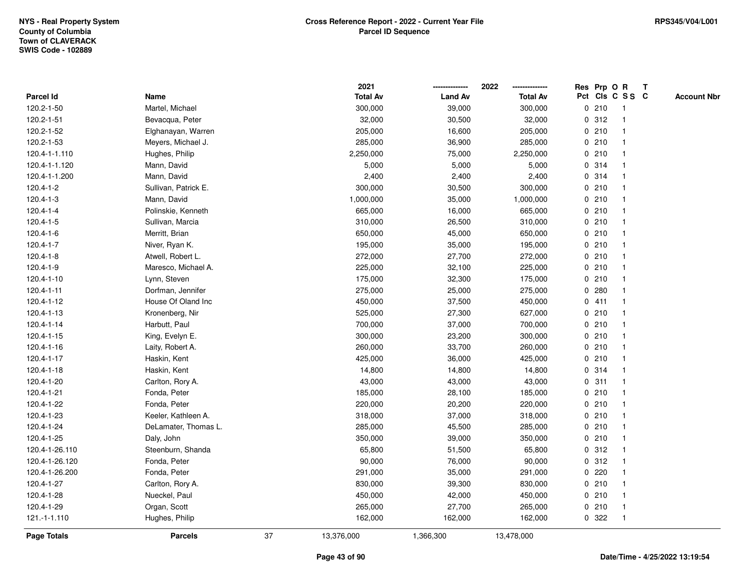|                 |                      |    | 2021            |                | 2022            |   |       | Res Prp O R     | Т |                    |
|-----------------|----------------------|----|-----------------|----------------|-----------------|---|-------|-----------------|---|--------------------|
| Parcel Id       | Name                 |    | <b>Total Av</b> | <b>Land Av</b> | <b>Total Av</b> |   |       | Pct Cls C S S C |   | <b>Account Nbr</b> |
| 120.2-1-50      | Martel, Michael      |    | 300,000         | 39,000         | 300,000         |   | 0210  | $\mathbf{1}$    |   |                    |
| 120.2-1-51      | Bevacqua, Peter      |    | 32,000          | 30,500         | 32,000          | 0 | 312   | $\overline{1}$  |   |                    |
| 120.2-1-52      | Elghanayan, Warren   |    | 205,000         | 16,600         | 205,000         |   | 0210  | $\mathbf{1}$    |   |                    |
| 120.2-1-53      | Meyers, Michael J.   |    | 285,000         | 36,900         | 285,000         |   | 0210  | $\mathbf 1$     |   |                    |
| 120.4-1-1.110   | Hughes, Philip       |    | 2,250,000       | 75,000         | 2,250,000       |   | 0210  |                 |   |                    |
| 120.4-1-1.120   | Mann, David          |    | 5,000           | 5,000          | 5,000           |   | 0.314 |                 |   |                    |
| 120.4-1-1.200   | Mann, David          |    | 2,400           | 2,400          | 2,400           |   | 0 314 | -1              |   |                    |
| 120.4-1-2       | Sullivan, Patrick E. |    | 300,000         | 30,500         | 300,000         |   | 0210  | $\overline{1}$  |   |                    |
| 120.4-1-3       | Mann, David          |    | 1,000,000       | 35,000         | 1,000,000       |   | 0210  | $\overline{1}$  |   |                    |
| 120.4-1-4       | Polinskie, Kenneth   |    | 665,000         | 16,000         | 665,000         |   | 0210  | $\overline{1}$  |   |                    |
| $120.4 - 1 - 5$ | Sullivan, Marcia     |    | 310,000         | 26,500         | 310,000         |   | 0210  |                 |   |                    |
| 120.4-1-6       | Merritt, Brian       |    | 650,000         | 45,000         | 650,000         |   | 0210  |                 |   |                    |
| 120.4-1-7       | Niver, Ryan K.       |    | 195,000         | 35,000         | 195,000         |   | 0210  |                 |   |                    |
| 120.4-1-8       | Atwell, Robert L.    |    | 272,000         | 27,700         | 272,000         |   | 0210  | $\mathbf{1}$    |   |                    |
| 120.4-1-9       | Maresco, Michael A.  |    | 225,000         | 32,100         | 225,000         | 0 | 210   | $\overline{1}$  |   |                    |
| 120.4-1-10      | Lynn, Steven         |    | 175,000         | 32,300         | 175,000         |   | 0210  | $\mathbf{1}$    |   |                    |
| 120.4-1-11      | Dorfman, Jennifer    |    | 275,000         | 25,000         | 275,000         |   | 0.280 | $\mathbf{1}$    |   |                    |
| 120.4-1-12      | House Of Oland Inc   |    | 450,000         | 37,500         | 450,000         |   | 0411  |                 |   |                    |
| 120.4-1-13      | Kronenberg, Nir      |    | 525,000         | 27,300         | 627,000         |   | 0210  |                 |   |                    |
| 120.4-1-14      | Harbutt, Paul        |    | 700,000         | 37,000         | 700,000         |   | 0210  |                 |   |                    |
| 120.4-1-15      | King, Evelyn E.      |    | 300,000         | 23,200         | 300,000         |   | 0210  | $\mathbf{1}$    |   |                    |
| 120.4-1-16      | Laity, Robert A.     |    | 260,000         | 33,700         | 260,000         | 0 | 210   | $\overline{1}$  |   |                    |
| 120.4-1-17      | Haskin, Kent         |    | 425,000         | 36,000         | 425,000         |   | 0210  | $\overline{1}$  |   |                    |
| 120.4-1-18      | Haskin, Kent         |    | 14,800          | 14,800         | 14,800          |   | 0.314 | $\mathbf{1}$    |   |                    |
| 120.4-1-20      | Carlton, Rory A.     |    | 43,000          | 43,000         | 43,000          |   | 0.311 |                 |   |                    |
| 120.4-1-21      | Fonda, Peter         |    | 185,000         | 28,100         | 185,000         |   | 0210  |                 |   |                    |
| 120.4-1-22      | Fonda, Peter         |    | 220,000         | 20,200         | 220,000         |   | 0210  |                 |   |                    |
| 120.4-1-23      | Keeler, Kathleen A.  |    | 318,000         | 37,000         | 318,000         |   | 0210  | $\mathbf{1}$    |   |                    |
| 120.4-1-24      | DeLamater, Thomas L. |    | 285,000         | 45,500         | 285,000         | 0 | 210   | -1              |   |                    |
| 120.4-1-25      | Daly, John           |    | 350,000         | 39,000         | 350,000         |   | 0210  | $\overline{1}$  |   |                    |
| 120.4-1-26.110  | Steenburn, Shanda    |    | 65,800          | 51,500         | 65,800          |   | 0.312 | $\mathbf{1}$    |   |                    |
| 120.4-1-26.120  | Fonda, Peter         |    | 90,000          | 76,000         | 90,000          |   | 0.312 | -1              |   |                    |
| 120.4-1-26.200  | Fonda, Peter         |    | 291,000         | 35,000         | 291,000         |   | 0220  |                 |   |                    |
| 120.4-1-27      | Carlton, Rory A.     |    | 830,000         | 39,300         | 830,000         |   | 0210  |                 |   |                    |
| 120.4-1-28      | Nueckel, Paul        |    | 450,000         | 42,000         | 450,000         |   | 0210  | $\mathbf{1}$    |   |                    |
| 120.4-1-29      | Organ, Scott         |    | 265,000         | 27,700         | 265,000         |   | 0210  | $\mathbf{1}$    |   |                    |
| 121.-1-1.110    | Hughes, Philip       |    | 162,000         | 162,000        | 162,000         |   | 0.322 | $\mathbf{1}$    |   |                    |
| Page Totals     | <b>Parcels</b>       | 37 | 13,376,000      | 1,366,300      | 13,478,000      |   |       |                 |   |                    |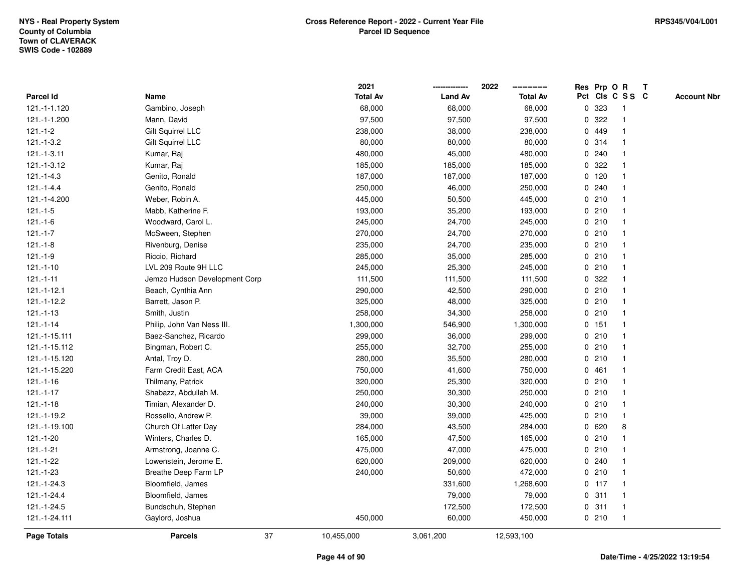|                 |                               | 2021            |                | 2022            |   |         | Res Prp O R     | Т |                    |
|-----------------|-------------------------------|-----------------|----------------|-----------------|---|---------|-----------------|---|--------------------|
| Parcel Id       | Name                          | <b>Total Av</b> | <b>Land Av</b> | <b>Total Av</b> |   |         | Pct Cls C S S C |   | <b>Account Nbr</b> |
| 121.-1-1.120    | Gambino, Joseph               | 68,000          | 68,000         | 68,000          | 0 | 323     | $\mathbf{1}$    |   |                    |
| 121.-1-1.200    | Mann, David                   | 97,500          | 97,500         | 97,500          | 0 | 322     | 1               |   |                    |
| $121.-1-2$      | Gilt Squirrel LLC             | 238,000         | 38,000         | 238,000         |   | 0 449   | $\mathbf{1}$    |   |                    |
| $121.-1-3.2$    | Gilt Squirrel LLC             | 80,000          | 80,000         | 80,000          |   | 0.314   | -1              |   |                    |
| $121.-1-3.11$   | Kumar, Raj                    | 480,000         | 45,000         | 480,000         |   | 0.240   |                 |   |                    |
| 121.-1-3.12     | Kumar, Raj                    | 185,000         | 185,000        | 185,000         |   | 0.322   |                 |   |                    |
| $121 - 1 - 4.3$ | Genito, Ronald                | 187,000         | 187,000        | 187,000         |   | $0$ 120 | $\mathbf 1$     |   |                    |
| $121.-1-4.4$    | Genito, Ronald                | 250,000         | 46,000         | 250,000         |   | 0.240   | $\mathbf{1}$    |   |                    |
| 121.-1-4.200    | Weber, Robin A.               | 445,000         | 50,500         | 445,000         |   | 0210    | 1               |   |                    |
| $121.-1-5$      | Mabb, Katherine F.            | 193,000         | 35,200         | 193,000         |   | 0210    | $\mathbf{1}$    |   |                    |
| $121 - 1 - 6$   | Woodward, Carol L.            | 245,000         | 24,700         | 245,000         |   | 0210    | $\mathbf 1$     |   |                    |
| $121 - 1 - 7$   | McSween, Stephen              | 270,000         | 24,700         | 270,000         |   | 0210    |                 |   |                    |
| $121 - 1 - 8$   | Rivenburg, Denise             | 235,000         | 24,700         | 235,000         |   | 0210    |                 |   |                    |
| $121 - 1 - 9$   | Riccio, Richard               | 285,000         | 35,000         | 285,000         |   | 0210    | $\mathbf 1$     |   |                    |
| $121.-1-10$     | LVL 209 Route 9H LLC          | 245,000         | 25,300         | 245,000         |   | 0210    | $\mathbf{1}$    |   |                    |
| $121 - 1 - 11$  | Jemzo Hudson Development Corp | 111,500         | 111,500        | 111,500         | 0 | 322     | $\mathbf{1}$    |   |                    |
| $121.-1-12.1$   | Beach, Cynthia Ann            | 290,000         | 42,500         | 290,000         |   | 0210    | $\mathbf{1}$    |   |                    |
| 121.-1-12.2     | Barrett, Jason P.             | 325,000         | 48,000         | 325,000         |   | 0210    | 1               |   |                    |
| $121.-1-13$     | Smith, Justin                 | 258,000         | 34,300         | 258,000         |   | 0210    | 1               |   |                    |
| $121 - 1 - 14$  | Philip, John Van Ness III.    | 1,300,000       | 546,900        | 1,300,000       |   | 0 151   |                 |   |                    |
| 121.-1-15.111   | Baez-Sanchez, Ricardo         | 299,000         | 36,000         | 299,000         |   | 0210    | $\mathbf{1}$    |   |                    |
| 121.-1-15.112   | Bingman, Robert C.            | 255,000         | 32,700         | 255,000         |   | 0210    | 1               |   |                    |
| 121.-1-15.120   | Antal, Troy D.                | 280,000         | 35,500         | 280,000         |   | 0210    | $\mathbf{1}$    |   |                    |
| 121.-1-15.220   | Farm Credit East, ACA         | 750,000         | 41,600         | 750,000         |   | 0461    | $\mathbf 1$     |   |                    |
| $121.-1-16$     | Thilmany, Patrick             | 320,000         | 25,300         | 320,000         |   | 0210    | $\mathbf 1$     |   |                    |
| $121 - 1 - 17$  | Shabazz, Abdullah M.          | 250,000         | 30,300         | 250,000         |   | 0210    |                 |   |                    |
| $121 - 1 - 18$  | Timian, Alexander D.          | 240,000         | 30,300         | 240,000         |   | 0210    |                 |   |                    |
| 121.-1-19.2     | Rossello, Andrew P.           | 39,000          | 39,000         | 425,000         |   | 0210    | $\mathbf{1}$    |   |                    |
| 121.-1-19.100   | Church Of Latter Day          | 284,000         | 43,500         | 284,000         |   | 0620    | 8               |   |                    |
| 121.-1-20       | Winters, Charles D.           | 165,000         | 47,500         | 165,000         |   | 0210    | $\mathbf 1$     |   |                    |
| 121.-1-21       | Armstrong, Joanne C.          | 475,000         | 47,000         | 475,000         |   | 0210    | $\mathbf 1$     |   |                    |
| 121.-1-22       | Lowenstein, Jerome E.         | 620,000         | 209,000        | 620,000         |   | 0.240   | $\mathbf 1$     |   |                    |
| 121.-1-23       | Breathe Deep Farm LP          | 240,000         | 50,600         | 472,000         |   | 0210    | 1               |   |                    |
| 121.-1-24.3     | Bloomfield, James             |                 | 331,600        | 1,268,600       |   | $0$ 117 |                 |   |                    |
| 121.-1-24.4     | Bloomfield, James             |                 | 79,000         | 79,000          |   | 0.311   | $\mathbf 1$     |   |                    |
| 121.-1-24.5     | Bundschuh, Stephen            |                 | 172,500        | 172,500         |   | 0.311   | $\mathbf{1}$    |   |                    |
| 121.-1-24.111   | Gaylord, Joshua               | 450,000         | 60,000         | 450,000         |   | 0210    | $\mathbf{1}$    |   |                    |
| Page Totals     | 37<br><b>Parcels</b>          | 10,455,000      | 3,061,200      | 12,593,100      |   |         |                 |   |                    |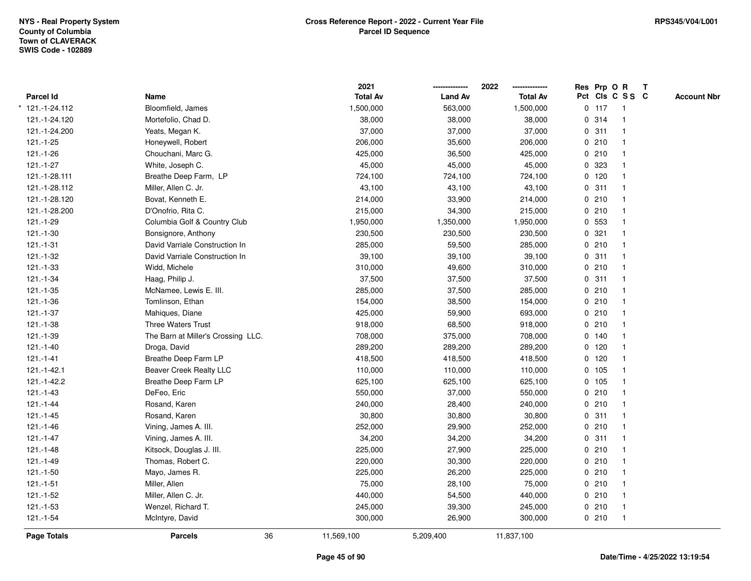|                  |                                    |    | 2021            |                | 2022            | Res Prp O R |                         | $\mathbf{T}$ |                    |
|------------------|------------------------------------|----|-----------------|----------------|-----------------|-------------|-------------------------|--------------|--------------------|
| <b>Parcel Id</b> | Name                               |    | <b>Total Av</b> | <b>Land Av</b> | <b>Total Av</b> |             | Pct Cls C S S C         |              | <b>Account Nbr</b> |
| 121.-1-24.112    | Bloomfield, James                  |    | 1,500,000       | 563,000        | 1,500,000       | $0$ 117     | $\overline{1}$          |              |                    |
| 121.-1-24.120    | Mortefolio, Chad D.                |    | 38,000          | 38,000         | 38,000          | 0.314       | $\overline{\mathbf{1}}$ |              |                    |
| 121.-1-24.200    | Yeats, Megan K.                    |    | 37,000          | 37,000         | 37,000          | 0.311       | $\mathbf{1}$            |              |                    |
| $121.-1-25$      | Honeywell, Robert                  |    | 206,000         | 35,600         | 206,000         | 0210        |                         |              |                    |
| $121.-1-26$      | Chouchani, Marc G.                 |    | 425,000         | 36,500         | 425,000         | 0210        |                         |              |                    |
| $121.-1-27$      | White, Joseph C.                   |    | 45,000          | 45,000         | 45,000          | 0 323       |                         |              |                    |
| 121.-1-28.111    | Breathe Deep Farm, LP              |    | 724,100         | 724,100        | 724,100         | 0 120       |                         |              |                    |
| 121.-1-28.112    | Miller, Allen C. Jr.               |    | 43,100          | 43,100         | 43,100          | 0.311       | $\mathbf{1}$            |              |                    |
| 121.-1-28.120    | Bovat, Kenneth E.                  |    | 214,000         | 33,900         | 214,000         | 0210        | $\overline{1}$          |              |                    |
| 121.-1-28.200    | D'Onofrio, Rita C.                 |    | 215,000         | 34,300         | 215,000         | 0210        | -1                      |              |                    |
| 121.-1-29        | Columbia Golf & Country Club       |    | 1,950,000       | 1,350,000      | 1,950,000       | 0 553       |                         |              |                    |
| $121.-1-30$      | Bonsignore, Anthony                |    | 230,500         | 230,500        | 230,500         | 0.321       |                         |              |                    |
| $121 - 1 - 31$   | David Varriale Construction In     |    | 285,000         | 59,500         | 285,000         | 0210        |                         |              |                    |
| $121.-1-32$      | David Varriale Construction In     |    | 39,100          | 39,100         | 39,100          | 0.311       |                         |              |                    |
| $121 - 1 - 33$   | Widd, Michele                      |    | 310,000         | 49,600         | 310,000         | 0210        |                         |              |                    |
| $121 - 1 - 34$   | Haag, Philip J.                    |    | 37,500          | 37,500         | 37,500          | 0.311       | $\overline{1}$          |              |                    |
| $121.-1-35$      | McNamee, Lewis E. III.             |    | 285,000         | 37,500         | 285,000         | 0210        |                         |              |                    |
| 121.-1-36        | Tomlinson, Ethan                   |    | 154,000         | 38,500         | 154,000         | 0210        |                         |              |                    |
| $121 - 1 - 37$   | Mahiques, Diane                    |    | 425,000         | 59,900         | 693,000         | 0210        |                         |              |                    |
| $121.-1-38$      | <b>Three Waters Trust</b>          |    | 918,000         | 68,500         | 918,000         | 0210        |                         |              |                    |
| 121.-1-39        | The Barn at Miller's Crossing LLC. |    | 708,000         | 375,000        | 708,000         | 0 140       |                         |              |                    |
| 121.-1-40        | Droga, David                       |    | 289,200         | 289,200        | 289,200         | 0 120       |                         |              |                    |
| $121 - 1 - 41$   | Breathe Deep Farm LP               |    | 418,500         | 418,500        | 418,500         | $0$ 120     | $\mathbf{1}$            |              |                    |
| 121.-1-42.1      | <b>Beaver Creek Realty LLC</b>     |    | 110,000         | 110,000        | 110,000         | 0 105       | $\mathbf{1}$            |              |                    |
| 121.-1-42.2      | Breathe Deep Farm LP               |    | 625,100         | 625,100        | 625,100         | 0 105       |                         |              |                    |
| $121.-1-43$      | DeFeo, Eric                        |    | 550,000         | 37,000         | 550,000         | 0210        |                         |              |                    |
| $121 - 1 - 44$   | Rosand, Karen                      |    | 240,000         | 28,400         | 240,000         | 0210        |                         |              |                    |
| $121.-1-45$      | Rosand, Karen                      |    | 30,800          | 30,800         | 30,800          | 0.311       |                         |              |                    |
| $121.-1-46$      | Vining, James A. III.              |    | 252,000         | 29,900         | 252,000         | 0210        | $\overline{1}$          |              |                    |
| $121.-1-47$      | Vining, James A. III.              |    | 34,200          | 34,200         | 34,200          | 0.311       | $\overline{1}$          |              |                    |
| $121 - 1 - 48$   | Kitsock, Douglas J. III.           |    | 225,000         | 27,900         | 225,000         | 0210        | $\overline{1}$          |              |                    |
| $121.-1-49$      | Thomas, Robert C.                  |    | 220,000         | 30,300         | 220,000         | 0210        |                         |              |                    |
| $121.-1-50$      | Mayo, James R.                     |    | 225,000         | 26,200         | 225,000         | 0210        |                         |              |                    |
| $121 - 1 - 51$   | Miller, Allen                      |    | 75,000          | 28,100         | 75,000          | 0210        |                         |              |                    |
| $121.-1-52$      | Miller, Allen C. Jr.               |    | 440,000         | 54,500         | 440,000         | 0210        |                         |              |                    |
| 121.-1-53        | Wenzel, Richard T.                 |    | 245,000         | 39,300         | 245,000         | 0210        | $\overline{1}$          |              |                    |
| $121.-1-54$      | McIntyre, David                    |    | 300,000         | 26,900         | 300,000         | 0210        | $\overline{1}$          |              |                    |
| Page Totals      | <b>Parcels</b>                     | 36 | 11,569,100      | 5,209,400      | 11,837,100      |             |                         |              |                    |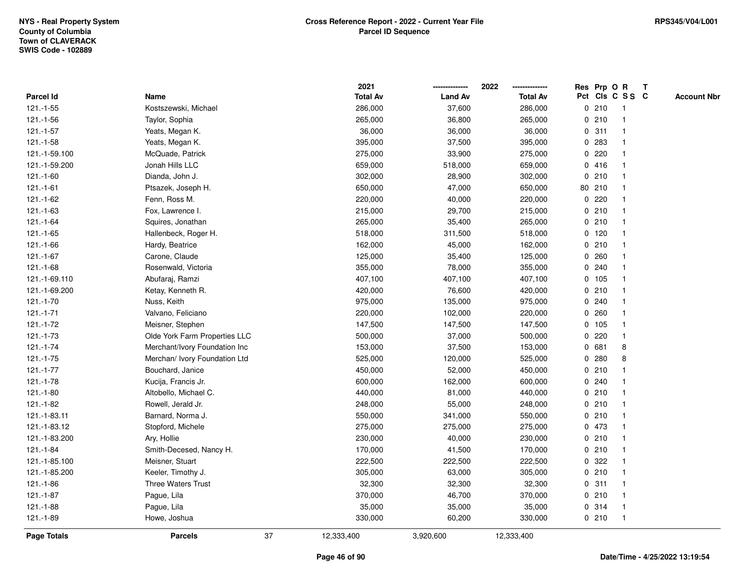|                    |                               |    | 2021            |                | 2022            |              | Res Prp O R |                 | T |                    |
|--------------------|-------------------------------|----|-----------------|----------------|-----------------|--------------|-------------|-----------------|---|--------------------|
| Parcel Id          | Name                          |    | <b>Total Av</b> | <b>Land Av</b> | <b>Total Av</b> |              |             | Pct Cls C S S C |   | <b>Account Nbr</b> |
| $121.-1-55$        | Kostszewski, Michael          |    | 286,000         | 37,600         | 286,000         |              | 0210        | -1              |   |                    |
| $121.-1-56$        | Taylor, Sophia                |    | 265,000         | 36,800         | 265,000         | 0            | 210         | $\overline{1}$  |   |                    |
| $121.-1-57$        | Yeats, Megan K.               |    | 36,000          | 36,000         | 36,000          |              | 0.311       | $\mathbf{1}$    |   |                    |
| $121.-1-58$        | Yeats, Megan K.               |    | 395,000         | 37,500         | 395,000         |              | 0 283       |                 |   |                    |
| 121.-1-59.100      | McQuade, Patrick              |    | 275,000         | 33,900         | 275,000         |              | 0.220       |                 |   |                    |
| 121.-1-59.200      | Jonah Hills LLC               |    | 659,000         | 518,000        | 659,000         |              | 0416        |                 |   |                    |
| $121.-1-60$        | Dianda, John J.               |    | 302,000         | 28,900         | 302,000         |              | 0210        |                 |   |                    |
| $121.-1-61$        | Ptsazek, Joseph H.            |    | 650,000         | 47,000         | 650,000         |              | 80 210      |                 |   |                    |
| 121.-1-62          | Fenn, Ross M.                 |    | 220,000         | 40,000         | 220,000         | 0            | 220         |                 |   |                    |
| 121.-1-63          | Fox, Lawrence I.              |    | 215,000         | 29,700         | 215,000         |              | 0210        | $\mathbf 1$     |   |                    |
| 121.-1-64          | Squires, Jonathan             |    | 265,000         | 35,400         | 265,000         |              | 0210        |                 |   |                    |
| $121.-1-65$        | Hallenbeck, Roger H.          |    | 518,000         | 311,500        | 518,000         |              | $0$ 120     |                 |   |                    |
| 121.-1-66          | Hardy, Beatrice               |    | 162,000         | 45,000         | 162,000         |              | 0210        |                 |   |                    |
| $121.-1-67$        | Carone, Claude                |    | 125,000         | 35,400         | 125,000         |              | 0.260       |                 |   |                    |
| $121.-1-68$        | Rosenwald, Victoria           |    | 355,000         | 78,000         | 355,000         | 0            | 240         |                 |   |                    |
| 121.-1-69.110      | Abufaraj, Ramzi               |    | 407,100         | 407,100        | 407,100         |              | 0, 105      | $\overline{1}$  |   |                    |
| 121.-1-69.200      | Ketay, Kenneth R.             |    | 420,000         | 76,600         | 420,000         |              | 0210        | $\mathbf{1}$    |   |                    |
| 121.-1-70          | Nuss, Keith                   |    | 975,000         | 135,000        | 975,000         |              | 0.240       |                 |   |                    |
| $121 - 1 - 71$     | Valvano, Feliciano            |    | 220,000         | 102,000        | 220,000         |              | 0.260       |                 |   |                    |
| 121.-1-72          | Meisner, Stephen              |    | 147,500         | 147,500        | 147,500         |              | 0 105       |                 |   |                    |
| $121.-1-73$        | Olde York Farm Properties LLC |    | 500,000         | 37,000         | 500,000         |              | 0220        |                 |   |                    |
| $121.-1-74$        | Merchant/Ivory Foundation Inc |    | 153,000         | 37,500         | 153,000         | 0            | 681         | 8               |   |                    |
| $121.-1-75$        | Merchan/ Ivory Foundation Ltd |    | 525,000         | 120,000        | 525,000         | 0            | 280         | 8               |   |                    |
| $121 - 1 - 77$     | Bouchard, Janice              |    | 450,000         | 52,000         | 450,000         | $\mathbf{0}$ | 210         |                 |   |                    |
| $121.-1-78$        | Kucija, Francis Jr.           |    | 600,000         | 162,000        | 600,000         |              | 0.240       |                 |   |                    |
| $121.-1-80$        | Altobello, Michael C.         |    | 440,000         | 81,000         | 440,000         |              | 0210        |                 |   |                    |
| 121.-1-82          | Rowell, Jerald Jr.            |    | 248,000         | 55,000         | 248,000         |              | 0210        |                 |   |                    |
| 121.-1-83.11       | Barnard, Norma J.             |    | 550,000         | 341,000        | 550,000         |              | 0210        |                 |   |                    |
| 121.-1-83.12       | Stopford, Michele             |    | 275,000         | 275,000        | 275,000         |              | 0 473       |                 |   |                    |
| 121.-1-83.200      | Ary, Hollie                   |    | 230,000         | 40,000         | 230,000         | 0            | 210         | 1               |   |                    |
| 121.-1-84          | Smith-Decesed, Nancy H.       |    | 170,000         | 41,500         | 170,000         |              | 0210        | $\mathbf{1}$    |   |                    |
| 121.-1-85.100      | Meisner, Stuart               |    | 222,500         | 222,500        | 222,500         |              | 0 322       |                 |   |                    |
| 121.-1-85.200      | Keeler, Timothy J.            |    | 305,000         | 63,000         | 305,000         |              | 0210        |                 |   |                    |
| $121.-1-86$        | <b>Three Waters Trust</b>     |    | 32,300          | 32,300         | 32,300          |              | 0.311       |                 |   |                    |
| 121.-1-87          | Pague, Lila                   |    | 370,000         | 46,700         | 370,000         |              | 0210        |                 |   |                    |
| 121.-1-88          | Pague, Lila                   |    | 35,000          | 35,000         | 35,000          |              | 0 314       | -1              |   |                    |
| 121.-1-89          | Howe, Joshua                  |    | 330,000         | 60,200         | 330,000         |              | 0210        | $\overline{1}$  |   |                    |
| <b>Page Totals</b> | <b>Parcels</b>                | 37 | 12,333,400      | 3,920,600      | 12,333,400      |              |             |                 |   |                    |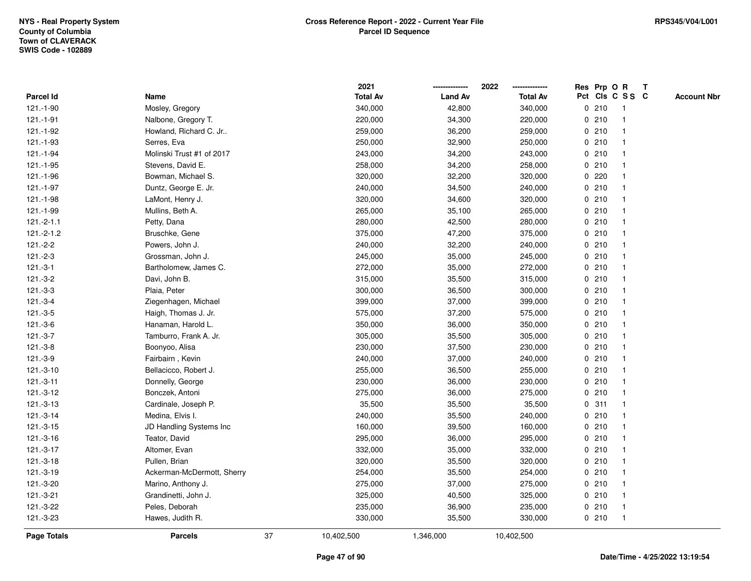|              |                            |    | 2021            |                | 2022            |             |       | Res Prp O R             | $\mathbf{T}$ |                    |
|--------------|----------------------------|----|-----------------|----------------|-----------------|-------------|-------|-------------------------|--------------|--------------------|
| Parcel Id    | Name                       |    | <b>Total Av</b> | <b>Land Av</b> | <b>Total Av</b> |             |       | Pct Cls C S S C         |              | <b>Account Nbr</b> |
| 121.-1-90    | Mosley, Gregory            |    | 340,000         | 42,800         | 340,000         |             | 0210  | -1                      |              |                    |
| 121.-1-91    | Nalbone, Gregory T.        |    | 220,000         | 34,300         | 220,000         |             | 0210  |                         |              |                    |
| 121.-1-92    | Howland, Richard C. Jr     |    | 259,000         | 36,200         | 259,000         |             | 0210  | -1                      |              |                    |
| 121.-1-93    | Serres, Eva                |    | 250,000         | 32,900         | 250,000         | $\mathbf 0$ | 210   | $\mathbf{1}$            |              |                    |
| 121.-1-94    | Molinski Trust #1 of 2017  |    | 243,000         | 34,200         | 243,000         |             | 0210  | -1                      |              |                    |
| 121.-1-95    | Stevens, David E.          |    | 258,000         | 34,200         | 258,000         |             | 0210  | -1                      |              |                    |
| 121.-1-96    | Bowman, Michael S.         |    | 320,000         | 32,200         | 320,000         |             | 0.220 |                         |              |                    |
| 121.-1-97    | Duntz, George E. Jr.       |    | 240,000         | 34,500         | 240,000         |             | 0210  |                         |              |                    |
| 121.-1-98    | LaMont, Henry J.           |    | 320,000         | 34,600         | 320,000         |             | 0210  |                         |              |                    |
| 121.-1-99    | Mullins, Beth A.           |    | 265,000         | 35,100         | 265,000         |             | 0210  |                         |              |                    |
| $121.-2-1.1$ | Petty, Dana                |    | 280,000         | 42,500         | 280,000         |             | 0210  | -1                      |              |                    |
| $121.-2-1.2$ | Bruschke, Gene             |    | 375,000         | 47,200         | 375,000         |             | 0210  | $\mathbf{1}$            |              |                    |
| $121.-2-2$   | Powers, John J.            |    | 240,000         | 32,200         | 240,000         |             | 0210  | -1                      |              |                    |
| $121.-2-3$   | Grossman, John J.          |    | 245,000         | 35,000         | 245,000         |             | 0210  |                         |              |                    |
| $121.-3-1$   | Bartholomew, James C.      |    | 272,000         | 35,000         | 272,000         |             | 0210  |                         |              |                    |
| $121.-3-2$   | Davi, John B.              |    | 315,000         | 35,500         | 315,000         |             | 0210  | -1                      |              |                    |
| $121.-3-3$   | Plaia, Peter               |    | 300,000         | 36,500         | 300,000         | $\mathbf 0$ | 210   | $\overline{\mathbf{1}}$ |              |                    |
| $121.-3-4$   | Ziegenhagen, Michael       |    | 399,000         | 37,000         | 399,000         |             | 0210  | -1                      |              |                    |
| $121.-3-5$   | Haigh, Thomas J. Jr.       |    | 575,000         | 37,200         | 575,000         |             | 0210  | $\mathbf 1$             |              |                    |
| $121.-3-6$   | Hanaman, Harold L.         |    | 350,000         | 36,000         | 350,000         |             | 0210  |                         |              |                    |
| $121.-3-7$   | Tamburro, Frank A. Jr.     |    | 305,000         | 35,500         | 305,000         |             | 0210  |                         |              |                    |
| $121.-3-8$   | Boonyoo, Alisa             |    | 230,000         | 37,500         | 230,000         |             | 0210  |                         |              |                    |
| $121.-3-9$   | Fairbairn, Kevin           |    | 240,000         | 37,000         | 240,000         |             | 0210  |                         |              |                    |
| 121.-3-10    | Bellacicco, Robert J.      |    | 255,000         | 36,500         | 255,000         |             | 0210  | $\mathbf{1}$            |              |                    |
| $121.-3-11$  | Donnelly, George           |    | 230,000         | 36,000         | 230,000         |             | 0210  | -1                      |              |                    |
| 121.-3-12    | Bonczek, Antoni            |    | 275,000         | 36,000         | 275,000         |             | 0210  | $\mathbf 1$             |              |                    |
| $121.-3-13$  | Cardinale, Joseph P.       |    | 35,500          | 35,500         | 35,500          |             | 0.311 |                         |              |                    |
| 121.-3-14    | Medina, Elvis I.           |    | 240,000         | 35,500         | 240,000         |             | 0210  |                         |              |                    |
| 121.-3-15    | JD Handling Systems Inc    |    | 160,000         | 39,500         | 160,000         |             | 0210  |                         |              |                    |
| 121.-3-16    | Teator, David              |    | 295,000         | 36,000         | 295,000         |             | 0210  | -1                      |              |                    |
| 121.-3-17    | Altomer, Evan              |    | 332,000         | 35,000         | 332,000         |             | 0210  | -1                      |              |                    |
| $121.-3-18$  | Pullen, Brian              |    | 320,000         | 35,500         | 320,000         |             | 0210  | $\mathbf 1$             |              |                    |
| 121.-3-19    | Ackerman-McDermott, Sherry |    | 254,000         | 35,500         | 254,000         |             | 0210  |                         |              |                    |
| 121.-3-20    | Marino, Anthony J.         |    | 275,000         | 37,000         | 275,000         |             | 0210  |                         |              |                    |
| 121.-3-21    | Grandinetti, John J.       |    | 325,000         | 40,500         | 325,000         |             | 0210  |                         |              |                    |
| 121.-3-22    | Peles, Deborah             |    | 235,000         | 36,900         | 235,000         |             | 0210  | $\mathbf{1}$            |              |                    |
| 121.-3-23    | Hawes, Judith R.           |    | 330,000         | 35,500         | 330,000         |             | 0210  | $\mathbf{1}$            |              |                    |
| Page Totals  | <b>Parcels</b>             | 37 | 10,402,500      | 1,346,000      | 10,402,500      |             |       |                         |              |                    |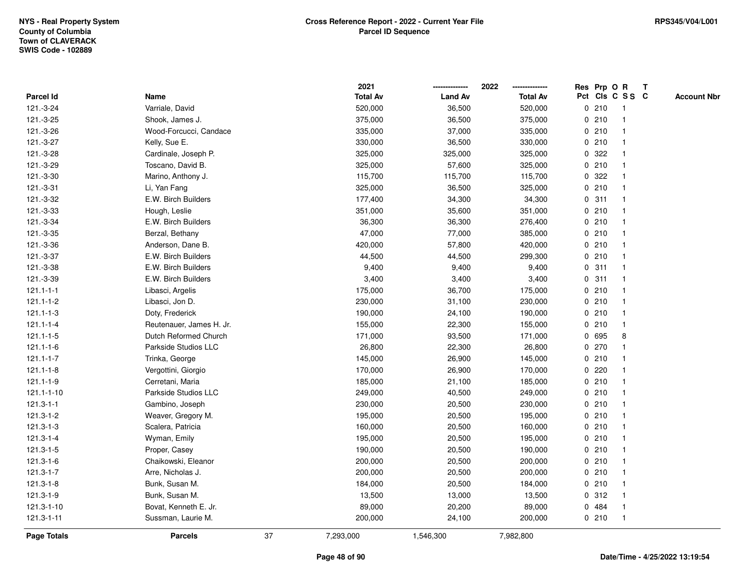|                    |                          |    | 2021            |                | 2022            |             | Res Prp O R |                 | T |                    |
|--------------------|--------------------------|----|-----------------|----------------|-----------------|-------------|-------------|-----------------|---|--------------------|
| Parcel Id          | Name                     |    | <b>Total Av</b> | <b>Land Av</b> | <b>Total Av</b> |             |             | Pct Cls C S S C |   | <b>Account Nbr</b> |
| 121.-3-24          | Varriale, David          |    | 520,000         | 36,500         | 520,000         | 0           | 210         | $\mathbf{1}$    |   |                    |
| 121.-3-25          | Shook, James J.          |    | 375,000         | 36,500         | 375,000         | 0           | 210         |                 |   |                    |
| 121.-3-26          | Wood-Forcucci, Candace   |    | 335,000         | 37,000         | 335,000         |             | 0210        | $\mathbf 1$     |   |                    |
| 121.-3-27          | Kelly, Sue E.            |    | 330,000         | 36,500         | 330,000         |             | 0210        |                 |   |                    |
| 121.-3-28          | Cardinale, Joseph P.     |    | 325,000         | 325,000        | 325,000         |             | 0 322       |                 |   |                    |
| 121.-3-29          | Toscano, David B.        |    | 325,000         | 57,600         | 325,000         |             | 0210        |                 |   |                    |
| 121.-3-30          | Marino, Anthony J.       |    | 115,700         | 115,700        | 115,700         |             | 0.322       |                 |   |                    |
| 121.-3-31          | Li, Yan Fang             |    | 325,000         | 36,500         | 325,000         | 0           | 210         |                 |   |                    |
| 121.-3-32          | E.W. Birch Builders      |    | 177,400         | 34,300         | 34,300          |             | 0.311       | $\mathbf{1}$    |   |                    |
| 121.-3-33          | Hough, Leslie            |    | 351,000         | 35,600         | 351,000         |             | 0210        |                 |   |                    |
| 121.-3-34          | E.W. Birch Builders      |    | 36,300          | 36,300         | 276,400         |             | 0210        |                 |   |                    |
| 121.-3-35          | Berzal, Bethany          |    | 47,000          | 77,000         | 385,000         |             | 0210        |                 |   |                    |
| 121.-3-36          | Anderson, Dane B.        |    | 420,000         | 57,800         | 420,000         |             | 0210        |                 |   |                    |
| 121.-3-37          | E.W. Birch Builders      |    | 44,500          | 44,500         | 299,300         |             | 0210        |                 |   |                    |
| 121.-3-38          | E.W. Birch Builders      |    | 9,400           | 9,400          | 9,400           | 0           | 311         |                 |   |                    |
| 121.-3-39          | E.W. Birch Builders      |    | 3,400           | 3,400          | 3,400           | 0           | 311         | $\mathbf 1$     |   |                    |
| $121.1 - 1 - 1$    | Libasci, Argelis         |    | 175,000         | 36,700         | 175,000         |             | 0210        |                 |   |                    |
| $121.1 - 1 - 2$    | Libasci, Jon D.          |    | 230,000         | 31,100         | 230,000         |             | 0210        |                 |   |                    |
| $121.1 - 1 - 3$    | Doty, Frederick          |    | 190,000         | 24,100         | 190,000         |             | 0210        |                 |   |                    |
| $121.1 - 1 - 4$    | Reutenauer, James H. Jr. |    | 155,000         | 22,300         | 155,000         |             | 0210        |                 |   |                    |
| $121.1 - 1 - 5$    | Dutch Reformed Church    |    | 171,000         | 93,500         | 171,000         |             | 0 695       | 8               |   |                    |
| $121.1 - 1 - 6$    | Parkside Studios LLC     |    | 26,800          | 22,300         | 26,800          |             | 0 270       |                 |   |                    |
| $121.1 - 1 - 7$    | Trinka, George           |    | 145,000         | 26,900         | 145,000         |             | 0210        |                 |   |                    |
| $121.1 - 1 - 8$    | Vergottini, Giorgio      |    | 170,000         | 26,900         | 170,000         | $\mathbf 0$ | 220         |                 |   |                    |
| $121.1 - 1 - 9$    | Cerretani, Maria         |    | 185,000         | 21,100         | 185,000         |             | 0210        |                 |   |                    |
| 121.1-1-10         | Parkside Studios LLC     |    | 249,000         | 40,500         | 249,000         |             | 0210        |                 |   |                    |
| $121.3 - 1 - 1$    | Gambino, Joseph          |    | 230,000         | 20,500         | 230,000         |             | 0210        |                 |   |                    |
| 121.3-1-2          | Weaver, Gregory M.       |    | 195,000         | 20,500         | 195,000         |             | 0210        |                 |   |                    |
| 121.3-1-3          | Scalera, Patricia        |    | 160,000         | 20,500         | 160,000         |             | 0210        |                 |   |                    |
| $121.3 - 1 - 4$    | Wyman, Emily             |    | 195,000         | 20,500         | 195,000         |             | 0210        |                 |   |                    |
| 121.3-1-5          | Proper, Casey            |    | 190,000         | 20,500         | 190,000         |             | 0210        |                 |   |                    |
| 121.3-1-6          | Chaikowski, Eleanor      |    | 200,000         | 20,500         | 200,000         |             | 0210        |                 |   |                    |
| 121.3-1-7          | Arre, Nicholas J.        |    | 200,000         | 20,500         | 200,000         |             | 0210        |                 |   |                    |
| 121.3-1-8          | Bunk, Susan M.           |    | 184,000         | 20,500         | 184,000         |             | 0210        |                 |   |                    |
| 121.3-1-9          | Bunk, Susan M.           |    | 13,500          | 13,000         | 13,500          |             | 0.312       |                 |   |                    |
| 121.3-1-10         | Bovat, Kenneth E. Jr.    |    | 89,000          | 20,200         | 89,000          |             | 0 484       |                 |   |                    |
| $121.3 - 1 - 11$   | Sussman, Laurie M.       |    | 200,000         | 24,100         | 200,000         |             | 0210        | $\mathbf{1}$    |   |                    |
| <b>Page Totals</b> | <b>Parcels</b>           | 37 | 7,293,000       | 1,546,300      | 7,982,800       |             |             |                 |   |                    |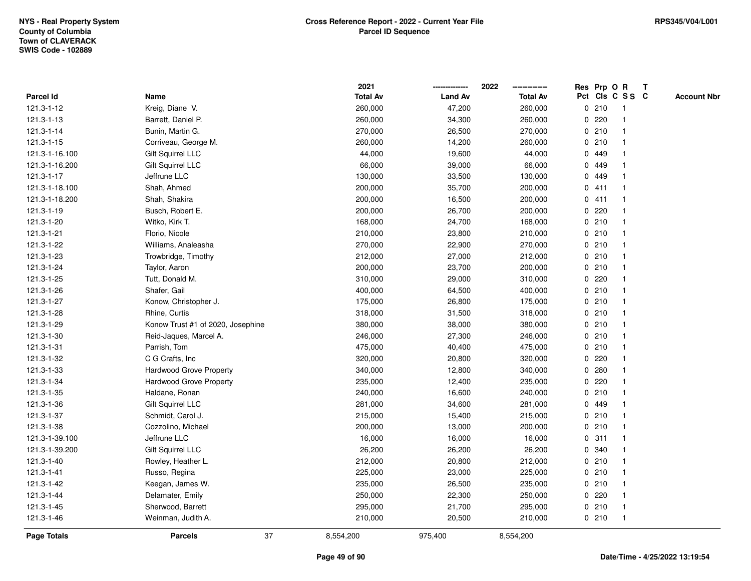|                    |                                   |    | 2021            |                | 2022            | Res Prp O R  |       |                 | $\mathbf{T}$ |                    |
|--------------------|-----------------------------------|----|-----------------|----------------|-----------------|--------------|-------|-----------------|--------------|--------------------|
| Parcel Id          | Name                              |    | <b>Total Av</b> | <b>Land Av</b> | <b>Total Av</b> |              |       | Pct Cls C S S C |              | <b>Account Nbr</b> |
| 121.3-1-12         | Kreig, Diane V.                   |    | 260,000         | 47,200         | 260,000         |              | 0210  | 1               |              |                    |
| 121.3-1-13         | Barrett, Daniel P.                |    | 260,000         | 34,300         | 260,000         | 0            | 220   |                 |              |                    |
| 121.3-1-14         | Bunin, Martin G.                  |    | 270,000         | 26,500         | 270,000         |              | 0210  |                 |              |                    |
| 121.3-1-15         | Corriveau, George M.              |    | 260,000         | 14,200         | 260,000         | $\mathbf 0$  | 210   | $\mathbf{1}$    |              |                    |
| 121.3-1-16.100     | Gilt Squirrel LLC                 |    | 44,000          | 19,600         | 44,000          | $\mathbf 0$  | 449   | $\mathbf{1}$    |              |                    |
| 121.3-1-16.200     | Gilt Squirrel LLC                 |    | 66,000          | 39,000         | 66,000          |              | 0 449 |                 |              |                    |
| 121.3-1-17         | Jeffrune LLC                      |    | 130,000         | 33,500         | 130,000         |              | 0 449 |                 |              |                    |
| 121.3-1-18.100     | Shah, Ahmed                       |    | 200,000         | 35,700         | 200,000         |              | 0411  |                 |              |                    |
| 121.3-1-18.200     | Shah, Shakira                     |    | 200,000         | 16,500         | 200,000         |              | 0411  |                 |              |                    |
| 121.3-1-19         | Busch, Robert E.                  |    | 200,000         | 26,700         | 200,000         |              | 0.220 |                 |              |                    |
| 121.3-1-20         | Witko, Kirk T.                    |    | 168,000         | 24,700         | 168,000         |              | 0210  | -1              |              |                    |
| 121.3-1-21         | Florio, Nicole                    |    | 210,000         | 23,800         | 210,000         |              | 0210  | $\overline{1}$  |              |                    |
| 121.3-1-22         | Williams, Analeasha               |    | 270,000         | 22,900         | 270,000         |              | 0210  |                 |              |                    |
| 121.3-1-23         | Trowbridge, Timothy               |    | 212,000         | 27,000         | 212,000         |              | 0210  |                 |              |                    |
| 121.3-1-24         | Taylor, Aaron                     |    | 200,000         | 23,700         | 200,000         |              | 0210  |                 |              |                    |
| 121.3-1-25         | Tutt, Donald M.                   |    | 310,000         | 29,000         | 310,000         |              | 0.220 |                 |              |                    |
| 121.3-1-26         | Shafer, Gail                      |    | 400,000         | 64,500         | 400,000         | 0            | 210   | $\mathbf{1}$    |              |                    |
| 121.3-1-27         | Konow, Christopher J.             |    | 175,000         | 26,800         | 175,000         |              | 0210  | $\mathbf 1$     |              |                    |
| 121.3-1-28         | Rhine, Curtis                     |    | 318,000         | 31,500         | 318,000         |              | 0210  | $\mathbf{1}$    |              |                    |
| 121.3-1-29         | Konow Trust #1 of 2020, Josephine |    | 380,000         | 38,000         | 380,000         |              | 0210  |                 |              |                    |
| 121.3-1-30         | Reid-Jaques, Marcel A.            |    | 246,000         | 27,300         | 246,000         |              | 0210  |                 |              |                    |
| 121.3-1-31         | Parrish, Tom                      |    | 475,000         | 40,400         | 475,000         |              | 0210  |                 |              |                    |
| 121.3-1-32         | C G Crafts, Inc.                  |    | 320,000         | 20,800         | 320,000         |              | 0.220 |                 |              |                    |
| 121.3-1-33         | Hardwood Grove Property           |    | 340,000         | 12,800         | 340,000         | $\mathbf{0}$ | 280   |                 |              |                    |
| 121.3-1-34         | <b>Hardwood Grove Property</b>    |    | 235,000         | 12,400         | 235,000         | $\mathbf{0}$ | 220   | 1               |              |                    |
| 121.3-1-35         | Haldane, Ronan                    |    | 240,000         | 16,600         | 240,000         |              | 0210  | 1               |              |                    |
| 121.3-1-36         | Gilt Squirrel LLC                 |    | 281,000         | 34,600         | 281,000         |              | 0 449 |                 |              |                    |
| 121.3-1-37         | Schmidt, Carol J.                 |    | 215,000         | 15,400         | 215,000         |              | 0210  |                 |              |                    |
| 121.3-1-38         | Cozzolino, Michael                |    | 200,000         | 13,000         | 200,000         |              | 0210  |                 |              |                    |
| 121.3-1-39.100     | Jeffrune LLC                      |    | 16,000          | 16,000         | 16,000          | $\mathbf 0$  | 311   |                 |              |                    |
| 121.3-1-39.200     | Gilt Squirrel LLC                 |    | 26,200          | 26,200         | 26,200          |              | 0 340 | $\mathbf{1}$    |              |                    |
| 121.3-1-40         | Rowley, Heather L.                |    | 212,000         | 20,800         | 212,000         |              | 0210  | $\mathbf 1$     |              |                    |
| 121.3-1-41         | Russo, Regina                     |    | 225,000         | 23,000         | 225,000         |              | 0210  |                 |              |                    |
| 121.3-1-42         | Keegan, James W.                  |    | 235,000         | 26,500         | 235,000         |              | 0210  |                 |              |                    |
| 121.3-1-44         | Delamater, Emily                  |    | 250,000         | 22,300         | 250,000         |              | 0.220 |                 |              |                    |
| 121.3-1-45         | Sherwood, Barrett                 |    | 295,000         | 21,700         | 295,000         |              | 0210  | $\overline{1}$  |              |                    |
| 121.3-1-46         | Weinman, Judith A.                |    | 210,000         | 20,500         | 210,000         |              | 0210  | $\overline{1}$  |              |                    |
| <b>Page Totals</b> | <b>Parcels</b>                    | 37 | 8,554,200       | 975,400        | 8,554,200       |              |       |                 |              |                    |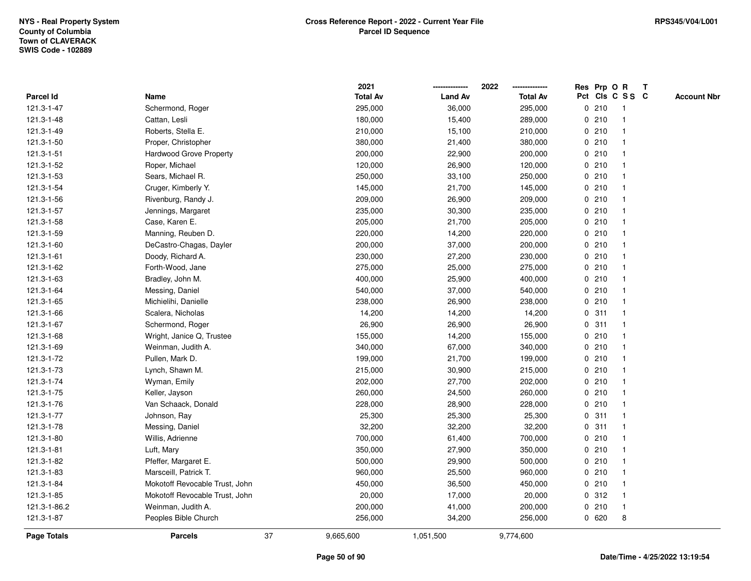|                    |                                | 2021            |                | 2022            |   |       | Res Prp O R     | T |                    |
|--------------------|--------------------------------|-----------------|----------------|-----------------|---|-------|-----------------|---|--------------------|
| Parcel Id          | Name                           | <b>Total Av</b> | <b>Land Av</b> | <b>Total Av</b> |   |       | Pct Cls C S S C |   | <b>Account Nbr</b> |
| 121.3-1-47         | Schermond, Roger               | 295,000         | 36,000         | 295,000         | 0 | 210   | $\mathbf{1}$    |   |                    |
| 121.3-1-48         | Cattan, Lesli                  | 180,000         | 15,400         | 289,000         | 0 | 210   | -1              |   |                    |
| 121.3-1-49         | Roberts, Stella E.             | 210,000         | 15,100         | 210,000         |   | 0210  | $\mathbf 1$     |   |                    |
| 121.3-1-50         | Proper, Christopher            | 380,000         | 21,400         | 380,000         |   | 0210  |                 |   |                    |
| 121.3-1-51         | Hardwood Grove Property        | 200,000         | 22,900         | 200,000         |   | 0210  |                 |   |                    |
| 121.3-1-52         | Roper, Michael                 | 120,000         | 26,900         | 120,000         |   | 0210  |                 |   |                    |
| 121.3-1-53         | Sears, Michael R.              | 250,000         | 33,100         | 250,000         |   | 0210  |                 |   |                    |
| 121.3-1-54         | Cruger, Kimberly Y.            | 145,000         | 21,700         | 145,000         | 0 | 210   |                 |   |                    |
| 121.3-1-56         | Rivenburg, Randy J.            | 209,000         | 26,900         | 209,000         | 0 | 210   | -1              |   |                    |
| 121.3-1-57         | Jennings, Margaret             | 235,000         | 30,300         | 235,000         |   | 0210  | -1              |   |                    |
| 121.3-1-58         | Case, Karen E.                 | 205,000         | 21,700         | 205,000         |   | 0210  |                 |   |                    |
| 121.3-1-59         | Manning, Reuben D.             | 220,000         | 14,200         | 220,000         |   | 0210  |                 |   |                    |
| 121.3-1-60         | DeCastro-Chagas, Dayler        | 200,000         | 37,000         | 200,000         |   | 0210  |                 |   |                    |
| 121.3-1-61         | Doody, Richard A.              | 230,000         | 27,200         | 230,000         |   | 0210  |                 |   |                    |
| 121.3-1-62         | Forth-Wood, Jane               | 275,000         | 25,000         | 275,000         | 0 | 210   |                 |   |                    |
| 121.3-1-63         | Bradley, John M.               | 400,000         | 25,900         | 400,000         | 0 | 210   | $\mathbf{1}$    |   |                    |
| 121.3-1-64         | Messing, Daniel                | 540,000         | 37,000         | 540,000         |   | 0210  | $\mathbf{1}$    |   |                    |
| 121.3-1-65         | Michielihi, Danielle           | 238,000         | 26,900         | 238,000         |   | 0210  |                 |   |                    |
| 121.3-1-66         | Scalera, Nicholas              | 14,200          | 14,200         | 14,200          |   | 0.311 |                 |   |                    |
| 121.3-1-67         | Schermond, Roger               | 26,900          | 26,900         | 26,900          |   | 0.311 |                 |   |                    |
| 121.3-1-68         | Wright, Janice Q, Trustee      | 155,000         | 14,200         | 155,000         |   | 0210  |                 |   |                    |
| 121.3-1-69         | Weinman, Judith A.             | 340,000         | 67,000         | 340,000         |   | 0210  |                 |   |                    |
| 121.3-1-72         | Pullen, Mark D.                | 199,000         | 21,700         | 199,000         |   | 0210  | $\mathbf 1$     |   |                    |
| 121.3-1-73         | Lynch, Shawn M.                | 215,000         | 30,900         | 215,000         |   | 0210  |                 |   |                    |
| 121.3-1-74         | Wyman, Emily                   | 202,000         | 27,700         | 202,000         |   | 0210  |                 |   |                    |
| 121.3-1-75         | Keller, Jayson                 | 260,000         | 24,500         | 260,000         |   | 0210  |                 |   |                    |
| 121.3-1-76         | Van Schaack, Donald            | 228,000         | 28,900         | 228,000         |   | 0210  |                 |   |                    |
| 121.3-1-77         | Johnson, Ray                   | 25,300          | 25,300         | 25,300          |   | 0.311 |                 |   |                    |
| 121.3-1-78         | Messing, Daniel                | 32,200          | 32,200         | 32,200          |   | 0.311 |                 |   |                    |
| 121.3-1-80         | Willis, Adrienne               | 700,000         | 61,400         | 700,000         | 0 | 210   |                 |   |                    |
| 121.3-1-81         | Luft, Mary                     | 350,000         | 27,900         | 350,000         |   | 0210  |                 |   |                    |
| 121.3-1-82         | Pfeffer, Margaret E.           | 500,000         | 29,900         | 500,000         |   | 0210  | $\mathbf 1$     |   |                    |
| 121.3-1-83         | Marsceill, Patrick T.          | 960,000         | 25,500         | 960,000         |   | 0210  |                 |   |                    |
| 121.3-1-84         | Mokotoff Revocable Trust, John | 450,000         | 36,500         | 450,000         |   | 0210  |                 |   |                    |
| 121.3-1-85         | Mokotoff Revocable Trust, John | 20,000          | 17,000         | 20,000          |   | 0.312 | $\overline{1}$  |   |                    |
| 121.3-1-86.2       | Weinman, Judith A.             | 200,000         | 41,000         | 200,000         |   | 0210  | $\mathbf{1}$    |   |                    |
| 121.3-1-87         | Peoples Bible Church           | 256,000         | 34,200         | 256,000         |   | 0620  | 8               |   |                    |
| <b>Page Totals</b> | 37<br><b>Parcels</b>           | 9,665,600       | 1,051,500      | 9,774,600       |   |       |                 |   |                    |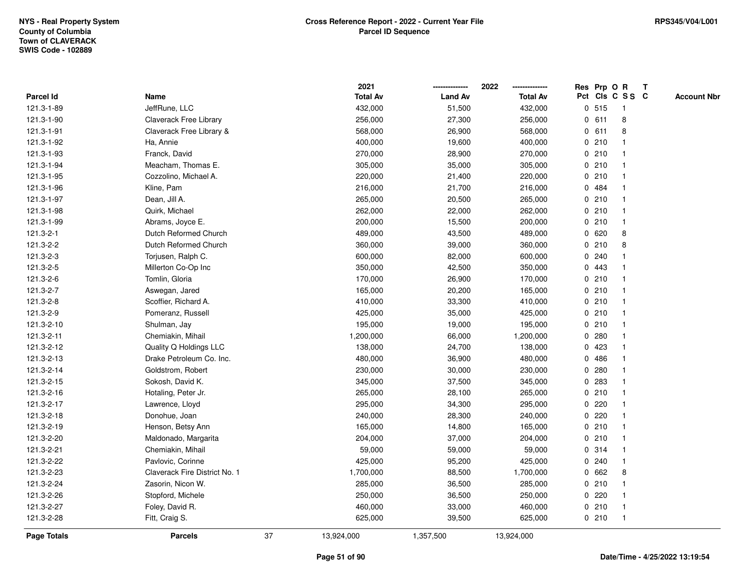|                    |                               |    | 2021            |                | 2022            |             |         | Res Prp O R             | Т |                    |
|--------------------|-------------------------------|----|-----------------|----------------|-----------------|-------------|---------|-------------------------|---|--------------------|
| Parcel Id          | Name                          |    | <b>Total Av</b> | <b>Land Av</b> | <b>Total Av</b> |             |         | Pct Cls C S S C         |   | <b>Account Nbr</b> |
| 121.3-1-89         | JeffRune, LLC                 |    | 432,000         | 51,500         | 432,000         |             | 0.515   | $\mathbf{1}$            |   |                    |
| 121.3-1-90         | Claverack Free Library        |    | 256,000         | 27,300         | 256,000         | 0           | 611     | 8                       |   |                    |
| 121.3-1-91         | Claverack Free Library &      |    | 568,000         | 26,900         | 568,000         |             | 0 611   | 8                       |   |                    |
| 121.3-1-92         | Ha, Annie                     |    | 400,000         | 19,600         | 400,000         |             | 0210    |                         |   |                    |
| 121.3-1-93         | Franck, David                 |    | 270,000         | 28,900         | 270,000         |             | 0210    |                         |   |                    |
| 121.3-1-94         | Meacham, Thomas E.            |    | 305,000         | 35,000         | 305,000         |             | 0210    |                         |   |                    |
| 121.3-1-95         | Cozzolino, Michael A.         |    | 220,000         | 21,400         | 220,000         |             | 0210    | $\overline{\mathbf{1}}$ |   |                    |
| 121.3-1-96         | Kline, Pam                    |    | 216,000         | 21,700         | 216,000         |             | 0 484   |                         |   |                    |
| 121.3-1-97         | Dean, Jill A.                 |    | 265,000         | 20,500         | 265,000         |             | 0210    | $\mathbf{1}$            |   |                    |
| 121.3-1-98         | Quirk, Michael                |    | 262,000         | 22,000         | 262,000         |             | 0210    | $\mathbf{1}$            |   |                    |
| 121.3-1-99         | Abrams, Joyce E.              |    | 200,000         | 15,500         | 200,000         |             | 0210    | -1                      |   |                    |
| 121.3-2-1          | Dutch Reformed Church         |    | 489,000         | 43,500         | 489,000         |             | 0620    | 8                       |   |                    |
| 121.3-2-2          | Dutch Reformed Church         |    | 360,000         | 39,000         | 360,000         |             | 0210    | 8                       |   |                    |
| 121.3-2-3          | Torjusen, Ralph C.            |    | 600,000         | 82,000         | 600,000         |             | 0.240   |                         |   |                    |
| 121.3-2-5          | Millerton Co-Op Inc           |    | 350,000         | 42,500         | 350,000         | $\mathbf 0$ | 443     |                         |   |                    |
| 121.3-2-6          | Tomlin, Gloria                |    | 170,000         | 26,900         | 170,000         |             | 0210    | -1                      |   |                    |
| 121.3-2-7          | Aswegan, Jared                |    | 165,000         | 20,200         | 165,000         |             | 0210    | $\mathbf{1}$            |   |                    |
| 121.3-2-8          | Scoffier, Richard A.          |    | 410,000         | 33,300         | 410,000         |             | 0210    |                         |   |                    |
| 121.3-2-9          | Pomeranz, Russell             |    | 425,000         | 35,000         | 425,000         |             | 0210    |                         |   |                    |
| 121.3-2-10         | Shulman, Jay                  |    | 195,000         | 19,000         | 195,000         |             | 0210    |                         |   |                    |
| 121.3-2-11         | Chemiakin, Mihail             |    | 1,200,000       | 66,000         | 1,200,000       |             | 0.280   |                         |   |                    |
| 121.3-2-12         | Quality Q Holdings LLC        |    | 138,000         | 24,700         | 138,000         | $\mathbf 0$ | 423     |                         |   |                    |
| 121.3-2-13         | Drake Petroleum Co. Inc.      |    | 480,000         | 36,900         | 480,000         |             | 0486    | $\mathbf{1}$            |   |                    |
| 121.3-2-14         | Goldstrom, Robert             |    | 230,000         | 30,000         | 230,000         |             | 0.280   | $\mathbf 1$             |   |                    |
| 121.3-2-15         | Sokosh, David K.              |    | 345,000         | 37,500         | 345,000         |             | 0.283   | -1                      |   |                    |
| 121.3-2-16         | Hotaling, Peter Jr.           |    | 265,000         | 28,100         | 265,000         |             | 0210    |                         |   |                    |
| 121.3-2-17         | Lawrence, Lloyd               |    | 295,000         | 34,300         | 295,000         |             | $0$ 220 |                         |   |                    |
| 121.3-2-18         | Donohue, Joan                 |    | 240,000         | 28,300         | 240,000         |             | $0$ 220 |                         |   |                    |
| 121.3-2-19         | Henson, Betsy Ann             |    | 165,000         | 14,800         | 165,000         |             | 0210    |                         |   |                    |
| 121.3-2-20         | Maldonado, Margarita          |    | 204,000         | 37,000         | 204,000         |             | 0210    | $\mathbf{1}$            |   |                    |
| 121.3-2-21         | Chemiakin, Mihail             |    | 59,000          | 59,000         | 59,000          |             | 0.314   | $\mathbf{1}$            |   |                    |
| 121.3-2-22         | Pavlovic, Corinne             |    | 425,000         | 95,200         | 425,000         |             | 0.240   | $\mathbf 1$             |   |                    |
| 121.3-2-23         | Claverack Fire District No. 1 |    | 1,700,000       | 88,500         | 1,700,000       |             | 0 662   | 8                       |   |                    |
| 121.3-2-24         | Zasorin, Nicon W.             |    | 285,000         | 36,500         | 285,000         |             | 0210    |                         |   |                    |
| 121.3-2-26         | Stopford, Michele             |    | 250,000         | 36,500         | 250,000         |             | $0$ 220 | $\overline{\mathbf{1}}$ |   |                    |
| 121.3-2-27         | Foley, David R.               |    | 460,000         | 33,000         | 460,000         |             | 0210    | $\mathbf{1}$            |   |                    |
| 121.3-2-28         | Fitt, Craig S.                |    | 625,000         | 39,500         | 625,000         |             | 0210    | $\mathbf{1}$            |   |                    |
| <b>Page Totals</b> | <b>Parcels</b>                | 37 | 13,924,000      | 1,357,500      | 13,924,000      |             |         |                         |   |                    |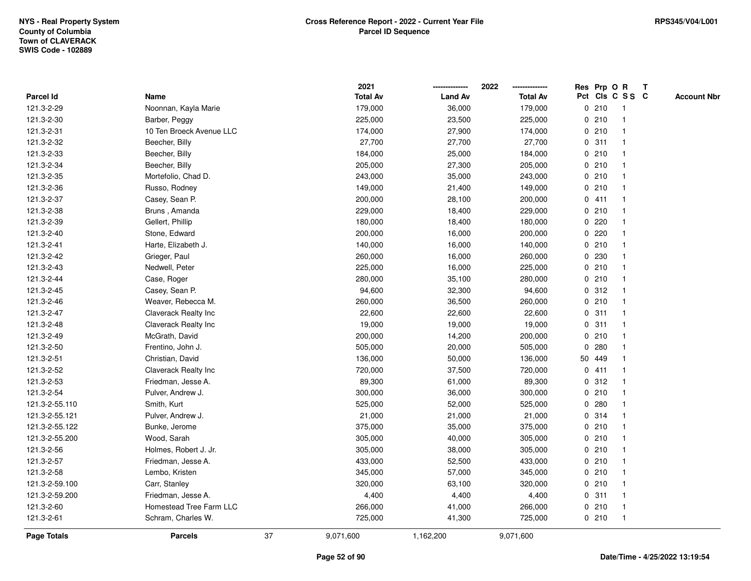|                |                          |    | 2021            |                | 2022            |   |        | Res Prp O R     | $\mathbf{T}$ |                    |
|----------------|--------------------------|----|-----------------|----------------|-----------------|---|--------|-----------------|--------------|--------------------|
| Parcel Id      | Name                     |    | <b>Total Av</b> | <b>Land Av</b> | <b>Total Av</b> |   |        | Pct Cls C S S C |              | <b>Account Nbr</b> |
| 121.3-2-29     | Noonnan, Kayla Marie     |    | 179,000         | 36,000         | 179,000         |   | 0210   | $\mathbf{1}$    |              |                    |
| 121.3-2-30     | Barber, Peggy            |    | 225,000         | 23,500         | 225,000         |   | 0210   |                 |              |                    |
| 121.3-2-31     | 10 Ten Broeck Avenue LLC |    | 174,000         | 27,900         | 174,000         |   | 0210   |                 |              |                    |
| 121.3-2-32     | Beecher, Billy           |    | 27,700          | 27,700         | 27,700          |   | 0.311  |                 |              |                    |
| 121.3-2-33     | Beecher, Billy           |    | 184,000         | 25,000         | 184,000         |   | 0210   |                 |              |                    |
| 121.3-2-34     | Beecher, Billy           |    | 205,000         | 27,300         | 205,000         |   | 0210   |                 |              |                    |
| 121.3-2-35     | Mortefolio, Chad D.      |    | 243,000         | 35,000         | 243,000         |   | 0210   |                 |              |                    |
| 121.3-2-36     | Russo, Rodney            |    | 149,000         | 21,400         | 149,000         | 0 | 210    | $\mathbf{1}$    |              |                    |
| 121.3-2-37     | Casey, Sean P.           |    | 200,000         | 28,100         | 200,000         |   | 0411   |                 |              |                    |
| 121.3-2-38     | Bruns, Amanda            |    | 229,000         | 18,400         | 229,000         |   | 0210   | $\mathbf{1}$    |              |                    |
| 121.3-2-39     | Gellert, Phillip         |    | 180,000         | 18,400         | 180,000         |   | 0.220  |                 |              |                    |
| 121.3-2-40     | Stone, Edward            |    | 200,000         | 16,000         | 200,000         |   | 0.220  |                 |              |                    |
| 121.3-2-41     | Harte, Elizabeth J.      |    | 140,000         | 16,000         | 140,000         |   | 0210   |                 |              |                    |
| 121.3-2-42     | Grieger, Paul            |    | 260,000         | 16,000         | 260,000         |   | 0 230  |                 |              |                    |
| 121.3-2-43     | Nedwell, Peter           |    | 225,000         | 16,000         | 225,000         | 0 | 210    |                 |              |                    |
| 121.3-2-44     | Case, Roger              |    | 280,000         | 35,100         | 280,000         | 0 | 210    | $\mathbf{1}$    |              |                    |
| 121.3-2-45     | Casey, Sean P.           |    | 94,600          | 32,300         | 94,600          |   | 0.312  |                 |              |                    |
| 121.3-2-46     | Weaver, Rebecca M.       |    | 260,000         | 36,500         | 260,000         |   | 0210   |                 |              |                    |
| 121.3-2-47     | Claverack Realty Inc     |    | 22,600          | 22,600         | 22,600          |   | 0.311  |                 |              |                    |
| 121.3-2-48     | Claverack Realty Inc     |    | 19,000          | 19,000         | 19,000          |   | 0.311  |                 |              |                    |
| 121.3-2-49     | McGrath, David           |    | 200,000         | 14,200         | 200,000         |   | 0210   |                 |              |                    |
| 121.3-2-50     | Frentino, John J.        |    | 505,000         | 20,000         | 505,000         | 0 | 280    |                 |              |                    |
| 121.3-2-51     | Christian, David         |    | 136,000         | 50,000         | 136,000         |   | 50 449 |                 |              |                    |
| 121.3-2-52     | Claverack Realty Inc     |    | 720,000         | 37,500         | 720,000         |   | 0411   |                 |              |                    |
| 121.3-2-53     | Friedman, Jesse A.       |    | 89,300          | 61,000         | 89,300          |   | 0.312  |                 |              |                    |
| 121.3-2-54     | Pulver, Andrew J.        |    | 300,000         | 36,000         | 300,000         |   | 0210   |                 |              |                    |
| 121.3-2-55.110 | Smith, Kurt              |    | 525,000         | 52,000         | 525,000         |   | 0.280  |                 |              |                    |
| 121.3-2-55.121 | Pulver, Andrew J.        |    | 21,000          | 21,000         | 21,000          |   | 0.314  |                 |              |                    |
| 121.3-2-55.122 | Bunke, Jerome            |    | 375,000         | 35,000         | 375,000         |   | 0210   |                 |              |                    |
| 121.3-2-55.200 | Wood, Sarah              |    | 305,000         | 40,000         | 305,000         |   | 0210   |                 |              |                    |
| 121.3-2-56     | Holmes, Robert J. Jr.    |    | 305,000         | 38,000         | 305,000         |   | 0210   |                 |              |                    |
| 121.3-2-57     | Friedman, Jesse A.       |    | 433,000         | 52,500         | 433,000         |   | 0210   |                 |              |                    |
| 121.3-2-58     | Lembo, Kristen           |    | 345,000         | 57,000         | 345,000         |   | 0210   |                 |              |                    |
| 121.3-2-59.100 | Carr, Stanley            |    | 320,000         | 63,100         | 320,000         |   | 0210   |                 |              |                    |
| 121.3-2-59.200 | Friedman, Jesse A.       |    | 4,400           | 4,400          | 4,400           |   | 0.311  | $\mathbf{1}$    |              |                    |
| 121.3-2-60     | Homestead Tree Farm LLC  |    | 266,000         | 41,000         | 266,000         |   | 0210   | $\mathbf{1}$    |              |                    |
| 121.3-2-61     | Schram, Charles W.       |    | 725,000         | 41,300         | 725,000         |   | 0210   | $\mathbf{1}$    |              |                    |
| Page Totals    | <b>Parcels</b>           | 37 | 9,071,600       | 1,162,200      | 9,071,600       |   |        |                 |              |                    |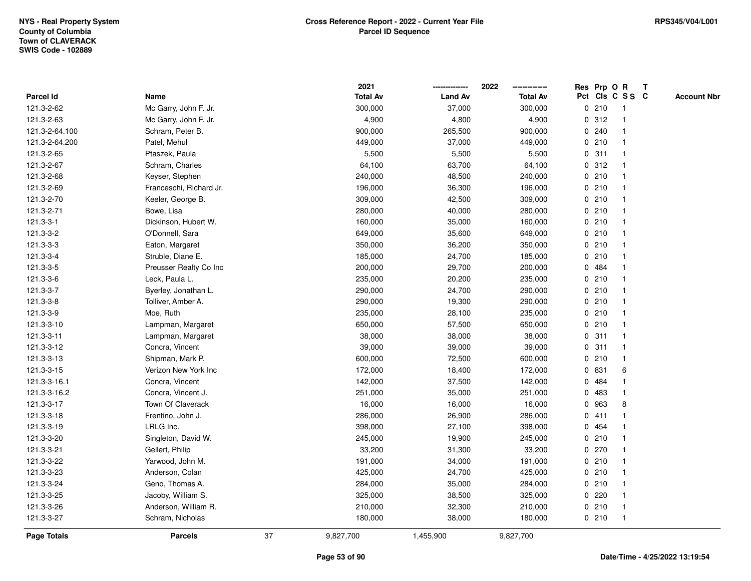|                    |                         |    | 2021            |                | 2022            | Res Prp O R |                         | Т |                    |
|--------------------|-------------------------|----|-----------------|----------------|-----------------|-------------|-------------------------|---|--------------------|
| Parcel Id          | Name                    |    | <b>Total Av</b> | <b>Land Av</b> | <b>Total Av</b> |             | Pct Cls C S S C         |   | <b>Account Nbr</b> |
| 121.3-2-62         | Mc Garry, John F. Jr.   |    | 300,000         | 37,000         | 300,000         | 0210        | $\mathbf{1}$            |   |                    |
| 121.3-2-63         | Mc Garry, John F. Jr.   |    | 4,900           | 4,800          | 4,900           | 0.312       | $\mathbf 1$             |   |                    |
| 121.3-2-64.100     | Schram, Peter B.        |    | 900,000         | 265,500        | 900,000         | 0.240       | $\mathbf 1$             |   |                    |
| 121.3-2-64.200     | Patel, Mehul            |    | 449,000         | 37,000         | 449,000         | 0210        |                         |   |                    |
| 121.3-2-65         | Ptaszek, Paula          |    | 5,500           | 5,500          | 5,500           | 0.311       |                         |   |                    |
| 121.3-2-67         | Schram, Charles         |    | 64,100          | 63,700         | 64,100          | 0.312       |                         |   |                    |
| 121.3-2-68         | Keyser, Stephen         |    | 240,000         | 48,500         | 240,000         | 0210        |                         |   |                    |
| 121.3-2-69         | Franceschi, Richard Jr. |    | 196,000         | 36,300         | 196,000         | 0210        | $\overline{\mathbf{1}}$ |   |                    |
| 121.3-2-70         | Keeler, George B.       |    | 309,000         | 42,500         | 309,000         | 0210        | $\mathbf 1$             |   |                    |
| 121.3-2-71         | Bowe, Lisa              |    | 280,000         | 40,000         | 280,000         | 0210        | $\mathbf{1}$            |   |                    |
| 121.3-3-1          | Dickinson, Hubert W.    |    | 160,000         | 35,000         | 160,000         | 0210        | -1                      |   |                    |
| 121.3-3-2          | O'Donnell, Sara         |    | 649,000         | 35,600         | 649,000         | 0210        |                         |   |                    |
| 121.3-3-3          | Eaton, Margaret         |    | 350,000         | 36,200         | 350,000         | 0210        |                         |   |                    |
| 121.3-3-4          | Struble, Diane E.       |    | 185,000         | 24,700         | 185,000         | 0210        |                         |   |                    |
| 121.3-3-5          | Preusser Realty Co Inc  |    | 200,000         | 29,700         | 200,000         | 0.484       |                         |   |                    |
| 121.3-3-6          | Leck, Paula L.          |    | 235,000         | 20,200         | 235,000         | 0210        | $\mathbf{1}$            |   |                    |
| 121.3-3-7          | Byerley, Jonathan L.    |    | 290,000         | 24,700         | 290,000         | 0210        | $\mathbf{1}$            |   |                    |
| 121.3-3-8          | Tolliver, Amber A.      |    | 290,000         | 19,300         | 290,000         | 0210        | -1                      |   |                    |
| 121.3-3-9          | Moe, Ruth               |    | 235,000         | 28,100         | 235,000         | 0210        |                         |   |                    |
| 121.3-3-10         | Lampman, Margaret       |    | 650,000         | 57,500         | 650,000         | 0210        |                         |   |                    |
| 121.3-3-11         | Lampman, Margaret       |    | 38,000          | 38,000         | 38,000          | 0.311       | $\overline{1}$          |   |                    |
| 121.3-3-12         | Concra, Vincent         |    | 39,000          | 39,000         | 39,000          | 0.311       |                         |   |                    |
| 121.3-3-13         | Shipman, Mark P.        |    | 600,000         | 72,500         | 600,000         | 0210        | $\mathbf{1}$            |   |                    |
| 121.3-3-15         | Verizon New York Inc    |    | 172,000         | 18,400         | 172,000         | 0 831       | 6                       |   |                    |
| 121.3-3-16.1       | Concra, Vincent         |    | 142,000         | 37,500         | 142,000         | 0 484       | -1                      |   |                    |
| 121.3-3-16.2       | Concra, Vincent J.      |    | 251,000         | 35,000         | 251,000         | 0 483       |                         |   |                    |
| 121.3-3-17         | Town Of Claverack       |    | 16,000          | 16,000         | 16,000          | 0 963       | 8                       |   |                    |
| 121.3-3-18         | Frentino, John J.       |    | 286,000         | 26,900         | 286,000         | 0411        | -1                      |   |                    |
| 121.3-3-19         | LRLG Inc.               |    | 398,000         | 27,100         | 398,000         | 0 454       |                         |   |                    |
| 121.3-3-20         | Singleton, David W.     |    | 245,000         | 19,900         | 245,000         | 0210        | -1                      |   |                    |
| 121.3-3-21         | Gellert, Philip         |    | 33,200          | 31,300         | 33,200          | 0270        | -1                      |   |                    |
| 121.3-3-22         | Yarwood, John M.        |    | 191,000         | 34,000         | 191,000         | 0210        | -1                      |   |                    |
| 121.3-3-23         | Anderson, Colan         |    | 425,000         | 24,700         | 425,000         | 0210        |                         |   |                    |
| 121.3-3-24         | Geno, Thomas A.         |    | 284,000         | 35,000         | 284,000         | 0210        |                         |   |                    |
| 121.3-3-25         | Jacoby, William S.      |    | 325,000         | 38,500         | 325,000         | 0220        | $\mathbf 1$             |   |                    |
| 121.3-3-26         | Anderson, William R.    |    | 210,000         | 32,300         | 210,000         | 0210        | $\mathbf{1}$            |   |                    |
| 121.3-3-27         | Schram, Nicholas        |    | 180,000         | 38,000         | 180,000         | 0210        | $\mathbf{1}$            |   |                    |
| <b>Page Totals</b> | <b>Parcels</b>          | 37 | 9,827,700       | 1,455,900      | 9,827,700       |             |                         |   |                    |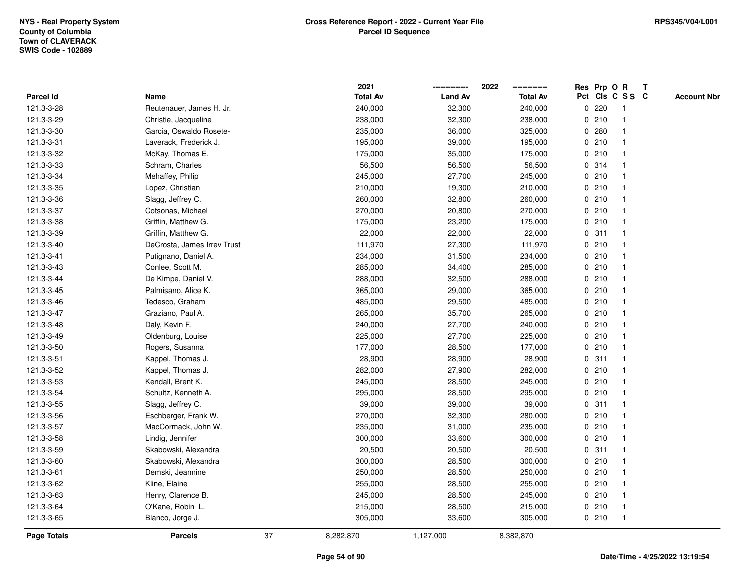|             |                             |    | 2021            |                | 2022            |   |       | Res Prp O R     | Т |                    |
|-------------|-----------------------------|----|-----------------|----------------|-----------------|---|-------|-----------------|---|--------------------|
| Parcel Id   | Name                        |    | <b>Total Av</b> | <b>Land Av</b> | <b>Total Av</b> |   |       | Pct Cls C S S C |   | <b>Account Nbr</b> |
| 121.3-3-28  | Reutenauer, James H. Jr.    |    | 240,000         | 32,300         | 240,000         | 0 | 220   | -1              |   |                    |
| 121.3-3-29  | Christie, Jacqueline        |    | 238,000         | 32,300         | 238,000         | 0 | 210   |                 |   |                    |
| 121.3-3-30  | Garcia, Oswaldo Rosete-     |    | 235,000         | 36,000         | 325,000         |   | 0.280 |                 |   |                    |
| 121.3-3-31  | Laverack, Frederick J.      |    | 195,000         | 39,000         | 195,000         |   | 0210  |                 |   |                    |
| 121.3-3-32  | McKay, Thomas E.            |    | 175,000         | 35,000         | 175,000         |   | 0210  |                 |   |                    |
| 121.3-3-33  | Schram, Charles             |    | 56,500          | 56,500         | 56,500          |   | 0 314 |                 |   |                    |
| 121.3-3-34  | Mehaffey, Philip            |    | 245,000         | 27,700         | 245,000         |   | 0210  |                 |   |                    |
| 121.3-3-35  | Lopez, Christian            |    | 210,000         | 19,300         | 210,000         |   | 0210  |                 |   |                    |
| 121.3-3-36  | Slagg, Jeffrey C.           |    | 260,000         | 32,800         | 260,000         |   | 0210  |                 |   |                    |
| 121.3-3-37  | Cotsonas, Michael           |    | 270,000         | 20,800         | 270,000         |   | 0210  |                 |   |                    |
| 121.3-3-38  | Griffin, Matthew G.         |    | 175,000         | 23,200         | 175,000         |   | 0210  |                 |   |                    |
| 121.3-3-39  | Griffin, Matthew G.         |    | 22,000          | 22,000         | 22,000          |   | 0.311 |                 |   |                    |
| 121.3-3-40  | DeCrosta, James Irrev Trust |    | 111,970         | 27,300         | 111,970         |   | 0210  |                 |   |                    |
| 121.3-3-41  | Putignano, Daniel A.        |    | 234,000         | 31,500         | 234,000         |   | 0210  |                 |   |                    |
| 121.3-3-43  | Conlee, Scott M.            |    | 285,000         | 34,400         | 285,000         |   | 0210  |                 |   |                    |
| 121.3-3-44  | De Kimpe, Daniel V.         |    | 288,000         | 32,500         | 288,000         |   | 0210  |                 |   |                    |
| 121.3-3-45  | Palmisano, Alice K.         |    | 365,000         | 29,000         | 365,000         |   | 0210  |                 |   |                    |
| 121.3-3-46  | Tedesco, Graham             |    | 485,000         | 29,500         | 485,000         |   | 0210  |                 |   |                    |
| 121.3-3-47  | Graziano, Paul A.           |    | 265,000         | 35,700         | 265,000         |   | 0210  |                 |   |                    |
| 121.3-3-48  | Daly, Kevin F.              |    | 240,000         | 27,700         | 240,000         |   | 0210  |                 |   |                    |
| 121.3-3-49  | Oldenburg, Louise           |    | 225,000         | 27,700         | 225,000         |   | 0210  |                 |   |                    |
| 121.3-3-50  | Rogers, Susanna             |    | 177,000         | 28,500         | 177,000         |   | 0210  |                 |   |                    |
| 121.3-3-51  | Kappel, Thomas J.           |    | 28,900          | 28,900         | 28,900          | 0 | 311   |                 |   |                    |
| 121.3-3-52  | Kappel, Thomas J.           |    | 282,000         | 27,900         | 282,000         |   | 0210  |                 |   |                    |
| 121.3-3-53  | Kendall, Brent K.           |    | 245,000         | 28,500         | 245,000         |   | 0210  |                 |   |                    |
| 121.3-3-54  | Schultz, Kenneth A.         |    | 295,000         | 28,500         | 295,000         |   | 0210  |                 |   |                    |
| 121.3-3-55  | Slagg, Jeffrey C.           |    | 39,000          | 39,000         | 39,000          |   | 0.311 |                 |   |                    |
| 121.3-3-56  | Eschberger, Frank W.        |    | 270,000         | 32,300         | 280,000         |   | 0210  |                 |   |                    |
| 121.3-3-57  | MacCormack, John W.         |    | 235,000         | 31,000         | 235,000         |   | 0210  |                 |   |                    |
| 121.3-3-58  | Lindig, Jennifer            |    | 300,000         | 33,600         | 300,000         | 0 | 210   |                 |   |                    |
| 121.3-3-59  | Skabowski, Alexandra        |    | 20,500          | 20,500         | 20,500          | 0 | 311   |                 |   |                    |
| 121.3-3-60  | Skabowski, Alexandra        |    | 300,000         | 28,500         | 300,000         |   | 0210  |                 |   |                    |
| 121.3-3-61  | Demski, Jeannine            |    | 250,000         | 28,500         | 250,000         |   | 0210  |                 |   |                    |
| 121.3-3-62  | Kline, Elaine               |    | 255,000         | 28,500         | 255,000         |   | 0210  |                 |   |                    |
| 121.3-3-63  | Henry, Clarence B.          |    | 245,000         | 28,500         | 245,000         |   | 0210  |                 |   |                    |
| 121.3-3-64  | O'Kane, Robin L.            |    | 215,000         | 28,500         | 215,000         |   | 0210  |                 |   |                    |
| 121.3-3-65  | Blanco, Jorge J.            |    | 305,000         | 33,600         | 305,000         |   | 0210  | $\mathbf{1}$    |   |                    |
| Page Totals | <b>Parcels</b>              | 37 | 8,282,870       | 1,127,000      | 8,382,870       |   |       |                 |   |                    |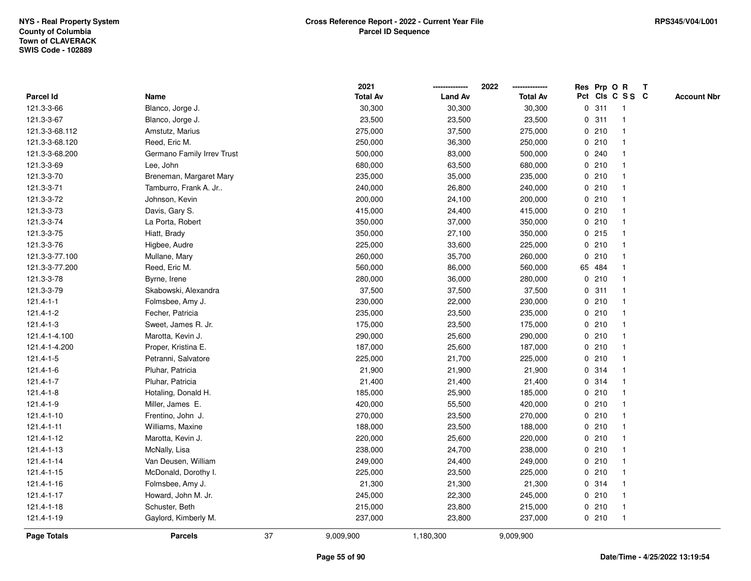|                    |                            |    | 2021            |                | 2022            |             | Res Prp O R |                 | T |                    |
|--------------------|----------------------------|----|-----------------|----------------|-----------------|-------------|-------------|-----------------|---|--------------------|
| Parcel Id          | Name                       |    | <b>Total Av</b> | <b>Land Av</b> | <b>Total Av</b> |             |             | Pct Cls C S S C |   | <b>Account Nbr</b> |
| 121.3-3-66         | Blanco, Jorge J.           |    | 30,300          | 30,300         | 30,300          | 0           | 311         | $\mathbf{1}$    |   |                    |
| 121.3-3-67         | Blanco, Jorge J.           |    | 23,500          | 23,500         | 23,500          | 0           | 311         |                 |   |                    |
| 121.3-3-68.112     | Amstutz, Marius            |    | 275,000         | 37,500         | 275,000         |             | 0210        |                 |   |                    |
| 121.3-3-68.120     | Reed, Eric M.              |    | 250,000         | 36,300         | 250,000         |             | 0210        |                 |   |                    |
| 121.3-3-68.200     | Germano Family Irrev Trust |    | 500,000         | 83,000         | 500,000         |             | 0.240       |                 |   |                    |
| 121.3-3-69         | Lee, John                  |    | 680,000         | 63,500         | 680,000         |             | 0210        |                 |   |                    |
| 121.3-3-70         | Breneman, Margaret Mary    |    | 235,000         | 35,000         | 235,000         |             | 0210        |                 |   |                    |
| 121.3-3-71         | Tamburro, Frank A. Jr      |    | 240,000         | 26,800         | 240,000         |             | 0210        |                 |   |                    |
| 121.3-3-72         | Johnson, Kevin             |    | 200,000         | 24,100         | 200,000         |             | 0210        |                 |   |                    |
| 121.3-3-73         | Davis, Gary S.             |    | 415,000         | 24,400         | 415,000         |             | 0210        |                 |   |                    |
| 121.3-3-74         | La Porta, Robert           |    | 350,000         | 37,000         | 350,000         |             | 0210        |                 |   |                    |
| 121.3-3-75         | Hiatt, Brady               |    | 350,000         | 27,100         | 350,000         |             | $0$ 215     |                 |   |                    |
| 121.3-3-76         | Higbee, Audre              |    | 225,000         | 33,600         | 225,000         |             | 0210        |                 |   |                    |
| 121.3-3-77.100     | Mullane, Mary              |    | 260,000         | 35,700         | 260,000         |             | 0210        |                 |   |                    |
| 121.3-3-77.200     | Reed, Eric M.              |    | 560,000         | 86,000         | 560,000         |             | 65 484      |                 |   |                    |
| 121.3-3-78         | Byrne, Irene               |    | 280,000         | 36,000         | 280,000         | $\mathbf 0$ | 210         |                 |   |                    |
| 121.3-3-79         | Skabowski, Alexandra       |    | 37,500          | 37,500         | 37,500          | 0           | 311         |                 |   |                    |
| $121.4 - 1 - 1$    | Folmsbee, Amy J.           |    | 230,000         | 22,000         | 230,000         |             | 0210        |                 |   |                    |
| 121.4-1-2          | Fecher, Patricia           |    | 235,000         | 23,500         | 235,000         |             | 0210        |                 |   |                    |
| 121.4-1-3          | Sweet, James R. Jr.        |    | 175,000         | 23,500         | 175,000         |             | 0210        |                 |   |                    |
| 121.4-1-4.100      | Marotta, Kevin J.          |    | 290,000         | 25,600         | 290,000         |             | 0210        |                 |   |                    |
| 121.4-1-4.200      | Proper, Kristina E.        |    | 187,000         | 25,600         | 187,000         |             | 0210        |                 |   |                    |
| 121.4-1-5          | Petranni, Salvatore        |    | 225,000         | 21,700         | 225,000         | 0           | 210         |                 |   |                    |
| 121.4-1-6          | Pluhar, Patricia           |    | 21,900          | 21,900         | 21,900          |             | 0.314       |                 |   |                    |
| 121.4-1-7          | Pluhar, Patricia           |    | 21,400          | 21,400         | 21,400          |             | 0 314       |                 |   |                    |
| 121.4-1-8          | Hotaling, Donald H.        |    | 185,000         | 25,900         | 185,000         |             | 0210        |                 |   |                    |
| 121.4-1-9          | Miller, James E.           |    | 420,000         | 55,500         | 420,000         |             | 0210        |                 |   |                    |
| 121.4-1-10         | Frentino, John J.          |    | 270,000         | 23,500         | 270,000         |             | 0210        |                 |   |                    |
| 121.4-1-11         | Williams, Maxine           |    | 188,000         | 23,500         | 188,000         |             | 0210        |                 |   |                    |
| 121.4-1-12         | Marotta, Kevin J.          |    | 220,000         | 25,600         | 220,000         | 0           | 210         |                 |   |                    |
| 121.4-1-13         | McNally, Lisa              |    | 238,000         | 24,700         | 238,000         |             | 0210        |                 |   |                    |
| 121.4-1-14         | Van Deusen, William        |    | 249,000         | 24,400         | 249,000         |             | 0210        |                 |   |                    |
| 121.4-1-15         | McDonald, Dorothy I.       |    | 225,000         | 23,500         | 225,000         |             | 0210        |                 |   |                    |
| 121.4-1-16         | Folmsbee, Amy J.           |    | 21,300          | 21,300         | 21,300          |             | 0 314       |                 |   |                    |
| 121.4-1-17         | Howard, John M. Jr.        |    | 245,000         | 22,300         | 245,000         |             | 0210        |                 |   |                    |
| 121.4-1-18         | Schuster, Beth             |    | 215,000         | 23,800         | 215,000         |             | 0210        |                 |   |                    |
| 121.4-1-19         | Gaylord, Kimberly M.       |    | 237,000         | 23,800         | 237,000         |             | 0210        | $\mathbf{1}$    |   |                    |
| <b>Page Totals</b> | <b>Parcels</b>             | 37 | 9,009,900       | 1,180,300      | 9,009,900       |             |             |                 |   |                    |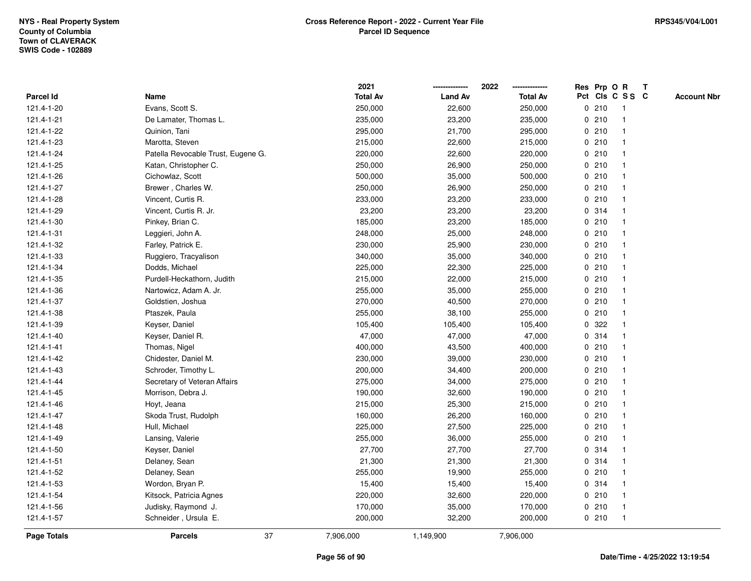|             |                                    | 2021            |                | 2022            | Res Prp O R |                         | T |                    |
|-------------|------------------------------------|-----------------|----------------|-----------------|-------------|-------------------------|---|--------------------|
| Parcel Id   | Name                               | <b>Total Av</b> | <b>Land Av</b> | <b>Total Av</b> |             | Pct Cls C S S C         |   | <b>Account Nbr</b> |
| 121.4-1-20  | Evans, Scott S.                    | 250,000         | 22,600         | 250,000         | 0210        | $\overline{\mathbf{1}}$ |   |                    |
| 121.4-1-21  | De Lamater, Thomas L.              | 235,000         | 23,200         | 235,000         | 0210        | $\overline{1}$          |   |                    |
| 121.4-1-22  | Quinion, Tani                      | 295,000         | 21,700         | 295,000         | 0210        | -1                      |   |                    |
| 121.4-1-23  | Marotta, Steven                    | 215,000         | 22,600         | 215,000         | 0210        |                         |   |                    |
| 121.4-1-24  | Patella Revocable Trust, Eugene G. | 220,000         | 22,600         | 220,000         | 0210        |                         |   |                    |
| 121.4-1-25  | Katan, Christopher C.              | 250,000         | 26,900         | 250,000         | 0210        |                         |   |                    |
| 121.4-1-26  | Cichowlaz, Scott                   | 500,000         | 35,000         | 500,000         | 0210        |                         |   |                    |
| 121.4-1-27  | Brewer, Charles W.                 | 250,000         | 26,900         | 250,000         | 0210        | $\overline{\mathbf{1}}$ |   |                    |
| 121.4-1-28  | Vincent, Curtis R.                 | 233,000         | 23,200         | 233,000         | 0210        | $\overline{\mathbf{1}}$ |   |                    |
| 121.4-1-29  | Vincent, Curtis R. Jr.             | 23,200          | 23,200         | 23,200          | 0.314       | $\mathbf{1}$            |   |                    |
| 121.4-1-30  | Pinkey, Brian C.                   | 185,000         | 23,200         | 185,000         | 0210        |                         |   |                    |
| 121.4-1-31  | Leggieri, John A.                  | 248,000         | 25,000         | 248,000         | 0210        |                         |   |                    |
| 121.4-1-32  | Farley, Patrick E.                 | 230,000         | 25,900         | 230,000         | 0210        |                         |   |                    |
| 121.4-1-33  | Ruggiero, Tracyalison              | 340,000         | 35,000         | 340,000         | 0210        |                         |   |                    |
| 121.4-1-34  | Dodds, Michael                     | 225,000         | 22,300         | 225,000         | 0210        | -1                      |   |                    |
| 121.4-1-35  | Purdell-Heckathorn, Judith         | 215,000         | 22,000         | 215,000         | 0210        | $\overline{\mathbf{1}}$ |   |                    |
| 121.4-1-36  | Nartowicz, Adam A. Jr.             | 255,000         | 35,000         | 255,000         | 0210        | -1                      |   |                    |
| 121.4-1-37  | Goldstien, Joshua                  | 270,000         | 40,500         | 270,000         | 0210        |                         |   |                    |
| 121.4-1-38  | Ptaszek, Paula                     | 255,000         | 38,100         | 255,000         | 0210        |                         |   |                    |
| 121.4-1-39  | Keyser, Daniel                     | 105,400         | 105,400        | 105,400         | 0.322       |                         |   |                    |
| 121.4-1-40  | Keyser, Daniel R.                  | 47,000          | 47,000         | 47,000          | 0.314       |                         |   |                    |
| 121.4-1-41  | Thomas, Nigel                      | 400,000         | 43,500         | 400,000         | 0210        | -1                      |   |                    |
| 121.4-1-42  | Chidester, Daniel M.               | 230,000         | 39,000         | 230,000         | 0210        | $\overline{\mathbf{1}}$ |   |                    |
| 121.4-1-43  | Schroder, Timothy L.               | 200,000         | 34,400         | 200,000         | 0210        | -1                      |   |                    |
| 121.4-1-44  | Secretary of Veteran Affairs       | 275,000         | 34,000         | 275,000         | 0210        |                         |   |                    |
| 121.4-1-45  | Morrison, Debra J.                 | 190,000         | 32,600         | 190,000         | 0210        |                         |   |                    |
| 121.4-1-46  | Hoyt, Jeana                        | 215,000         | 25,300         | 215,000         | 0210        |                         |   |                    |
| 121.4-1-47  | Skoda Trust, Rudolph               | 160,000         | 26,200         | 160,000         | 0210        |                         |   |                    |
| 121.4-1-48  | Hull, Michael                      | 225,000         | 27,500         | 225,000         | 0210        | $\overline{\mathbf{1}}$ |   |                    |
| 121.4-1-49  | Lansing, Valerie                   | 255,000         | 36,000         | 255,000         | 0210        | -1                      |   |                    |
| 121.4-1-50  | Keyser, Daniel                     | 27,700          | 27,700         | 27,700          | 0.314       | $\overline{1}$          |   |                    |
| 121.4-1-51  | Delaney, Sean                      | 21,300          | 21,300         | 21,300          | 0.314       | 1                       |   |                    |
| 121.4-1-52  | Delaney, Sean                      | 255,000         | 19,900         | 255,000         | 0210        |                         |   |                    |
| 121.4-1-53  | Wordon, Bryan P.                   | 15,400          | 15,400         | 15,400          | 0.314       |                         |   |                    |
| 121.4-1-54  | Kitsock, Patricia Agnes            | 220,000         | 32,600         | 220,000         | 0210        | -1                      |   |                    |
| 121.4-1-56  | Judisky, Raymond J.                | 170,000         | 35,000         | 170,000         | 0210        | $\overline{1}$          |   |                    |
| 121.4-1-57  | Schneider, Ursula E.               | 200,000         | 32,200         | 200,000         | 0210        | $\overline{1}$          |   |                    |
| Page Totals | 37<br><b>Parcels</b>               | 7,906,000       | 1,149,900      | 7,906,000       |             |                         |   |                    |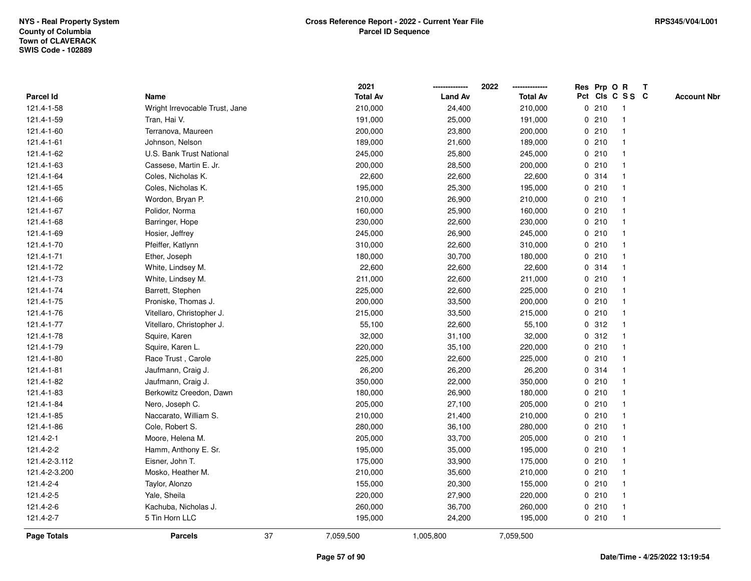|                    |                                |    | 2021            |                | 2022            | Res Prp O R     |                         | Т |                    |
|--------------------|--------------------------------|----|-----------------|----------------|-----------------|-----------------|-------------------------|---|--------------------|
| Parcel Id          | Name                           |    | <b>Total Av</b> | <b>Land Av</b> | <b>Total Av</b> | Pct Cls C S S C |                         |   | <b>Account Nbr</b> |
| 121.4-1-58         | Wright Irrevocable Trust, Jane |    | 210,000         | 24,400         | 210,000         | 0210            | $\overline{\mathbf{1}}$ |   |                    |
| 121.4-1-59         | Tran, Hai V.                   |    | 191,000         | 25,000         | 191,000         | 0210            | $\overline{\mathbf{1}}$ |   |                    |
| 121.4-1-60         | Terranova, Maureen             |    | 200,000         | 23,800         | 200,000         | 0210            | -1                      |   |                    |
| 121.4-1-61         | Johnson, Nelson                |    | 189,000         | 21,600         | 189,000         | 0210            |                         |   |                    |
| 121.4-1-62         | U.S. Bank Trust National       |    | 245,000         | 25,800         | 245,000         | 0210            |                         |   |                    |
| 121.4-1-63         | Cassese, Martin E. Jr.         |    | 200,000         | 28,500         | 200,000         | 0210            |                         |   |                    |
| 121.4-1-64         | Coles, Nicholas K.             |    | 22,600          | 22,600         | 22,600          | 0.314           |                         |   |                    |
| 121.4-1-65         | Coles, Nicholas K.             |    | 195,000         | 25,300         | 195,000         | 0210            | $\overline{\mathbf{1}}$ |   |                    |
| 121.4-1-66         | Wordon, Bryan P.               |    | 210,000         | 26,900         | 210,000         | 0210            | -1                      |   |                    |
| 121.4-1-67         | Polidor, Norma                 |    | 160,000         | 25,900         | 160,000         | 0210            | $\mathbf{1}$            |   |                    |
| 121.4-1-68         | Barringer, Hope                |    | 230,000         | 22,600         | 230,000         | 0210            |                         |   |                    |
| 121.4-1-69         | Hosier, Jeffrey                |    | 245,000         | 26,900         | 245,000         | 0210            |                         |   |                    |
| 121.4-1-70         | Pfeiffer, Katlynn              |    | 310,000         | 22,600         | 310,000         | 0210            |                         |   |                    |
| 121.4-1-71         | Ether, Joseph                  |    | 180,000         | 30,700         | 180,000         | 0210            |                         |   |                    |
| 121.4-1-72         | White, Lindsey M.              |    | 22,600          | 22,600         | 22,600          | 0.314           | -1                      |   |                    |
| 121.4-1-73         | White, Lindsey M.              |    | 211,000         | 22,600         | 211,000         | 0210            | $\overline{\mathbf{1}}$ |   |                    |
| 121.4-1-74         | Barrett, Stephen               |    | 225,000         | 22,600         | 225,000         | 0210            | -1                      |   |                    |
| 121.4-1-75         | Proniske, Thomas J.            |    | 200,000         | 33,500         | 200,000         | 0210            |                         |   |                    |
| 121.4-1-76         | Vitellaro, Christopher J.      |    | 215,000         | 33,500         | 215,000         | 0210            |                         |   |                    |
| 121.4-1-77         | Vitellaro, Christopher J.      |    | 55,100          | 22,600         | 55,100          | 0.312           |                         |   |                    |
| 121.4-1-78         | Squire, Karen                  |    | 32,000          | 31,100         | 32,000          | 0.312           | -1                      |   |                    |
| 121.4-1-79         | Squire, Karen L.               |    | 220,000         | 35,100         | 220,000         | 0210            | -1                      |   |                    |
| 121.4-1-80         | Race Trust, Carole             |    | 225,000         | 22,600         | 225,000         | 0210            | $\overline{\mathbf{1}}$ |   |                    |
| 121.4-1-81         | Jaufmann, Craig J.             |    | 26,200          | 26,200         | 26,200          | 0.314           | -1                      |   |                    |
| 121.4-1-82         | Jaufmann, Craig J.             |    | 350,000         | 22,000         | 350,000         | 0210            |                         |   |                    |
| 121.4-1-83         | Berkowitz Creedon, Dawn        |    | 180,000         | 26,900         | 180,000         | 0210            |                         |   |                    |
| 121.4-1-84         | Nero, Joseph C.                |    | 205,000         | 27,100         | 205,000         | 0210            |                         |   |                    |
| 121.4-1-85         | Naccarato, William S.          |    | 210,000         | 21,400         | 210,000         | 0210            |                         |   |                    |
| 121.4-1-86         | Cole, Robert S.                |    | 280,000         | 36,100         | 280,000         | 0210            | $\overline{\mathbf{1}}$ |   |                    |
| $121.4 - 2 - 1$    | Moore, Helena M.               |    | 205,000         | 33,700         | 205,000         | 0210            | -1                      |   |                    |
| 121.4-2-2          | Hamm, Anthony E. Sr.           |    | 195,000         | 35,000         | 195,000         | 0210            | -1                      |   |                    |
| 121.4-2-3.112      | Eisner, John T.                |    | 175,000         | 33,900         | 175,000         | 0210            |                         |   |                    |
| 121.4-2-3.200      | Mosko, Heather M.              |    | 210,000         | 35,600         | 210,000         | 0210            |                         |   |                    |
| 121.4-2-4          | Taylor, Alonzo                 |    | 155,000         | 20,300         | 155,000         | 0210            |                         |   |                    |
| 121.4-2-5          | Yale, Sheila                   |    | 220,000         | 27,900         | 220,000         | 0210            | -1                      |   |                    |
| 121.4-2-6          | Kachuba, Nicholas J.           |    | 260,000         | 36,700         | 260,000         | 0210            | $\overline{\mathbf{1}}$ |   |                    |
| 121.4-2-7          | 5 Tin Horn LLC                 |    | 195,000         | 24,200         | 195,000         | 0210            | $\overline{1}$          |   |                    |
| <b>Page Totals</b> | <b>Parcels</b>                 | 37 | 7,059,500       | 1,005,800      | 7,059,500       |                 |                         |   |                    |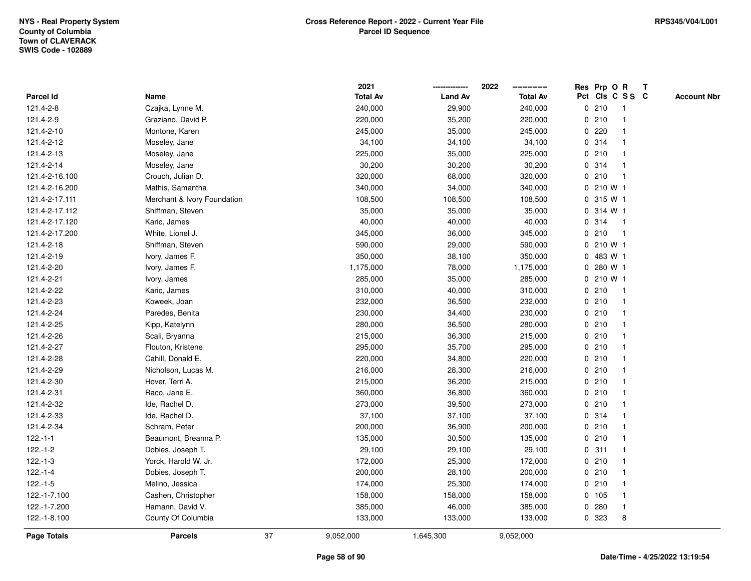|                |                             |    | 2021            |                | 2022            |             | Res Prp O R |                         | $\mathbf{T}$ |                    |
|----------------|-----------------------------|----|-----------------|----------------|-----------------|-------------|-------------|-------------------------|--------------|--------------------|
| Parcel Id      | Name                        |    | <b>Total Av</b> | <b>Land Av</b> | <b>Total Av</b> |             |             | Pct Cls C S S C         |              | <b>Account Nbr</b> |
| 121.4-2-8      | Czajka, Lynne M.            |    | 240,000         | 29,900         | 240,000         |             | 0210        |                         |              |                    |
| 121.4-2-9      | Graziano, David P.          |    | 220,000         | 35,200         | 220,000         |             | 0210        |                         |              |                    |
| 121.4-2-10     | Montone, Karen              |    | 245,000         | 35,000         | 245,000         |             | 0.220       |                         |              |                    |
| 121.4-2-12     | Moseley, Jane               |    | 34,100          | 34,100         | 34,100          | $\mathbf 0$ | 314         | $\mathbf{1}$            |              |                    |
| 121.4-2-13     | Moseley, Jane               |    | 225,000         | 35,000         | 225,000         |             | 0210        | -1                      |              |                    |
| 121.4-2-14     | Moseley, Jane               |    | 30,200          | 30,200         | 30,200          |             | 0 314       | -1                      |              |                    |
| 121.4-2-16.100 | Crouch, Julian D.           |    | 320,000         | 68,000         | 320,000         |             | 0210        |                         |              |                    |
| 121.4-2-16.200 | Mathis, Samantha            |    | 340,000         | 34,000         | 340,000         |             | 0 210 W 1   |                         |              |                    |
| 121.4-2-17.111 | Merchant & Ivory Foundation |    | 108,500         | 108,500        | 108,500         |             | 0 315 W 1   |                         |              |                    |
| 121.4-2-17.112 | Shiffman, Steven            |    | 35,000          | 35,000         | 35,000          | 0           | 314 W 1     |                         |              |                    |
| 121.4-2-17.120 | Karic, James                |    | 40,000          | 40,000         | 40,000          | 0           | 314         | $\mathbf{1}$            |              |                    |
| 121.4-2-17.200 | White, Lionel J.            |    | 345,000         | 36,000         | 345,000         |             | 0210        | $\overline{\mathbf{1}}$ |              |                    |
| 121.4-2-18     | Shiffman, Steven            |    | 590,000         | 29,000         | 590,000         |             | 0 210 W 1   |                         |              |                    |
| 121.4-2-19     | Ivory, James F.             |    | 350,000         | 38,100         | 350,000         |             | 0 483 W 1   |                         |              |                    |
| 121.4-2-20     | Ivory, James F.             |    | 1,175,000       | 78,000         | 1,175,000       |             | 0 280 W 1   |                         |              |                    |
| 121.4-2-21     | Ivory, James                |    | 285,000         | 35,000         | 285,000         |             | 0 210 W 1   |                         |              |                    |
| 121.4-2-22     | Karic, James                |    | 310,000         | 40,000         | 310,000         |             | 0210        | $\overline{\mathbf{1}}$ |              |                    |
| 121.4-2-23     | Koweek, Joan                |    | 232,000         | 36,500         | 232,000         |             | 0210        | $\mathbf 1$             |              |                    |
| 121.4-2-24     | Paredes, Benita             |    | 230,000         | 34,400         | 230,000         |             | 0210        | $\mathbf{1}$            |              |                    |
| 121.4-2-25     | Kipp, Katelynn              |    | 280,000         | 36,500         | 280,000         |             | 0210        |                         |              |                    |
| 121.4-2-26     | Scali, Bryanna              |    | 215,000         | 36,300         | 215,000         |             | 0210        |                         |              |                    |
| 121.4-2-27     | Flouton, Kristene           |    | 295,000         | 35,700         | 295,000         |             | 0210        |                         |              |                    |
| 121.4-2-28     | Cahill, Donald E.           |    | 220,000         | 34,800         | 220,000         |             | 0210        |                         |              |                    |
| 121.4-2-29     | Nicholson, Lucas M.         |    | 216,000         | 28,300         | 216,000         |             | 0210        | $\mathbf{1}$            |              |                    |
| 121.4-2-30     | Hover, Terri A.             |    | 215,000         | 36,200         | 215,000         |             | 0210        |                         |              |                    |
| 121.4-2-31     | Raco, Jane E.               |    | 360,000         | 36,800         | 360,000         |             | 0210        | $\mathbf 1$             |              |                    |
| 121.4-2-32     | Ide, Rachel D.              |    | 273,000         | 39,500         | 273,000         |             | 0210        |                         |              |                    |
| 121.4-2-33     | Ide, Rachel D.              |    | 37,100          | 37,100         | 37,100          |             | 0.314       |                         |              |                    |
| 121.4-2-34     | Schram, Peter               |    | 200,000         | 36,900         | 200,000         |             | 0210        |                         |              |                    |
| $122.-1-1$     | Beaumont, Breanna P.        |    | 135,000         | 30,500         | 135,000         |             | 0210        |                         |              |                    |
| $122.-1-2$     | Dobies, Joseph T.           |    | 29,100          | 29,100         | 29,100          | $\mathbf 0$ | 311         | -1                      |              |                    |
| $122.-1-3$     | Yorck, Harold W. Jr.        |    | 172,000         | 25,300         | 172,000         |             | 0210        | $\mathbf 1$             |              |                    |
| $122.-1-4$     | Dobies, Joseph T.           |    | 200,000         | 28,100         | 200,000         |             | 0210        |                         |              |                    |
| $122.-1-5$     | Melino, Jessica             |    | 174,000         | 25,300         | 174,000         |             | 0210        |                         |              |                    |
| 122.-1-7.100   | Cashen, Christopher         |    | 158,000         | 158,000        | 158,000         |             | $0$ 105     |                         |              |                    |
| 122.-1-7.200   | Hamann, David V.            |    | 385,000         | 46,000         | 385,000         |             | 0.280       | $\mathbf{1}$            |              |                    |
| 122.-1-8.100   | County Of Columbia          |    | 133,000         | 133,000        | 133,000         |             | 0 323       | 8                       |              |                    |
| Page Totals    | <b>Parcels</b>              | 37 | 9,052,000       | 1,645,300      | 9,052,000       |             |             |                         |              |                    |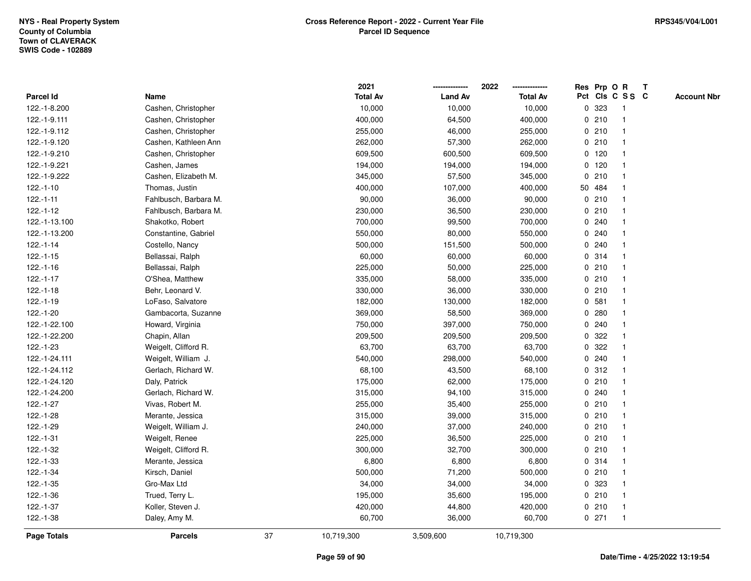|                  |                       |    | 2021            |                | 2022            |   |         | Res Prp O R     | $\mathbf{T}$       |
|------------------|-----------------------|----|-----------------|----------------|-----------------|---|---------|-----------------|--------------------|
| <b>Parcel Id</b> | Name                  |    | <b>Total Av</b> | <b>Land Av</b> | <b>Total Av</b> |   |         | Pct Cls C S S C | <b>Account Nbr</b> |
| 122.-1-8.200     | Cashen, Christopher   |    | 10,000          | 10,000         | 10,000          | 0 | 323     |                 |                    |
| 122.-1-9.111     | Cashen, Christopher   |    | 400,000         | 64,500         | 400,000         |   | 0210    |                 |                    |
| 122.-1-9.112     | Cashen, Christopher   |    | 255,000         | 46,000         | 255,000         |   | 0210    |                 |                    |
| 122.-1-9.120     | Cashen, Kathleen Ann  |    | 262,000         | 57,300         | 262,000         | 0 | 210     |                 |                    |
| 122.-1-9.210     | Cashen, Christopher   |    | 609,500         | 600,500        | 609,500         |   | $0$ 120 |                 |                    |
| 122.-1-9.221     | Cashen, James         |    | 194,000         | 194,000        | 194,000         |   | $0$ 120 |                 |                    |
| 122.-1-9.222     | Cashen, Elizabeth M.  |    | 345,000         | 57,500         | 345,000         |   | 0210    |                 |                    |
| 122.-1-10        | Thomas, Justin        |    | 400,000         | 107,000        | 400,000         |   | 50 484  |                 |                    |
| $122.-1-11$      | Fahlbusch, Barbara M. |    | 90,000          | 36,000         | 90,000          |   | 0210    |                 |                    |
| $122.-1-12$      | Fahlbusch, Barbara M. |    | 230,000         | 36,500         | 230,000         |   | 0210    |                 |                    |
| 122.-1-13.100    | Shakotko, Robert      |    | 700,000         | 99,500         | 700,000         | 0 | 240     |                 |                    |
| 122.-1-13.200    | Constantine, Gabriel  |    | 550,000         | 80,000         | 550,000         | 0 | 240     |                 |                    |
| $122.-1-14$      | Costello, Nancy       |    | 500,000         | 151,500        | 500,000         |   | 0.240   |                 |                    |
| $122.-1-15$      | Bellassai, Ralph      |    | 60,000          | 60,000         | 60,000          |   | 0.314   |                 |                    |
| $122.-1-16$      | Bellassai, Ralph      |    | 225,000         | 50,000         | 225,000         |   | 0210    |                 |                    |
| $122.-1-17$      | O'Shea, Matthew       |    | 335,000         | 58,000         | 335,000         |   | 0210    |                 |                    |
| $122.-1-18$      | Behr, Leonard V.      |    | 330,000         | 36,000         | 330,000         | 0 | 210     |                 |                    |
| $122.-1-19$      | LoFaso, Salvatore     |    | 182,000         | 130,000        | 182,000         | 0 | 581     |                 |                    |
| 122.-1-20        | Gambacorta, Suzanne   |    | 369,000         | 58,500         | 369,000         |   | 0.280   |                 |                    |
| 122.-1-22.100    | Howard, Virginia      |    | 750,000         | 397,000        | 750,000         |   | 0.240   |                 |                    |
| 122.-1-22.200    | Chapin, Allan         |    | 209,500         | 209,500        | 209,500         | 0 | 322     |                 |                    |
| 122.-1-23        | Weigelt, Clifford R.  |    | 63,700          | 63,700         | 63,700          | 0 | 322     |                 |                    |
| 122.-1-24.111    | Weigelt, William J.   |    | 540,000         | 298,000        | 540,000         | 0 | 240     |                 |                    |
| 122.-1-24.112    | Gerlach, Richard W.   |    | 68,100          | 43,500         | 68,100          | 0 | 312     |                 |                    |
| 122.-1-24.120    | Daly, Patrick         |    | 175,000         | 62,000         | 175,000         |   | 0210    |                 |                    |
| 122.-1-24.200    | Gerlach, Richard W.   |    | 315,000         | 94,100         | 315,000         |   | 0.240   |                 |                    |
| $122.-1-27$      | Vivas, Robert M.      |    | 255,000         | 35,400         | 255,000         |   | 0210    |                 |                    |
| 122.-1-28        | Merante, Jessica      |    | 315,000         | 39,000         | 315,000         |   | 0210    |                 |                    |
| 122.-1-29        | Weigelt, William J.   |    | 240,000         | 37,000         | 240,000         |   | 0210    |                 |                    |
| 122.-1-31        | Weigelt, Renee        |    | 225,000         | 36,500         | 225,000         |   | 0210    |                 |                    |
| 122.-1-32        | Weigelt, Clifford R.  |    | 300,000         | 32,700         | 300,000         |   | 0210    |                 |                    |
| 122.-1-33        | Merante, Jessica      |    | 6,800           | 6,800          | 6,800           |   | 0 314   |                 |                    |
| 122.-1-34        | Kirsch, Daniel        |    | 500,000         | 71,200         | 500,000         |   | 0210    |                 |                    |
| 122.-1-35        | Gro-Max Ltd           |    | 34,000          | 34,000         | 34,000          |   | 0 323   |                 |                    |
| 122.-1-36        | Trued, Terry L.       |    | 195,000         | 35,600         | 195,000         |   | 0210    |                 |                    |
| 122.-1-37        | Koller, Steven J.     |    | 420,000         | 44,800         | 420,000         |   | 0210    | $\mathbf 1$     |                    |
| 122.-1-38        | Daley, Amy M.         |    | 60,700          | 36,000         | 60,700          |   | $0$ 271 |                 |                    |
| Page Totals      | <b>Parcels</b>        | 37 | 10,719,300      | 3,509,600      | 10,719,300      |   |         |                 |                    |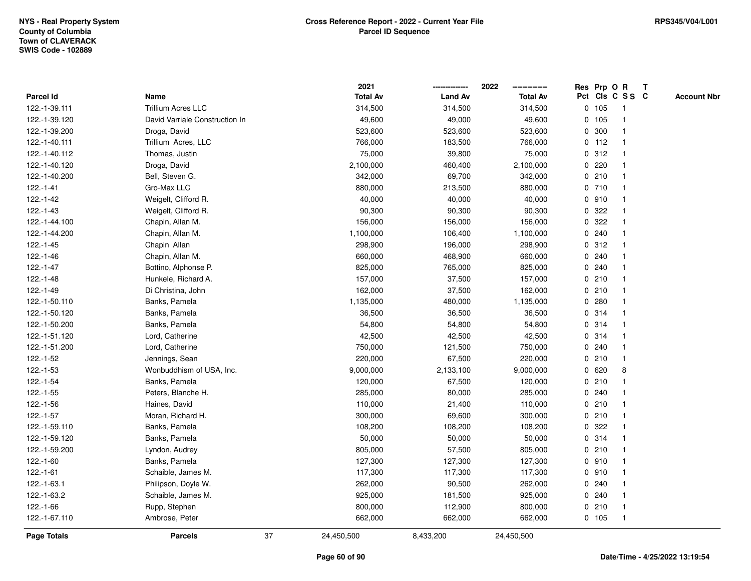|                    |                                |    | 2021            |                | 2022            |             |         | Res Prp O R     | T |                    |
|--------------------|--------------------------------|----|-----------------|----------------|-----------------|-------------|---------|-----------------|---|--------------------|
| Parcel Id          | Name                           |    | <b>Total Av</b> | <b>Land Av</b> | <b>Total Av</b> |             |         | Pct Cls C S S C |   | <b>Account Nbr</b> |
| 122.-1-39.111      | <b>Trillium Acres LLC</b>      |    | 314,500         | 314,500        | 314,500         |             | 0 105   | -1              |   |                    |
| 122.-1-39.120      | David Varriale Construction In |    | 49,600          | 49,000         | 49,600          |             | $0$ 105 | $\overline{1}$  |   |                    |
| 122.-1-39.200      | Droga, David                   |    | 523,600         | 523,600        | 523,600         |             | 0 300   | $\mathbf{1}$    |   |                    |
| 122.-1-40.111      | Trillium Acres, LLC            |    | 766,000         | 183,500        | 766,000         |             | $0$ 112 | 1               |   |                    |
| 122.-1-40.112      | Thomas, Justin                 |    | 75,000          | 39,800         | 75,000          |             | 0.312   |                 |   |                    |
| 122.-1-40.120      | Droga, David                   |    | 2,100,000       | 460,400        | 2,100,000       |             | 0.220   |                 |   |                    |
| 122.-1-40.200      | Bell, Steven G.                |    | 342,000         | 69,700         | 342,000         |             | 0210    |                 |   |                    |
| $122.-1-41$        | Gro-Max LLC                    |    | 880,000         | 213,500        | 880,000         |             | 0 710   | -1              |   |                    |
| $122.-1-42$        | Weigelt, Clifford R.           |    | 40,000          | 40,000         | 40,000          |             | 0.910   | -1              |   |                    |
| $122.-1-43$        | Weigelt, Clifford R.           |    | 90,300          | 90,300         | 90,300          |             | 0.322   | 1               |   |                    |
| 122.-1-44.100      | Chapin, Allan M.               |    | 156,000         | 156,000        | 156,000         |             | 0.322   |                 |   |                    |
| 122.-1-44.200      | Chapin, Allan M.               |    | 1,100,000       | 106,400        | 1,100,000       |             | 0.240   |                 |   |                    |
| 122.-1-45          | Chapin Allan                   |    | 298,900         | 196,000        | 298,900         |             | 0.312   |                 |   |                    |
| $122.-1-46$        | Chapin, Allan M.               |    | 660,000         | 468,900        | 660,000         |             | 0.240   |                 |   |                    |
| $122.-1-47$        | Bottino, Alphonse P.           |    | 825,000         | 765,000        | 825,000         | 0           | 240     |                 |   |                    |
| 122.-1-48          | Hunkele, Richard A.            |    | 157,000         | 37,500         | 157,000         |             | 0210    | $\mathbf 1$     |   |                    |
| 122.-1-49          | Di Christina, John             |    | 162,000         | 37,500         | 162,000         |             | 0210    | $\mathbf 1$     |   |                    |
| 122.-1-50.110      | Banks, Pamela                  |    | 1,135,000       | 480,000        | 1,135,000       |             | 0.280   |                 |   |                    |
| 122.-1-50.120      | Banks, Pamela                  |    | 36,500          | 36,500         | 36,500          |             | 0.314   |                 |   |                    |
| 122.-1-50.200      | Banks, Pamela                  |    | 54,800          | 54,800         | 54,800          |             | 0.314   |                 |   |                    |
| 122.-1-51.120      | Lord, Catherine                |    | 42,500          | 42,500         | 42,500          |             | 0.314   |                 |   |                    |
| 122.-1-51.200      | Lord, Catherine                |    | 750,000         | 121,500        | 750,000         | $\mathbf 0$ | 240     |                 |   |                    |
| 122.-1-52          | Jennings, Sean                 |    | 220,000         | 67,500         | 220,000         |             | 0210    | $\mathbf{1}$    |   |                    |
| 122.-1-53          | Wonbuddhism of USA, Inc.       |    | 9,000,000       | 2,133,100      | 9,000,000       |             | 0620    | 8               |   |                    |
| $122.-1-54$        | Banks, Pamela                  |    | 120,000         | 67,500         | 120,000         |             | 0210    |                 |   |                    |
| $122.-1-55$        | Peters, Blanche H.             |    | 285,000         | 80,000         | 285,000         |             | 0.240   |                 |   |                    |
| 122.-1-56          | Haines, David                  |    | 110,000         | 21,400         | 110,000         |             | 0210    |                 |   |                    |
| 122.-1-57          | Moran, Richard H.              |    | 300,000         | 69,600         | 300,000         |             | 0210    |                 |   |                    |
| 122.-1-59.110      | Banks, Pamela                  |    | 108,200         | 108,200        | 108,200         | $\mathbf 0$ | 322     |                 |   |                    |
| 122.-1-59.120      | Banks, Pamela                  |    | 50,000          | 50,000         | 50,000          |             | 0.314   | $\overline{1}$  |   |                    |
| 122.-1-59.200      | Lyndon, Audrey                 |    | 805,000         | 57,500         | 805,000         |             | 0210    | $\mathbf{1}$    |   |                    |
| 122.-1-60          | Banks, Pamela                  |    | 127,300         | 127,300        | 127,300         |             | 0.910   |                 |   |                    |
| $122.-1-61$        | Schaible, James M.             |    | 117,300         | 117,300        | 117,300         |             | 0.910   |                 |   |                    |
| 122.-1-63.1        | Philipson, Doyle W.            |    | 262,000         | 90,500         | 262,000         |             | 0.240   |                 |   |                    |
| 122.-1-63.2        | Schaible, James M.             |    | 925,000         | 181,500        | 925,000         |             | 0.240   |                 |   |                    |
| 122.-1-66          | Rupp, Stephen                  |    | 800,000         | 112,900        | 800,000         |             | 0210    | $\overline{1}$  |   |                    |
| 122.-1-67.110      | Ambrose, Peter                 |    | 662,000         | 662,000        | 662,000         |             | 0, 105  | $\mathbf{1}$    |   |                    |
| <b>Page Totals</b> | <b>Parcels</b>                 | 37 | 24,450,500      | 8,433,200      | 24,450,500      |             |         |                 |   |                    |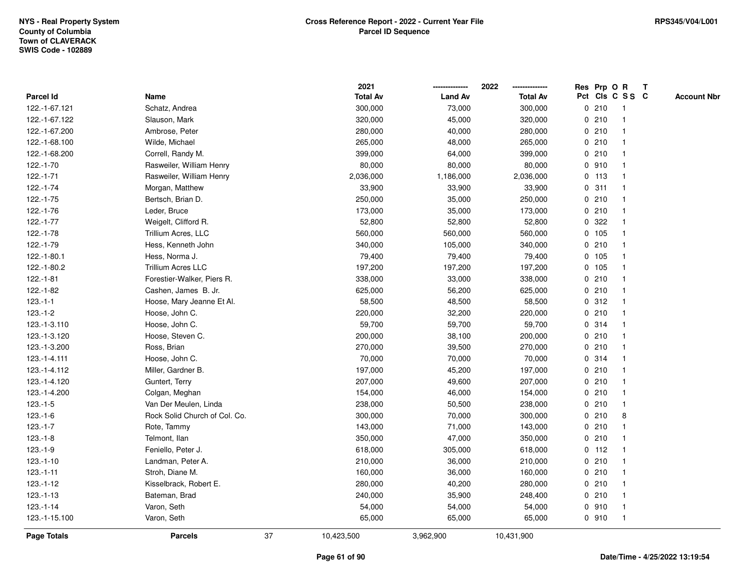|               |                               |    | 2021            |                | 2022            | Res Prp O R |                 | Т |                    |
|---------------|-------------------------------|----|-----------------|----------------|-----------------|-------------|-----------------|---|--------------------|
| Parcel Id     | Name                          |    | <b>Total Av</b> | <b>Land Av</b> | <b>Total Av</b> |             | Pct Cls C S S C |   | <b>Account Nbr</b> |
| 122.-1-67.121 | Schatz, Andrea                |    | 300,000         | 73,000         | 300,000         | 0210        | $\mathbf{1}$    |   |                    |
| 122.-1-67.122 | Slauson, Mark                 |    | 320,000         | 45,000         | 320,000         | 0210        | 1               |   |                    |
| 122.-1-67.200 | Ambrose, Peter                |    | 280,000         | 40,000         | 280,000         | 0210        | $\mathbf{1}$    |   |                    |
| 122.-1-68.100 | Wilde, Michael                |    | 265,000         | 48,000         | 265,000         | 0210        | -1              |   |                    |
| 122.-1-68.200 | Correll, Randy M.             |    | 399,000         | 64,000         | 399,000         | 0210        |                 |   |                    |
| 122.-1-70     | Rasweiler, William Henry      |    | 80,000          | 80,000         | 80,000          | 0.910       |                 |   |                    |
| $122.-1-71$   | Rasweiler, William Henry      |    | 2,036,000       | 1,186,000      | 2,036,000       | $0$ 113     | $\mathbf{1}$    |   |                    |
| 122.-1-74     | Morgan, Matthew               |    | 33,900          | 33,900         | 33,900          | 0.311       | $\mathbf{1}$    |   |                    |
| 122.-1-75     | Bertsch, Brian D.             |    | 250,000         | 35,000         | 250,000         | 0210        | 1               |   |                    |
| 122.-1-76     | Leder, Bruce                  |    | 173,000         | 35,000         | 173,000         | 0210        | $\mathbf{1}$    |   |                    |
| 122.-1-77     | Weigelt, Clifford R.          |    | 52,800          | 52,800         | 52,800          | 0.322       | $\mathbf 1$     |   |                    |
| 122.-1-78     | Trillium Acres, LLC           |    | 560,000         | 560,000        | 560,000         | 0 105       |                 |   |                    |
| 122.-1-79     | Hess, Kenneth John            |    | 340,000         | 105,000        | 340,000         | 0210        |                 |   |                    |
| 122.-1-80.1   | Hess, Norma J.                |    | 79,400          | 79,400         | 79,400          | 0 105       | $\mathbf 1$     |   |                    |
| 122.-1-80.2   | Trillium Acres LLC            |    | 197,200         | 197,200        | 197,200         | 0 105       | $\mathbf{1}$    |   |                    |
| $122.-1-81$   | Forestier-Walker, Piers R.    |    | 338,000         | 33,000         | 338,000         | 0210        | $\mathbf{1}$    |   |                    |
| 122.-1-82     | Cashen, James B. Jr.          |    | 625,000         | 56,200         | 625,000         | 0210        | $\mathbf{1}$    |   |                    |
| $123.-1-1$    | Hoose, Mary Jeanne Et Al.     |    | 58,500          | 48,500         | 58,500          | 0.312       | $\mathbf 1$     |   |                    |
| $123.-1-2$    | Hoose, John C.                |    | 220,000         | 32,200         | 220,000         | 0210        |                 |   |                    |
| 123.-1-3.110  | Hoose, John C.                |    | 59,700          | 59,700         | 59,700          | 0.314       |                 |   |                    |
| 123.-1-3.120  | Hoose, Steven C.              |    | 200,000         | 38,100         | 200,000         | 0210        | $\mathbf{1}$    |   |                    |
| 123.-1-3.200  | Ross, Brian                   |    | 270,000         | 39,500         | 270,000         | 0210        | 1               |   |                    |
| 123.-1-4.111  | Hoose, John C.                |    | 70,000          | 70,000         | 70,000          | 0.314       | $\mathbf{1}$    |   |                    |
| 123.-1-4.112  | Miller, Gardner B.            |    | 197,000         | 45,200         | 197,000         | 0210        | $\mathbf 1$     |   |                    |
| 123.-1-4.120  | Guntert, Terry                |    | 207,000         | 49,600         | 207,000         | 0210        | $\mathbf 1$     |   |                    |
| 123.-1-4.200  | Colgan, Meghan                |    | 154,000         | 46,000         | 154,000         | 0210        |                 |   |                    |
| $123.-1-5$    | Van Der Meulen, Linda         |    | 238,000         | 50,500         | 238,000         | 0210        |                 |   |                    |
| $123.-1-6$    | Rock Solid Church of Col. Co. |    | 300,000         | 70,000         | 300,000         | 0210        | 8               |   |                    |
| $123.-1-7$    | Rote, Tammy                   |    | 143,000         | 71,000         | 143,000         | 0210        | $\mathbf{1}$    |   |                    |
| $123.-1-8$    | Telmont, Ilan                 |    | 350,000         | 47,000         | 350,000         | 0210        | $\mathbf{1}$    |   |                    |
| $123.-1-9$    | Feniello, Peter J.            |    | 618,000         | 305,000        | 618,000         | 0 112       | 1               |   |                    |
| $123.-1-10$   | Landman, Peter A.             |    | 210,000         | 36,000         | 210,000         | 0210        | $\mathbf 1$     |   |                    |
| $123.-1-11$   | Stroh, Diane M.               |    | 160,000         | 36,000         | 160,000         | 0210        | $\mathbf 1$     |   |                    |
| $123.-1-12$   | Kisselbrack, Robert E.        |    | 280,000         | 40,200         | 280,000         | 0210        |                 |   |                    |
| $123.-1-13$   | Bateman, Brad                 |    | 240,000         | 35,900         | 248,400         | 0210        | $\mathbf 1$     |   |                    |
| $123.-1-14$   | Varon, Seth                   |    | 54,000          | 54,000         | 54,000          | 0910        | $\mathbf{1}$    |   |                    |
| 123.-1-15.100 | Varon, Seth                   |    | 65,000          | 65,000         | 65,000          | 0.910       | $\mathbf{1}$    |   |                    |
| Page Totals   | <b>Parcels</b>                | 37 | 10,423,500      | 3,962,900      | 10,431,900      |             |                 |   |                    |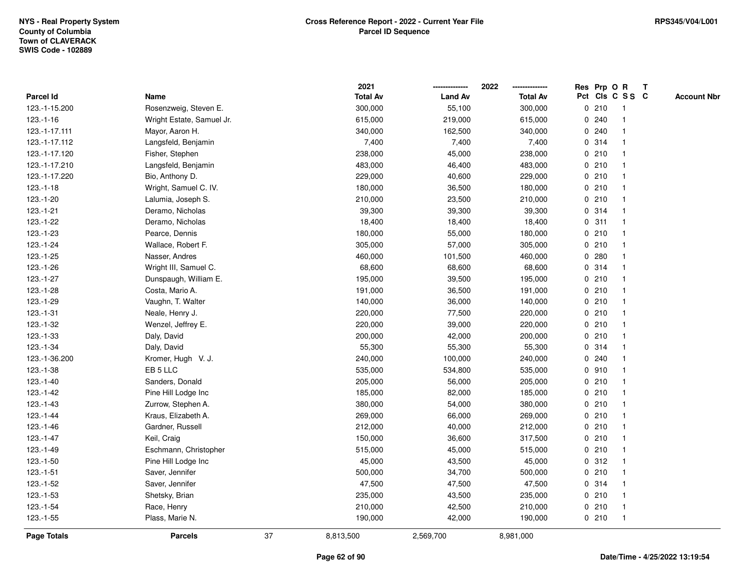|                |                           |    | 2021            |                | 2022            |   |       | Res Prp O R     | Т |                    |
|----------------|---------------------------|----|-----------------|----------------|-----------------|---|-------|-----------------|---|--------------------|
| Parcel Id      | Name                      |    | <b>Total Av</b> | <b>Land Av</b> | <b>Total Av</b> |   |       | Pct Cls C S S C |   | <b>Account Nbr</b> |
| 123.-1-15.200  | Rosenzweig, Steven E.     |    | 300,000         | 55,100         | 300,000         |   | 0210  | $\mathbf{1}$    |   |                    |
| $123 - 1 - 16$ | Wright Estate, Samuel Jr. |    | 615,000         | 219,000        | 615,000         |   | 0.240 | 1               |   |                    |
| 123.-1-17.111  | Mayor, Aaron H.           |    | 340,000         | 162,500        | 340,000         |   | 0.240 | $\mathbf{1}$    |   |                    |
| 123.-1-17.112  | Langsfeld, Benjamin       |    | 7,400           | 7,400          | 7,400           |   | 0.314 | -1              |   |                    |
| 123.-1-17.120  | Fisher, Stephen           |    | 238,000         | 45,000         | 238,000         |   | 0210  |                 |   |                    |
| 123.-1-17.210  | Langsfeld, Benjamin       |    | 483,000         | 46,400         | 483,000         |   | 0210  |                 |   |                    |
| 123.-1-17.220  | Bio, Anthony D.           |    | 229,000         | 40,600         | 229,000         |   | 0210  | $\mathbf{1}$    |   |                    |
| $123.-1-18$    | Wright, Samuel C. IV.     |    | 180,000         | 36,500         | 180,000         |   | 0210  | $\mathbf{1}$    |   |                    |
| 123.-1-20      | Lalumia, Joseph S.        |    | 210,000         | 23,500         | 210,000         |   | 0210  | 1               |   |                    |
| $123.-1-21$    | Deramo, Nicholas          |    | 39,300          | 39,300         | 39,300          |   | 0.314 | $\mathbf{1}$    |   |                    |
| 123.-1-22      | Deramo, Nicholas          |    | 18,400          | 18,400         | 18,400          |   | 0.311 | $\mathbf 1$     |   |                    |
| 123.-1-23      | Pearce, Dennis            |    | 180,000         | 55,000         | 180,000         |   | 0210  |                 |   |                    |
| 123.-1-24      | Wallace, Robert F.        |    | 305,000         | 57,000         | 305,000         |   | 0210  |                 |   |                    |
| 123.-1-25      | Nasser, Andres            |    | 460,000         | 101,500        | 460,000         |   | 0.280 | $\mathbf 1$     |   |                    |
| 123.-1-26      | Wright III, Samuel C.     |    | 68,600          | 68,600         | 68,600          | 0 | 314   | $\mathbf{1}$    |   |                    |
| 123.-1-27      | Dunspaugh, William E.     |    | 195,000         | 39,500         | 195,000         |   | 0210  | $\mathbf{1}$    |   |                    |
| 123.-1-28      | Costa, Mario A.           |    | 191,000         | 36,500         | 191,000         |   | 0210  | $\mathbf{1}$    |   |                    |
| 123.-1-29      | Vaughn, T. Walter         |    | 140,000         | 36,000         | 140,000         |   | 0210  | 1               |   |                    |
| $123.-1-31$    | Neale, Henry J.           |    | 220,000         | 77,500         | 220,000         |   | 0210  | 1               |   |                    |
| 123.-1-32      | Wenzel, Jeffrey E.        |    | 220,000         | 39,000         | 220,000         |   | 0210  |                 |   |                    |
| 123.-1-33      | Daly, David               |    | 200,000         | 42,000         | 200,000         |   | 0210  | $\mathbf{1}$    |   |                    |
| 123.-1-34      | Daly, David               |    | 55,300          | 55,300         | 55,300          |   | 0.314 | -1              |   |                    |
| 123.-1-36.200  | Kromer, Hugh V. J.        |    | 240,000         | 100,000        | 240,000         |   | 0.240 | $\mathbf{1}$    |   |                    |
| $123.-1-38$    | EB <sub>5</sub> LLC       |    | 535,000         | 534,800        | 535,000         |   | 0.910 | $\mathbf{1}$    |   |                    |
| $123.-1-40$    | Sanders, Donald           |    | 205,000         | 56,000         | 205,000         |   | 0210  | $\mathbf 1$     |   |                    |
| $123.-1-42$    | Pine Hill Lodge Inc       |    | 185,000         | 82,000         | 185,000         |   | 0210  |                 |   |                    |
| $123.-1-43$    | Zurrow, Stephen A.        |    | 380,000         | 54,000         | 380,000         |   | 0210  |                 |   |                    |
| $123.-1-44$    | Kraus, Elizabeth A.       |    | 269,000         | 66,000         | 269,000         |   | 0210  | $\mathbf{1}$    |   |                    |
| $123.-1-46$    | Gardner, Russell          |    | 212,000         | 40,000         | 212,000         |   | 0210  | $\mathbf{1}$    |   |                    |
| $123.-1-47$    | Keil, Craig               |    | 150,000         | 36,600         | 317,500         |   | 0210  | $\mathbf{1}$    |   |                    |
| 123.-1-49      | Eschmann, Christopher     |    | 515,000         | 45,000         | 515,000         |   | 0210  | 1               |   |                    |
| $123.-1-50$    | Pine Hill Lodge Inc       |    | 45,000          | 43,500         | 45,000          |   | 0.312 | $\mathbf 1$     |   |                    |
| $123.-1-51$    | Saver, Jennifer           |    | 500,000         | 34,700         | 500,000         |   | 0210  | 1               |   |                    |
| 123.-1-52      | Saver, Jennifer           |    | 47,500          | 47,500         | 47,500          |   | 0.314 |                 |   |                    |
| 123.-1-53      | Shetsky, Brian            |    | 235,000         | 43,500         | 235,000         |   | 0210  | $\mathbf{1}$    |   |                    |
| 123.-1-54      | Race, Henry               |    | 210,000         | 42,500         | 210,000         |   | 0210  | $\mathbf{1}$    |   |                    |
| $123.-1-55$    | Plass, Marie N.           |    | 190,000         | 42,000         | 190,000         |   | 0210  | $\mathbf{1}$    |   |                    |
| Page Totals    | <b>Parcels</b>            | 37 | 8,813,500       | 2,569,700      | 8,981,000       |   |       |                 |   |                    |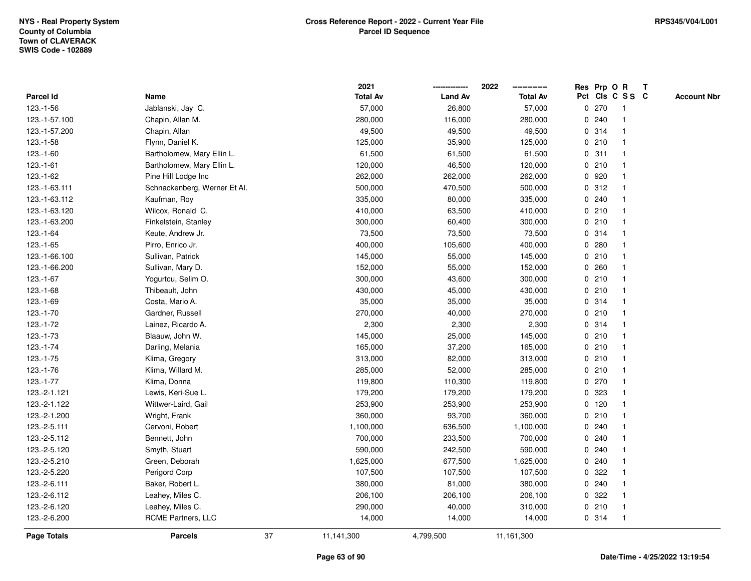|                    |                              |    | 2021            |                | 2022            |             |         | Res Prp O R     | Т |                    |
|--------------------|------------------------------|----|-----------------|----------------|-----------------|-------------|---------|-----------------|---|--------------------|
| Parcel Id          | Name                         |    | <b>Total Av</b> | <b>Land Av</b> | <b>Total Av</b> |             |         | Pct Cls C S S C |   | <b>Account Nbr</b> |
| 123.-1-56          | Jablanski, Jay C.            |    | 57,000          | 26,800         | 57,000          |             | 0270    | -1              |   |                    |
| 123.-1-57.100      | Chapin, Allan M.             |    | 280,000         | 116,000        | 280,000         | 0           | 240     | $\mathbf 1$     |   |                    |
| 123.-1-57.200      | Chapin, Allan                |    | 49,500          | 49,500         | 49,500          |             | 0.314   | $\mathbf{1}$    |   |                    |
| $123.-1-58$        | Flynn, Daniel K.             |    | 125,000         | 35,900         | 125,000         |             | 0210    |                 |   |                    |
| 123.-1-60          | Bartholomew, Mary Ellin L.   |    | 61,500          | 61,500         | 61,500          |             | 0.311   |                 |   |                    |
| $123.-1-61$        | Bartholomew, Mary Ellin L.   |    | 120,000         | 46,500         | 120,000         |             | 0210    |                 |   |                    |
| 123.-1-62          | Pine Hill Lodge Inc          |    | 262,000         | 262,000        | 262,000         |             | 0 920   |                 |   |                    |
| 123.-1-63.111      | Schnackenberg, Werner Et Al. |    | 500,000         | 470,500        | 500,000         | 0           | 312     | $\overline{1}$  |   |                    |
| 123.-1-63.112      | Kaufman, Roy                 |    | 335,000         | 80,000         | 335,000         |             | 0.240   |                 |   |                    |
| 123.-1-63.120      | Wilcox, Ronald C.            |    | 410,000         | 63,500         | 410,000         |             | 0210    | $\mathbf 1$     |   |                    |
| 123.-1-63.200      | Finkelstein, Stanley         |    | 300,000         | 60,400         | 300,000         |             | 0 210   |                 |   |                    |
| 123.-1-64          | Keute, Andrew Jr.            |    | 73,500          | 73,500         | 73,500          |             | 0.314   |                 |   |                    |
| $123.-1-65$        | Pirro, Enrico Jr.            |    | 400,000         | 105,600        | 400,000         | 0           | 280     |                 |   |                    |
| 123.-1-66.100      | Sullivan, Patrick            |    | 145,000         | 55,000         | 145,000         |             | 0210    |                 |   |                    |
| 123.-1-66.200      | Sullivan, Mary D.            |    | 152,000         | 55,000         | 152,000         | $\mathbf 0$ | 260     |                 |   |                    |
| $123.-1-67$        | Yogurtcu, Selim O.           |    | 300,000         | 43,600         | 300,000         | 0           | 210     | $\overline{1}$  |   |                    |
| $123.-1-68$        | Thibeault, John              |    | 430,000         | 45,000         | 430,000         |             | 0210    | $\mathbf{1}$    |   |                    |
| 123.-1-69          | Costa, Mario A.              |    | 35,000          | 35,000         | 35,000          |             | 0.314   |                 |   |                    |
| 123.-1-70          | Gardner, Russell             |    | 270,000         | 40,000         | 270,000         |             | 0210    |                 |   |                    |
| 123.-1-72          | Lainez, Ricardo A.           |    | 2,300           | 2,300          | 2,300           |             | 0.314   |                 |   |                    |
| 123.-1-73          | Blaauw, John W.              |    | 145,000         | 25,000         | 145,000         |             | 0210    |                 |   |                    |
| $123.-1-74$        | Darling, Melania             |    | 165,000         | 37,200         | 165,000         |             | 0210    |                 |   |                    |
| 123.-1-75          | Klima, Gregory               |    | 313,000         | 82,000         | 313,000         |             | 0210    | $\overline{1}$  |   |                    |
| 123.-1-76          | Klima, Willard M.            |    | 285,000         | 52,000         | 285,000         |             | 0210    | $\overline{1}$  |   |                    |
| 123.-1-77          | Klima, Donna                 |    | 119,800         | 110,300        | 119,800         |             | $0$ 270 | 1               |   |                    |
| 123.-2-1.121       | Lewis, Keri-Sue L.           |    | 179,200         | 179,200        | 179,200         |             | 0 323   |                 |   |                    |
| 123.-2-1.122       | Wittwer-Laird, Gail          |    | 253,900         | 253,900        | 253,900         |             | $0$ 120 |                 |   |                    |
| 123.-2-1.200       | Wright, Frank                |    | 360,000         | 93,700         | 360,000         |             | 0210    |                 |   |                    |
| 123.-2-5.111       | Cervoni, Robert              |    | 1,100,000       | 636,500        | 1,100,000       | 0           | 240     |                 |   |                    |
| 123.-2-5.112       | Bennett, John                |    | 700,000         | 233,500        | 700,000         | 0           | 240     |                 |   |                    |
| 123.-2-5.120       | Smyth, Stuart                |    | 590,000         | 242,500        | 590,000         | 0           | 240     | $\mathbf 1$     |   |                    |
| 123.-2-5.210       | Green, Deborah               |    | 1,625,000       | 677,500        | 1,625,000       |             | 0.240   |                 |   |                    |
| 123.-2-5.220       | Perigord Corp                |    | 107,500         | 107,500        | 107,500         |             | 0.322   |                 |   |                    |
| 123.-2-6.111       | Baker, Robert L.             |    | 380,000         | 81,000         | 380,000         |             | 0.240   |                 |   |                    |
| 123.-2-6.112       | Leahey, Miles C.             |    | 206,100         | 206,100        | 206,100         |             | 0 322   |                 |   |                    |
| 123.-2-6.120       | Leahey, Miles C.             |    | 290,000         | 40,000         | 310,000         |             | 0210    | -1              |   |                    |
| 123.-2-6.200       | RCME Partners, LLC           |    | 14,000          | 14,000         | 14,000          |             | 0.314   | $\overline{1}$  |   |                    |
| <b>Page Totals</b> | <b>Parcels</b>               | 37 | 11,141,300      | 4,799,500      | 11,161,300      |             |         |                 |   |                    |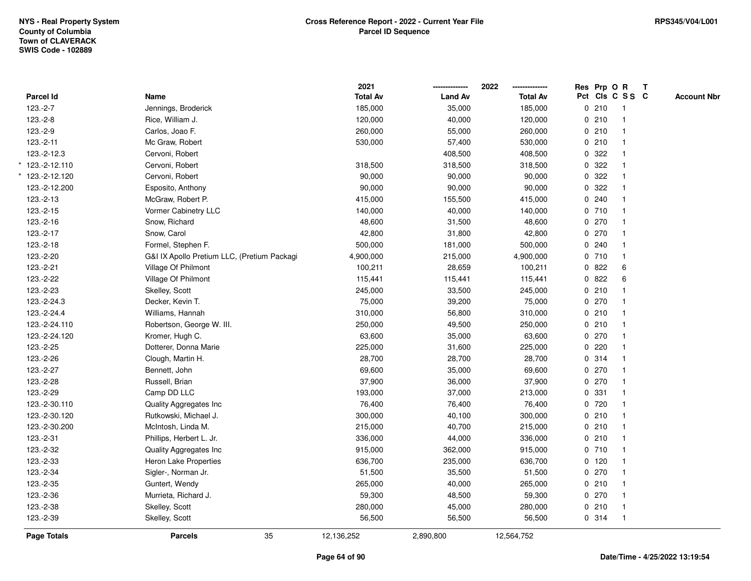|               |                                             | 2021            |                | 2022            |              |         | Res Prp O R     | T |                    |
|---------------|---------------------------------------------|-----------------|----------------|-----------------|--------------|---------|-----------------|---|--------------------|
| Parcel Id     | Name                                        | <b>Total Av</b> | <b>Land Av</b> | <b>Total Av</b> |              |         | Pct Cls C S S C |   | <b>Account Nbr</b> |
| $123.-2-7$    | Jennings, Broderick                         | 185,000         | 35,000         | 185,000         |              | 0210    | $\mathbf{1}$    |   |                    |
| $123.-2-8$    | Rice, William J.                            | 120,000         | 40,000         | 120,000         |              | 0210    | $\overline{1}$  |   |                    |
| $123.-2-9$    | Carlos, Joao F.                             | 260,000         | 55,000         | 260,000         |              | 0210    | $\mathbf{1}$    |   |                    |
| 123.-2-11     | Mc Graw, Robert                             | 530,000         | 57,400         | 530,000         |              | 0210    |                 |   |                    |
| 123.-2-12.3   | Cervoni, Robert                             |                 | 408,500        | 408,500         |              | 0.322   |                 |   |                    |
| 123.-2-12.110 | Cervoni, Robert                             | 318,500         | 318,500        | 318,500         |              | 0.322   |                 |   |                    |
| 123.-2-12.120 | Cervoni, Robert                             | 90,000          | 90,000         | 90,000          |              | 0.322   |                 |   |                    |
| 123.-2-12.200 | Esposito, Anthony                           | 90,000          | 90,000         | 90,000          | $\mathsf{O}$ | 322     |                 |   |                    |
| 123.-2-13     | McGraw, Robert P.                           | 415,000         | 155,500        | 415,000         |              | 0.240   | $\overline{1}$  |   |                    |
| 123.-2-15     | Vormer Cabinetry LLC                        | 140,000         | 40,000         | 140,000         |              | 0710    | $\mathbf{1}$    |   |                    |
| 123.-2-16     | Snow, Richard                               | 48,600          | 31,500         | 48,600          |              | 0270    |                 |   |                    |
| 123.-2-17     | Snow, Carol                                 | 42,800          | 31,800         | 42,800          |              | $0$ 270 |                 |   |                    |
| 123.-2-18     | Formel, Stephen F.                          | 500,000         | 181,000        | 500,000         |              | 0.240   |                 |   |                    |
| 123.-2-20     | G&I IX Apollo Pretium LLC, (Pretium Packagi | 4,900,000       | 215,000        | 4,900,000       |              | 0710    | $\mathbf{1}$    |   |                    |
| 123.-2-21     | Village Of Philmont                         | 100,211         | 28,659         | 100,211         |              | 0822    | 6               |   |                    |
| 123.-2-22     | Village Of Philmont                         | 115,441         | 115,441        | 115,441         |              | 0822    | 6               |   |                    |
| 123.-2-23     | Skelley, Scott                              | 245,000         | 33,500         | 245,000         |              | 0210    |                 |   |                    |
| 123.-2-24.3   | Decker, Kevin T.                            | 75,000          | 39,200         | 75,000          |              | 0 270   |                 |   |                    |
| 123.-2-24.4   | Williams, Hannah                            | 310,000         | 56,800         | 310,000         |              | 0210    |                 |   |                    |
| 123.-2-24.110 | Robertson, George W. III.                   | 250,000         | 49,500         | 250,000         |              | 0210    |                 |   |                    |
| 123.-2-24.120 | Kromer, Hugh C.                             | 63,600          | 35,000         | 63,600          |              | 0270    |                 |   |                    |
| 123.-2-25     | Dotterer, Donna Marie                       | 225,000         | 31,600         | 225,000         |              | 0.220   |                 |   |                    |
| 123.-2-26     | Clough, Martin H.                           | 28,700          | 28,700         | 28,700          |              | 0 314   | $\overline{1}$  |   |                    |
| 123.-2-27     | Bennett, John                               | 69,600          | 35,000         | 69,600          |              | 0 270   |                 |   |                    |
| 123.-2-28     | Russell, Brian                              | 37,900          | 36,000         | 37,900          |              | 0 270   |                 |   |                    |
| 123.-2-29     | Camp DD LLC                                 | 193,000         | 37,000         | 213,000         |              | 0 331   |                 |   |                    |
| 123.-2-30.110 | Quality Aggregates Inc                      | 76,400          | 76,400         | 76,400          |              | 0 720   |                 |   |                    |
| 123.-2-30.120 | Rutkowski, Michael J.                       | 300,000         | 40,100         | 300,000         |              | 0210    |                 |   |                    |
| 123.-2-30.200 | McIntosh, Linda M.                          | 215,000         | 40,700         | 215,000         |              | 0210    |                 |   |                    |
| 123.-2-31     | Phillips, Herbert L. Jr.                    | 336,000         | 44,000         | 336,000         |              | 0210    | -1              |   |                    |
| 123.-2-32     | Quality Aggregates Inc                      | 915,000         | 362,000        | 915,000         |              | 0710    | $\overline{1}$  |   |                    |
| 123.-2-33     | Heron Lake Properties                       | 636,700         | 235,000        | 636,700         |              | $0$ 120 | -1              |   |                    |
| 123.-2-34     | Sigler-, Norman Jr.                         | 51,500          | 35,500         | 51,500          |              | 0270    |                 |   |                    |
| 123.-2-35     | Guntert, Wendy                              | 265,000         | 40,000         | 265,000         |              | 0210    |                 |   |                    |
| 123.-2-36     | Murrieta, Richard J.                        | 59,300          | 48,500         | 59,300          |              | 0270    |                 |   |                    |
| 123.-2-38     | Skelley, Scott                              | 280,000         | 45,000         | 280,000         |              | 0210    | $\overline{1}$  |   |                    |
| 123.-2-39     | Skelley, Scott                              | 56,500          | 56,500         | 56,500          |              | 0.314   | $\overline{1}$  |   |                    |
| Page Totals   | 35<br><b>Parcels</b>                        | 12,136,252      | 2,890,800      | 12,564,752      |              |         |                 |   |                    |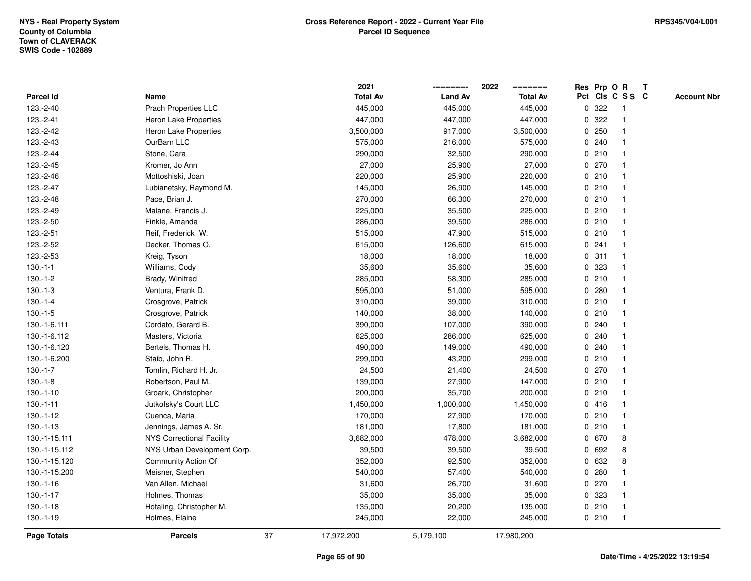|               |                                  |    | 2021            |                | 2022            |             |       | Res Prp O R             | T |                    |
|---------------|----------------------------------|----|-----------------|----------------|-----------------|-------------|-------|-------------------------|---|--------------------|
| Parcel Id     | Name                             |    | <b>Total Av</b> | <b>Land Av</b> | <b>Total Av</b> |             |       | Pct Cls C S S C         |   | <b>Account Nbr</b> |
| 123.-2-40     | Prach Properties LLC             |    | 445,000         | 445,000        | 445,000         | $\mathbf 0$ | 322   | $\mathbf{1}$            |   |                    |
| 123.-2-41     | Heron Lake Properties            |    | 447,000         | 447,000        | 447,000         | 0           | 322   |                         |   |                    |
| 123.-2-42     | Heron Lake Properties            |    | 3,500,000       | 917,000        | 3,500,000       |             | 0.250 | -1                      |   |                    |
| 123.-2-43     | OurBarn LLC                      |    | 575,000         | 216,000        | 575,000         |             | 0.240 |                         |   |                    |
| 123.-2-44     | Stone, Cara                      |    | 290,000         | 32,500         | 290,000         |             | 0210  |                         |   |                    |
| 123.-2-45     | Kromer, Jo Ann                   |    | 27,000          | 25,900         | 27,000          |             | 0 270 |                         |   |                    |
| 123.-2-46     | Mottoshiski, Joan                |    | 220,000         | 25,900         | 220,000         |             | 0210  |                         |   |                    |
| 123.-2-47     | Lubianetsky, Raymond M.          |    | 145,000         | 26,900         | 145,000         | 0           | 210   |                         |   |                    |
| 123.-2-48     | Pace, Brian J.                   |    | 270,000         | 66,300         | 270,000         | 0           | 210   | -1                      |   |                    |
| 123.-2-49     | Malane, Francis J.               |    | 225,000         | 35,500         | 225,000         |             | 0210  | $\mathbf{1}$            |   |                    |
| 123.-2-50     | Finkle, Amanda                   |    | 286,000         | 39,500         | 286,000         |             | 0210  |                         |   |                    |
| 123.-2-51     | Reif, Frederick W.               |    | 515,000         | 47,900         | 515,000         |             | 0210  |                         |   |                    |
| 123.-2-52     | Decker, Thomas O.                |    | 615,000         | 126,600        | 615,000         |             | 0.241 |                         |   |                    |
| 123.-2-53     | Kreig, Tyson                     |    | 18,000          | 18,000         | 18,000          |             | 0.311 |                         |   |                    |
| $130.-1-1$    | Williams, Cody                   |    | 35,600          | 35,600         | 35,600          | 0           | 323   |                         |   |                    |
| $130.-1-2$    | Brady, Winifred                  |    | 285,000         | 58,300         | 285,000         | $\mathbf 0$ | 210   | $\overline{\mathbf{1}}$ |   |                    |
| $130.-1-3$    | Ventura, Frank D.                |    | 595,000         | 51,000         | 595,000         | 0           | 280   |                         |   |                    |
| $130.-1-4$    | Crosgrove, Patrick               |    | 310,000         | 39,000         | 310,000         |             | 0210  |                         |   |                    |
| $130.-1-5$    | Crosgrove, Patrick               |    | 140,000         | 38,000         | 140,000         |             | 0210  |                         |   |                    |
| 130.-1-6.111  | Cordato, Gerard B.               |    | 390,000         | 107,000        | 390,000         |             | 0.240 |                         |   |                    |
| 130.-1-6.112  | Masters, Victoria                |    | 625,000         | 286,000        | 625,000         |             | 0.240 |                         |   |                    |
| 130.-1-6.120  | Bertels, Thomas H.               |    | 490,000         | 149,000        | 490,000         |             | 0.240 |                         |   |                    |
| 130.-1-6.200  | Staib, John R.                   |    | 299,000         | 43,200         | 299,000         | 0           | 210   | -1                      |   |                    |
| $130.-1-7$    | Tomlin, Richard H. Jr.           |    | 24,500          | 21,400         | 24,500          | $\mathbf 0$ | 270   | $\mathbf{1}$            |   |                    |
| $130.-1-8$    | Robertson, Paul M.               |    | 139,000         | 27,900         | 147,000         |             | 0210  |                         |   |                    |
| $130.-1-10$   | Groark, Christopher              |    | 200,000         | 35,700         | 200,000         |             | 0210  |                         |   |                    |
| $130.-1-11$   | Jutkofsky's Court LLC            |    | 1,450,000       | 1,000,000      | 1,450,000       |             | 0416  |                         |   |                    |
| $130.-1-12$   | Cuenca, Maria                    |    | 170,000         | 27,900         | 170,000         |             | 0210  |                         |   |                    |
| $130.-1-13$   | Jennings, James A. Sr.           |    | 181,000         | 17,800         | 181,000         |             | 0210  |                         |   |                    |
| 130.-1-15.111 | <b>NYS Correctional Facility</b> |    | 3,682,000       | 478,000        | 3,682,000       |             | 0 670 | 8                       |   |                    |
| 130.-1-15.112 | NYS Urban Development Corp.      |    | 39,500          | 39,500         | 39,500          | 0           | 692   | 8                       |   |                    |
| 130.-1-15.120 | Community Action Of              |    | 352,000         | 92,500         | 352,000         |             | 0 632 | 8                       |   |                    |
| 130.-1-15.200 | Meisner, Stephen                 |    | 540,000         | 57,400         | 540,000         | $\mathbf 0$ | 280   |                         |   |                    |
| $130.-1-16$   | Van Allen, Michael               |    | 31,600          | 26,700         | 31,600          |             | 0270  |                         |   |                    |
| $130.-1-17$   | Holmes, Thomas                   |    | 35,000          | 35,000         | 35,000          |             | 0 323 | -1                      |   |                    |
| $130.-1-18$   | Hotaling, Christopher M.         |    | 135,000         | 20,200         | 135,000         |             | 0210  | $\overline{\mathbf{1}}$ |   |                    |
| $130.-1-19$   | Holmes, Elaine                   |    | 245,000         | 22,000         | 245,000         |             | 0210  | $\mathbf{1}$            |   |                    |
| Page Totals   | <b>Parcels</b>                   | 37 | 17,972,200      | 5,179,100      | 17,980,200      |             |       |                         |   |                    |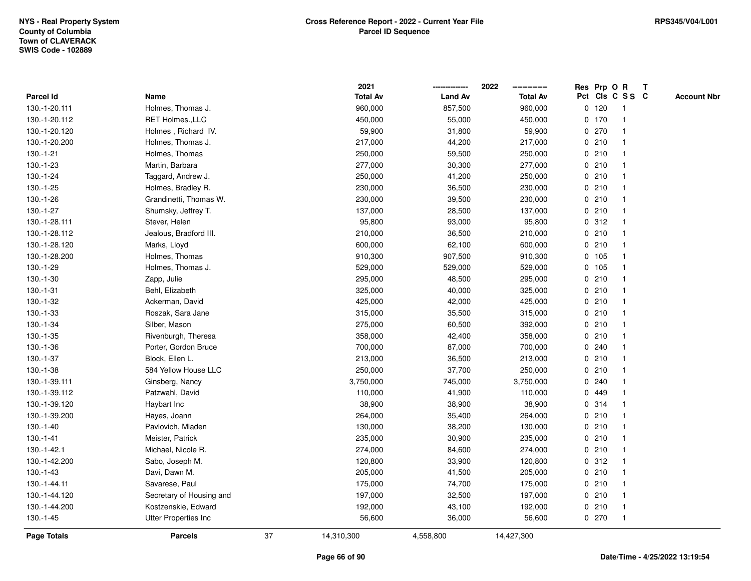|                    |                             |    | 2021            |                | 2022            |         | Res Prp O R     | $\mathbf{T}$ |                    |
|--------------------|-----------------------------|----|-----------------|----------------|-----------------|---------|-----------------|--------------|--------------------|
| Parcel Id          | Name                        |    | <b>Total Av</b> | <b>Land Av</b> | <b>Total Av</b> |         | Pct Cls C S S C |              | <b>Account Nbr</b> |
| 130.-1-20.111      | Holmes, Thomas J.           |    | 960,000         | 857,500        | 960,000         | $0$ 120 | -1              |              |                    |
| 130.-1-20.112      | RET Holmes., LLC            |    | 450,000         | 55,000         | 450,000         | $0$ 170 |                 |              |                    |
| 130.-1-20.120      | Holmes, Richard IV.         |    | 59,900          | 31,800         | 59,900          | 0270    | $\mathbf{1}$    |              |                    |
| 130.-1-20.200      | Holmes, Thomas J.           |    | 217,000         | 44,200         | 217,000         | 0210    | $\mathbf{1}$    |              |                    |
| $130.-1-21$        | Holmes, Thomas              |    | 250,000         | 59,500         | 250,000         | 0210    | $\mathbf{1}$    |              |                    |
| $130.-1-23$        | Martin, Barbara             |    | 277,000         | 30,300         | 277,000         | 0210    | $\mathbf{1}$    |              |                    |
| 130.-1-24          | Taggard, Andrew J.          |    | 250,000         | 41,200         | 250,000         | 0210    | $\mathbf 1$     |              |                    |
| $130.-1-25$        | Holmes, Bradley R.          |    | 230,000         | 36,500         | 230,000         | 0210    |                 |              |                    |
| 130.-1-26          | Grandinetti, Thomas W.      |    | 230,000         | 39,500         | 230,000         | 0210    | $\mathbf{1}$    |              |                    |
| 130.-1-27          | Shumsky, Jeffrey T.         |    | 137,000         | 28,500         | 137,000         | 0210    | $\mathbf{1}$    |              |                    |
| 130.-1-28.111      | Stever, Helen               |    | 95,800          | 93,000         | 95,800          | 0.312   | $\mathbf{1}$    |              |                    |
| 130.-1-28.112      | Jealous, Bradford III.      |    | 210,000         | 36,500         | 210,000         | 0210    | $\mathbf{1}$    |              |                    |
| 130.-1-28.120      | Marks, Lloyd                |    | 600,000         | 62,100         | 600,000         | 0210    | $\mathbf{1}$    |              |                    |
| 130.-1-28.200      | Holmes, Thomas              |    | 910,300         | 907,500        | 910,300         | 0 105   | 1               |              |                    |
| 130.-1-29          | Holmes, Thomas J.           |    | 529,000         | 529,000        | 529,000         | 0, 105  |                 |              |                    |
| $130.-1-30$        | Zapp, Julie                 |    | 295,000         | 48,500         | 295,000         | 0210    | $\mathbf{1}$    |              |                    |
| $130.-1-31$        | Behl, Elizabeth             |    | 325,000         | 40,000         | 325,000         | 0210    | $\mathbf{1}$    |              |                    |
| 130.-1-32          | Ackerman, David             |    | 425,000         | 42,000         | 425,000         | 0210    | $\mathbf{1}$    |              |                    |
| $130.-1-33$        | Roszak, Sara Jane           |    | 315,000         | 35,500         | 315,000         | 0210    | $\mathbf{1}$    |              |                    |
| $130.-1-34$        | Silber, Mason               |    | 275,000         | 60,500         | 392,000         | 0210    |                 |              |                    |
| $130.-1-35$        | Rivenburgh, Theresa         |    | 358,000         | 42,400         | 358,000         | 0210    |                 |              |                    |
| 130.-1-36          | Porter, Gordon Bruce        |    | 700,000         | 87,000         | 700,000         | 0.240   |                 |              |                    |
| 130.-1-37          | Block, Ellen L.             |    | 213,000         | 36,500         | 213,000         | 0210    | $\mathbf{1}$    |              |                    |
| 130.-1-38          | 584 Yellow House LLC        |    | 250,000         | 37,700         | 250,000         | 0210    | $\mathbf{1}$    |              |                    |
| 130.-1-39.111      | Ginsberg, Nancy             |    | 3,750,000       | 745,000        | 3,750,000       | 0.240   | $\mathbf{1}$    |              |                    |
| 130.-1-39.112      | Patzwahl, David             |    | 110,000         | 41,900         | 110,000         | 0 449   | $\mathbf 1$     |              |                    |
| 130.-1-39.120      | Haybart Inc                 |    | 38,900          | 38,900         | 38,900          | 0.314   | -1              |              |                    |
| 130.-1-39.200      | Hayes, Joann                |    | 264,000         | 35,400         | 264,000         | 0210    |                 |              |                    |
| $130.-1-40$        | Pavlovich, Mladen           |    | 130,000         | 38,200         | 130,000         | 0210    | $\mathbf{1}$    |              |                    |
| $130.-1-41$        | Meister, Patrick            |    | 235,000         | 30,900         | 235,000         | 0210    | $\mathbf{1}$    |              |                    |
| 130.-1-42.1        | Michael, Nicole R.          |    | 274,000         | 84,600         | 274,000         | 0210    | $\mathbf{1}$    |              |                    |
| 130.-1-42.200      | Sabo, Joseph M.             |    | 120,800         | 33,900         | 120,800         | 0.312   | $\mathbf{1}$    |              |                    |
| $130.-1-43$        | Davi, Dawn M.               |    | 205,000         | 41,500         | 205,000         | 0210    | $\mathbf 1$     |              |                    |
| 130.-1-44.11       | Savarese, Paul              |    | 175,000         | 74,700         | 175,000         | 0210    | -1              |              |                    |
| 130.-1-44.120      | Secretary of Housing and    |    | 197,000         | 32,500         | 197,000         | 0210    | $\mathbf 1$     |              |                    |
| 130.-1-44.200      | Kostzenskie, Edward         |    | 192,000         | 43,100         | 192,000         | 0210    | $\mathbf{1}$    |              |                    |
| 130.-1-45          | <b>Utter Properties Inc</b> |    | 56,600          | 36,000         | 56,600          | 0270    | $\mathbf{1}$    |              |                    |
| <b>Page Totals</b> | <b>Parcels</b>              | 37 | 14,310,300      | 4,558,800      | 14,427,300      |         |                 |              |                    |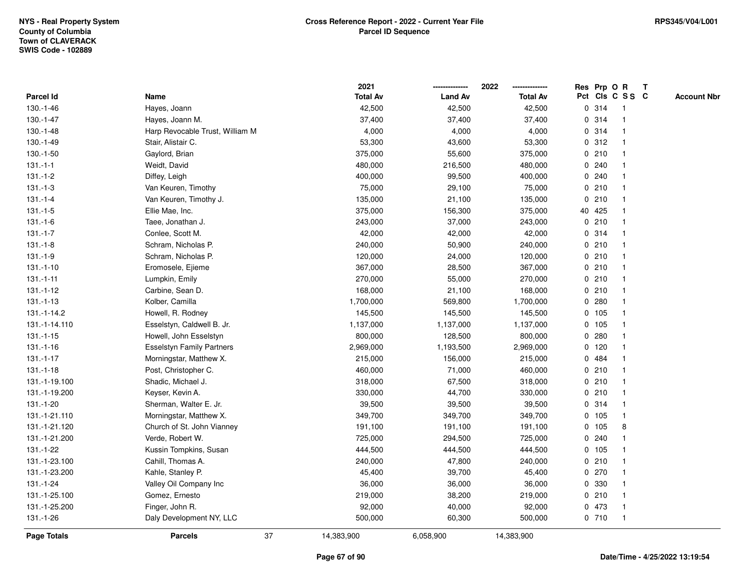|                    |                                  |    | 2021            |                | 2022<br>-------------- |   | Res Prp O R |                 | T |                    |
|--------------------|----------------------------------|----|-----------------|----------------|------------------------|---|-------------|-----------------|---|--------------------|
| Parcel Id          | Name                             |    | <b>Total Av</b> | <b>Land Av</b> | <b>Total Av</b>        |   |             | Pct Cls C S S C |   | <b>Account Nbr</b> |
| 130.-1-46          | Hayes, Joann                     |    | 42,500          | 42,500         | 42,500                 | 0 | 314         | -1              |   |                    |
| 130.-1-47          | Hayes, Joann M.                  |    | 37,400          | 37,400         | 37,400                 | 0 | 314         | $\overline{1}$  |   |                    |
| 130.-1-48          | Harp Revocable Trust, William M  |    | 4,000           | 4,000          | 4,000                  |   | 0.314       | $\mathbf{1}$    |   |                    |
| 130.-1-49          | Stair, Alistair C.               |    | 53,300          | 43,600         | 53,300                 |   | 0.312       |                 |   |                    |
| 130.-1-50          | Gaylord, Brian                   |    | 375,000         | 55,600         | 375,000                |   | 0210        |                 |   |                    |
| $131 - 1 - 1$      | Weidt, David                     |    | 480,000         | 216,500        | 480,000                |   | 0.240       |                 |   |                    |
| $131 - 1 - 2$      | Diffey, Leigh                    |    | 400,000         | 99,500         | 400,000                |   | 0.240       |                 |   |                    |
| $131 - 1 - 3$      | Van Keuren, Timothy              |    | 75,000          | 29,100         | 75,000                 |   | 0210        | 1               |   |                    |
| $131.-1-4$         | Van Keuren, Timothy J.           |    | 135,000         | 21,100         | 135,000                | 0 | 210         | -1              |   |                    |
| $131.-1-5$         | Ellie Mae, Inc.                  |    | 375,000         | 156,300        | 375,000                |   | 40 425      | $\mathbf 1$     |   |                    |
| $131 - 1 - 6$      | Taee, Jonathan J.                |    | 243,000         | 37,000         | 243,000                |   | 0210        | -1              |   |                    |
| $131 - 1 - 7$      | Conlee, Scott M.                 |    | 42,000          | 42,000         | 42,000                 |   | 0.314       |                 |   |                    |
| $131 - 1 - 8$      | Schram, Nicholas P.              |    | 240,000         | 50,900         | 240,000                |   | 0210        |                 |   |                    |
| 131.-1-9           | Schram, Nicholas P.              |    | 120,000         | 24,000         | 120,000                |   | 0210        | 1               |   |                    |
| $131.-1-10$        | Eromosele, Ejieme                |    | 367,000         | 28,500         | 367,000                |   | 0210        | 1               |   |                    |
| $131 - 1 - 11$     | Lumpkin, Emily                   |    | 270,000         | 55,000         | 270,000                |   | 0210        | $\mathbf 1$     |   |                    |
| 131.-1-12          | Carbine, Sean D.                 |    | 168,000         | 21,100         | 168,000                |   | 0210        | $\mathbf{1}$    |   |                    |
| $131 - 1 - 13$     | Kolber, Camilla                  |    | 1,700,000       | 569,800        | 1,700,000              |   | 0.280       |                 |   |                    |
| 131.-1-14.2        | Howell, R. Rodney                |    | 145,500         | 145,500        | 145,500                |   | 0 105       |                 |   |                    |
| 131.-1-14.110      | Esselstyn, Caldwell B. Jr.       |    | 1,137,000       | 1,137,000      | 1,137,000              |   | 0, 105      |                 |   |                    |
| $131.-1-15$        | Howell, John Esselstyn           |    | 800,000         | 128,500        | 800,000                | 0 | 280         |                 |   |                    |
| $131.-1-16$        | <b>Esselstyn Family Partners</b> |    | 2,969,000       | 1,193,500      | 2,969,000              |   | 0, 120      |                 |   |                    |
| $131 - 1 - 17$     | Morningstar, Matthew X.          |    | 215,000         | 156,000        | 215,000                | 0 | 484         | 1               |   |                    |
| $131 - 1 - 18$     | Post, Christopher C.             |    | 460,000         | 71,000         | 460,000                | 0 | 210         | 1               |   |                    |
| 131.-1-19.100      | Shadic, Michael J.               |    | 318,000         | 67,500         | 318,000                |   | 0210        |                 |   |                    |
| 131.-1-19.200      | Keyser, Kevin A.                 |    | 330,000         | 44,700         | 330,000                |   | 0210        |                 |   |                    |
| 131.-1-20          | Sherman, Walter E. Jr.           |    | 39,500          | 39,500         | 39,500                 |   | 0.314       |                 |   |                    |
| 131.-1-21.110      | Morningstar, Matthew X.          |    | 349,700         | 349,700        | 349,700                |   | 0, 105      | $\mathbf{1}$    |   |                    |
| 131.-1-21.120      | Church of St. John Vianney       |    | 191,100         | 191,100        | 191,100                |   | 0 105       | 8               |   |                    |
| 131.-1-21.200      | Verde, Robert W.                 |    | 725,000         | 294,500        | 725,000                | 0 | 240         | $\mathbf{1}$    |   |                    |
| 131.-1-22          | Kussin Tompkins, Susan           |    | 444,500         | 444,500        | 444,500                |   | 0 105       | 1               |   |                    |
| 131.-1-23.100      | Cahill, Thomas A.                |    | 240,000         | 47,800         | 240,000                |   | 0210        | 1               |   |                    |
| 131.-1-23.200      | Kahle, Stanley P.                |    | 45,400          | 39,700         | 45,400                 |   | 0270        |                 |   |                    |
| 131.-1-24          | Valley Oil Company Inc           |    | 36,000          | 36,000         | 36,000                 |   | 0 330       |                 |   |                    |
| 131.-1-25.100      | Gomez, Ernesto                   |    | 219,000         | 38,200         | 219,000                |   | 0210        | $\mathbf{1}$    |   |                    |
| 131.-1-25.200      | Finger, John R.                  |    | 92,000          | 40,000         | 92,000                 |   | 0 473       | $\overline{1}$  |   |                    |
| 131.-1-26          | Daly Development NY, LLC         |    | 500,000         | 60,300         | 500,000                |   | 0710        | $\overline{1}$  |   |                    |
| <b>Page Totals</b> | <b>Parcels</b>                   | 37 | 14,383,900      | 6,058,900      | 14,383,900             |   |             |                 |   |                    |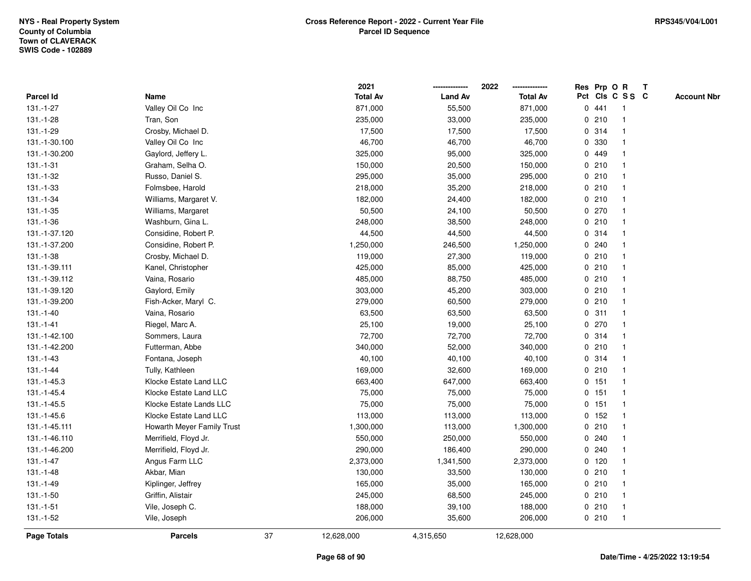|                    |                            |    | 2021            |                | 2022            |              | Res Prp O R |                 | T |                    |
|--------------------|----------------------------|----|-----------------|----------------|-----------------|--------------|-------------|-----------------|---|--------------------|
| Parcel Id          | Name                       |    | <b>Total Av</b> | <b>Land Av</b> | <b>Total Av</b> |              |             | Pct Cls C S S C |   | <b>Account Nbr</b> |
| 131.-1-27          | Valley Oil Co Inc          |    | 871,000         | 55,500         | 871,000         |              | 0441        | $\mathbf{1}$    |   |                    |
| 131.-1-28          | Tran, Son                  |    | 235,000         | 33,000         | 235,000         | 0            | 210         | $\overline{1}$  |   |                    |
| 131.-1-29          | Crosby, Michael D.         |    | 17,500          | 17,500         | 17,500          |              | 0.314       | 1               |   |                    |
| 131.-1-30.100      | Valley Oil Co Inc          |    | 46,700          | 46,700         | 46,700          |              | 0 330       |                 |   |                    |
| 131.-1-30.200      | Gaylord, Jeffery L.        |    | 325,000         | 95,000         | 325,000         |              | 0 449       |                 |   |                    |
| $131.-1-31$        | Graham, Selha O.           |    | 150,000         | 20,500         | 150,000         |              | 0210        |                 |   |                    |
| 131.-1-32          | Russo, Daniel S.           |    | 295,000         | 35,000         | 295,000         |              | 0210        | $\overline{1}$  |   |                    |
| 131.-1-33          | Folmsbee, Harold           |    | 218,000         | 35,200         | 218,000         | 0            | 210         | $\overline{1}$  |   |                    |
| $131.-1-34$        | Williams, Margaret V.      |    | 182,000         | 24,400         | 182,000         |              | 0210        | $\overline{1}$  |   |                    |
| $131.-1-35$        | Williams, Margaret         |    | 50,500          | 24,100         | 50,500          |              | 0270        | $\mathbf{1}$    |   |                    |
| 131.-1-36          | Washburn, Gina L.          |    | 248,000         | 38,500         | 248,000         |              | 0210        | 1               |   |                    |
| 131.-1-37.120      | Considine, Robert P.       |    | 44,500          | 44,500         | 44,500          |              | 0.314       |                 |   |                    |
| 131.-1-37.200      | Considine, Robert P.       |    | 1,250,000       | 246,500        | 1,250,000       |              | 0.240       |                 |   |                    |
| 131.-1-38          | Crosby, Michael D.         |    | 119,000         | 27,300         | 119,000         |              | 0210        | $\mathbf{1}$    |   |                    |
| 131.-1-39.111      | Kanel, Christopher         |    | 425,000         | 85,000         | 425,000         | 0            | 210         | 1               |   |                    |
| 131.-1-39.112      | Vaina, Rosario             |    | 485,000         | 88,750         | 485,000         | 0            | 210         | $\overline{1}$  |   |                    |
| 131.-1-39.120      | Gaylord, Emily             |    | 303,000         | 45,200         | 303,000         |              | 0210        | $\mathbf{1}$    |   |                    |
| 131.-1-39.200      | Fish-Acker, Maryl C.       |    | 279,000         | 60,500         | 279,000         |              | 0210        | $\mathbf 1$     |   |                    |
| $131.-1-40$        | Vaina, Rosario             |    | 63,500          | 63,500         | 63,500          |              | 0.311       |                 |   |                    |
| $131 - 1 - 41$     | Riegel, Marc A.            |    | 25,100          | 19,000         | 25,100          |              | 0270        |                 |   |                    |
| 131.-1-42.100      | Sommers, Laura             |    | 72,700          | 72,700         | 72,700          |              | 0.314       | $\mathbf{1}$    |   |                    |
| 131.-1-42.200      | Futterman, Abbe            |    | 340,000         | 52,000         | 340,000         |              | 0210        | 1               |   |                    |
| $131 - 1 - 43$     | Fontana, Joseph            |    | 40,100          | 40,100         | 40,100          |              | 0.314       | $\overline{1}$  |   |                    |
| $131 - 1 - 44$     | Tully, Kathleen            |    | 169,000         | 32,600         | 169,000         | $\mathbf{0}$ | 210         | $\mathbf{1}$    |   |                    |
| 131.-1-45.3        | Klocke Estate Land LLC     |    | 663,400         | 647,000        | 663,400         |              | 0.151       | $\mathbf 1$     |   |                    |
| 131.-1-45.4        | Klocke Estate Land LLC     |    | 75,000          | 75,000         | 75,000          |              | 0 151       |                 |   |                    |
| 131.-1-45.5        | Klocke Estate Lands LLC    |    | 75,000          | 75,000         | 75,000          |              | $0$ 151     |                 |   |                    |
| 131.-1-45.6        | Klocke Estate Land LLC     |    | 113,000         | 113,000        | 113,000         |              | $0$ 152     | $\mathbf{1}$    |   |                    |
| 131.-1-45.111      | Howarth Meyer Family Trust |    | 1,300,000       | 113,000        | 1,300,000       |              | 0210        | 1               |   |                    |
| 131.-1-46.110      | Merrifield, Floyd Jr.      |    | 550,000         | 250,000        | 550,000         | 0            | 240         | -1              |   |                    |
| 131.-1-46.200      | Merrifield, Floyd Jr.      |    | 290,000         | 186,400        | 290,000         | 0            | 240         | 1               |   |                    |
| $131 - 1 - 47$     | Angus Farm LLC             |    | 2,373,000       | 1,341,500      | 2,373,000       |              | 0, 120      | 1               |   |                    |
| $131 - 1 - 48$     | Akbar, Mian                |    | 130,000         | 33,500         | 130,000         |              | 0210        |                 |   |                    |
| 131.-1-49          | Kiplinger, Jeffrey         |    | 165,000         | 35,000         | 165,000         |              | 0210        |                 |   |                    |
| 131.-1-50          | Griffin, Alistair          |    | 245,000         | 68,500         | 245,000         |              | 0210        | $\mathbf{1}$    |   |                    |
| 131.-1-51          | Vile, Joseph C.            |    | 188,000         | 39,100         | 188,000         |              | 0210        | $\overline{1}$  |   |                    |
| 131.-1-52          | Vile, Joseph               |    | 206,000         | 35,600         | 206,000         |              | 0210        | $\overline{1}$  |   |                    |
| <b>Page Totals</b> | <b>Parcels</b>             | 37 | 12,628,000      | 4,315,650      | 12,628,000      |              |             |                 |   |                    |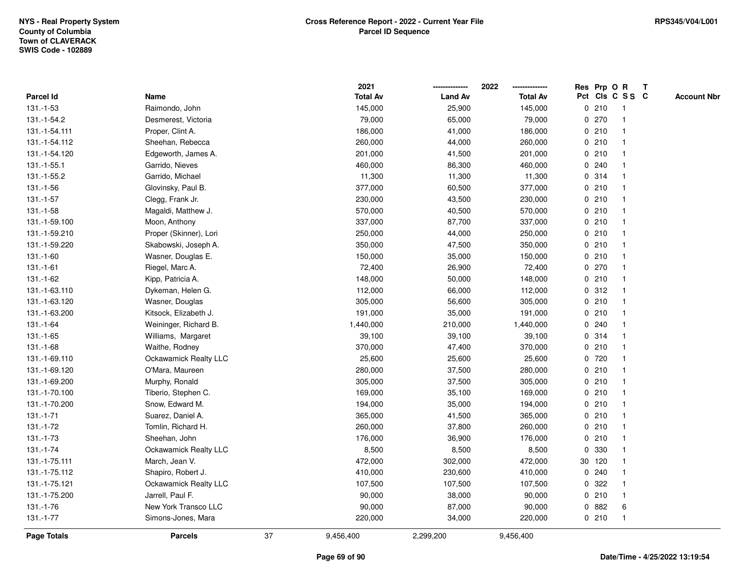|                |                              |    | 2021            |                | 2022            |              | Res Prp O R |                 | T |                    |
|----------------|------------------------------|----|-----------------|----------------|-----------------|--------------|-------------|-----------------|---|--------------------|
| Parcel Id      | Name                         |    | <b>Total Av</b> | <b>Land Av</b> | <b>Total Av</b> |              |             | Pct Cls C S S C |   | <b>Account Nbr</b> |
| 131.-1-53      | Raimondo, John               |    | 145,000         | 25,900         | 145,000         |              | 0210        | -1              |   |                    |
| 131.-1-54.2    | Desmerest, Victoria          |    | 79,000          | 65,000         | 79,000          | 0            | 270         | -1              |   |                    |
| 131.-1-54.111  | Proper, Clint A.             |    | 186,000         | 41,000         | 186,000         |              | 0210        | $\mathbf{1}$    |   |                    |
| 131.-1-54.112  | Sheehan, Rebecca             |    | 260,000         | 44,000         | 260,000         |              | 0210        |                 |   |                    |
| 131.-1-54.120  | Edgeworth, James A.          |    | 201,000         | 41,500         | 201,000         |              | 0210        |                 |   |                    |
| 131.-1-55.1    | Garrido, Nieves              |    | 460,000         | 86,300         | 460,000         |              | 0.240       |                 |   |                    |
| 131.-1-55.2    | Garrido, Michael             |    | 11,300          | 11,300         | 11,300          |              | 0.314       |                 |   |                    |
| $131.-1-56$    | Glovinsky, Paul B.           |    | 377,000         | 60,500         | 377,000         | 0            | 210         | $\overline{1}$  |   |                    |
| $131 - 1 - 57$ | Clegg, Frank Jr.             |    | 230,000         | 43,500         | 230,000         |              | 0210        | -1              |   |                    |
| 131.-1-58      | Magaldi, Matthew J.          |    | 570,000         | 40,500         | 570,000         |              | 0210        | $\mathbf 1$     |   |                    |
| 131.-1-59.100  | Moon, Anthony                |    | 337,000         | 87,700         | 337,000         |              | 0210        |                 |   |                    |
| 131.-1-59.210  | Proper (Skinner), Lori       |    | 250,000         | 44,000         | 250,000         |              | 0210        |                 |   |                    |
| 131.-1-59.220  | Skabowski, Joseph A.         |    | 350,000         | 47,500         | 350,000         |              | 0210        |                 |   |                    |
| 131.-1-60      | Wasner, Douglas E.           |    | 150,000         | 35,000         | 150,000         |              | 0210        |                 |   |                    |
| $131.-1-61$    | Riegel, Marc A.              |    | 72,400          | 26,900         | 72,400          | $\mathbf 0$  | 270         |                 |   |                    |
| 131.-1-62      | Kipp, Patricia A.            |    | 148,000         | 50,000         | 148,000         |              | 0210        | $\overline{1}$  |   |                    |
| 131.-1-63.110  | Dykeman, Helen G.            |    | 112,000         | 66,000         | 112,000         |              | 0.312       | $\mathbf{1}$    |   |                    |
| 131.-1-63.120  | Wasner, Douglas              |    | 305,000         | 56,600         | 305,000         |              | 0210        |                 |   |                    |
| 131.-1-63.200  | Kitsock, Elizabeth J.        |    | 191,000         | 35,000         | 191,000         |              | 0210        |                 |   |                    |
| 131.-1-64      | Weininger, Richard B.        |    | 1,440,000       | 210,000        | 1,440,000       |              | 0.240       |                 |   |                    |
| $131.-1-65$    | Williams, Margaret           |    | 39,100          | 39,100         | 39,100          |              | 0.314       |                 |   |                    |
| 131.-1-68      | Waithe, Rodney               |    | 370,000         | 47,400         | 370,000         |              | 0210        |                 |   |                    |
| 131.-1-69.110  | <b>Ockawamick Realty LLC</b> |    | 25,600          | 25,600         | 25,600          |              | 0720        | -1              |   |                    |
| 131.-1-69.120  | O'Mara, Maureen              |    | 280,000         | 37,500         | 280,000         | $\mathbf{0}$ | 210         | $\overline{1}$  |   |                    |
| 131.-1-69.200  | Murphy, Ronald               |    | 305,000         | 37,500         | 305,000         |              | 0210        |                 |   |                    |
| 131.-1-70.100  | Tiberio, Stephen C.          |    | 169,000         | 35,100         | 169,000         |              | 0210        |                 |   |                    |
| 131.-1-70.200  | Snow, Edward M.              |    | 194,000         | 35,000         | 194,000         |              | 0210        |                 |   |                    |
| $131.-1-71$    | Suarez, Daniel A.            |    | 365,000         | 41,500         | 365,000         |              | 0210        |                 |   |                    |
| 131.-1-72      | Tomlin, Richard H.           |    | 260,000         | 37,800         | 260,000         |              | 0210        |                 |   |                    |
| 131.-1-73      | Sheehan, John                |    | 176,000         | 36,900         | 176,000         | $\mathbf 0$  | 210         | 1               |   |                    |
| 131.-1-74      | Ockawamick Realty LLC        |    | 8,500           | 8,500          | 8,500           | $\mathbf{0}$ | 330         | -1              |   |                    |
| 131.-1-75.111  | March, Jean V.               |    | 472,000         | 302,000        | 472,000         |              | 30 120      | $\mathbf 1$     |   |                    |
| 131.-1-75.112  | Shapiro, Robert J.           |    | 410,000         | 230,600        | 410,000         |              | 0.240       |                 |   |                    |
| 131.-1-75.121  | Ockawamick Realty LLC        |    | 107,500         | 107,500        | 107,500         |              | 0 322       |                 |   |                    |
| 131.-1-75.200  | Jarrell, Paul F.             |    | 90,000          | 38,000         | 90,000          |              | 0210        | 1               |   |                    |
| 131.-1-76      | New York Transco LLC         |    | 90,000          | 87,000         | 90,000          | 0            | 882         | 6               |   |                    |
| 131.-1-77      | Simons-Jones, Mara           |    | 220,000         | 34,000         | 220,000         |              | 0210        | $\overline{1}$  |   |                    |
| Page Totals    | <b>Parcels</b>               | 37 | 9,456,400       | 2,299,200      | 9,456,400       |              |             |                 |   |                    |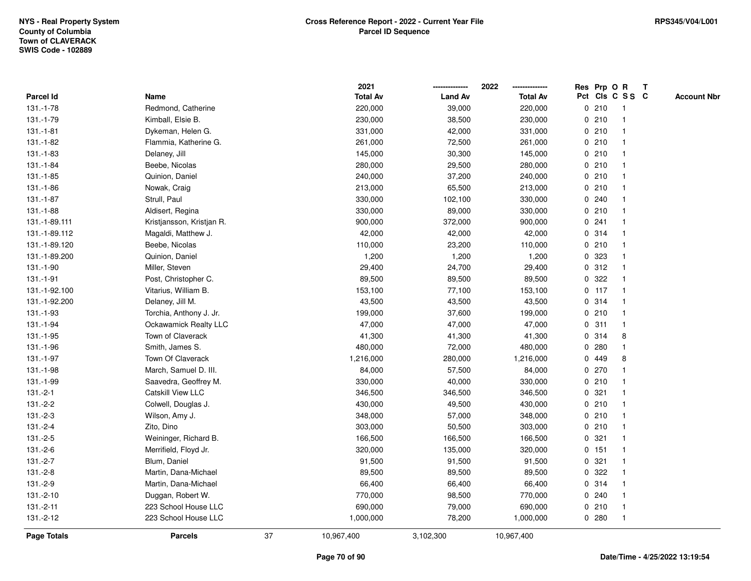|                    |                           |    | 2021            |                | 2022            |             |         | Res Prp O R     | $\mathbf{T}$ |                    |
|--------------------|---------------------------|----|-----------------|----------------|-----------------|-------------|---------|-----------------|--------------|--------------------|
| <b>Parcel Id</b>   | Name                      |    | <b>Total Av</b> | <b>Land Av</b> | <b>Total Av</b> |             |         | Pct Cls C S S C |              | <b>Account Nbr</b> |
| 131.-1-78          | Redmond, Catherine        |    | 220,000         | 39,000         | 220,000         |             | 0210    | -1              |              |                    |
| 131.-1-79          | Kimball, Elsie B.         |    | 230,000         | 38,500         | 230,000         |             | 0210    |                 |              |                    |
| $131.-1-81$        | Dykeman, Helen G.         |    | 331,000         | 42,000         | 331,000         |             | 0210    |                 |              |                    |
| 131.-1-82          | Flammia, Katherine G.     |    | 261,000         | 72,500         | 261,000         | 0           | 210     | -1              |              |                    |
| 131.-1-83          | Delaney, Jill             |    | 145,000         | 30,300         | 145,000         |             | 0210    | $\mathbf{1}$    |              |                    |
| 131.-1-84          | Beebe, Nicolas            |    | 280,000         | 29,500         | 280,000         |             | 0210    |                 |              |                    |
| 131.-1-85          | Quinion, Daniel           |    | 240,000         | 37,200         | 240,000         |             | 0210    |                 |              |                    |
| 131.-1-86          | Nowak, Craig              |    | 213,000         | 65,500         | 213,000         |             | 0210    |                 |              |                    |
| 131.-1-87          | Strull, Paul              |    | 330,000         | 102,100        | 330,000         |             | 0.240   |                 |              |                    |
| 131.-1-88          | Aldisert, Regina          |    | 330,000         | 89,000         | 330,000         |             | 0210    |                 |              |                    |
| 131.-1-89.111      | Kristjansson, Kristjan R. |    | 900,000         | 372,000        | 900,000         |             | 0.241   | $\mathbf 1$     |              |                    |
| 131.-1-89.112      | Magaldi, Matthew J.       |    | 42,000          | 42,000         | 42,000          |             | 0 314   | $\mathbf{1}$    |              |                    |
| 131.-1-89.120      | Beebe, Nicolas            |    | 110,000         | 23,200         | 110,000         |             | 0210    |                 |              |                    |
| 131.-1-89.200      | Quinion, Daniel           |    | 1,200           | 1,200          | 1,200           |             | 0 323   |                 |              |                    |
| 131.-1-90          | Miller, Steven            |    | 29,400          | 24,700         | 29,400          |             | 0.312   |                 |              |                    |
| 131.-1-91          | Post, Christopher C.      |    | 89,500          | 89,500         | 89,500          |             | 0.322   |                 |              |                    |
| 131.-1-92.100      | Vitarius, William B.      |    | 153,100         | 77,100         | 153,100         |             | $0$ 117 | $\mathbf{1}$    |              |                    |
| 131.-1-92.200      | Delaney, Jill M.          |    | 43,500          | 43,500         | 43,500          |             | 0.314   | $\mathbf{1}$    |              |                    |
| 131.-1-93          | Torchia, Anthony J. Jr.   |    | 199,000         | 37,600         | 199,000         |             | 0210    | $\mathbf{1}$    |              |                    |
| 131.-1-94          | Ockawamick Realty LLC     |    | 47,000          | 47,000         | 47,000          |             | 0.311   |                 |              |                    |
| 131.-1-95          | Town of Claverack         |    | 41,300          | 41,300         | 41,300          |             | 0.314   | 8               |              |                    |
| 131.-1-96          | Smith, James S.           |    | 480,000         | 72,000         | 480,000         | 0           | 280     |                 |              |                    |
| 131.-1-97          | Town Of Claverack         |    | 1,216,000       | 280,000        | 1,216,000       |             | 0 449   | 8               |              |                    |
| 131.-1-98          | March, Samuel D. III.     |    | 84,000          | 57,500         | 84,000          | 0           | 270     |                 |              |                    |
| 131.-1-99          | Saavedra, Geoffrey M.     |    | 330,000         | 40,000         | 330,000         |             | 0210    |                 |              |                    |
| $131.-2-1$         | <b>Catskill View LLC</b>  |    | 346,500         | 346,500        | 346,500         |             | 0.321   |                 |              |                    |
| $131.-2-2$         | Colwell, Douglas J.       |    | 430,000         | 49,500         | 430,000         |             | 0210    |                 |              |                    |
| $131.-2-3$         | Wilson, Amy J.            |    | 348,000         | 57,000         | 348,000         |             | 0210    |                 |              |                    |
| $131.-2-4$         | Zito, Dino                |    | 303,000         | 50,500         | 303,000         |             | 0210    |                 |              |                    |
| $131.-2-5$         | Weininger, Richard B.     |    | 166,500         | 166,500        | 166,500         | $\mathbf 0$ | 321     |                 |              |                    |
| $131.-2-6$         | Merrifield, Floyd Jr.     |    | 320,000         | 135,000        | 320,000         |             | 0.151   | $\mathbf{1}$    |              |                    |
| $131.-2-7$         | Blum, Daniel              |    | 91,500          | 91,500         | 91,500          |             | 0.321   | $\mathbf{1}$    |              |                    |
| $131.-2-8$         | Martin, Dana-Michael      |    | 89,500          | 89,500         | 89,500          |             | 0.322   |                 |              |                    |
| 131.-2-9           | Martin, Dana-Michael      |    | 66,400          | 66,400         | 66,400          |             | 0 314   |                 |              |                    |
| 131.-2-10          | Duggan, Robert W.         |    | 770,000         | 98,500         | 770,000         |             | 0.240   |                 |              |                    |
| $131.-2-11$        | 223 School House LLC      |    | 690,000         | 79,000         | 690,000         |             | 0210    | $\overline{1}$  |              |                    |
| $131.-2-12$        | 223 School House LLC      |    | 1,000,000       | 78,200         | 1,000,000       |             | 0.280   | $\mathbf{1}$    |              |                    |
| <b>Page Totals</b> | <b>Parcels</b>            | 37 | 10,967,400      | 3,102,300      | 10,967,400      |             |         |                 |              |                    |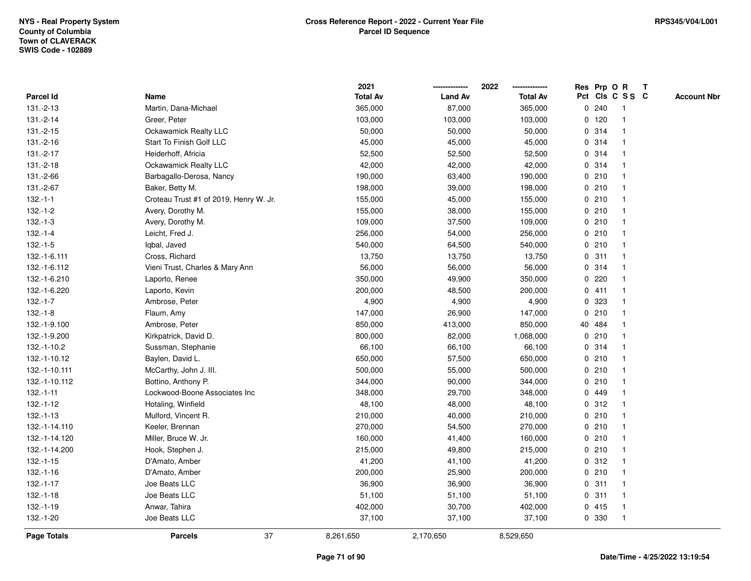|                  |                                        | 2021            |                | 2022<br>-------------- |   |        | Res Prp O R             | T |                    |
|------------------|----------------------------------------|-----------------|----------------|------------------------|---|--------|-------------------------|---|--------------------|
| <b>Parcel Id</b> | Name                                   | <b>Total Av</b> | <b>Land Av</b> | <b>Total Av</b>        |   |        | Pct Cls C S S C         |   | <b>Account Nbr</b> |
| 131.-2-13        | Martin, Dana-Michael                   | 365,000         | 87,000         | 365,000                | 0 | 240    | $\overline{\mathbf{1}}$ |   |                    |
| 131.-2-14        | Greer, Peter                           | 103,000         | 103,000        | 103,000                |   | 0, 120 | $\overline{1}$          |   |                    |
| 131.-2-15        | Ockawamick Realty LLC                  | 50,000          | 50,000         | 50,000                 |   | 0.314  | $\mathbf{1}$            |   |                    |
| $131.-2-16$      | Start To Finish Golf LLC               | 45,000          | 45,000         | 45,000                 |   | 0.314  |                         |   |                    |
| 131.-2-17        | Heiderhoff, Africia                    | 52,500          | 52,500         | 52,500                 |   | 0.314  |                         |   |                    |
| 131.-2-18        | Ockawamick Realty LLC                  | 42,000          | 42,000         | 42,000                 |   | 0.314  |                         |   |                    |
| 131.-2-66        | Barbagallo-Derosa, Nancy               | 190,000         | 63,400         | 190,000                |   | 0210   | -1                      |   |                    |
| 131.-2-67        | Baker, Betty M.                        | 198,000         | 39,000         | 198,000                |   | 0210   | $\overline{1}$          |   |                    |
| $132.-1-1$       | Croteau Trust #1 of 2019, Henry W. Jr. | 155,000         | 45,000         | 155,000                |   | 0210   | $\overline{1}$          |   |                    |
| $132.-1-2$       | Avery, Dorothy M.                      | 155,000         | 38,000         | 155,000                |   | 0210   | 1                       |   |                    |
| $132.-1-3$       | Avery, Dorothy M.                      | 109,000         | 37,500         | 109,000                |   | 0210   |                         |   |                    |
| $132.-1-4$       | Leicht, Fred J.                        | 256,000         | 54,000         | 256,000                |   | 0210   |                         |   |                    |
| $132.-1-5$       | Iqbal, Javed                           | 540,000         | 64,500         | 540,000                |   | 0210   |                         |   |                    |
| 132.-1-6.111     | Cross, Richard                         | 13,750          | 13,750         | 13,750                 |   | 0.311  | -1                      |   |                    |
| 132.-1-6.112     | Vieni Trust, Charles & Mary Ann        | 56,000          | 56,000         | 56,000                 |   | 0.314  | $\overline{1}$          |   |                    |
| 132.-1-6.210     | Laporto, Renee                         | 350,000         | 49,900         | 350,000                | 0 | 220    | $\mathbf{1}$            |   |                    |
| 132.-1-6.220     | Laporto, Kevin                         | 200,000         | 48,500         | 200,000                |   | 0411   | $\mathbf{1}$            |   |                    |
| $132.-1-7$       | Ambrose, Peter                         | 4,900           | 4,900          | 4,900                  |   | 0 323  |                         |   |                    |
| $132.-1-8$       | Flaum, Amy                             | 147,000         | 26,900         | 147,000                |   | 0210   |                         |   |                    |
| 132.-1-9.100     | Ambrose, Peter                         | 850,000         | 413,000        | 850,000                |   | 40 484 |                         |   |                    |
| 132.-1-9.200     | Kirkpatrick, David D.                  | 800,000         | 82,000         | 1,068,000              |   | 0210   |                         |   |                    |
| 132.-1-10.2      | Sussman, Stephanie                     | 66,100          | 66,100         | 66,100                 | 0 | 314    | -1                      |   |                    |
| 132.-1-10.12     | Baylen, David L.                       | 650,000         | 57,500         | 650,000                |   | 0210   | $\overline{\mathbf{1}}$ |   |                    |
| 132.-1-10.111    | McCarthy, John J. III.                 | 500,000         | 55,000         | 500,000                |   | 0210   | $\mathbf{1}$            |   |                    |
| 132.-1-10.112    | Bottino, Anthony P.                    | 344,000         | 90,000         | 344,000                |   | 0210   |                         |   |                    |
| $132.-1-11$      | Lockwood-Boone Associates Inc          | 348,000         | 29,700         | 348,000                |   | 0 449  |                         |   |                    |
| $132.-1-12$      | Hotaling, Winfield                     | 48,100          | 48,000         | 48,100                 |   | 0.312  |                         |   |                    |
| $132.-1-13$      | Mulford, Vincent R.                    | 210,000         | 40,000         | 210,000                |   | 0210   | -1                      |   |                    |
| 132.-1-14.110    | Keeler, Brennan                        | 270,000         | 54,500         | 270,000                | 0 | 210    | -1                      |   |                    |
| 132.-1-14.120    | Miller, Bruce W. Jr.                   | 160,000         | 41,400         | 160,000                |   | 0210   | $\overline{1}$          |   |                    |
| 132.-1-14.200    | Hook, Stephen J.                       | 215,000         | 49,800         | 215,000                |   | 0210   | $\mathbf{1}$            |   |                    |
| $132.-1-15$      | D'Amato, Amber                         | 41,200          | 41,100         | 41,200                 |   | 0.312  |                         |   |                    |
| $132.-1-16$      | D'Amato, Amber                         | 200,000         | 25,900         | 200,000                |   | 0210   |                         |   |                    |
| $132.-1-17$      | Joe Beats LLC                          | 36,900          | 36,900         | 36,900                 |   | 0.311  |                         |   |                    |
| $132.-1-18$      | Joe Beats LLC                          | 51,100          | 51,100         | 51,100                 |   | 0.311  | $\overline{1}$          |   |                    |
| $132.-1-19$      | Anwar, Tahira                          | 402,000         | 30,700         | 402,000                |   | 0415   | $\overline{1}$          |   |                    |
| 132.-1-20        | Joe Beats LLC                          | 37,100          | 37,100         | 37,100                 |   | 0 330  | $\overline{1}$          |   |                    |
| Page Totals      | 37<br><b>Parcels</b>                   | 8,261,650       | 2,170,650      | 8,529,650              |   |        |                         |   |                    |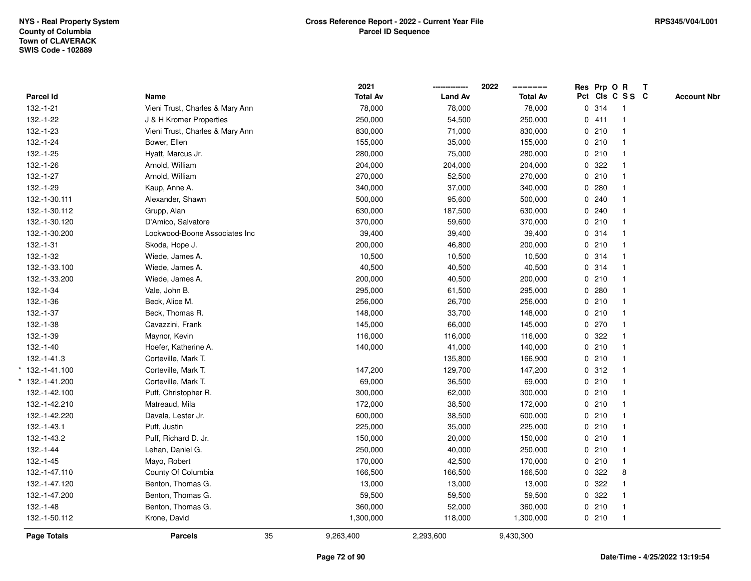| Parcel Id<br>132.-1-21 | Name<br>Vieni Trust, Charles & Mary Ann | <b>Total Av</b> | <b>Land Av</b> | <b>Total Av</b> |       | Pct Cls C S S C         | <b>Account Nbr</b> |
|------------------------|-----------------------------------------|-----------------|----------------|-----------------|-------|-------------------------|--------------------|
|                        |                                         |                 |                |                 |       |                         |                    |
|                        |                                         | 78,000          | 78,000         | 78,000          | 0.314 | $\overline{1}$          |                    |
| 132.-1-22              | J & H Kromer Properties                 | 250,000         | 54,500         | 250,000         | 0411  | $\mathbf{1}$            |                    |
| 132.-1-23              | Vieni Trust, Charles & Mary Ann         | 830,000         | 71,000         | 830,000         | 0210  | $\mathbf{1}$            |                    |
| 132.-1-24              | Bower, Ellen                            | 155,000         | 35,000         | 155,000         | 0210  |                         |                    |
| 132.-1-25              | Hyatt, Marcus Jr.                       | 280,000         | 75,000         | 280,000         | 0210  |                         |                    |
| 132.-1-26              | Arnold, William                         | 204,000         | 204,000        | 204,000         | 0.322 |                         |                    |
| 132.-1-27              | Arnold, William                         | 270,000         | 52,500         | 270,000         | 0210  |                         |                    |
| $132.-1-29$            | Kaup, Anne A.                           | 340,000         | 37,000         | 340,000         | 0.280 |                         |                    |
| 132.-1-30.111          | Alexander, Shawn                        | 500,000         | 95,600         | 500,000         | 0.240 | $\overline{1}$          |                    |
| 132.-1-30.112          | Grupp, Alan                             | 630,000         | 187,500        | 630,000         | 0.240 |                         |                    |
| 132.-1-30.120          | D'Amico, Salvatore                      | 370,000         | 59,600         | 370,000         | 0210  |                         |                    |
| 132.-1-30.200          | Lockwood-Boone Associates Inc           | 39,400          | 39,400         | 39,400          | 0.314 |                         |                    |
| $132.-1-31$            | Skoda, Hope J.                          | 200,000         | 46,800         | 200,000         | 0210  |                         |                    |
| 132.-1-32              | Wiede, James A.                         | 10,500          | 10,500         | 10,500          | 0.314 |                         |                    |
| 132.-1-33.100          | Wiede, James A.                         | 40,500          | 40,500         | 40,500          | 0.314 | $\overline{1}$          |                    |
| 132.-1-33.200          | Wiede, James A.                         | 200,000         | 40,500         | 200,000         | 0210  | $\mathbf{1}$            |                    |
| 132.-1-34              | Vale, John B.                           | 295,000         | 61,500         | 295,000         | 0.280 |                         |                    |
| 132.-1-36              | Beck, Alice M.                          | 256,000         | 26,700         | 256,000         | 0210  |                         |                    |
| 132.-1-37              | Beck, Thomas R.                         | 148,000         | 33,700         | 148,000         | 0210  |                         |                    |
| 132.-1-38              | Cavazzini, Frank                        | 145,000         | 66,000         | 145,000         | 0270  |                         |                    |
| 132.-1-39              | Maynor, Kevin                           | 116,000         | 116,000        | 116,000         | 0.322 | $\overline{\mathbf{1}}$ |                    |
| $132.-1-40$            | Hoefer, Katherine A.                    | 140,000         | 41,000         | 140,000         | 0210  | $\mathbf{1}$            |                    |
| 132.-1-41.3            | Corteville, Mark T.                     |                 | 135,800        | 166,900         | 0210  | $\mathbf{1}$            |                    |
| $*$ 132.-1-41.100      | Corteville, Mark T.                     | 147,200         | 129,700        | 147,200         | 0.312 |                         |                    |
| 132.-1-41.200          | Corteville, Mark T.                     | 69,000          | 36,500         | 69,000          | 0210  |                         |                    |
| 132.-1-42.100          | Puff, Christopher R.                    | 300,000         | 62,000         | 300,000         | 0210  |                         |                    |
| 132.-1-42.210          | Matreaud, Mila                          | 172,000         | 38,500         | 172,000         | 0210  |                         |                    |
| 132.-1-42.220          | Davala, Lester Jr.                      | 600,000         | 38,500         | 600,000         | 0210  | $\mathbf{1}$            |                    |
| 132.-1-43.1            | Puff, Justin                            | 225,000         | 35,000         | 225,000         | 0210  | $\mathbf{1}$            |                    |
| 132.-1-43.2            | Puff, Richard D. Jr.                    | 150,000         | 20,000         | 150,000         | 0210  | $\overline{1}$          |                    |
| 132.-1-44              | Lehan, Daniel G.                        | 250,000         | 40,000         | 250,000         | 0210  |                         |                    |
| $132.-1-45$            | Mayo, Robert                            | 170,000         | 42,500         | 170,000         | 0210  |                         |                    |
| 132.-1-47.110          | County Of Columbia                      | 166,500         | 166,500        | 166,500         | 0.322 | 8                       |                    |
| 132.-1-47.120          | Benton, Thomas G.                       | 13,000          | 13,000         | 13,000          | 0 322 |                         |                    |
| 132.-1-47.200          | Benton, Thomas G.                       | 59,500          | 59,500         | 59,500          | 0 322 |                         |                    |
| 132.-1-48              | Benton, Thomas G.                       | 360,000         | 52,000         | 360,000         | 0210  | $\overline{\mathbf{1}}$ |                    |
| 132.-1-50.112          | Krone, David                            | 1,300,000       | 118,000        | 1,300,000       | 0210  | $\mathbf{1}$            |                    |
| Page Totals            | <b>Parcels</b>                          | 35<br>9,263,400 | 2,293,600      | 9,430,300       |       |                         |                    |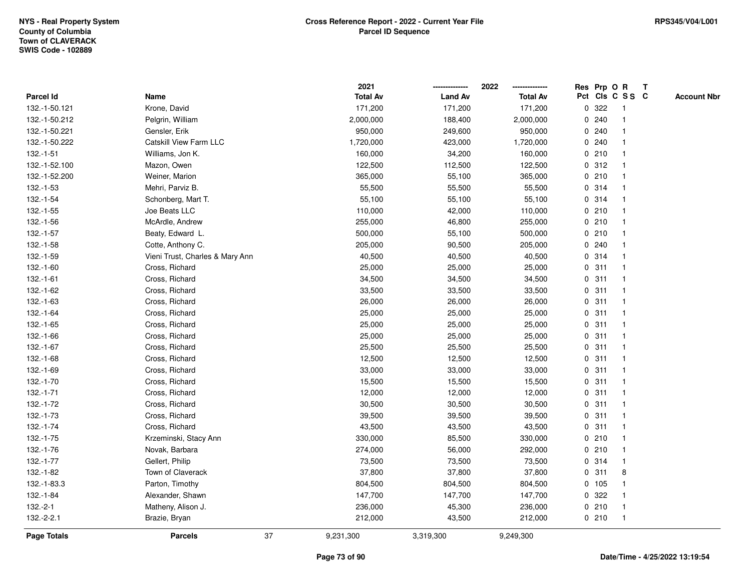|               |                                 |    | 2021            |                | 2022            |   | Res Prp O R |                 | Т |                    |
|---------------|---------------------------------|----|-----------------|----------------|-----------------|---|-------------|-----------------|---|--------------------|
| Parcel Id     | Name                            |    | <b>Total Av</b> | <b>Land Av</b> | <b>Total Av</b> |   |             | Pct Cls C S S C |   | <b>Account Nbr</b> |
| 132.-1-50.121 | Krone, David                    |    | 171,200         | 171,200        | 171,200         | 0 | 322         | $\mathbf{1}$    |   |                    |
| 132.-1-50.212 | Pelgrin, William                |    | 2,000,000       | 188,400        | 2,000,000       | 0 | 240         | 1               |   |                    |
| 132.-1-50.221 | Gensler, Erik                   |    | 950,000         | 249,600        | 950,000         |   | 0.240       | $\mathbf 1$     |   |                    |
| 132.-1-50.222 | Catskill View Farm LLC          |    | 1,720,000       | 423,000        | 1,720,000       |   | 0.240       |                 |   |                    |
| $132.-1-51$   | Williams, Jon K.                |    | 160,000         | 34,200         | 160,000         |   | 0210        |                 |   |                    |
| 132.-1-52.100 | Mazon, Owen                     |    | 122,500         | 112,500        | 122,500         |   | 0.312       |                 |   |                    |
| 132.-1-52.200 | Weiner, Marion                  |    | 365,000         | 55,100         | 365,000         |   | 0210        | $\mathbf 1$     |   |                    |
| 132.-1-53     | Mehri, Parviz B.                |    | 55,500          | 55,500         | 55,500          |   | 0.314       | $\mathbf{1}$    |   |                    |
| 132.-1-54     | Schonberg, Mart T.              |    | 55,100          | 55,100         | 55,100          |   | 0.314       | 1               |   |                    |
| 132.-1-55     | Joe Beats LLC                   |    | 110,000         | 42,000         | 110,000         |   | 0210        | 1               |   |                    |
| 132.-1-56     | McArdle, Andrew                 |    | 255,000         | 46,800         | 255,000         |   | 0210        | $\mathbf 1$     |   |                    |
| 132.-1-57     | Beaty, Edward L.                |    | 500,000         | 55,100         | 500,000         |   | 0210        |                 |   |                    |
| 132.-1-58     | Cotte, Anthony C.               |    | 205,000         | 90,500         | 205,000         |   | 0.240       |                 |   |                    |
| 132.-1-59     | Vieni Trust, Charles & Mary Ann |    | 40,500          | 40,500         | 40,500          |   | 0.314       | 1               |   |                    |
| 132.-1-60     | Cross, Richard                  |    | 25,000          | 25,000         | 25,000          | 0 | 311         | $\mathbf{1}$    |   |                    |
| $132.-1-61$   | Cross, Richard                  |    | 34,500          | 34,500         | 34,500          | 0 | 311         | $\mathbf{1}$    |   |                    |
| 132.-1-62     | Cross, Richard                  |    | 33,500          | 33,500         | 33,500          |   | 0.311       | $\mathbf{1}$    |   |                    |
| 132.-1-63     | Cross, Richard                  |    | 26,000          | 26,000         | 26,000          |   | 0.311       | 1               |   |                    |
| 132.-1-64     | Cross, Richard                  |    | 25,000          | 25,000         | 25,000          |   | 0.311       |                 |   |                    |
| 132.-1-65     | Cross, Richard                  |    | 25,000          | 25,000         | 25,000          |   | 0.311       |                 |   |                    |
| 132.-1-66     | Cross, Richard                  |    | 25,000          | 25,000         | 25,000          |   | 0.311       | $\mathbf{1}$    |   |                    |
| 132.-1-67     | Cross, Richard                  |    | 25,500          | 25,500         | 25,500          |   | 0.311       | 1               |   |                    |
| 132.-1-68     | Cross, Richard                  |    | 12,500          | 12,500         | 12,500          |   | 0.311       | $\mathbf{1}$    |   |                    |
| 132.-1-69     | Cross, Richard                  |    | 33,000          | 33,000         | 33,000          |   | 0.311       | $\mathbf 1$     |   |                    |
| 132.-1-70     | Cross, Richard                  |    | 15,500          | 15,500         | 15,500          |   | 0.311       | $\mathbf 1$     |   |                    |
| 132.-1-71     | Cross, Richard                  |    | 12,000          | 12,000         | 12,000          |   | 0.311       |                 |   |                    |
| 132.-1-72     | Cross, Richard                  |    | 30,500          | 30,500         | 30,500          |   | 0.311       |                 |   |                    |
| 132.-1-73     | Cross, Richard                  |    | 39,500          | 39,500         | 39,500          |   | 0.311       | 1               |   |                    |
| 132.-1-74     | Cross, Richard                  |    | 43,500          | 43,500         | 43,500          |   | 0.311       | $\mathbf{1}$    |   |                    |
| 132.-1-75     | Krzeminski, Stacy Ann           |    | 330,000         | 85,500         | 330,000         |   | 0210        | 1               |   |                    |
| 132.-1-76     | Novak, Barbara                  |    | 274,000         | 56,000         | 292,000         |   | 0210        | 1               |   |                    |
| 132.-1-77     | Gellert, Philip                 |    | 73,500          | 73,500         | 73,500          |   | 0.314       | 1               |   |                    |
| 132.-1-82     | Town of Claverack               |    | 37,800          | 37,800         | 37,800          |   | 0.311       | 8               |   |                    |
| 132.-1-83.3   | Parton, Timothy                 |    | 804,500         | 804,500        | 804,500         |   | 0 105       |                 |   |                    |
| 132.-1-84     | Alexander, Shawn                |    | 147,700         | 147,700        | 147,700         |   | 0.322       | $\mathbf 1$     |   |                    |
| $132.-2-1$    | Matheny, Alison J.              |    | 236,000         | 45,300         | 236,000         |   | 0210        | $\mathbf{1}$    |   |                    |
| $132.-2-2.1$  | Brazie, Bryan                   |    | 212,000         | 43,500         | 212,000         |   | 0210        | $\mathbf{1}$    |   |                    |
| Page Totals   | <b>Parcels</b>                  | 37 | 9,231,300       | 3,319,300      | 9,249,300       |   |             |                 |   |                    |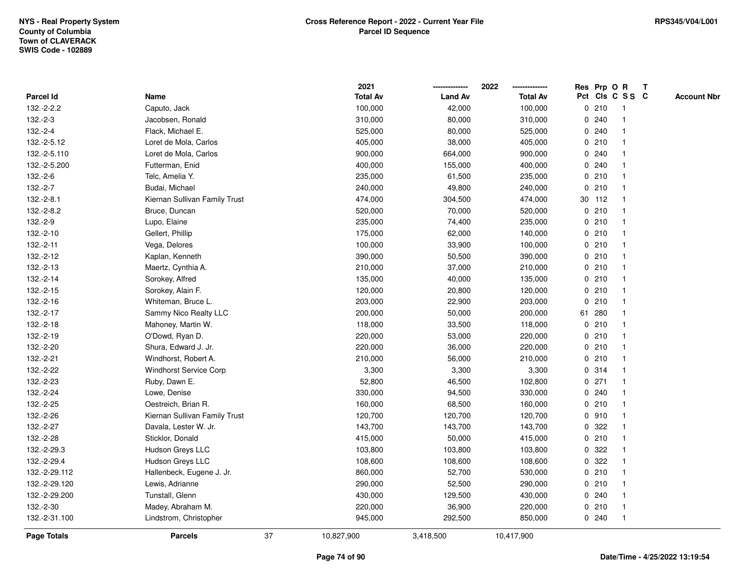|               |                               |    | 2021            |                | 2022            |             |         | Res Prp O R     | T |                    |
|---------------|-------------------------------|----|-----------------|----------------|-----------------|-------------|---------|-----------------|---|--------------------|
| Parcel Id     | Name                          |    | <b>Total Av</b> | <b>Land Av</b> | <b>Total Av</b> |             |         | Pct Cls C S S C |   | <b>Account Nbr</b> |
| 132.-2-2.2    | Caputo, Jack                  |    | 100,000         | 42,000         | 100,000         |             | 0210    | -1              |   |                    |
| $132.-2-3$    | Jacobsen, Ronald              |    | 310,000         | 80,000         | 310,000         | 0           | 240     | $\mathbf{1}$    |   |                    |
| 132.-2-4      | Flack, Michael E.             |    | 525,000         | 80,000         | 525,000         |             | 0.240   | $\mathbf{1}$    |   |                    |
| 132.-2-5.12   | Loret de Mola, Carlos         |    | 405,000         | 38,000         | 405,000         |             | 0210    |                 |   |                    |
| 132.-2-5.110  | Loret de Mola, Carlos         |    | 900,000         | 664,000        | 900,000         |             | 0.240   |                 |   |                    |
| 132.-2-5.200  | Futterman, Enid               |    | 400,000         | 155,000        | 400,000         |             | 0.240   |                 |   |                    |
| 132.-2-6      | Telc, Amelia Y.               |    | 235,000         | 61,500         | 235,000         |             | 0210    |                 |   |                    |
| 132.-2-7      | Budai, Michael                |    | 240,000         | 49,800         | 240,000         | 0           | 210     | -1              |   |                    |
| 132.-2-8.1    | Kiernan Sullivan Family Trust |    | 474,000         | 304,500        | 474,000         |             | 30 112  | $\mathbf{1}$    |   |                    |
| 132.-2-8.2    | Bruce, Duncan                 |    | 520,000         | 70,000         | 520,000         |             | 0210    | 1               |   |                    |
| 132.-2-9      | Lupo, Elaine                  |    | 235,000         | 74,400         | 235,000         |             | 0210    |                 |   |                    |
| 132.-2-10     | Gellert, Phillip              |    | 175,000         | 62,000         | 140,000         |             | 0210    |                 |   |                    |
| 132.-2-11     | Vega, Delores                 |    | 100,000         | 33,900         | 100,000         |             | 0210    |                 |   |                    |
| 132.-2-12     | Kaplan, Kenneth               |    | 390,000         | 50,500         | 390,000         |             | 0210    |                 |   |                    |
| 132.-2-13     | Maertz, Cynthia A.            |    | 210,000         | 37,000         | 210,000         | 0           | 210     | $\mathbf{1}$    |   |                    |
| 132.-2-14     | Sorokey, Alfred               |    | 135,000         | 40,000         | 135,000         |             | 0210    | $\mathbf 1$     |   |                    |
| 132.-2-15     | Sorokey, Alain F.             |    | 120,000         | 20,800         | 120,000         |             | 0210    | $\mathbf 1$     |   |                    |
| 132.-2-16     | Whiteman, Bruce L.            |    | 203,000         | 22,900         | 203,000         |             | 0210    |                 |   |                    |
| 132.-2-17     | Sammy Nico Realty LLC         |    | 200,000         | 50,000         | 200,000         |             | 61 280  |                 |   |                    |
| 132.-2-18     | Mahoney, Martin W.            |    | 118,000         | 33,500         | 118,000         |             | 0210    |                 |   |                    |
| 132.-2-19     | O'Dowd, Ryan D.               |    | 220,000         | 53,000         | 220,000         |             | 0210    |                 |   |                    |
| 132.-2-20     | Shura, Edward J. Jr.          |    | 220,000         | 36,000         | 220,000         | $\mathbf 0$ | 210     |                 |   |                    |
| 132.-2-21     | Windhorst, Robert A.          |    | 210,000         | 56,000         | 210,000         |             | 0210    | $\overline{1}$  |   |                    |
| 132.-2-22     | <b>Windhorst Service Corp</b> |    | 3,300           | 3,300          | 3,300           |             | 0.314   | $\mathbf{1}$    |   |                    |
| 132.-2-23     | Ruby, Dawn E.                 |    | 52,800          | 46,500         | 102,800         |             | $0$ 271 |                 |   |                    |
| 132.-2-24     | Lowe, Denise                  |    | 330,000         | 94,500         | 330,000         |             | 0.240   |                 |   |                    |
| 132.-2-25     | Oestreich, Brian R.           |    | 160,000         | 68,500         | 160,000         |             | 0210    |                 |   |                    |
| 132.-2-26     | Kiernan Sullivan Family Trust |    | 120,700         | 120,700        | 120,700         |             | 0 910   |                 |   |                    |
| 132.-2-27     | Davala, Lester W. Jr.         |    | 143,700         | 143,700        | 143,700         | 0           | 322     |                 |   |                    |
| 132.-2-28     | Sticklor, Donald              |    | 415,000         | 50,000         | 415,000         |             | 0210    | $\mathbf{1}$    |   |                    |
| 132.-2-29.3   | Hudson Greys LLC              |    | 103,800         | 103,800        | 103,800         | $\mathbf 0$ | 322     |                 |   |                    |
| 132.-2-29.4   | Hudson Greys LLC              |    | 108,600         | 108,600        | 108,600         |             | 0.322   |                 |   |                    |
| 132.-2-29.112 | Hallenbeck, Eugene J. Jr.     |    | 860,000         | 52,700         | 530,000         |             | 0210    |                 |   |                    |
| 132.-2-29.120 | Lewis, Adrianne               |    | 290,000         | 52,500         | 290,000         |             | 0210    |                 |   |                    |
| 132.-2-29.200 | Tunstall, Glenn               |    | 430,000         | 129,500        | 430,000         |             | 0.240   |                 |   |                    |
| 132.-2-30     | Madey, Abraham M.             |    | 220,000         | 36,900         | 220,000         |             | 0210    | $\mathbf{1}$    |   |                    |
| 132.-2-31.100 | Lindstrom, Christopher        |    | 945,000         | 292,500        | 850,000         |             | 0.240   | $\overline{1}$  |   |                    |
| Page Totals   | <b>Parcels</b>                | 37 | 10,827,900      | 3,418,500      | 10,417,900      |             |         |                 |   |                    |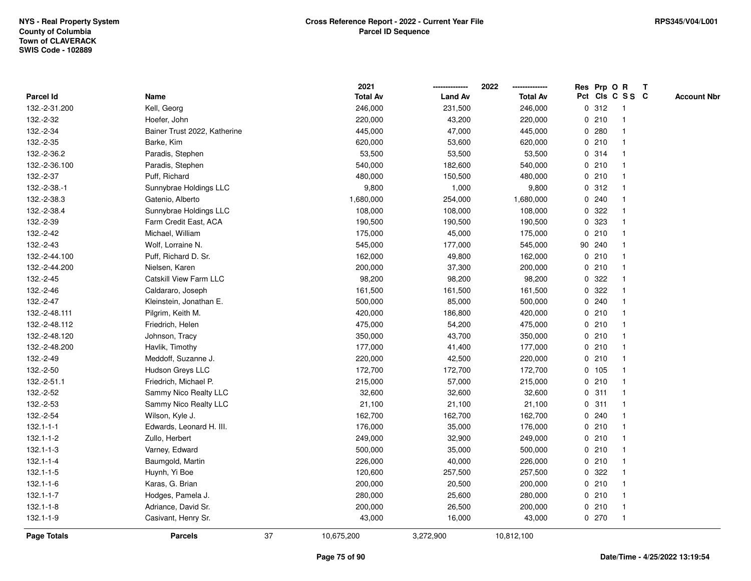|                 |                              |    | 2021            |                | 2022            |              |        | Res Prp O R     | T |                    |
|-----------------|------------------------------|----|-----------------|----------------|-----------------|--------------|--------|-----------------|---|--------------------|
| Parcel Id       | Name                         |    | <b>Total Av</b> | <b>Land Av</b> | <b>Total Av</b> |              |        | Pct Cls C S S C |   | <b>Account Nbr</b> |
| 132.-2-31.200   | Kell, Georg                  |    | 246,000         | 231,500        | 246,000         |              | 0.312  | -1              |   |                    |
| 132.-2-32       | Hoefer, John                 |    | 220,000         | 43,200         | 220,000         | 0            | 210    | $\mathbf 1$     |   |                    |
| 132.-2-34       | Bainer Trust 2022, Katherine |    | 445,000         | 47,000         | 445,000         |              | 0.280  | 1               |   |                    |
| 132.-2-35       | Barke, Kim                   |    | 620,000         | 53,600         | 620,000         |              | 0210   |                 |   |                    |
| 132.-2-36.2     | Paradis, Stephen             |    | 53,500          | 53,500         | 53,500          |              | 0 314  |                 |   |                    |
| 132.-2-36.100   | Paradis, Stephen             |    | 540,000         | 182,600        | 540,000         |              | 0210   |                 |   |                    |
| 132.-2-37       | Puff, Richard                |    | 480,000         | 150,500        | 480,000         |              | 0210   |                 |   |                    |
| 132.-2-38.-1    | Sunnybrae Holdings LLC       |    | 9,800           | 1,000          | 9,800           | $\mathbf 0$  | 312    |                 |   |                    |
| 132.-2-38.3     | Gatenio, Alberto             |    | 1,680,000       | 254,000        | 1,680,000       | 0            | 240    |                 |   |                    |
| 132.-2-38.4     | Sunnybrae Holdings LLC       |    | 108,000         | 108,000        | 108,000         |              | 0 322  |                 |   |                    |
| 132.-2-39       | Farm Credit East, ACA        |    | 190,500         | 190,500        | 190,500         |              | 0 323  |                 |   |                    |
| 132.-2-42       | Michael, William             |    | 175,000         | 45,000         | 175,000         |              | 0210   |                 |   |                    |
| 132.-2-43       | Wolf, Lorraine N.            |    | 545,000         | 177,000        | 545,000         |              | 90 240 |                 |   |                    |
| 132.-2-44.100   | Puff, Richard D. Sr.         |    | 162,000         | 49,800         | 162,000         |              | 0210   |                 |   |                    |
| 132.-2-44.200   | Nielsen, Karen               |    | 200,000         | 37,300         | 200,000         | $\mathbf 0$  | 210    |                 |   |                    |
| 132.-2-45       | Catskill View Farm LLC       |    | 98,200          | 98,200         | 98,200          | $\mathbf{0}$ | 322    |                 |   |                    |
| 132.-2-46       | Caldararo, Joseph            |    | 161,500         | 161,500        | 161,500         | $\mathbf 0$  | 322    |                 |   |                    |
| 132.-2-47       | Kleinstein, Jonathan E.      |    | 500,000         | 85,000         | 500,000         |              | 0.240  |                 |   |                    |
| 132.-2-48.111   | Pilgrim, Keith M.            |    | 420,000         | 186,800        | 420,000         |              | 0210   |                 |   |                    |
| 132.-2-48.112   | Friedrich, Helen             |    | 475,000         | 54,200         | 475,000         |              | 0210   |                 |   |                    |
| 132.-2-48.120   | Johnson, Tracy               |    | 350,000         | 43,700         | 350,000         |              | 0210   |                 |   |                    |
| 132.-2-48.200   | Havlik, Timothy              |    | 177,000         | 41,400         | 177,000         |              | 0210   |                 |   |                    |
| 132.-2-49       | Meddoff, Suzanne J.          |    | 220,000         | 42,500         | 220,000         |              | 0210   | $\overline{1}$  |   |                    |
| 132.-2-50       | Hudson Greys LLC             |    | 172,700         | 172,700        | 172,700         | $\mathbf{0}$ | 105    | $\overline{1}$  |   |                    |
| 132.-2-51.1     | Friedrich, Michael P.        |    | 215,000         | 57,000         | 215,000         |              | 0210   |                 |   |                    |
| 132.-2-52       | Sammy Nico Realty LLC        |    | 32,600          | 32,600         | 32,600          |              | 0.311  |                 |   |                    |
| 132.-2-53       | Sammy Nico Realty LLC        |    | 21,100          | 21,100         | 21,100          |              | 0.311  |                 |   |                    |
| 132.-2-54       | Wilson, Kyle J.              |    | 162,700         | 162,700        | 162,700         | 0            | 240    |                 |   |                    |
| $132.1 - 1 - 1$ | Edwards, Leonard H. III.     |    | 176,000         | 35,000         | 176,000         |              | 0210   |                 |   |                    |
| $132.1 - 1 - 2$ | Zullo, Herbert               |    | 249,000         | 32,900         | 249,000         | $\mathbf 0$  | 210    |                 |   |                    |
| $132.1 - 1 - 3$ | Varney, Edward               |    | 500,000         | 35,000         | 500,000         |              | 0210   | $\mathbf 1$     |   |                    |
| $132.1 - 1 - 4$ | Baumgold, Martin             |    | 226,000         | 40,000         | 226,000         |              | 0210   | $\mathbf 1$     |   |                    |
| $132.1 - 1 - 5$ | Huynh, Yi Boe                |    | 120,600         | 257,500        | 257,500         |              | 0.322  |                 |   |                    |
| $132.1 - 1 - 6$ | Karas, G. Brian              |    | 200,000         | 20,500         | 200,000         |              | 0210   |                 |   |                    |
| $132.1 - 1 - 7$ | Hodges, Pamela J.            |    | 280,000         | 25,600         | 280,000         |              | 0210   |                 |   |                    |
| $132.1 - 1 - 8$ | Adriance, David Sr.          |    | 200,000         | 26,500         | 200,000         |              | 0210   | -1              |   |                    |
| $132.1 - 1 - 9$ | Casivant, Henry Sr.          |    | 43,000          | 16,000         | 43,000          |              | 0270   | $\mathbf{1}$    |   |                    |
| Page Totals     | <b>Parcels</b>               | 37 | 10,675,200      | 3,272,900      | 10,812,100      |              |        |                 |   |                    |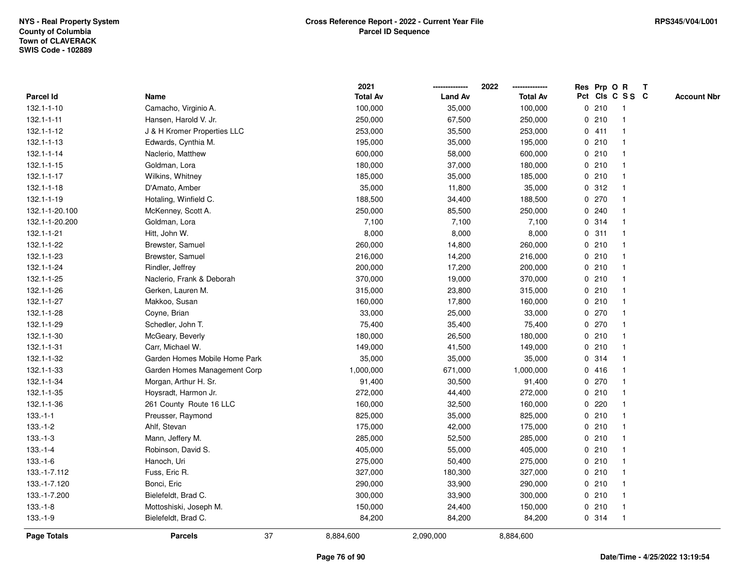|                    |                               |    | 2021            |                | 2022            |   |       | Res Prp O R             | $\mathbf{T}$ |                    |
|--------------------|-------------------------------|----|-----------------|----------------|-----------------|---|-------|-------------------------|--------------|--------------------|
| <b>Parcel Id</b>   | Name                          |    | <b>Total Av</b> | <b>Land Av</b> | <b>Total Av</b> |   |       | Pct Cls C S S C         |              | <b>Account Nbr</b> |
| 132.1-1-10         | Camacho, Virginio A.          |    | 100,000         | 35,000         | 100,000         |   | 0210  |                         |              |                    |
| $132.1 - 1 - 11$   | Hansen, Harold V. Jr.         |    | 250,000         | 67,500         | 250,000         |   | 0210  |                         |              |                    |
| 132.1-1-12         | J & H Kromer Properties LLC   |    | 253,000         | 35,500         | 253,000         |   | 0411  |                         |              |                    |
| 132.1-1-13         | Edwards, Cynthia M.           |    | 195,000         | 35,000         | 195,000         | 0 | 210   |                         |              |                    |
| 132.1-1-14         | Naclerio, Matthew             |    | 600,000         | 58,000         | 600,000         |   | 0210  |                         |              |                    |
| 132.1-1-15         | Goldman, Lora                 |    | 180,000         | 37,000         | 180,000         |   | 0210  |                         |              |                    |
| 132.1-1-17         | Wilkins, Whitney              |    | 185,000         | 35,000         | 185,000         |   | 0210  |                         |              |                    |
| 132.1-1-18         | D'Amato, Amber                |    | 35,000          | 11,800         | 35,000          |   | 0.312 |                         |              |                    |
| 132.1-1-19         | Hotaling, Winfield C.         |    | 188,500         | 34,400         | 188,500         |   | 0270  |                         |              |                    |
| 132.1-1-20.100     | McKenney, Scott A.            |    | 250,000         | 85,500         | 250,000         |   | 0.240 |                         |              |                    |
| 132.1-1-20.200     | Goldman, Lora                 |    | 7,100           | 7,100          | 7,100           | 0 | 314   | $\overline{\mathbf{1}}$ |              |                    |
| 132.1-1-21         | Hitt, John W.                 |    | 8,000           | 8,000          | 8,000           | 0 | 311   |                         |              |                    |
| 132.1-1-22         | Brewster, Samuel              |    | 260,000         | 14,800         | 260,000         |   | 0210  |                         |              |                    |
| 132.1-1-23         | Brewster, Samuel              |    | 216,000         | 14,200         | 216,000         |   | 0210  |                         |              |                    |
| 132.1-1-24         | Rindler, Jeffrey              |    | 200,000         | 17,200         | 200,000         |   | 0210  |                         |              |                    |
| 132.1-1-25         | Naclerio, Frank & Deborah     |    | 370,000         | 19,000         | 370,000         |   | 0210  |                         |              |                    |
| 132.1-1-26         | Gerken, Lauren M.             |    | 315,000         | 23,800         | 315,000         |   | 0210  |                         |              |                    |
| 132.1-1-27         | Makkoo, Susan                 |    | 160,000         | 17,800         | 160,000         |   | 0210  | -1                      |              |                    |
| 132.1-1-28         | Coyne, Brian                  |    | 33,000          | 25,000         | 33,000          |   | 0270  |                         |              |                    |
| 132.1-1-29         | Schedler, John T.             |    | 75,400          | 35,400         | 75,400          |   | 0270  |                         |              |                    |
| 132.1-1-30         | McGeary, Beverly              |    | 180,000         | 26,500         | 180,000         |   | 0210  |                         |              |                    |
| 132.1-1-31         | Carr, Michael W.              |    | 149,000         | 41,500         | 149,000         |   | 0210  |                         |              |                    |
| 132.1-1-32         | Garden Homes Mobile Home Park |    | 35,000          | 35,000         | 35,000          |   | 0.314 |                         |              |                    |
| 132.1-1-33         | Garden Homes Management Corp  |    | 1,000,000       | 671,000        | 1,000,000       |   | 0416  |                         |              |                    |
| 132.1-1-34         | Morgan, Arthur H. Sr.         |    | 91,400          | 30,500         | 91,400          |   | 0270  | -1                      |              |                    |
| 132.1-1-35         | Hoysradt, Harmon Jr.          |    | 272,000         | 44,400         | 272,000         |   | 0210  | -1                      |              |                    |
| 132.1-1-36         | 261 County Route 16 LLC       |    | 160,000         | 32,500         | 160,000         |   | 0.220 |                         |              |                    |
| $133.-1-1$         | Preusser, Raymond             |    | 825,000         | 35,000         | 825,000         |   | 0210  |                         |              |                    |
| $133.-1-2$         | Ahlf, Stevan                  |    | 175,000         | 42,000         | 175,000         |   | 0210  |                         |              |                    |
| $133.-1-3$         | Mann, Jeffery M.              |    | 285,000         | 52,500         | 285,000         |   | 0210  |                         |              |                    |
| $133.-1-4$         | Robinson, David S.            |    | 405,000         | 55,000         | 405,000         | 0 | 210   |                         |              |                    |
| $133.-1-6$         | Hanoch, Uri                   |    | 275,000         | 50,400         | 275,000         |   | 0210  | -1                      |              |                    |
| 133.-1-7.112       | Fuss, Eric R.                 |    | 327,000         | 180,300        | 327,000         |   | 0210  |                         |              |                    |
| 133.-1-7.120       | Bonci, Eric                   |    | 290,000         | 33,900         | 290,000         |   | 0210  |                         |              |                    |
| 133.-1-7.200       | Bielefeldt, Brad C.           |    | 300,000         | 33,900         | 300,000         |   | 0210  |                         |              |                    |
| $133.-1-8$         | Mottoshiski, Joseph M.        |    | 150,000         | 24,400         | 150,000         |   | 0210  |                         |              |                    |
| $133.-1-9$         | Bielefeldt, Brad C.           |    | 84,200          | 84,200         | 84,200          |   | 0.314 |                         |              |                    |
| <b>Page Totals</b> | <b>Parcels</b>                | 37 | 8,884,600       | 2,090,000      | 8,884,600       |   |       |                         |              |                    |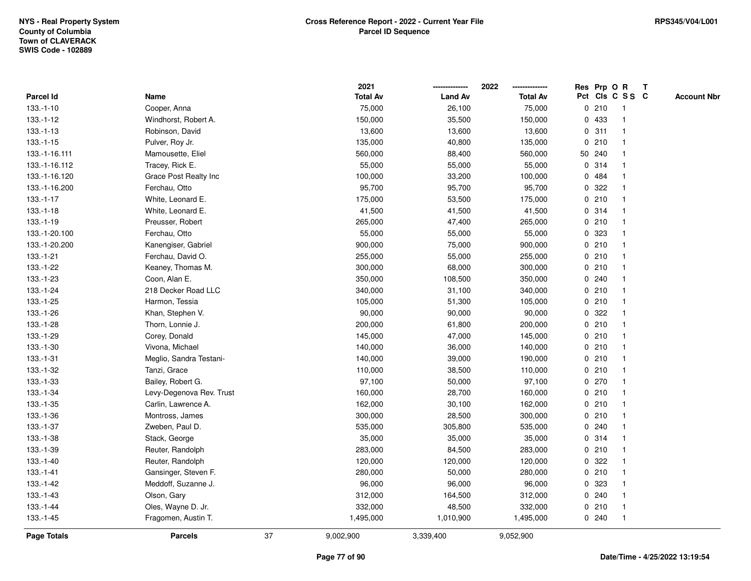|               |                          |    | 2021            |                | 2022            |              |        | Res Prp O R     | T |                    |
|---------------|--------------------------|----|-----------------|----------------|-----------------|--------------|--------|-----------------|---|--------------------|
| Parcel Id     | Name                     |    | <b>Total Av</b> | <b>Land Av</b> | <b>Total Av</b> |              |        | Pct Cls C S S C |   | <b>Account Nbr</b> |
| $133.-1-10$   | Cooper, Anna             |    | 75,000          | 26,100         | 75,000          | $\mathbf 0$  | 210    | -1              |   |                    |
| $133.-1-12$   | Windhorst, Robert A.     |    | 150,000         | 35,500         | 150,000         | 0            | 433    | -1              |   |                    |
| $133.-1-13$   | Robinson, David          |    | 13,600          | 13,600         | 13,600          |              | 0.311  | $\mathbf 1$     |   |                    |
| $133.-1-15$   | Pulver, Roy Jr.          |    | 135,000         | 40,800         | 135,000         |              | 0210   |                 |   |                    |
| 133.-1-16.111 | Mamousette, Eliel        |    | 560,000         | 88,400         | 560,000         |              | 50 240 |                 |   |                    |
| 133.-1-16.112 | Tracey, Rick E.          |    | 55,000          | 55,000         | 55,000          |              | 0 314  |                 |   |                    |
| 133.-1-16.120 | Grace Post Realty Inc    |    | 100,000         | 33,200         | 100,000         |              | 0.484  |                 |   |                    |
| 133.-1-16.200 | Ferchau, Otto            |    | 95,700          | 95,700         | 95,700          | 0            | 322    |                 |   |                    |
| $133.-1-17$   | White, Leonard E.        |    | 175,000         | 53,500         | 175,000         | 0            | 210    | -1              |   |                    |
| $133.-1-18$   | White, Leonard E.        |    | 41,500          | 41,500         | 41,500          |              | 0.314  | $\mathbf 1$     |   |                    |
| $133.-1-19$   | Preusser, Robert         |    | 265,000         | 47,400         | 265,000         |              | 0210   |                 |   |                    |
| 133.-1-20.100 | Ferchau, Otto            |    | 55,000          | 55,000         | 55,000          |              | 0 323  |                 |   |                    |
| 133.-1-20.200 | Kanengiser, Gabriel      |    | 900,000         | 75,000         | 900,000         |              | 0210   |                 |   |                    |
| 133.-1-21     | Ferchau, David O.        |    | 255,000         | 55,000         | 255,000         |              | 0210   |                 |   |                    |
| 133.-1-22     | Keaney, Thomas M.        |    | 300,000         | 68,000         | 300,000         | $\mathbf 0$  | 210    |                 |   |                    |
| 133.-1-23     | Coon, Alan E.            |    | 350,000         | 108,500        | 350,000         | 0            | 240    | $\mathbf{1}$    |   |                    |
| 133.-1-24     | 218 Decker Road LLC      |    | 340,000         | 31,100         | 340,000         |              | 0210   |                 |   |                    |
| $133.-1-25$   | Harmon, Tessia           |    | 105,000         | 51,300         | 105,000         |              | 0210   |                 |   |                    |
| 133.-1-26     | Khan, Stephen V.         |    | 90,000          | 90,000         | 90,000          |              | 0.322  |                 |   |                    |
| 133.-1-28     | Thorn, Lonnie J.         |    | 200,000         | 61,800         | 200,000         |              | 0210   |                 |   |                    |
| 133.-1-29     | Corey, Donald            |    | 145,000         | 47,000         | 145,000         |              | 0210   |                 |   |                    |
| 133.-1-30     | Vivona, Michael          |    | 140,000         | 36,000         | 140,000         |              | 0210   |                 |   |                    |
| $133.-1-31$   | Meglio, Sandra Testani-  |    | 140,000         | 39,000         | 190,000         |              | 0210   | -1              |   |                    |
| 133.-1-32     | Tanzi, Grace             |    | 110,000         | 38,500         | 110,000         | $\mathbf{0}$ | 210    | $\mathbf{1}$    |   |                    |
| 133.-1-33     | Bailey, Robert G.        |    | 97,100          | 50,000         | 97,100          |              | 0270   |                 |   |                    |
| 133.-1-34     | Levy-Degenova Rev. Trust |    | 160,000         | 28,700         | 160,000         |              | 0210   |                 |   |                    |
| 133.-1-35     | Carlin, Lawrence A.      |    | 162,000         | 30,100         | 162,000         |              | 0210   |                 |   |                    |
| 133.-1-36     | Montross, James          |    | 300,000         | 28,500         | 300,000         | 0            | 210    |                 |   |                    |
| 133.-1-37     | Zweben, Paul D.          |    | 535,000         | 305,800        | 535,000         | 0            | 240    |                 |   |                    |
| 133.-1-38     | Stack, George            |    | 35,000          | 35,000         | 35,000          | 0            | 314    |                 |   |                    |
| 133.-1-39     | Reuter, Randolph         |    | 283,000         | 84,500         | 283,000         | 0            | 210    | $\mathbf 1$     |   |                    |
| 133.-1-40     | Reuter, Randolph         |    | 120,000         | 120,000        | 120,000         |              | 0 322  |                 |   |                    |
| $133.-1-41$   | Gansinger, Steven F.     |    | 280,000         | 50,000         | 280,000         |              | 0210   |                 |   |                    |
| 133.-1-42     | Meddoff, Suzanne J.      |    | 96,000          | 96,000         | 96,000          |              | 0 323  |                 |   |                    |
| $133.-1-43$   | Olson, Gary              |    | 312,000         | 164,500        | 312,000         |              | 0.240  |                 |   |                    |
| 133.-1-44     | Oles, Wayne D. Jr.       |    | 332,000         | 48,500         | 332,000         | 0            | 210    | -1              |   |                    |
| $133.-1-45$   | Fragomen, Austin T.      |    | 1,495,000       | 1,010,900      | 1,495,000       |              | 0.240  | $\mathbf{1}$    |   |                    |
| Page Totals   | <b>Parcels</b>           | 37 | 9,002,900       | 3,339,400      | 9,052,900       |              |        |                 |   |                    |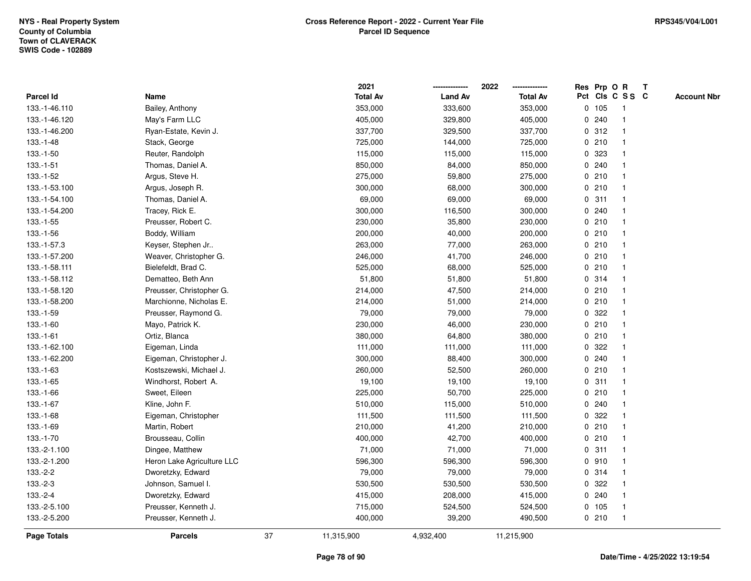|                    |                            |    | 2021            |                | 2022            |              |       | Res Prp O R     | T |                    |
|--------------------|----------------------------|----|-----------------|----------------|-----------------|--------------|-------|-----------------|---|--------------------|
| <b>Parcel Id</b>   | Name                       |    | <b>Total Av</b> | <b>Land Av</b> | <b>Total Av</b> |              |       | Pct Cls C S S C |   | <b>Account Nbr</b> |
| 133.-1-46.110      | Bailey, Anthony            |    | 353,000         | 333,600        | 353,000         |              | 0 105 | -1              |   |                    |
| 133.-1-46.120      | May's Farm LLC             |    | 405,000         | 329,800        | 405,000         | 0            | 240   | $\overline{1}$  |   |                    |
| 133.-1-46.200      | Ryan-Estate, Kevin J.      |    | 337,700         | 329,500        | 337,700         |              | 0.312 | $\mathbf{1}$    |   |                    |
| $133.-1-48$        | Stack, George              |    | 725,000         | 144,000        | 725,000         |              | 0210  |                 |   |                    |
| 133.-1-50          | Reuter, Randolph           |    | 115,000         | 115,000        | 115,000         |              | 0 323 |                 |   |                    |
| $133.-1-51$        | Thomas, Daniel A.          |    | 850,000         | 84,000         | 850,000         |              | 0.240 |                 |   |                    |
| 133.-1-52          | Argus, Steve H.            |    | 275,000         | 59,800         | 275,000         |              | 0210  |                 |   |                    |
| 133.-1-53.100      | Argus, Joseph R.           |    | 300,000         | 68,000         | 300,000         |              | 0210  | $\mathbf{1}$    |   |                    |
| 133.-1-54.100      | Thomas, Daniel A.          |    | 69,000          | 69,000         | 69,000          |              | 0.311 | -1              |   |                    |
| 133.-1-54.200      | Tracey, Rick E.            |    | 300,000         | 116,500        | 300,000         |              | 0.240 | 1               |   |                    |
| $133.-1-55$        | Preusser, Robert C.        |    | 230,000         | 35,800         | 230,000         |              | 0210  |                 |   |                    |
| 133.-1-56          | Boddy, William             |    | 200,000         | 40,000         | 200,000         |              | 0210  |                 |   |                    |
| 133.-1-57.3        | Keyser, Stephen Jr         |    | 263,000         | 77,000         | 263,000         |              | 0210  |                 |   |                    |
| 133.-1-57.200      | Weaver, Christopher G.     |    | 246,000         | 41,700         | 246,000         |              | 0210  |                 |   |                    |
| 133.-1-58.111      | Bielefeldt, Brad C.        |    | 525,000         | 68,000         | 525,000         | $\mathbf 0$  | 210   |                 |   |                    |
| 133.-1-58.112      | Dematteo, Beth Ann         |    | 51,800          | 51,800         | 51,800          |              | 0.314 | $\mathbf{1}$    |   |                    |
| 133.-1-58.120      | Preusser, Christopher G.   |    | 214,000         | 47,500         | 214,000         |              | 0210  | $\mathbf{1}$    |   |                    |
| 133.-1-58.200      | Marchionne, Nicholas E.    |    | 214,000         | 51,000         | 214,000         |              | 0210  |                 |   |                    |
| 133.-1-59          | Preusser, Raymond G.       |    | 79,000          | 79,000         | 79,000          |              | 0.322 |                 |   |                    |
| $133.-1-60$        | Mayo, Patrick K.           |    | 230,000         | 46,000         | 230,000         |              | 0210  |                 |   |                    |
| $133.-1-61$        | Ortiz, Blanca              |    | 380,000         | 64,800         | 380,000         |              | 0210  |                 |   |                    |
| 133.-1-62.100      | Eigeman, Linda             |    | 111,000         | 111,000        | 111,000         | 0            | 322   |                 |   |                    |
| 133.-1-62.200      | Eigeman, Christopher J.    |    | 300,000         | 88,400         | 300,000         |              | 0.240 | -1              |   |                    |
| $133.-1-63$        | Kostszewski, Michael J.    |    | 260,000         | 52,500         | 260,000         | $\mathbf{0}$ | 210   | $\mathbf{1}$    |   |                    |
| 133.-1-65          | Windhorst, Robert A.       |    | 19,100          | 19,100         | 19,100          |              | 0.311 |                 |   |                    |
| 133.-1-66          | Sweet, Eileen              |    | 225,000         | 50,700         | 225,000         |              | 0210  |                 |   |                    |
| 133.-1-67          | Kline, John F.             |    | 510,000         | 115,000        | 510,000         |              | 0.240 |                 |   |                    |
| 133.-1-68          | Eigeman, Christopher       |    | 111,500         | 111,500        | 111,500         | 0            | 322   |                 |   |                    |
| 133.-1-69          | Martin, Robert             |    | 210,000         | 41,200         | 210,000         |              | 0210  |                 |   |                    |
| 133.-1-70          | Brousseau, Collin          |    | 400,000         | 42,700         | 400,000         | $\mathbf 0$  | 210   | 1               |   |                    |
| 133.-2-1.100       | Dingee, Matthew            |    | 71,000          | 71,000         | 71,000          | 0            | 311   | -1              |   |                    |
| 133.-2-1.200       | Heron Lake Agriculture LLC |    | 596,300         | 596,300        | 596,300         |              | 0.910 | $\mathbf 1$     |   |                    |
| $133.-2-2$         | Dworetzky, Edward          |    | 79,000          | 79,000         | 79,000          |              | 0.314 |                 |   |                    |
| $133.-2-3$         | Johnson, Samuel I.         |    | 530,500         | 530,500        | 530,500         |              | 0.322 |                 |   |                    |
| 133.-2-4           | Dworetzky, Edward          |    | 415,000         | 208,000        | 415,000         |              | 0.240 |                 |   |                    |
| 133.-2-5.100       | Preusser, Kenneth J.       |    | 715,000         | 524,500        | 524,500         |              | 0 105 | -1              |   |                    |
| 133.-2-5.200       | Preusser, Kenneth J.       |    | 400,000         | 39,200         | 490,500         |              | 0210  | $\overline{1}$  |   |                    |
| <b>Page Totals</b> | <b>Parcels</b>             | 37 | 11,315,900      | 4,932,400      | 11,215,900      |              |       |                 |   |                    |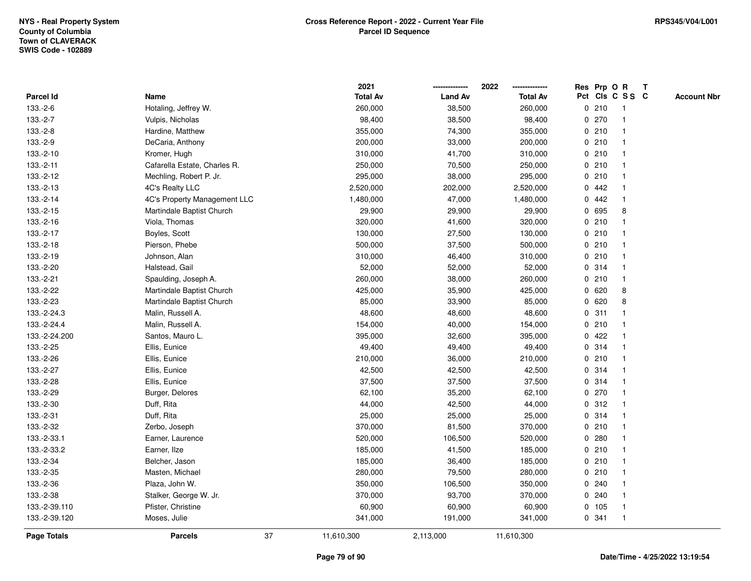**ResOPrpRT**

| Parcel Id          | Name                         |                  | <b>Total Av</b> | <b>Land Av</b> | <b>Total Av</b> |             |       | Pct Cls C S S C | <b>Account Nbr</b> |
|--------------------|------------------------------|------------------|-----------------|----------------|-----------------|-------------|-------|-----------------|--------------------|
| 133.-2-6           | Hotaling, Jeffrey W.         |                  | 260,000         | 38,500         | 260,000         |             | 0210  | -1              |                    |
| 133.-2-7           | Vulpis, Nicholas             |                  | 98,400          | 38,500         | 98,400          |             | 0270  |                 |                    |
| 133.-2-8           | Hardine, Matthew             |                  | 355,000         | 74,300         | 355,000         |             | 0210  |                 |                    |
| 133.-2-9           | DeCaria, Anthony             |                  | 200,000         | 33,000         | 200,000         |             | 0210  |                 |                    |
| 133.-2-10          | Kromer, Hugh                 |                  | 310,000         | 41,700         | 310,000         |             | 0210  |                 |                    |
| 133.-2-11          | Cafarella Estate, Charles R. |                  | 250,000         | 70,500         | 250,000         |             | 0210  |                 |                    |
| 133.-2-12          | Mechling, Robert P. Jr.      |                  | 295,000         | 38,000         | 295,000         |             | 0210  |                 |                    |
| 133.-2-13          | 4C's Realty LLC              |                  | 2,520,000       | 202,000        | 2,520,000       | $\mathbf 0$ | 442   |                 |                    |
| 133.-2-14          | 4C's Property Management LLC |                  | 1,480,000       | 47,000         | 1,480,000       |             | 0.442 | -1              |                    |
| 133.-2-15          | Martindale Baptist Church    |                  | 29,900          | 29,900         | 29,900          | $\mathbf 0$ | 695   | 8               |                    |
| 133.-2-16          | Viola, Thomas                |                  | 320,000         | 41,600         | 320,000         |             | 0210  |                 |                    |
| 133.-2-17          | Boyles, Scott                |                  | 130,000         | 27,500         | 130,000         |             | 0210  |                 |                    |
| 133.-2-18          | Pierson, Phebe               |                  | 500,000         | 37,500         | 500,000         |             | 0210  |                 |                    |
| 133.-2-19          | Johnson, Alan                |                  | 310,000         | 46,400         | 310,000         |             | 0210  |                 |                    |
| 133.-2-20          | Halstead, Gail               |                  | 52,000          | 52,000         | 52,000          |             | 0.314 |                 |                    |
| 133.-2-21          | Spaulding, Joseph A.         |                  | 260,000         | 38,000         | 260,000         |             | 0210  |                 |                    |
| 133.-2-22          | Martindale Baptist Church    |                  | 425,000         | 35,900         | 425,000         | 0           | 620   | 8               |                    |
| 133.-2-23          | Martindale Baptist Church    |                  | 85,000          | 33,900         | 85,000          | $\mathbf 0$ | 620   | 8               |                    |
| 133.-2-24.3        | Malin, Russell A.            |                  | 48,600          | 48,600         | 48,600          | $\mathbf 0$ | 311   |                 |                    |
| 133.-2-24.4        | Malin, Russell A.            |                  | 154,000         | 40,000         | 154,000         |             | 0210  |                 |                    |
| 133.-2-24.200      | Santos, Mauro L.             |                  | 395,000         | 32,600         | 395,000         |             | 0422  |                 |                    |
| 133.-2-25          | Ellis, Eunice                |                  | 49,400          | 49,400         | 49,400          |             | 0.314 |                 |                    |
| 133.-2-26          | Ellis, Eunice                |                  | 210,000         | 36,000         | 210,000         |             | 0210  |                 |                    |
| 133.-2-27          | Ellis, Eunice                |                  | 42,500          | 42,500         | 42,500          |             | 0.314 |                 |                    |
| 133.-2-28          | Ellis, Eunice                |                  | 37,500          | 37,500         | 37,500          |             | 0.314 |                 |                    |
| 133.-2-29          | Burger, Delores              |                  | 62,100          | 35,200         | 62,100          |             | 0270  |                 |                    |
| 133.-2-30          | Duff, Rita                   |                  | 44,000          | 42,500         | 44,000          | $\mathbf 0$ | 312   | -1              |                    |
| 133.-2-31          | Duff, Rita                   |                  | 25,000          | 25,000         | 25,000          |             | 0.314 | -1              |                    |
| 133.-2-32          | Zerbo, Joseph                |                  | 370,000         | 81,500         | 370,000         |             | 0210  |                 |                    |
| 133.-2-33.1        | Earner, Laurence             |                  | 520,000         | 106,500        | 520,000         |             | 0.280 |                 |                    |
| 133.-2-33.2        | Earner, Ilze                 |                  | 185,000         | 41,500         | 185,000         |             | 0210  |                 |                    |
| 133.-2-34          | Belcher, Jason               |                  | 185,000         | 36,400         | 185,000         |             | 0210  |                 |                    |
| 133.-2-35          | Masten, Michael              |                  | 280,000         | 79,500         | 280,000         |             | 0210  |                 |                    |
| 133.-2-36          | Plaza, John W.               |                  | 350,000         | 106,500        | 350,000         |             | 0.240 |                 |                    |
| 133.-2-38          | Stalker, George W. Jr.       |                  | 370,000         | 93,700         | 370,000         |             | 0.240 |                 |                    |
| 133.-2-39.110      | Pfister, Christine           |                  | 60,900          | 60,900         | 60,900          |             | 0 105 | -1              |                    |
| 133.-2-39.120      | Moses, Julie                 |                  | 341,000         | 191,000        | 341,000         |             | 0.341 | $\mathbf{1}$    |                    |
| <b>Page Totals</b> | <b>Parcels</b>               | 37<br>11,610,300 |                 | 2,113,000      | 11,610,300      |             |       |                 |                    |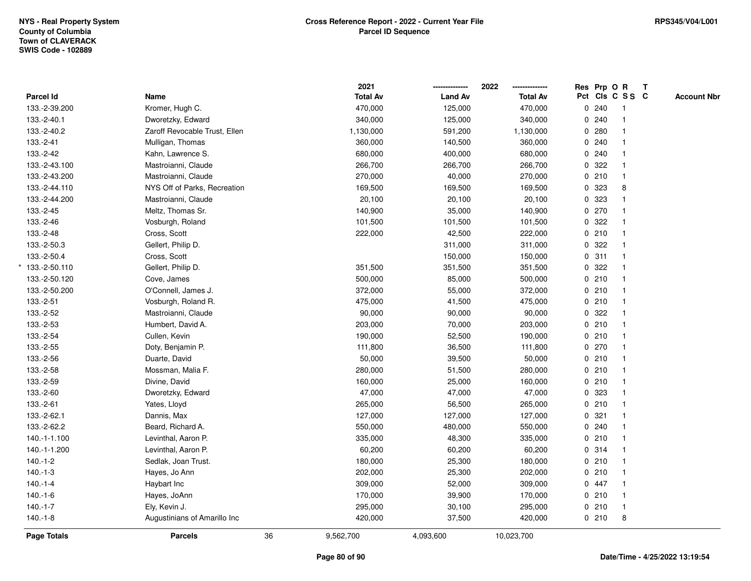|                  |                               |    | 2021            |                | 2022            |              |       | Res Prp O R     | $\mathbf{T}$ |                    |
|------------------|-------------------------------|----|-----------------|----------------|-----------------|--------------|-------|-----------------|--------------|--------------------|
| <b>Parcel Id</b> | Name                          |    | <b>Total Av</b> | <b>Land Av</b> | <b>Total Av</b> |              |       | Pct Cls C S S C |              | <b>Account Nbr</b> |
| 133.-2-39.200    | Kromer, Hugh C.               |    | 470,000         | 125,000        | 470,000         |              | 0.240 | 1               |              |                    |
| 133.-2-40.1      | Dworetzky, Edward             |    | 340,000         | 125,000        | 340,000         | 0            | 240   |                 |              |                    |
| 133.-2-40.2      | Zaroff Revocable Trust, Ellen |    | 1,130,000       | 591,200        | 1,130,000       |              | 0.280 | 1               |              |                    |
| 133.-2-41        | Mulligan, Thomas              |    | 360,000         | 140,500        | 360,000         | 0            | 240   | $\mathbf{1}$    |              |                    |
| 133.-2-42        | Kahn, Lawrence S.             |    | 680,000         | 400,000        | 680,000         | $\mathbf 0$  | 240   | $\mathbf{1}$    |              |                    |
| 133.-2-43.100    | Mastroianni, Claude           |    | 266,700         | 266,700        | 266,700         |              | 0.322 | $\mathbf{1}$    |              |                    |
| 133.-2-43.200    | Mastroianni, Claude           |    | 270,000         | 40,000         | 270,000         |              | 0210  | $\mathbf 1$     |              |                    |
| 133.-2-44.110    | NYS Off of Parks, Recreation  |    | 169,500         | 169,500        | 169,500         |              | 0 323 | 8               |              |                    |
| 133.-2-44.200    | Mastroianni, Claude           |    | 20,100          | 20,100         | 20,100          | 0            | 323   |                 |              |                    |
| 133.-2-45        | Meltz, Thomas Sr.             |    | 140,900         | 35,000         | 140,900         |              | 0 270 | $\mathbf{1}$    |              |                    |
| 133.-2-46        | Vosburgh, Roland              |    | 101,500         | 101,500        | 101,500         | $\mathbf{0}$ | 322   | $\mathbf{1}$    |              |                    |
| 133.-2-48        | Cross, Scott                  |    | 222,000         | 42,500         | 222,000         | $\mathbf{0}$ | 210   | $\mathbf{1}$    |              |                    |
| 133.-2-50.3      | Gellert, Philip D.            |    |                 | 311,000        | 311,000         |              | 0.322 | 1               |              |                    |
| 133.-2-50.4      | Cross, Scott                  |    |                 | 150,000        | 150,000         |              | 0.311 |                 |              |                    |
| 133.-2-50.110    | Gellert, Philip D.            |    | 351,500         | 351,500        | 351,500         | 0            | 322   |                 |              |                    |
| 133.-2-50.120    | Cove, James                   |    | 500,000         | 85,000         | 500,000         |              | 0210  | $\overline{1}$  |              |                    |
| 133.-2-50.200    | O'Connell, James J.           |    | 372,000         | 55,000         | 372,000         | 0            | 210   | $\mathbf{1}$    |              |                    |
| 133.-2-51        | Vosburgh, Roland R.           |    | 475,000         | 41,500         | 475,000         | 0            | 210   | $\overline{1}$  |              |                    |
| 133.-2-52        | Mastroianni, Claude           |    | 90,000          | 90,000         | 90,000          |              | 0.322 | $\mathbf{1}$    |              |                    |
| 133.-2-53        | Humbert, David A.             |    | 203,000         | 70,000         | 203,000         |              | 0210  |                 |              |                    |
| 133.-2-54        | Cullen, Kevin                 |    | 190,000         | 52,500         | 190,000         |              | 0210  |                 |              |                    |
| 133.-2-55        | Doty, Benjamin P.             |    | 111,800         | 36,500         | 111,800         |              | 0 270 |                 |              |                    |
| 133.-2-56        | Duarte, David                 |    | 50,000          | 39,500         | 50,000          |              | 0210  | $\overline{1}$  |              |                    |
| 133.-2-58        | Mossman, Malia F.             |    | 280,000         | 51,500         | 280,000         |              | 0210  | $\mathbf{1}$    |              |                    |
| 133.-2-59        | Divine, David                 |    | 160,000         | 25,000         | 160,000         | $\mathbf 0$  | 210   | $\overline{1}$  |              |                    |
| 133.-2-60        | Dworetzky, Edward             |    | 47,000          | 47,000         | 47,000          |              | 0 323 | $\mathbf{1}$    |              |                    |
| 133.-2-61        | Yates, Lloyd                  |    | 265,000         | 56,500         | 265,000         |              | 0210  |                 |              |                    |
| 133.-2-62.1      | Dannis, Max                   |    | 127,000         | 127,000        | 127,000         | 0            | 321   |                 |              |                    |
| 133.-2-62.2      | Beard, Richard A.             |    | 550,000         | 480,000        | 550,000         |              | 0.240 | $\mathbf{1}$    |              |                    |
| 140.-1-1.100     | Levinthal, Aaron P.           |    | 335,000         | 48,300         | 335,000         | $\mathbf 0$  | 210   | $\mathbf{1}$    |              |                    |
| 140.-1-1.200     | Levinthal, Aaron P.           |    | 60,200          | 60,200         | 60,200          |              | 0.314 | $\mathbf{1}$    |              |                    |
| $140.-1-2$       | Sedlak, Joan Trust.           |    | 180,000         | 25,300         | 180,000         |              | 0210  | $\mathbf{1}$    |              |                    |
| $140.-1-3$       | Hayes, Jo Ann                 |    | 202,000         | 25,300         | 202,000         |              | 0210  | 1               |              |                    |
| $140.-1-4$       | Haybart Inc                   |    | 309,000         | 52,000         | 309,000         |              | 0 447 |                 |              |                    |
| $140.-1-6$       | Hayes, JoAnn                  |    | 170,000         | 39,900         | 170,000         |              | 0210  | $\mathbf{1}$    |              |                    |
| $140.-1-7$       | Ely, Kevin J.                 |    | 295,000         | 30,100         | 295,000         |              | 0210  | $\mathbf{1}$    |              |                    |
| $140.-1-8$       | Augustinians of Amarillo Inc  |    | 420,000         | 37,500         | 420,000         |              | 0210  | 8               |              |                    |
| Page Totals      | <b>Parcels</b>                | 36 | 9,562,700       | 4,093,600      | 10,023,700      |              |       |                 |              |                    |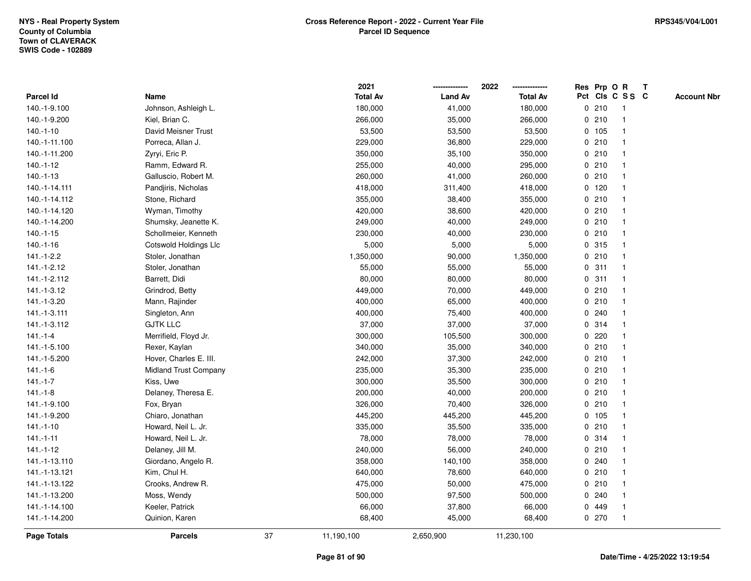|                    |                              |    | 2021            |                | 2022            |             |         | Res Prp O R     | T |                    |
|--------------------|------------------------------|----|-----------------|----------------|-----------------|-------------|---------|-----------------|---|--------------------|
| Parcel Id          | Name                         |    | <b>Total Av</b> | <b>Land Av</b> | <b>Total Av</b> |             |         | Pct Cls C S S C |   | <b>Account Nbr</b> |
| 140.-1-9.100       | Johnson, Ashleigh L.         |    | 180,000         | 41,000         | 180,000         |             | 0210    | $\mathbf{1}$    |   |                    |
| 140.-1-9.200       | Kiel, Brian C.               |    | 266,000         | 35,000         | 266,000         | 0           | 210     | $\overline{1}$  |   |                    |
| $140.-1-10$        | David Meisner Trust          |    | 53,500          | 53,500         | 53,500          |             | 0 105   | $\mathbf{1}$    |   |                    |
| 140.-1-11.100      | Porreca, Allan J.            |    | 229,000         | 36,800         | 229,000         |             | 0210    | -1              |   |                    |
| 140.-1-11.200      | Zyryi, Eric P.               |    | 350,000         | 35,100         | 350,000         |             | 0210    |                 |   |                    |
| 140.-1-12          | Ramm, Edward R.              |    | 255,000         | 40,000         | 295,000         |             | 0210    |                 |   |                    |
| $140.-1-13$        | Galluscio, Robert M.         |    | 260,000         | 41,000         | 260,000         |             | 0210    |                 |   |                    |
| 140.-1-14.111      | Pandjiris, Nicholas          |    | 418,000         | 311,400        | 418,000         |             | $0$ 120 | $\overline{1}$  |   |                    |
| 140.-1-14.112      | Stone, Richard               |    | 355,000         | 38,400         | 355,000         |             | 0210    | -1              |   |                    |
| 140.-1-14.120      | Wyman, Timothy               |    | 420,000         | 38,600         | 420,000         |             | 0210    | -1              |   |                    |
| 140.-1-14.200      | Shumsky, Jeanette K.         |    | 249,000         | 40,000         | 249,000         |             | 0210    |                 |   |                    |
| $140.-1-15$        | Schollmeier, Kenneth         |    | 230,000         | 40,000         | 230,000         |             | 0210    |                 |   |                    |
| $140.-1-16$        | Cotswold Holdings Llc        |    | 5,000           | 5,000          | 5,000           |             | 0 315   |                 |   |                    |
| 141.-1-2.2         | Stoler, Jonathan             |    | 1,350,000       | 90,000         | 1,350,000       |             | 0210    |                 |   |                    |
| 141.-1-2.12        | Stoler, Jonathan             |    | 55,000          | 55,000         | 55,000          | $\mathbf 0$ | 311     | $\mathbf{1}$    |   |                    |
| 141.-1-2.112       | Barrett, Didi                |    | 80,000          | 80,000         | 80,000          | $\mathbf 0$ | 311     | $\overline{1}$  |   |                    |
| 141.-1-3.12        | Grindrod, Betty              |    | 449,000         | 70,000         | 449,000         |             | 0210    | $\mathbf{1}$    |   |                    |
| 141.-1-3.20        | Mann, Rajinder               |    | 400,000         | 65,000         | 400,000         |             | 0210    |                 |   |                    |
| 141.-1-3.111       | Singleton, Ann               |    | 400,000         | 75,400         | 400,000         |             | 0.240   |                 |   |                    |
| 141.-1-3.112       | <b>GJTK LLC</b>              |    | 37,000          | 37,000         | 37,000          |             | 0.314   |                 |   |                    |
| $141 - 1 - 4$      | Merrifield, Floyd Jr.        |    | 300,000         | 105,500        | 300,000         |             | $0$ 220 |                 |   |                    |
| 141.-1-5.100       | Rexer, Kaylan                |    | 340,000         | 35,000         | 340,000         |             | 0210    |                 |   |                    |
| 141.-1-5.200       | Hover, Charles E. III.       |    | 242,000         | 37,300         | 242,000         |             | 0210    | $\overline{1}$  |   |                    |
| $141 - 1 - 6$      | <b>Midland Trust Company</b> |    | 235,000         | 35,300         | 235,000         |             | 0210    | $\overline{1}$  |   |                    |
| $141.-1-7$         | Kiss, Uwe                    |    | 300,000         | 35,500         | 300,000         |             | 0210    | -1              |   |                    |
| $141.-1-8$         | Delaney, Theresa E.          |    | 200,000         | 40,000         | 200,000         |             | 0210    |                 |   |                    |
| 141.-1-9.100       | Fox, Bryan                   |    | 326,000         | 70,400         | 326,000         |             | 0210    |                 |   |                    |
| 141.-1-9.200       | Chiaro, Jonathan             |    | 445,200         | 445,200        | 445,200         |             | 0 105   |                 |   |                    |
| 141.-1-10          | Howard, Neil L. Jr.          |    | 335,000         | 35,500         | 335,000         |             | 0210    | $\mathbf{1}$    |   |                    |
| $141 - 1 - 11$     | Howard, Neil L. Jr.          |    | 78,000          | 78,000         | 78,000          |             | 0 314   | 1               |   |                    |
| 141.-1-12          | Delaney, Jill M.             |    | 240,000         | 56,000         | 240,000         |             | 0210    | $\overline{1}$  |   |                    |
| 141.-1-13.110      | Giordano, Angelo R.          |    | 358,000         | 140,100        | 358,000         |             | 0.240   | $\mathbf 1$     |   |                    |
| 141.-1-13.121      | Kim, Chul H.                 |    | 640,000         | 78,600         | 640,000         |             | 0210    |                 |   |                    |
| 141.-1-13.122      | Crooks, Andrew R.            |    | 475,000         | 50,000         | 475,000         |             | 0210    |                 |   |                    |
| 141.-1-13.200      | Moss, Wendy                  |    | 500,000         | 97,500         | 500,000         |             | 0.240   |                 |   |                    |
| 141.-1-14.100      | Keeler, Patrick              |    | 66,000          | 37,800         | 66,000          | 0           | 449     |                 |   |                    |
| 141.-1-14.200      | Quinion, Karen               |    | 68,400          | 45,000         | 68,400          |             | 0270    | $\overline{1}$  |   |                    |
| <b>Page Totals</b> | <b>Parcels</b>               | 37 | 11,190,100      | 2,650,900      | 11,230,100      |             |         |                 |   |                    |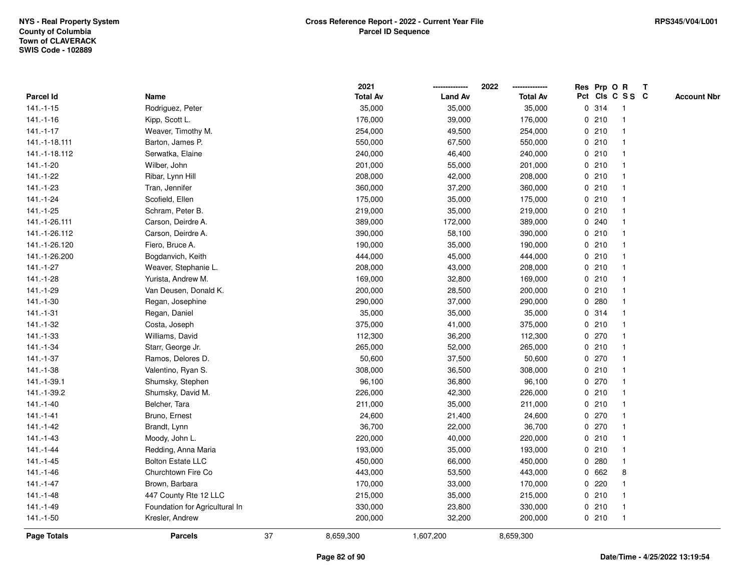|               |                                |    | 2021            |                | 2022            |              |         | Res Prp O R     | T |                    |
|---------------|--------------------------------|----|-----------------|----------------|-----------------|--------------|---------|-----------------|---|--------------------|
| Parcel Id     | Name                           |    | <b>Total Av</b> | <b>Land Av</b> | <b>Total Av</b> |              |         | Pct Cls C S S C |   | <b>Account Nbr</b> |
| $141.-1-15$   | Rodriguez, Peter               |    | 35,000          | 35,000         | 35,000          |              | 0.314   | -1              |   |                    |
| $141.-1-16$   | Kipp, Scott L.                 |    | 176,000         | 39,000         | 176,000         | 0            | 210     | -1              |   |                    |
| $141.-1-17$   | Weaver, Timothy M.             |    | 254,000         | 49,500         | 254,000         |              | 0210    | $\mathbf{1}$    |   |                    |
| 141.-1-18.111 | Barton, James P.               |    | 550,000         | 67,500         | 550,000         |              | 0210    |                 |   |                    |
| 141.-1-18.112 | Serwatka, Elaine               |    | 240,000         | 46,400         | 240,000         |              | 0210    |                 |   |                    |
| 141.-1-20     | Wilber, John                   |    | 201,000         | 55,000         | 201,000         |              | 0210    |                 |   |                    |
| 141.-1-22     | Ribar, Lynn Hill               |    | 208,000         | 42,000         | 208,000         |              | 0210    |                 |   |                    |
| 141.-1-23     | Tran, Jennifer                 |    | 360,000         | 37,200         | 360,000         | 0            | 210     | $\mathbf{1}$    |   |                    |
| 141.-1-24     | Scofield, Ellen                |    | 175,000         | 35,000         | 175,000         |              | 0210    | -1              |   |                    |
| 141.-1-25     | Schram, Peter B.               |    | 219,000         | 35,000         | 219,000         |              | 0210    | $\mathbf 1$     |   |                    |
| 141.-1-26.111 | Carson, Deirdre A.             |    | 389,000         | 172,000        | 389,000         |              | 0.240   |                 |   |                    |
| 141.-1-26.112 | Carson, Deirdre A.             |    | 390,000         | 58,100         | 390,000         |              | 0210    |                 |   |                    |
| 141.-1-26.120 | Fiero, Bruce A.                |    | 190,000         | 35,000         | 190,000         |              | 0210    |                 |   |                    |
| 141.-1-26.200 | Bogdanvich, Keith              |    | 444,000         | 45,000         | 444,000         |              | 0210    |                 |   |                    |
| $141.-1-27$   | Weaver, Stephanie L.           |    | 208,000         | 43,000         | 208,000         | $\mathbf 0$  | 210     |                 |   |                    |
| 141.-1-28     | Yurista, Andrew M.             |    | 169,000         | 32,800         | 169,000         |              | 0210    | $\overline{1}$  |   |                    |
| 141.-1-29     | Van Deusen, Donald K.          |    | 200,000         | 28,500         | 200,000         |              | 0210    | $\mathbf{1}$    |   |                    |
| 141.-1-30     | Regan, Josephine               |    | 290,000         | 37,000         | 290,000         |              | 0.280   |                 |   |                    |
| $141.-1-31$   | Regan, Daniel                  |    | 35,000          | 35,000         | 35,000          |              | 0.314   |                 |   |                    |
| 141.-1-32     | Costa, Joseph                  |    | 375,000         | 41,000         | 375,000         |              | 0210    |                 |   |                    |
| 141.-1-33     | Williams, David                |    | 112,300         | 36,200         | 112,300         |              | $0$ 270 |                 |   |                    |
| 141.-1-34     | Starr, George Jr.              |    | 265,000         | 52,000         | 265,000         |              | 0210    |                 |   |                    |
| 141.-1-37     | Ramos, Delores D.              |    | 50,600          | 37,500         | 50,600          |              | 0270    | $\overline{1}$  |   |                    |
| 141.-1-38     | Valentino, Ryan S.             |    | 308,000         | 36,500         | 308,000         | $\mathbf{0}$ | 210     | $\overline{1}$  |   |                    |
| 141.-1-39.1   | Shumsky, Stephen               |    | 96,100          | 36,800         | 96,100          |              | 0270    |                 |   |                    |
| 141.-1-39.2   | Shumsky, David M.              |    | 226,000         | 42,300         | 226,000         |              | 0210    |                 |   |                    |
| 141.-1-40     | Belcher, Tara                  |    | 211,000         | 35,000         | 211,000         |              | 0210    |                 |   |                    |
| $141.-1-41$   | Bruno, Ernest                  |    | 24,600          | 21,400         | 24,600          |              | 0270    |                 |   |                    |
| 141.-1-42     | Brandt, Lynn                   |    | 36,700          | 22,000         | 36,700          |              | 0.270   |                 |   |                    |
| 141.-1-43     | Moody, John L.                 |    | 220,000         | 40,000         | 220,000         | 0            | 210     | 1               |   |                    |
| 141.-1-44     | Redding, Anna Maria            |    | 193,000         | 35,000         | 193,000         | 0            | 210     | $\overline{1}$  |   |                    |
| $141.-1-45$   | <b>Bolton Estate LLC</b>       |    | 450,000         | 66,000         | 450,000         |              | 0.280   | -1              |   |                    |
| 141.-1-46     | Churchtown Fire Co             |    | 443,000         | 53,500         | 443,000         |              | 0 662   | 8               |   |                    |
| $141.-1-47$   | Brown, Barbara                 |    | 170,000         | 33,000         | 170,000         |              | $0$ 220 |                 |   |                    |
| 141.-1-48     | 447 County Rte 12 LLC          |    | 215,000         | 35,000         | 215,000         |              | 0210    |                 |   |                    |
| 141.-1-49     | Foundation for Agricultural In |    | 330,000         | 23,800         | 330,000         |              | 0210    | -1              |   |                    |
| $141.-1-50$   | Kresler, Andrew                |    | 200,000         | 32,200         | 200,000         |              | 0210    | $\overline{1}$  |   |                    |
| Page Totals   | <b>Parcels</b>                 | 37 | 8,659,300       | 1,607,200      | 8,659,300       |              |         |                 |   |                    |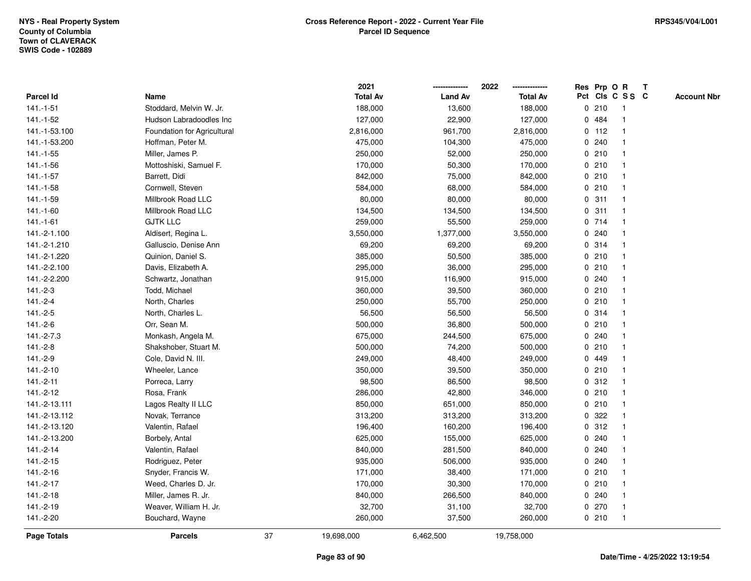|                |                             |    | 2021            |                | 2022            |             |         | Res Prp O R     | $\mathbf{T}$ |                    |
|----------------|-----------------------------|----|-----------------|----------------|-----------------|-------------|---------|-----------------|--------------|--------------------|
| Parcel Id      | Name                        |    | <b>Total Av</b> | <b>Land Av</b> | <b>Total Av</b> |             |         | Pct Cls C S S C |              | <b>Account Nbr</b> |
| $141 - 1 - 51$ | Stoddard, Melvin W. Jr.     |    | 188,000         | 13,600         | 188,000         |             | 0210    |                 |              |                    |
| 141.-1-52      | Hudson Labradoodles Inc     |    | 127,000         | 22,900         | 127,000         | $\mathbf 0$ | 484     |                 |              |                    |
| 141.-1-53.100  | Foundation for Agricultural |    | 2,816,000       | 961,700        | 2,816,000       |             | $0$ 112 |                 |              |                    |
| 141.-1-53.200  | Hoffman, Peter M.           |    | 475,000         | 104,300        | 475,000         | $\mathbf 0$ | 240     |                 |              |                    |
| $141.-1-55$    | Miller, James P.            |    | 250,000         | 52,000         | 250,000         |             | 0210    | $\mathbf 1$     |              |                    |
| 141.-1-56      | Mottoshiski, Samuel F.      |    | 170,000         | 50,300         | 170,000         |             | 0210    |                 |              |                    |
| 141.-1-57      | Barrett, Didi               |    | 842,000         | 75,000         | 842,000         |             | 0210    |                 |              |                    |
| 141.-1-58      | Cornwell, Steven            |    | 584,000         | 68,000         | 584,000         |             | 0210    |                 |              |                    |
| 141.-1-59      | Millbrook Road LLC          |    | 80,000          | 80,000         | 80,000          |             | 0.311   |                 |              |                    |
| 141.-1-60      | Millbrook Road LLC          |    | 134,500         | 134,500        | 134,500         | $\mathbf 0$ | 311     |                 |              |                    |
| $141 - 1 - 61$ | <b>GJTK LLC</b>             |    | 259,000         | 55,500         | 259,000         |             | 0 714   | $\mathbf{1}$    |              |                    |
| 141.-2-1.100   | Aldisert, Regina L.         |    | 3,550,000       | 1,377,000      | 3,550,000       |             | 0.240   |                 |              |                    |
| 141.-2-1.210   | Galluscio, Denise Ann       |    | 69,200          | 69,200         | 69,200          |             | 0.314   |                 |              |                    |
| 141.-2-1.220   | Quinion, Daniel S.          |    | 385,000         | 50,500         | 385,000         |             | 0210    |                 |              |                    |
| 141.-2-2.100   | Davis, Elizabeth A.         |    | 295,000         | 36,000         | 295,000         |             | 0210    |                 |              |                    |
| 141.-2-2.200   | Schwartz, Jonathan          |    | 915,000         | 116,900        | 915,000         |             | 0.240   |                 |              |                    |
| $141.-2-3$     | Todd, Michael               |    | 360,000         | 39,500         | 360,000         | $\mathbf 0$ | 210     |                 |              |                    |
| $141.-2-4$     | North, Charles              |    | 250,000         | 55,700         | 250,000         |             | 0210    | $\mathbf 1$     |              |                    |
| $141.-2-5$     | North, Charles L.           |    | 56,500          | 56,500         | 56,500          |             | 0.314   |                 |              |                    |
| $141.-2-6$     | Orr, Sean M.                |    | 500,000         | 36,800         | 500,000         |             | 0210    |                 |              |                    |
| 141.-2-7.3     | Monkash, Angela M.          |    | 675,000         | 244,500        | 675,000         |             | 0.240   |                 |              |                    |
| $141.-2-8$     | Shakshober, Stuart M.       |    | 500,000         | 74,200         | 500,000         |             | 0210    |                 |              |                    |
| 141.-2-9       | Cole, David N. III.         |    | 249,000         | 48,400         | 249,000         |             | 0 449   |                 |              |                    |
| 141.-2-10      | Wheeler, Lance              |    | 350,000         | 39,500         | 350,000         | $\mathbf 0$ | 210     | $\mathbf{1}$    |              |                    |
| $141.-2-11$    | Porreca, Larry              |    | 98,500          | 86,500         | 98,500          |             | 0.312   |                 |              |                    |
| 141.-2-12      | Rosa, Frank                 |    | 286,000         | 42,800         | 346,000         |             | 0210    | $\mathbf 1$     |              |                    |
| 141.-2-13.111  | Lagos Realty II LLC         |    | 850,000         | 651,000        | 850,000         |             | 0210    |                 |              |                    |
| 141.-2-13.112  | Novak, Terrance             |    | 313,200         | 313,200        | 313,200         |             | 0.322   |                 |              |                    |
| 141.-2-13.120  | Valentin, Rafael            |    | 196,400         | 160,200        | 196,400         |             | 0.312   |                 |              |                    |
| 141.-2-13.200  | Borbely, Antal              |    | 625,000         | 155,000        | 625,000         | 0           | 240     |                 |              |                    |
| 141.-2-14      | Valentin, Rafael            |    | 840,000         | 281,500        | 840,000         | $\mathbf 0$ | 240     |                 |              |                    |
| $141.-2-15$    | Rodriguez, Peter            |    | 935,000         | 506,000        | 935,000         |             | 0.240   |                 |              |                    |
| 141.-2-16      | Snyder, Francis W.          |    | 171,000         | 38,400         | 171,000         |             | 0210    |                 |              |                    |
| $141.-2-17$    | Weed, Charles D. Jr.        |    | 170,000         | 30,300         | 170,000         |             | 0210    |                 |              |                    |
| 141.-2-18      | Miller, James R. Jr.        |    | 840,000         | 266,500        | 840,000         |             | 0.240   |                 |              |                    |
| 141.-2-19      | Weaver, William H. Jr.      |    | 32,700          | 31,100         | 32,700          |             | $0$ 270 | $\mathbf{1}$    |              |                    |
| 141.-2-20      | Bouchard, Wayne             |    | 260,000         | 37,500         | 260,000         |             | 0210    | $\mathbf{1}$    |              |                    |
| Page Totals    | <b>Parcels</b>              | 37 | 19,698,000      | 6,462,500      | 19,758,000      |             |         |                 |              |                    |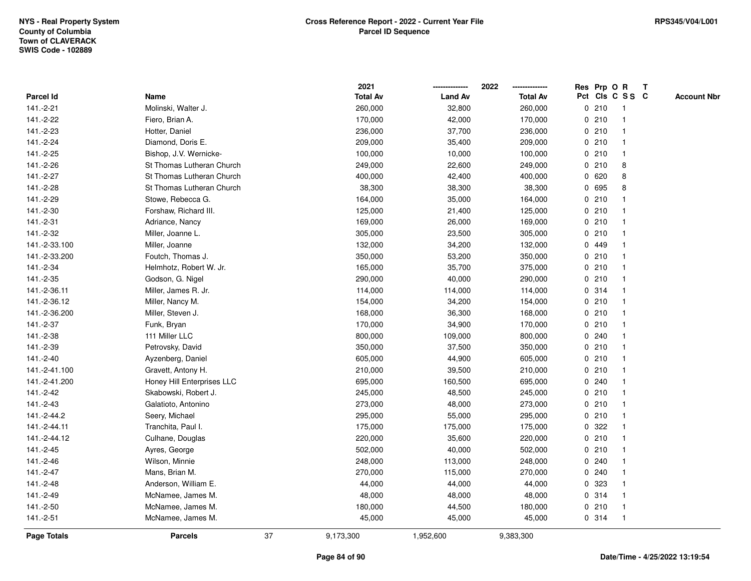|               |                            |    | 2021            |                | 2022            |             | Res Prp O R |                 | T |                    |
|---------------|----------------------------|----|-----------------|----------------|-----------------|-------------|-------------|-----------------|---|--------------------|
| Parcel Id     | Name                       |    | <b>Total Av</b> | <b>Land Av</b> | <b>Total Av</b> |             |             | Pct Cls C S S C |   | <b>Account Nbr</b> |
| 141.-2-21     | Molinski, Walter J.        |    | 260,000         | 32,800         | 260,000         |             | 0210        | -1              |   |                    |
| 141.-2-22     | Fiero, Brian A.            |    | 170,000         | 42,000         | 170,000         | 0           | 210         | $\overline{1}$  |   |                    |
| 141.-2-23     | Hotter, Daniel             |    | 236,000         | 37,700         | 236,000         |             | 0210        | $\mathbf{1}$    |   |                    |
| 141.-2-24     | Diamond, Doris E.          |    | 209,000         | 35,400         | 209,000         |             | 0210        |                 |   |                    |
| 141.-2-25     | Bishop, J.V. Wernicke-     |    | 100,000         | 10,000         | 100,000         |             | 0210        |                 |   |                    |
| 141.-2-26     | St Thomas Lutheran Church  |    | 249,000         | 22,600         | 249,000         |             | 0210        | 8               |   |                    |
| 141.-2-27     | St Thomas Lutheran Church  |    | 400,000         | 42,400         | 400,000         |             | 0 620       | 8               |   |                    |
| 141.-2-28     | St Thomas Lutheran Church  |    | 38,300          | 38,300         | 38,300          | 0           | 695         | 8               |   |                    |
| 141.-2-29     | Stowe, Rebecca G.          |    | 164,000         | 35,000         | 164,000         |             | 0210        |                 |   |                    |
| 141.-2-30     | Forshaw, Richard III.      |    | 125,000         | 21,400         | 125,000         |             | 0210        |                 |   |                    |
| 141.-2-31     | Adriance, Nancy            |    | 169,000         | 26,000         | 169,000         |             | 0210        |                 |   |                    |
| 141.-2-32     | Miller, Joanne L.          |    | 305,000         | 23,500         | 305,000         |             | 0210        |                 |   |                    |
| 141.-2-33.100 | Miller, Joanne             |    | 132,000         | 34,200         | 132,000         |             | 0 449       |                 |   |                    |
| 141.-2-33.200 | Foutch, Thomas J.          |    | 350,000         | 53,200         | 350,000         |             | 0210        |                 |   |                    |
| 141.-2-34     | Helmhotz, Robert W. Jr.    |    | 165,000         | 35,700         | 375,000         | $\mathbf 0$ | 210         |                 |   |                    |
| 141.-2-35     | Godson, G. Nigel           |    | 290,000         | 40,000         | 290,000         |             | 0210        | $\overline{1}$  |   |                    |
| 141.-2-36.11  | Miller, James R. Jr.       |    | 114,000         | 114,000        | 114,000         |             | 0 314       | $\mathbf{1}$    |   |                    |
| 141.-2-36.12  | Miller, Nancy M.           |    | 154,000         | 34,200         | 154,000         |             | 0210        |                 |   |                    |
| 141.-2-36.200 | Miller, Steven J.          |    | 168,000         | 36,300         | 168,000         |             | 0210        |                 |   |                    |
| 141.-2-37     | Funk, Bryan                |    | 170,000         | 34,900         | 170,000         |             | 0210        |                 |   |                    |
| 141.-2-38     | 111 Miller LLC             |    | 800,000         | 109,000        | 800,000         |             | 0.240       |                 |   |                    |
| 141.-2-39     | Petrovsky, David           |    | 350,000         | 37,500         | 350,000         |             | 0210        |                 |   |                    |
| 141.-2-40     | Ayzenberg, Daniel          |    | 605,000         | 44,900         | 605,000         |             | 0210        | $\mathbf{1}$    |   |                    |
| 141.-2-41.100 | Gravett, Antony H.         |    | 210,000         | 39,500         | 210,000         |             | 0210        | $\mathbf{1}$    |   |                    |
| 141.-2-41.200 | Honey Hill Enterprises LLC |    | 695,000         | 160,500        | 695,000         |             | 0.240       |                 |   |                    |
| 141.-2-42     | Skabowski, Robert J.       |    | 245,000         | 48,500         | 245,000         |             | 0210        |                 |   |                    |
| 141.-2-43     | Galatioto, Antonino        |    | 273,000         | 48,000         | 273,000         |             | 0210        |                 |   |                    |
| 141.-2-44.2   | Seery, Michael             |    | 295,000         | 55,000         | 295,000         |             | 0210        |                 |   |                    |
| 141.-2-44.11  | Tranchita, Paul I.         |    | 175,000         | 175,000        | 175,000         | $\mathbf 0$ | 322         |                 |   |                    |
| 141.-2-44.12  | Culhane, Douglas           |    | 220,000         | 35,600         | 220,000         | 0           | 210         | 1               |   |                    |
| 141.-2-45     | Ayres, George              |    | 502,000         | 40,000         | 502,000         |             | 0210        | $\mathbf{1}$    |   |                    |
| 141.-2-46     | Wilson, Minnie             |    | 248,000         | 113,000        | 248,000         |             | 0.240       |                 |   |                    |
| 141.-2-47     | Mans, Brian M.             |    | 270,000         | 115,000        | 270,000         |             | 0.240       |                 |   |                    |
| 141.-2-48     | Anderson, William E.       |    | 44,000          | 44,000         | 44,000          |             | 0 323       |                 |   |                    |
| 141.-2-49     | McNamee, James M.          |    | 48,000          | 48,000         | 48,000          |             | 0 314       |                 |   |                    |
| 141.-2-50     | McNamee, James M.          |    | 180,000         | 44,500         | 180,000         |             | 0210        |                 |   |                    |
| 141.-2-51     | McNamee, James M.          |    | 45,000          | 45,000         | 45,000          |             | 0 314       | $\mathbf{1}$    |   |                    |
| Page Totals   | <b>Parcels</b>             | 37 | 9,173,300       | 1,952,600      | 9,383,300       |             |             |                 |   |                    |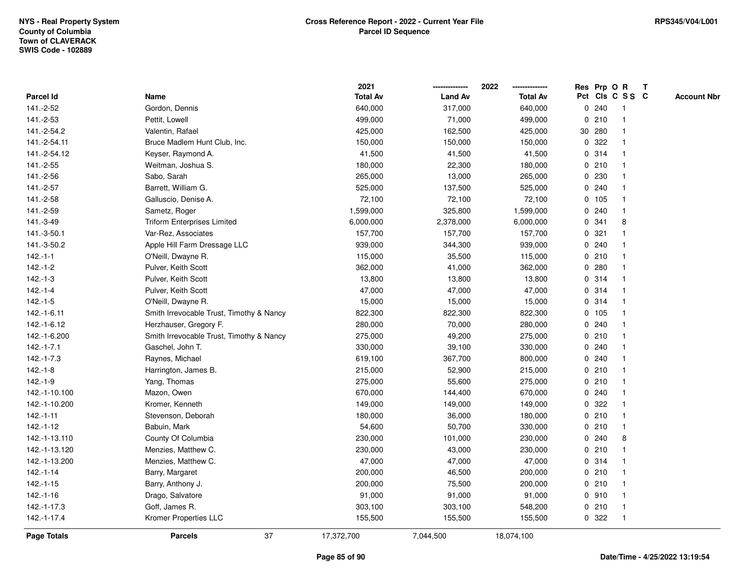|                |                                          | 2021            |                | 2022            | Res Prp O R |       |                 | T |                    |
|----------------|------------------------------------------|-----------------|----------------|-----------------|-------------|-------|-----------------|---|--------------------|
| Parcel Id      | Name                                     | <b>Total Av</b> | <b>Land Av</b> | <b>Total Av</b> |             |       | Pct Cls C S S C |   | <b>Account Nbr</b> |
| 141.-2-52      | Gordon, Dennis                           | 640,000         | 317,000        | 640,000         | 0.240       |       | -1              |   |                    |
| 141.-2-53      | Pettit, Lowell                           | 499,000         | 71,000         | 499,000         | 0210        |       | $\mathbf{1}$    |   |                    |
| 141.-2-54.2    | Valentin, Rafael                         | 425,000         | 162,500        | 425,000         | 30 280      |       | $\mathbf{1}$    |   |                    |
| 141.-2-54.11   | Bruce Madlem Hunt Club, Inc.             | 150,000         | 150,000        | 150,000         | 0.322       |       | $\mathbf{1}$    |   |                    |
| 141.-2-54.12   | Keyser, Raymond A.                       | 41,500          | 41,500         | 41,500          | 0.314       |       | 1               |   |                    |
| 141.-2-55      | Weitman, Joshua S.                       | 180,000         | 22,300         | 180,000         | 0210        |       | $\mathbf{1}$    |   |                    |
| 141.-2-56      | Sabo, Sarah                              | 265,000         | 13,000         | 265,000         | 0.230       |       | $\mathbf{1}$    |   |                    |
| 141.-2-57      | Barrett, William G.                      | 525,000         | 137,500        | 525,000         | 0.240       |       | $\mathbf{1}$    |   |                    |
| 141.-2-58      | Galluscio, Denise A.                     | 72,100          | 72,100         | 72,100          | 0 105       |       | $\mathbf{1}$    |   |                    |
| 141.-2-59      | Sametz, Roger                            | 1,599,000       | 325,800        | 1,599,000       | 0.240       |       | $\mathbf{1}$    |   |                    |
| 141.-3-49      | <b>Triform Enterprises Limited</b>       | 6,000,000       | 2,378,000      | 6,000,000       | 0.341       |       | 8               |   |                    |
| 141.-3-50.1    | Var-Rez, Associates                      | 157,700         | 157,700        | 157,700         | 0.321       |       | 1               |   |                    |
| 141.-3-50.2    | Apple Hill Farm Dressage LLC             | 939,000         | 344,300        | 939,000         | 0.240       |       | 1               |   |                    |
| $142.-1-1$     | O'Neill, Dwayne R.                       | 115,000         | 35,500         | 115,000         | 0210        |       | $\mathbf{1}$    |   |                    |
| $142.-1-2$     | Pulver, Keith Scott                      | 362,000         | 41,000         | 362,000         | 0.280       |       | $\mathbf{1}$    |   |                    |
| $142.-1-3$     | Pulver, Keith Scott                      | 13,800          | 13,800         | 13,800          | 0.314       |       | $\mathbf{1}$    |   |                    |
| $142.-1-4$     | Pulver, Keith Scott                      | 47,000          | 47,000         | 47,000          | 0 314       |       | $\mathbf{1}$    |   |                    |
| $142.-1-5$     | O'Neill, Dwayne R.                       | 15,000          | 15,000         | 15,000          | 0.314       |       | -1              |   |                    |
| 142.-1-6.11    | Smith Irrevocable Trust, Timothy & Nancy | 822,300         | 822,300        | 822,300         | 0 105       |       | 1               |   |                    |
| 142.-1-6.12    | Herzhauser, Gregory F.                   | 280,000         | 70,000         | 280,000         |             | 0.240 | $\mathbf{1}$    |   |                    |
| 142.-1-6.200   | Smith Irrevocable Trust, Timothy & Nancy | 275,000         | 49,200         | 275,000         | 0210        |       | 1               |   |                    |
| $142.-1-7.1$   | Gaschel, John T.                         | 330,000         | 39,100         | 330,000         | 0.240       |       | $\mathbf{1}$    |   |                    |
| $142.-1-7.3$   | Raynes, Michael                          | 619,100         | 367,700        | 800,000         | 0.240       |       | $\mathbf{1}$    |   |                    |
| $142.-1-8$     | Harrington, James B.                     | 215,000         | 52,900         | 215,000         | 0210        |       | $\mathbf{1}$    |   |                    |
| $142.-1-9$     | Yang, Thomas                             | 275,000         | 55,600         | 275,000         | 0210        |       | $\mathbf{1}$    |   |                    |
| 142.-1-10.100  | Mazon, Owen                              | 670,000         | 144,400        | 670,000         | 0.240       |       | 1               |   |                    |
| 142.-1-10.200  | Kromer, Kenneth                          | 149,000         | 149,000        | 149,000         | 0.322       |       | 1               |   |                    |
| $142.-1-11$    | Stevenson, Deborah                       | 180,000         | 36,000         | 180,000         | 0210        |       | $\mathbf{1}$    |   |                    |
| 142.-1-12      | Babuin, Mark                             | 54,600          | 50,700         | 330,000         |             | 0210  | $\mathbf{1}$    |   |                    |
| 142.-1-13.110  | County Of Columbia                       | 230,000         | 101,000        | 230,000         | 0.240       |       | 8               |   |                    |
| 142.-1-13.120  | Menzies, Matthew C.                      | 230,000         | 43,000         | 230,000         | 0210        |       | $\mathbf{1}$    |   |                    |
| 142.-1-13.200  | Menzies, Matthew C.                      | 47,000          | 47,000         | 47,000          | 0.314       |       | $\mathbf{1}$    |   |                    |
| $142 - 1 - 14$ | Barry, Margaret                          | 200,000         | 46,500         | 200,000         | 0210        |       | $\mathbf{1}$    |   |                    |
| $142.-1-15$    | Barry, Anthony J.                        | 200,000         | 75,500         | 200,000         | 0210        |       | $\mathbf{1}$    |   |                    |
| 142.-1-16      | Drago, Salvatore                         | 91,000          | 91,000         | 91,000          | 0.910       |       | $\mathbf{1}$    |   |                    |
| 142.-1-17.3    | Goff, James R.                           | 303,100         | 303,100        | 548,200         | 0210        |       | $\mathbf{1}$    |   |                    |
| 142.-1-17.4    | Kromer Properties LLC                    | 155,500         | 155,500        | 155,500         | 0 322       |       | $\mathbf{1}$    |   |                    |
| Page Totals    | 37<br><b>Parcels</b>                     | 17,372,700      | 7,044,500      | 18,074,100      |             |       |                 |   |                    |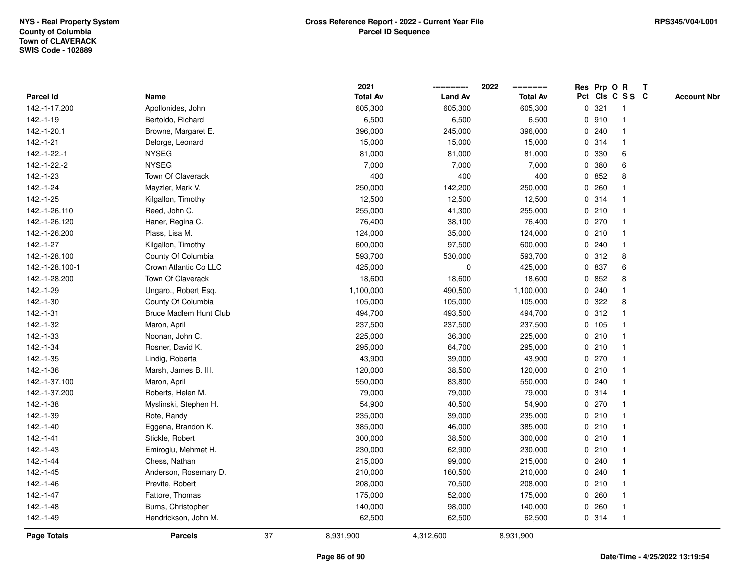|                 |                        |    | 2021            |                | 2022            |             |        | Res Prp O R             | T |                    |
|-----------------|------------------------|----|-----------------|----------------|-----------------|-------------|--------|-------------------------|---|--------------------|
| Parcel Id       | Name                   |    | <b>Total Av</b> | <b>Land Av</b> | <b>Total Av</b> |             |        | Pct Cls C S S C         |   | <b>Account Nbr</b> |
| 142.-1-17.200   | Apollonides, John      |    | 605,300         | 605,300        | 605,300         | 0           | 321    | $\mathbf{1}$            |   |                    |
| 142.-1-19       | Bertoldo, Richard      |    | 6,500           | 6,500          | 6,500           | 0           | 910    | -1                      |   |                    |
| 142.-1-20.1     | Browne, Margaret E.    |    | 396,000         | 245,000        | 396,000         |             | 0.240  | $\mathbf 1$             |   |                    |
| 142.-1-21       | Delorge, Leonard       |    | 15,000          | 15,000         | 15,000          |             | 0.314  |                         |   |                    |
| 142.-1-22.-1    | <b>NYSEG</b>           |    | 81,000          | 81,000         | 81,000          |             | 0 330  | 6                       |   |                    |
| 142.-1-22.-2    | <b>NYSEG</b>           |    | 7,000           | 7,000          | 7,000           |             | 0 380  | 6                       |   |                    |
| 142.-1-23       | Town Of Claverack      |    | 400             | 400            | 400             |             | 0852   | 8                       |   |                    |
| $142.-1-24$     | Mayzler, Mark V.       |    | 250,000         | 142,200        | 250,000         | 0           | 260    |                         |   |                    |
| 142.-1-25       | Kilgallon, Timothy     |    | 12,500          | 12,500         | 12,500          | 0           | 314    | -1                      |   |                    |
| 142.-1-26.110   | Reed, John C.          |    | 255,000         | 41,300         | 255,000         |             | 0210   | -1                      |   |                    |
| 142.-1-26.120   | Haner, Regina C.       |    | 76,400          | 38,100         | 76,400          |             | 0270   |                         |   |                    |
| 142.-1-26.200   | Plass, Lisa M.         |    | 124,000         | 35,000         | 124,000         |             | 0210   |                         |   |                    |
| 142.-1-27       | Kilgallon, Timothy     |    | 600,000         | 97,500         | 600,000         |             | 0.240  |                         |   |                    |
| 142.-1-28.100   | County Of Columbia     |    | 593,700         | 530,000        | 593,700         |             | 0.312  | 8                       |   |                    |
| 142.-1-28.100-1 | Crown Atlantic Co LLC  |    | 425,000         | 0              | 425,000         | $\mathbf 0$ | 837    | 6                       |   |                    |
| 142.-1-28.200   | Town Of Claverack      |    | 18,600          | 18,600         | 18,600          | $\mathbf 0$ | 852    | 8                       |   |                    |
| 142.-1-29       | Ungaro., Robert Esq.   |    | 1,100,000       | 490,500        | 1,100,000       | $\mathbf 0$ | 240    | $\mathbf{1}$            |   |                    |
| 142.-1-30       | County Of Columbia     |    | 105,000         | 105,000        | 105,000         |             | 0.322  | 8                       |   |                    |
| 142.-1-31       | Bruce Madlem Hunt Club |    | 494,700         | 493,500        | 494,700         |             | 0.312  |                         |   |                    |
| 142.-1-32       | Maron, April           |    | 237,500         | 237,500        | 237,500         |             | 0, 105 |                         |   |                    |
| 142.-1-33       | Noonan, John C.        |    | 225,000         | 36,300         | 225,000         |             | 0210   |                         |   |                    |
| $142.-1-34$     | Rosner, David K.       |    | 295,000         | 64,700         | 295,000         |             | 0210   |                         |   |                    |
| 142.-1-35       | Lindig, Roberta        |    | 43,900          | 39,000         | 43,900          |             | 0270   | $\mathbf{1}$            |   |                    |
| 142.-1-36       | Marsh, James B. III.   |    | 120,000         | 38,500         | 120,000         | $\mathbf 0$ | 210    | $\overline{\mathbf{1}}$ |   |                    |
| 142.-1-37.100   | Maron, April           |    | 550,000         | 83,800         | 550,000         |             | 0.240  |                         |   |                    |
| 142.-1-37.200   | Roberts, Helen M.      |    | 79,000          | 79,000         | 79,000          |             | 0.314  |                         |   |                    |
| 142.-1-38       | Myslinski, Stephen H.  |    | 54,900          | 40,500         | 54,900          |             | 0270   |                         |   |                    |
| 142.-1-39       | Rote, Randy            |    | 235,000         | 39,000         | 235,000         |             | 0210   |                         |   |                    |
| 142.-1-40       | Eggena, Brandon K.     |    | 385,000         | 46,000         | 385,000         |             | 0210   |                         |   |                    |
| 142.-1-41       | Stickle, Robert        |    | 300,000         | 38,500         | 300,000         | 0           | 210    | -1                      |   |                    |
| 142.-1-43       | Emiroglu, Mehmet H.    |    | 230,000         | 62,900         | 230,000         |             | 0210   | -1                      |   |                    |
| 142.-1-44       | Chess, Nathan          |    | 215,000         | 99,000         | 215,000         |             | 0.240  | $\mathbf 1$             |   |                    |
| 142.-1-45       | Anderson, Rosemary D.  |    | 210,000         | 160,500        | 210,000         |             | 0.240  |                         |   |                    |
| 142.-1-46       | Previte, Robert        |    | 208,000         | 70,500         | 208,000         |             | 0210   |                         |   |                    |
| 142.-1-47       | Fattore, Thomas        |    | 175,000         | 52,000         | 175,000         |             | 0.260  |                         |   |                    |
| 142.-1-48       | Burns, Christopher     |    | 140,000         | 98,000         | 140,000         | 0           | 260    | -1                      |   |                    |
| 142.-1-49       | Hendrickson, John M.   |    | 62,500          | 62,500         | 62,500          |             | 0.314  | $\mathbf{1}$            |   |                    |
| Page Totals     | <b>Parcels</b>         | 37 | 8,931,900       | 4,312,600      | 8,931,900       |             |        |                         |   |                    |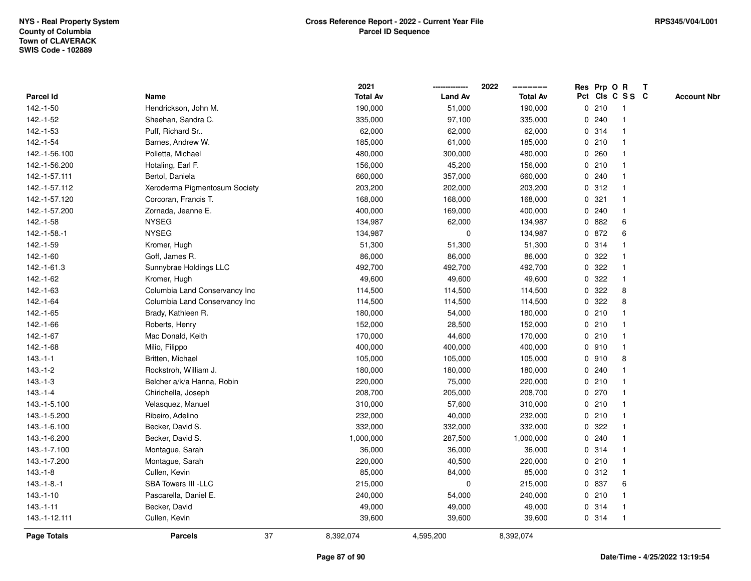|                    |                               |    | 2021            |                | 2022<br>-------------- |             |       | Res Prp O R    | $\mathbf{T}$    |                    |
|--------------------|-------------------------------|----|-----------------|----------------|------------------------|-------------|-------|----------------|-----------------|--------------------|
| Parcel Id          | Name                          |    | <b>Total Av</b> | <b>Land Av</b> | <b>Total Av</b>        |             |       |                | Pct Cls C S S C | <b>Account Nbr</b> |
| 142.-1-50          | Hendrickson, John M.          |    | 190,000         | 51,000         | 190,000                |             | 0210  | -1             |                 |                    |
| 142.-1-52          | Sheehan, Sandra C.            |    | 335,000         | 97,100         | 335,000                | 0           | 240   |                |                 |                    |
| 142.-1-53          | Puff, Richard Sr              |    | 62,000          | 62,000         | 62,000                 |             | 0.314 |                |                 |                    |
| 142.-1-54          | Barnes, Andrew W.             |    | 185,000         | 61,000         | 185,000                | 0           | 210   |                |                 |                    |
| 142.-1-56.100      | Polletta, Michael             |    | 480,000         | 300,000        | 480,000                | 0           | 260   | $\mathbf{1}$   |                 |                    |
| 142.-1-56.200      | Hotaling, Earl F.             |    | 156,000         | 45,200         | 156,000                |             | 0210  | -1             |                 |                    |
| 142.-1-57.111      | Bertol, Daniela               |    | 660,000         | 357,000        | 660,000                |             | 0.240 |                |                 |                    |
| 142.-1-57.112      | Xeroderma Pigmentosum Society |    | 203,200         | 202,000        | 203,200                |             | 0.312 |                |                 |                    |
| 142.-1-57.120      | Corcoran, Francis T.          |    | 168,000         | 168,000        | 168,000                |             | 0.321 |                |                 |                    |
| 142.-1-57.200      | Zornada, Jeanne E.            |    | 400,000         | 169,000        | 400,000                |             | 0.240 |                |                 |                    |
| 142.-1-58          | <b>NYSEG</b>                  |    | 134,987         | 62,000         | 134,987                |             | 0 882 | 6              |                 |                    |
| 142.-1-58.-1       | <b>NYSEG</b>                  |    | 134,987         | 0              | 134,987                |             | 0 872 | 6              |                 |                    |
| 142.-1-59          | Kromer, Hugh                  |    | 51,300          | 51,300         | 51,300                 |             | 0 314 |                |                 |                    |
| 142.-1-60          | Goff, James R.                |    | 86,000          | 86,000         | 86,000                 |             | 0.322 |                |                 |                    |
| 142.-1-61.3        | Sunnybrae Holdings LLC        |    | 492,700         | 492,700        | 492,700                | 0           | 322   |                |                 |                    |
| 142.-1-62          | Kromer, Hugh                  |    | 49,600          | 49,600         | 49,600                 |             | 0.322 | -1             |                 |                    |
| 142.-1-63          | Columbia Land Conservancy Inc |    | 114,500         | 114,500        | 114,500                | 0           | 322   | 8              |                 |                    |
| 142.-1-64          | Columbia Land Conservancy Inc |    | 114,500         | 114,500        | 114,500                | 0           | 322   | 8              |                 |                    |
| 142.-1-65          | Brady, Kathleen R.            |    | 180,000         | 54,000         | 180,000                |             | 0210  |                |                 |                    |
| 142.-1-66          | Roberts, Henry                |    | 152,000         | 28,500         | 152,000                |             | 0210  |                |                 |                    |
| 142.-1-67          | Mac Donald, Keith             |    | 170,000         | 44,600         | 170,000                |             | 0210  |                |                 |                    |
| 142.-1-68          | Milio, Filippo                |    | 400,000         | 400,000        | 400,000                |             | 0 910 |                |                 |                    |
| $143.-1-1$         | Britten, Michael              |    | 105,000         | 105,000        | 105,000                |             | 0.910 | 8              |                 |                    |
| $143.-1-2$         | Rockstroh, William J.         |    | 180,000         | 180,000        | 180,000                | $\mathbf 0$ | 240   |                |                 |                    |
| $143.-1-3$         | Belcher a/k/a Hanna, Robin    |    | 220,000         | 75,000         | 220,000                |             | 0210  | -1             |                 |                    |
| $143.-1-4$         | Chirichella, Joseph           |    | 208,700         | 205,000        | 208,700                |             | 0270  |                |                 |                    |
| 143.-1-5.100       | Velasquez, Manuel             |    | 310,000         | 57,600         | 310,000                |             | 0210  |                |                 |                    |
| 143.-1-5.200       | Ribeiro, Adelino              |    | 232,000         | 40,000         | 232,000                |             | 0210  |                |                 |                    |
| 143.-1-6.100       | Becker, David S.              |    | 332,000         | 332,000        | 332,000                |             | 0 322 |                |                 |                    |
| 143.-1-6.200       | Becker, David S.              |    | 1,000,000       | 287,500        | 1,000,000              | 0           | 240   |                |                 |                    |
| 143.-1-7.100       | Montague, Sarah               |    | 36,000          | 36,000         | 36,000                 |             | 0.314 | $\overline{1}$ |                 |                    |
| 143.-1-7.200       | Montague, Sarah               |    | 220,000         | 40,500         | 220,000                |             | 0210  | $\overline{1}$ |                 |                    |
| $143.-1-8$         | Cullen, Kevin                 |    | 85,000          | 84,000         | 85,000                 |             | 0.312 |                |                 |                    |
| $143.-1-8.-1$      | SBA Towers III -LLC           |    | 215,000         | 0              | 215,000                |             | 0 837 | 6              |                 |                    |
| $143.-1-10$        | Pascarella, Daniel E.         |    | 240,000         | 54,000         | 240,000                |             | 0210  |                |                 |                    |
| $143 - 1 - 11$     | Becker, David                 |    | 49,000          | 49,000         | 49,000                 |             | 0 314 | $\overline{1}$ |                 |                    |
| 143.-1-12.111      | Cullen, Kevin                 |    | 39,600          | 39,600         | 39,600                 |             | 0.314 | $\overline{1}$ |                 |                    |
| <b>Page Totals</b> | <b>Parcels</b>                | 37 | 8,392,074       | 4,595,200      | 8,392,074              |             |       |                |                 |                    |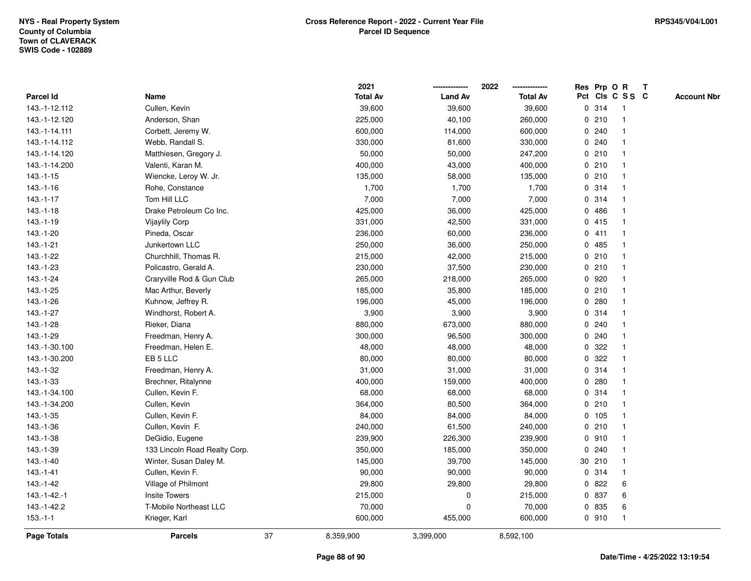|                  |                               |    | 2021            |                | 2022            |              |        | Res Prp O R     | T |                    |
|------------------|-------------------------------|----|-----------------|----------------|-----------------|--------------|--------|-----------------|---|--------------------|
| <b>Parcel Id</b> | Name                          |    | <b>Total Av</b> | <b>Land Av</b> | <b>Total Av</b> |              |        | Pct Cls C S S C |   | <b>Account Nbr</b> |
| 143.-1-12.112    | Cullen, Kevin                 |    | 39,600          | 39,600         | 39,600          |              | 0.314  | -1              |   |                    |
| 143.-1-12.120    | Anderson, Shan                |    | 225,000         | 40,100         | 260,000         | 0            | 210    | $\mathbf 1$     |   |                    |
| 143.-1-14.111    | Corbett, Jeremy W.            |    | 600,000         | 114,000        | 600,000         |              | 0.240  | $\mathbf 1$     |   |                    |
| 143.-1-14.112    | Webb, Randall S.              |    | 330,000         | 81,600         | 330,000         |              | 0.240  |                 |   |                    |
| 143.-1-14.120    | Matthiesen, Gregory J.        |    | 50,000          | 50,000         | 247,200         |              | 0210   |                 |   |                    |
| 143.-1-14.200    | Valenti, Karan M.             |    | 400,000         | 43,000         | 400,000         |              | 0210   |                 |   |                    |
| $143.-1-15$      | Wiencke, Leroy W. Jr.         |    | 135,000         | 58,000         | 135,000         |              | 0210   |                 |   |                    |
| $143.-1-16$      | Rohe, Constance               |    | 1,700           | 1,700          | 1,700           | 0            | 314    | $\overline{1}$  |   |                    |
| 143.-1-17        | Tom Hill LLC                  |    | 7,000           | 7,000          | 7,000           |              | 0 314  | -1              |   |                    |
| $143.-1-18$      | Drake Petroleum Co Inc.       |    | 425,000         | 36,000         | 425,000         |              | 0486   | $\mathbf 1$     |   |                    |
| 143.-1-19        | <b>Vijaylily Corp</b>         |    | 331,000         | 42,500         | 331,000         |              | 0415   |                 |   |                    |
| 143.-1-20        | Pineda, Oscar                 |    | 236,000         | 60,000         | 236,000         |              | 0411   |                 |   |                    |
| 143.-1-21        | Junkertown LLC                |    | 250,000         | 36,000         | 250,000         | $\mathbf{0}$ | 485    |                 |   |                    |
| 143.-1-22        | Churchhill, Thomas R.         |    | 215,000         | 42,000         | 215,000         |              | 0210   |                 |   |                    |
| 143.-1-23        | Policastro, Gerald A.         |    | 230,000         | 37,500         | 230,000         | 0            | 210    |                 |   |                    |
| 143.-1-24        | Craryville Rod & Gun Club     |    | 265,000         | 218,000        | 265,000         | 0            | 920    | 1               |   |                    |
| 143.-1-25        | Mac Arthur, Beverly           |    | 185,000         | 35,800         | 185,000         |              | 0210   | $\mathbf{1}$    |   |                    |
| 143.-1-26        | Kuhnow, Jeffrey R.            |    | 196,000         | 45,000         | 196,000         |              | 0.280  |                 |   |                    |
| 143.-1-27        | Windhorst, Robert A.          |    | 3,900           | 3,900          | 3,900           |              | 0.314  |                 |   |                    |
| 143.-1-28        | Rieker, Diana                 |    | 880,000         | 673,000        | 880,000         |              | 0.240  |                 |   |                    |
| 143.-1-29        | Freedman, Henry A.            |    | 300,000         | 96,500         | 300,000         |              | 0.240  |                 |   |                    |
| 143.-1-30.100    | Freedman, Helen E.            |    | 48,000          | 48,000         | 48,000          | 0            | 322    |                 |   |                    |
| 143.-1-30.200    | EB 5 LLC                      |    | 80,000          | 80,000         | 80,000          | 0            | 322    | -1              |   |                    |
| 143.-1-32        | Freedman, Henry A.            |    | 31,000          | 31,000         | 31,000          |              | 0.314  | $\overline{1}$  |   |                    |
| 143.-1-33        | Brechner, Ritalynne           |    | 400,000         | 159,000        | 400,000         |              | 0.280  |                 |   |                    |
| 143.-1-34.100    | Cullen, Kevin F.              |    | 68,000          | 68,000         | 68,000          |              | 0.314  |                 |   |                    |
| 143.-1-34.200    | Cullen, Kevin                 |    | 364,000         | 80,500         | 364,000         |              | 0210   |                 |   |                    |
| 143.-1-35        | Cullen, Kevin F.              |    | 84,000          | 84,000         | 84,000          |              | 0 105  |                 |   |                    |
| 143.-1-36        | Cullen, Kevin F.              |    | 240,000         | 61,500         | 240,000         | 0            | 210    |                 |   |                    |
| 143.-1-38        | DeGidio, Eugene               |    | 239,900         | 226,300        | 239,900         |              | 0.910  |                 |   |                    |
| 143.-1-39        | 133 Lincoln Road Realty Corp. |    | 350,000         | 185,000        | 350,000         | $\mathbf{0}$ | 240    | -1              |   |                    |
| $143.-1-40$      | Winter, Susan Daley M.        |    | 145,000         | 39,700         | 145,000         |              | 30 210 | -1              |   |                    |
| $143 - 1 - 41$   | Cullen, Kevin F.              |    | 90,000          | 90,000         | 90,000          |              | 0.314  | -1              |   |                    |
| 143.-1-42        | Village of Philmont           |    | 29,800          | 29,800         | 29,800          |              | 0822   | 6               |   |                    |
| 143.-1-42.-1     | <b>Insite Towers</b>          |    | 215,000         | 0              | 215,000         |              | 0 837  | 6               |   |                    |
| 143.-1-42.2      | T-Mobile Northeast LLC        |    | 70,000          | 0              | 70,000          | 0            | 835    | 6               |   |                    |
| $153.-1-1$       | Krieger, Karl                 |    | 600,000         | 455,000        | 600,000         |              | 0.910  | $\overline{1}$  |   |                    |
| Page Totals      | <b>Parcels</b>                | 37 | 8,359,900       | 3,399,000      | 8,592,100       |              |        |                 |   |                    |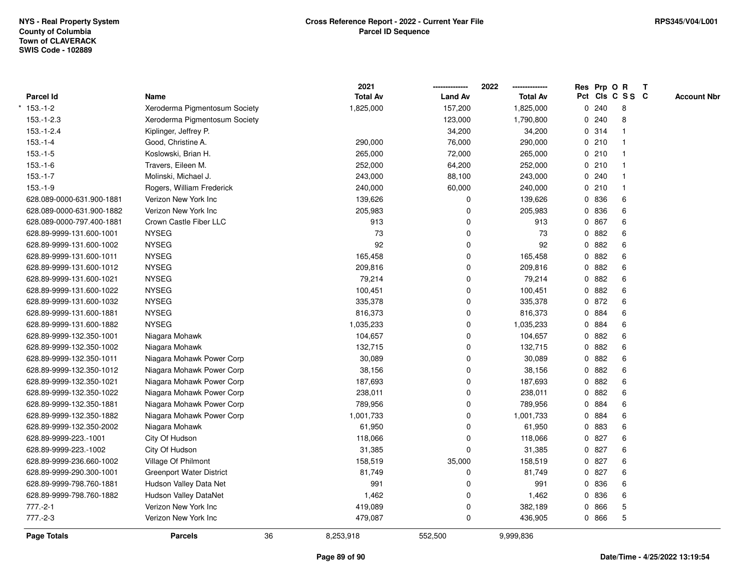|                           |                                 |    | 2021            |                | 2022            | Res Prp O R |       |                 | $\mathbf{T}$ |                    |
|---------------------------|---------------------------------|----|-----------------|----------------|-----------------|-------------|-------|-----------------|--------------|--------------------|
| <b>Parcel Id</b>          | Name                            |    | <b>Total Av</b> | <b>Land Av</b> | <b>Total Av</b> |             |       | Pct Cls C S S C |              | <b>Account Nbr</b> |
| $153.-1-2$                | Xeroderma Pigmentosum Society   |    | 1,825,000       | 157,200        | 1,825,000       |             | 0.240 | 8               |              |                    |
| $153.-1-2.3$              | Xeroderma Pigmentosum Society   |    |                 | 123,000        | 1,790,800       | 0           | 240   | 8               |              |                    |
| $153.-1-2.4$              | Kiplinger, Jeffrey P.           |    |                 | 34,200         | 34,200          |             | 0.314 | 1               |              |                    |
| $153.-1-4$                | Good, Christine A.              |    | 290,000         | 76,000         | 290,000         | 0           | 210   | $\overline{1}$  |              |                    |
| $153.-1-5$                | Koslowski, Brian H.             |    | 265,000         | 72,000         | 265,000         |             | 0210  | $\mathbf{1}$    |              |                    |
| $153.-1-6$                | Travers, Eileen M.              |    | 252,000         | 64,200         | 252,000         |             | 0210  | 1               |              |                    |
| $153.-1-7$                | Molinski, Michael J.            |    | 243,000         | 88,100         | 243,000         |             | 0.240 |                 |              |                    |
| $153.-1-9$                | Rogers, William Frederick       |    | 240,000         | 60,000         | 240,000         |             | 0210  | 1               |              |                    |
| 628.089-0000-631.900-1881 | Verizon New York Inc            |    | 139,626         | 0              | 139,626         |             | 0 836 | 6               |              |                    |
| 628.089-0000-631.900-1882 | Verizon New York Inc            |    | 205,983         | $\mathbf 0$    | 205,983         |             | 0 836 | 6               |              |                    |
| 628.089-0000-797.400-1881 | Crown Castle Fiber LLC          |    | 913             | 0              | 913             | 0           | 867   | 6               |              |                    |
| 628.89-9999-131.600-1001  | <b>NYSEG</b>                    |    | 73              | $\Omega$       | 73              | 0           | 882   | 6               |              |                    |
| 628.89-9999-131.600-1002  | <b>NYSEG</b>                    |    | 92              | 0              | 92              | 0           | 882   | 6               |              |                    |
| 628.89-9999-131.600-1011  | <b>NYSEG</b>                    |    | 165,458         | $\mathbf{0}$   | 165,458         |             | 0.882 | 6               |              |                    |
| 628.89-9999-131.600-1012  | <b>NYSEG</b>                    |    | 209,816         | 0              | 209,816         | 0           | 882   | 6               |              |                    |
| 628.89-9999-131.600-1021  | <b>NYSEG</b>                    |    | 79,214          | $\mathbf 0$    | 79,214          | 0           | 882   | 6               |              |                    |
| 628.89-9999-131.600-1022  | <b>NYSEG</b>                    |    | 100,451         | $\mathbf 0$    | 100,451         | 0           | 882   | 6               |              |                    |
| 628.89-9999-131.600-1032  | <b>NYSEG</b>                    |    | 335,378         | 0              | 335,378         | 0           | 872   | 6               |              |                    |
| 628.89-9999-131.600-1881  | <b>NYSEG</b>                    |    | 816,373         | 0              | 816,373         |             | 0 884 | 6               |              |                    |
| 628.89-9999-131.600-1882  | <b>NYSEG</b>                    |    | 1,035,233       | 0              | 1,035,233       |             | 0 884 | 6               |              |                    |
| 628.89-9999-132.350-1001  | Niagara Mohawk                  |    | 104,657         | 0              | 104,657         |             | 0 882 | 6               |              |                    |
| 628.89-9999-132.350-1002  | Niagara Mohawk                  |    | 132,715         | $\mathbf 0$    | 132,715         | 0           | 882   | 6               |              |                    |
| 628.89-9999-132.350-1011  | Niagara Mohawk Power Corp       |    | 30,089          | $\mathbf 0$    | 30,089          | 0           | 882   | 6               |              |                    |
| 628.89-9999-132.350-1012  | Niagara Mohawk Power Corp       |    | 38,156          | $\mathbf 0$    | 38,156          | 0           | 882   | 6               |              |                    |
| 628.89-9999-132.350-1021  | Niagara Mohawk Power Corp       |    | 187,693         | 0              | 187,693         | 0           | 882   | 6               |              |                    |
| 628.89-9999-132.350-1022  | Niagara Mohawk Power Corp       |    | 238,011         | 0              | 238,011         |             | 0 882 | 6               |              |                    |
| 628.89-9999-132.350-1881  | Niagara Mohawk Power Corp       |    | 789,956         | $\mathbf 0$    | 789,956         |             | 0 884 | 6               |              |                    |
| 628.89-9999-132.350-1882  | Niagara Mohawk Power Corp       |    | 1,001,733       | 0              | 1,001,733       |             | 0 884 | 6               |              |                    |
| 628.89-9999-132.350-2002  | Niagara Mohawk                  |    | 61,950          | $\mathbf 0$    | 61,950          | 0           | 883   | 6               |              |                    |
| 628.89-9999-223.-1001     | City Of Hudson                  |    | 118,066         | $\mathbf 0$    | 118,066         | 0           | 827   | 6               |              |                    |
| 628.89-9999-223.-1002     | City Of Hudson                  |    | 31,385          | $\Omega$       | 31,385          | 0           | 827   | 6               |              |                    |
| 628.89-9999-236.660-1002  | Village Of Philmont             |    | 158,519         | 35,000         | 158,519         |             | 0 827 | 6               |              |                    |
| 628.89-9999-290.300-1001  | <b>Greenport Water District</b> |    | 81,749          | 0              | 81,749          |             | 0827  | 6               |              |                    |
| 628.89-9999-798.760-1881  | Hudson Valley Data Net          |    | 991             | $\mathbf 0$    | 991             |             | 0 836 | 6               |              |                    |
| 628.89-9999-798.760-1882  | <b>Hudson Valley DataNet</b>    |    | 1,462           | 0              | 1,462           |             | 0 836 | 6               |              |                    |
| $777.-2-1$                | Verizon New York Inc            |    | 419,089         | 0              | 382,189         | 0           | 866   | 5               |              |                    |
| $777.-2-3$                | Verizon New York Inc            |    | 479,087         | 0              | 436,905         |             | 0 866 | 5               |              |                    |
| <b>Page Totals</b>        | <b>Parcels</b>                  | 36 | 8,253,918       | 552,500        | 9,999,836       |             |       |                 |              |                    |